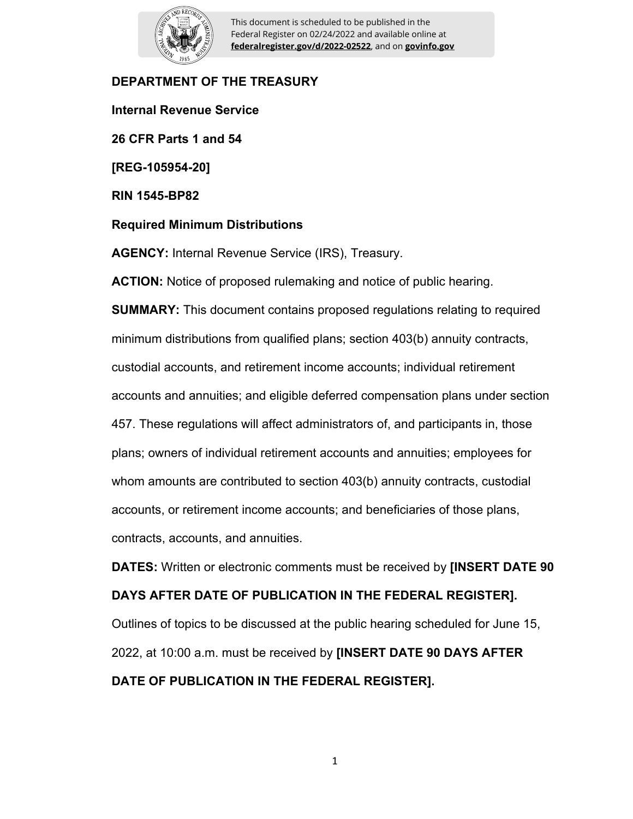

This document is scheduled to be published in the Federal Register on 02/24/2022 and available online at **federalregister.gov/d/2022-02522**, and on **govinfo.gov**

### **DEPARTMENT OF THE TREASURY**

**Internal Revenue Service 26 CFR Parts 1 and 54 [REG-105954-20] RIN 1545-BP82 Required Minimum Distributions AGENCY:** Internal Revenue Service (IRS), Treasury.

**ACTION:** Notice of proposed rulemaking and notice of public hearing. **SUMMARY:** This document contains proposed regulations relating to required minimum distributions from qualified plans; section 403(b) annuity contracts, custodial accounts, and retirement income accounts; individual retirement accounts and annuities; and eligible deferred compensation plans under section 457. These regulations will affect administrators of, and participants in, those plans; owners of individual retirement accounts and annuities; employees for whom amounts are contributed to section 403(b) annuity contracts, custodial accounts, or retirement income accounts; and beneficiaries of those plans, contracts, accounts, and annuities.

**DATES:** Written or electronic comments must be received by **[INSERT DATE 90 DAYS AFTER DATE OF PUBLICATION IN THE FEDERAL REGISTER].**  Outlines of topics to be discussed at the public hearing scheduled for June 15, 2022, at 10:00 a.m. must be received by **[INSERT DATE 90 DAYS AFTER DATE OF PUBLICATION IN THE FEDERAL REGISTER].**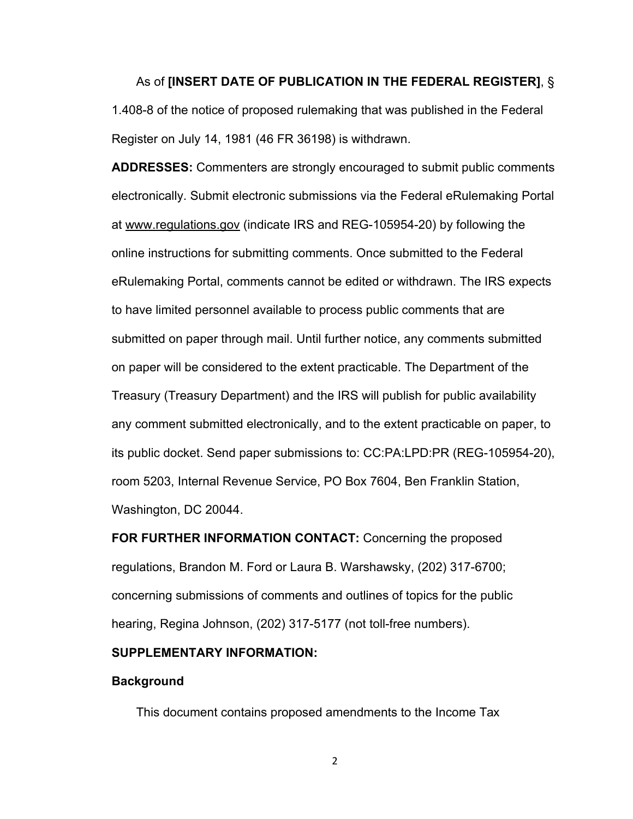#### As of **[INSERT DATE OF PUBLICATION IN THE FEDERAL REGISTER]**, §

1.408-8 of the notice of proposed rulemaking that was published in the Federal Register on July 14, 1981 (46 FR 36198) is withdrawn.

**ADDRESSES:** Commenters are strongly encouraged to submit public comments electronically. Submit electronic submissions via the Federal eRulemaking Portal at www.regulations.gov (indicate IRS and REG-105954-20) by following the online instructions for submitting comments. Once submitted to the Federal eRulemaking Portal, comments cannot be edited or withdrawn. The IRS expects to have limited personnel available to process public comments that are submitted on paper through mail. Until further notice, any comments submitted on paper will be considered to the extent practicable. The Department of the Treasury (Treasury Department) and the IRS will publish for public availability any comment submitted electronically, and to the extent practicable on paper, to its public docket. Send paper submissions to: CC:PA:LPD:PR (REG-105954-20), room 5203, Internal Revenue Service, PO Box 7604, Ben Franklin Station, Washington, DC 20044.

**FOR FURTHER INFORMATION CONTACT:** Concerning the proposed regulations, Brandon M. Ford or Laura B. Warshawsky, (202) 317-6700; concerning submissions of comments and outlines of topics for the public hearing, Regina Johnson, (202) 317-5177 (not toll-free numbers).

#### **SUPPLEMENTARY INFORMATION:**

#### **Background**

This document contains proposed amendments to the Income Tax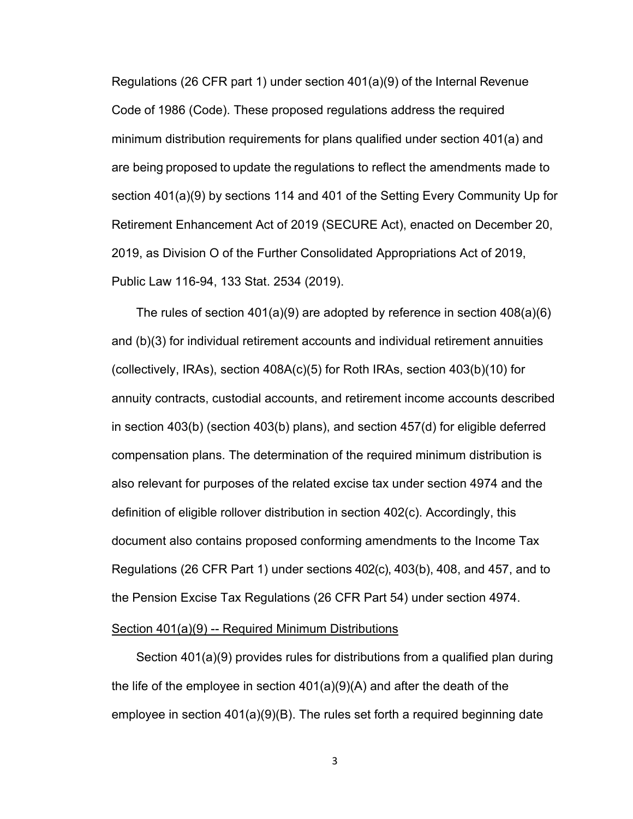Regulations (26 CFR part 1) under section 401(a)(9) of the Internal Revenue Code of 1986 (Code). These proposed regulations address the required minimum distribution requirements for plans qualified under section 401(a) and are being proposed to update the regulations to reflect the amendments made to section 401(a)(9) by sections 114 and 401 of the Setting Every Community Up for Retirement Enhancement Act of 2019 (SECURE Act), enacted on December 20, 2019, as Division O of the Further Consolidated Appropriations Act of 2019, Public Law 116-94, 133 Stat. 2534 (2019).

The rules of section 401(a)(9) are adopted by reference in section 408(a)(6) and (b)(3) for individual retirement accounts and individual retirement annuities (collectively, IRAs), section 408A(c)(5) for Roth IRAs, section 403(b)(10) for annuity contracts, custodial accounts, and retirement income accounts described in section 403(b) (section 403(b) plans), and section 457(d) for eligible deferred compensation plans. The determination of the required minimum distribution is also relevant for purposes of the related excise tax under section 4974 and the definition of eligible rollover distribution in section 402(c). Accordingly, this document also contains proposed conforming amendments to the Income Tax Regulations (26 CFR Part 1) under sections 402(c), 403(b), 408, and 457, and to the Pension Excise Tax Regulations (26 CFR Part 54) under section 4974.

#### Section 401(a)(9) -- Required Minimum Distributions

Section 401(a)(9) provides rules for distributions from a qualified plan during the life of the employee in section 401(a)(9)(A) and after the death of the employee in section 401(a)(9)(B). The rules set forth a required beginning date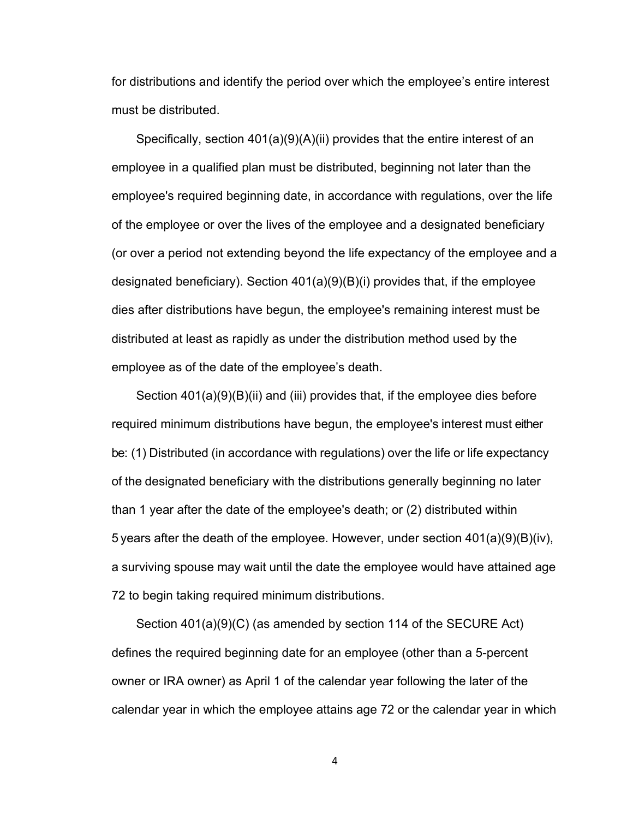for distributions and identify the period over which the employee's entire interest must be distributed.

Specifically, section 401(a)(9)(A)(ii) provides that the entire interest of an employee in a qualified plan must be distributed, beginning not later than the employee's required beginning date, in accordance with regulations, over the life of the employee or over the lives of the employee and a designated beneficiary (or over a period not extending beyond the life expectancy of the employee and a designated beneficiary). Section 401(a)(9)(B)(i) provides that, if the employee dies after distributions have begun, the employee's remaining interest must be distributed at least as rapidly as under the distribution method used by the employee as of the date of the employee's death.

Section 401(a)(9)(B)(ii) and (iii) provides that, if the employee dies before required minimum distributions have begun, the employee's interest must either be: (1) Distributed (in accordance with regulations) over the life or life expectancy of the designated beneficiary with the distributions generally beginning no later than 1 year after the date of the employee's death; or (2) distributed within 5 years after the death of the employee. However, under section  $401(a)(9)(B)(iv)$ , a surviving spouse may wait until the date the employee would have attained age 72 to begin taking required minimum distributions.

Section 401(a)(9)(C) (as amended by section 114 of the SECURE Act) defines the required beginning date for an employee (other than a 5-percent owner or IRA owner) as April 1 of the calendar year following the later of the calendar year in which the employee attains age 72 or the calendar year in which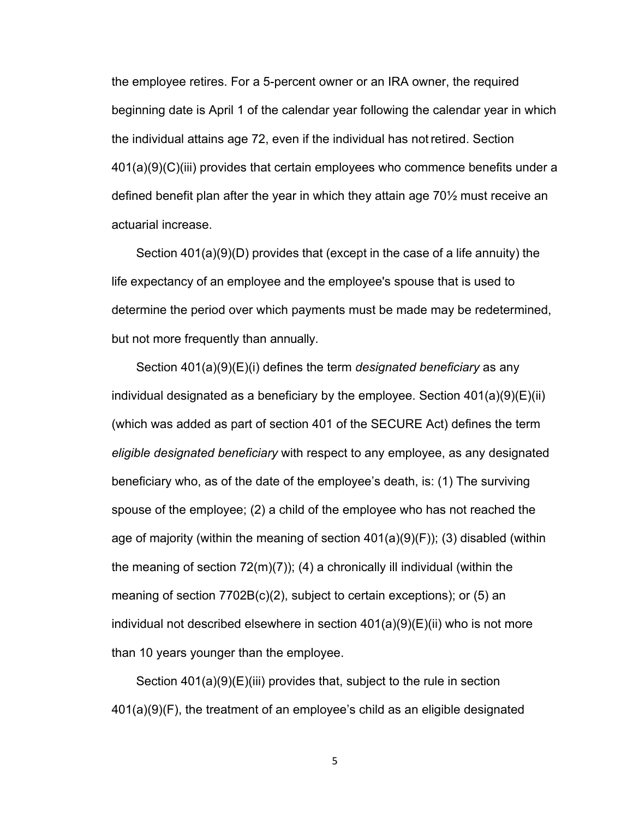the employee retires. For a 5-percent owner or an IRA owner, the required beginning date is April 1 of the calendar year following the calendar year in which the individual attains age 72, even if the individual has not retired. Section 401(a)(9)(C)(iii) provides that certain employees who commence benefits under a defined benefit plan after the year in which they attain age 70½ must receive an actuarial increase.

Section 401(a)(9)(D) provides that (except in the case of a life annuity) the life expectancy of an employee and the employee's spouse that is used to determine the period over which payments must be made may be redetermined, but not more frequently than annually.

Section 401(a)(9)(E)(i) defines the term *designated beneficiary* as any individual designated as a beneficiary by the employee. Section  $401(a)(9)(E)(ii)$ (which was added as part of section 401 of the SECURE Act) defines the term *eligible designated beneficiary* with respect to any employee, as any designated beneficiary who, as of the date of the employee's death, is: (1) The surviving spouse of the employee; (2) a child of the employee who has not reached the age of majority (within the meaning of section 401(a)(9)(F)); (3) disabled (within the meaning of section  $72(m)(7)$ ; (4) a chronically ill individual (within the meaning of section 7702B(c)(2), subject to certain exceptions); or (5) an individual not described elsewhere in section 401(a)(9)(E)(ii) who is not more than 10 years younger than the employee.

Section 401(a)(9)(E)(iii) provides that, subject to the rule in section 401(a)(9)(F), the treatment of an employee's child as an eligible designated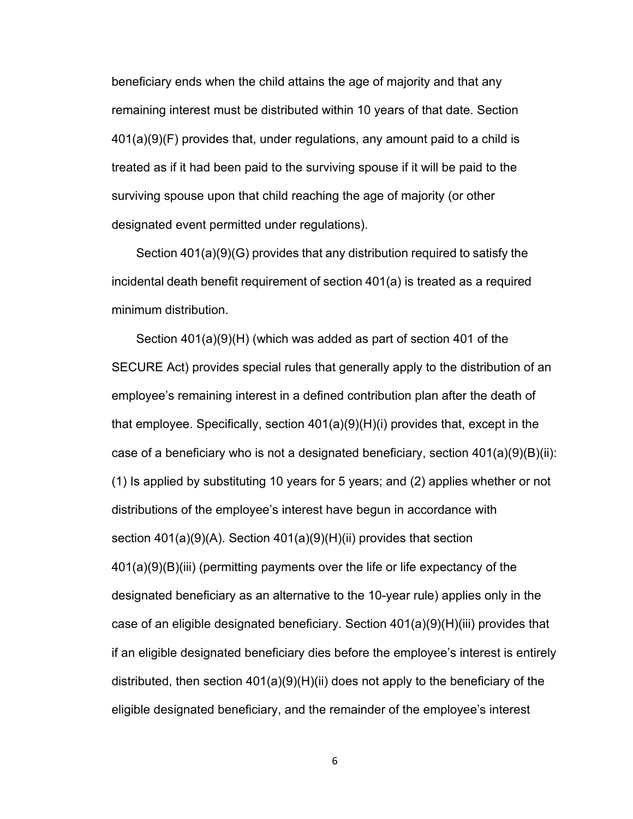beneficiary ends when the child attains the age of majority and that any remaining interest must be distributed within 10 years of that date. Section 401(a)(9)(F) provides that, under regulations, any amount paid to a child is treated as if it had been paid to the surviving spouse if it will be paid to the surviving spouse upon that child reaching the age of majority (or other designated event permitted under regulations).

Section 401(a)(9)(G) provides that any distribution required to satisfy the incidental death benefit requirement of section 401(a) is treated as a required minimum distribution.

Section 401(a)(9)(H) (which was added as part of section 401 of the SECURE Act) provides special rules that generally apply to the distribution of an employee's remaining interest in a defined contribution plan after the death of that employee. Specifically, section 401(a)(9)(H)(i) provides that, except in the case of a beneficiary who is not a designated beneficiary, section  $401(a)(9)(B)(ii)$ : (1) Is applied by substituting 10 years for 5 years; and (2) applies whether or not distributions of the employee's interest have begun in accordance with section 401(a)(9)(A). Section 401(a)(9)(H)(ii) provides that section 401(a)(9)(B)(iii) (permitting payments over the life or life expectancy of the designated beneficiary as an alternative to the 10-year rule) applies only in the case of an eligible designated beneficiary. Section 401(a)(9)(H)(iii) provides that if an eligible designated beneficiary dies before the employee's interest is entirely distributed, then section 401(a)(9)(H)(ii) does not apply to the beneficiary of the eligible designated beneficiary, and the remainder of the employee's interest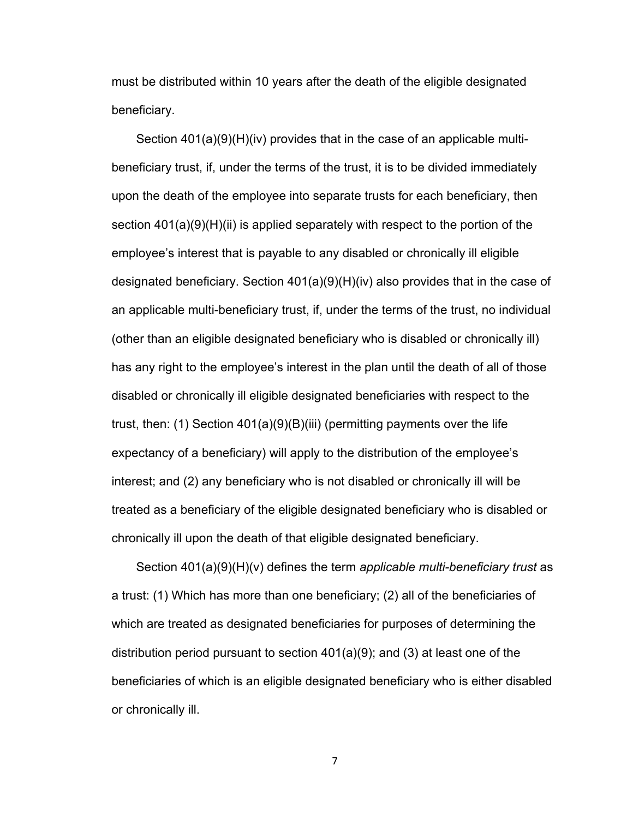must be distributed within 10 years after the death of the eligible designated beneficiary.

Section 401(a)(9)(H)(iv) provides that in the case of an applicable multibeneficiary trust, if, under the terms of the trust, it is to be divided immediately upon the death of the employee into separate trusts for each beneficiary, then section 401(a)(9)(H)(ii) is applied separately with respect to the portion of the employee's interest that is payable to any disabled or chronically ill eligible designated beneficiary. Section 401(a)(9)(H)(iv) also provides that in the case of an applicable multi-beneficiary trust, if, under the terms of the trust, no individual (other than an eligible designated beneficiary who is disabled or chronically ill) has any right to the employee's interest in the plan until the death of all of those disabled or chronically ill eligible designated beneficiaries with respect to the trust, then: (1) Section 401(a)(9)(B)(iii) (permitting payments over the life expectancy of a beneficiary) will apply to the distribution of the employee's interest; and (2) any beneficiary who is not disabled or chronically ill will be treated as a beneficiary of the eligible designated beneficiary who is disabled or chronically ill upon the death of that eligible designated beneficiary.

Section 401(a)(9)(H)(v) defines the term *applicable multi-beneficiary trust* as a trust: (1) Which has more than one beneficiary; (2) all of the beneficiaries of which are treated as designated beneficiaries for purposes of determining the distribution period pursuant to section 401(a)(9); and (3) at least one of the beneficiaries of which is an eligible designated beneficiary who is either disabled or chronically ill.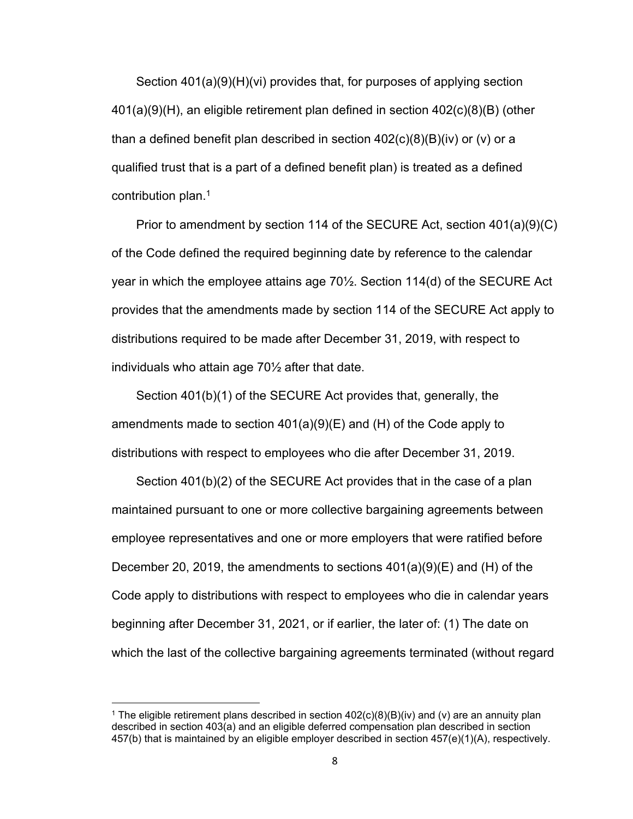Section 401(a)(9)(H)(vi) provides that, for purposes of applying section 401(a)(9)(H), an eligible retirement plan defined in section 402(c)(8)(B) (other than a defined benefit plan described in section  $402(c)(8)(B)(iv)$  or (v) or a qualified trust that is a part of a defined benefit plan) is treated as a defined contribution plan.<sup>1</sup>

Prior to amendment by section 114 of the SECURE Act, section 401(a)(9)(C) of the Code defined the required beginning date by reference to the calendar year in which the employee attains age 70½. Section 114(d) of the SECURE Act provides that the amendments made by section 114 of the SECURE Act apply to distributions required to be made after December 31, 2019, with respect to individuals who attain age 70½ after that date.

Section 401(b)(1) of the SECURE Act provides that, generally, the amendments made to section  $401(a)(9)(E)$  and (H) of the Code apply to distributions with respect to employees who die after December 31, 2019.

Section 401(b)(2) of the SECURE Act provides that in the case of a plan maintained pursuant to one or more collective bargaining agreements between employee representatives and one or more employers that were ratified before December 20, 2019, the amendments to sections  $401(a)(9)(E)$  and (H) of the Code apply to distributions with respect to employees who die in calendar years beginning after December 31, 2021, or if earlier, the later of: (1) The date on which the last of the collective bargaining agreements terminated (without regard

 $^1$  The eligible retirement plans described in section 402(c)(8)(B)(iv) and (v) are an annuity plan described in section 403(a) and an eligible deferred compensation plan described in section 457(b) that is maintained by an eligible employer described in section 457(e)(1)(A), respectively.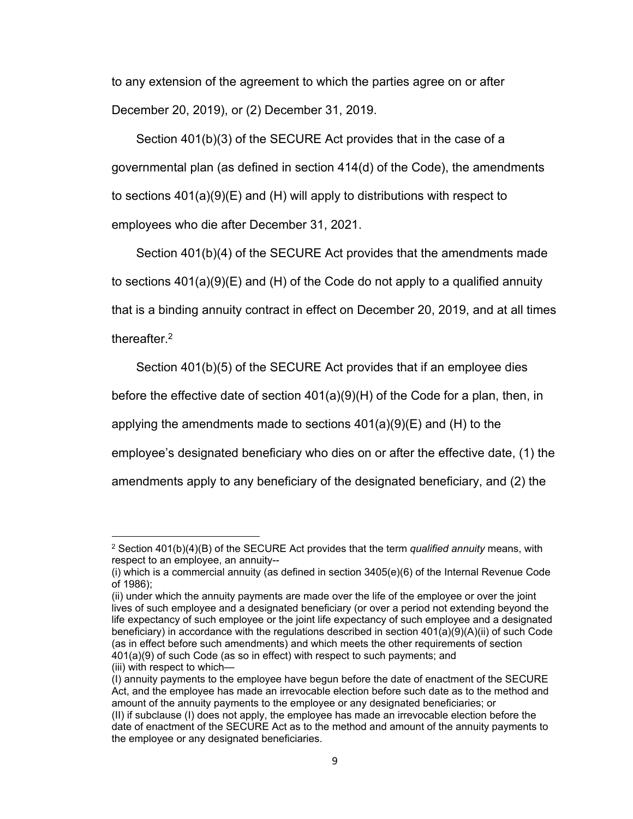to any extension of the agreement to which the parties agree on or after December 20, 2019), or (2) December 31, 2019.

Section 401(b)(3) of the SECURE Act provides that in the case of a governmental plan (as defined in section 414(d) of the Code), the amendments to sections 401(a)(9)(E) and (H) will apply to distributions with respect to employees who die after December 31, 2021.

Section 401(b)(4) of the SECURE Act provides that the amendments made to sections 401(a)(9)(E) and (H) of the Code do not apply to a qualified annuity that is a binding annuity contract in effect on December 20, 2019, and at all times thereafter.<sup>2</sup>

Section 401(b)(5) of the SECURE Act provides that if an employee dies

before the effective date of section 401(a)(9)(H) of the Code for a plan, then, in

applying the amendments made to sections  $401(a)(9)(E)$  and (H) to the

employee's designated beneficiary who dies on or after the effective date, (1) the

amendments apply to any beneficiary of the designated beneficiary, and (2) the

<sup>2</sup> Section 401(b)(4)(B) of the SECURE Act provides that the term *qualified annuity* means, with respect to an employee, an annuity--

<sup>(</sup>i) which is a commercial annuity (as defined in section 3405(e)(6) of the Internal Revenue Code of 1986);

<sup>(</sup>ii) under which the annuity payments are made over the life of the employee or over the joint lives of such employee and a designated beneficiary (or over a period not extending beyond the life expectancy of such employee or the joint life expectancy of such employee and a designated beneficiary) in accordance with the regulations described in section 401(a)(9)(A)(ii) of such Code (as in effect before such amendments) and which meets the other requirements of section 401(a)(9) of such Code (as so in effect) with respect to such payments; and (iii) with respect to which—

<sup>(</sup>I) annuity payments to the employee have begun before the date of enactment of the SECURE Act, and the employee has made an irrevocable election before such date as to the method and amount of the annuity payments to the employee or any designated beneficiaries; or (II) if subclause (I) does not apply, the employee has made an irrevocable election before the date of enactment of the SECURE Act as to the method and amount of the annuity payments to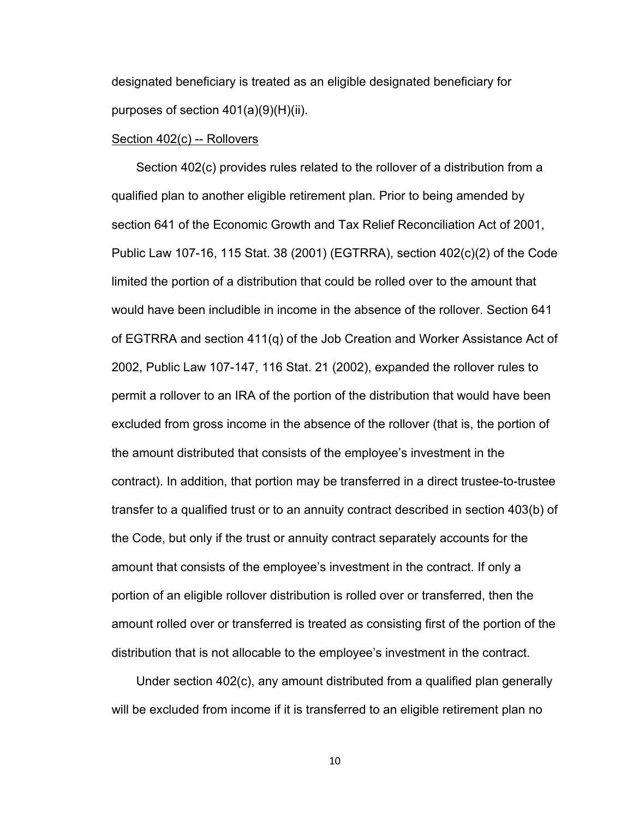designated beneficiary is treated as an eligible designated beneficiary for purposes of section 401(a)(9)(H)(ii).

#### Section 402(c) -- Rollovers

Section 402(c) provides rules related to the rollover of a distribution from a qualified plan to another eligible retirement plan. Prior to being amended by section 641 of the Economic Growth and Tax Relief Reconciliation Act of 2001, Public Law 107-16, 115 Stat. 38 (2001) (EGTRRA), section 402(c)(2) of the Code limited the portion of a distribution that could be rolled over to the amount that would have been includible in income in the absence of the rollover. Section 641 of EGTRRA and section 411(q) of the Job Creation and Worker Assistance Act of 2002, Public Law 107-147, 116 Stat. 21 (2002), expanded the rollover rules to permit a rollover to an IRA of the portion of the distribution that would have been excluded from gross income in the absence of the rollover (that is, the portion of the amount distributed that consists of the employee's investment in the contract). In addition, that portion may be transferred in a direct trustee-to-trustee transfer to a qualified trust or to an annuity contract described in section 403(b) of the Code, but only if the trust or annuity contract separately accounts for the amount that consists of the employee's investment in the contract. If only a portion of an eligible rollover distribution is rolled over or transferred, then the amount rolled over or transferred is treated as consisting first of the portion of the distribution that is not allocable to the employee's investment in the contract.

Under section 402(c), any amount distributed from a qualified plan generally will be excluded from income if it is transferred to an eligible retirement plan no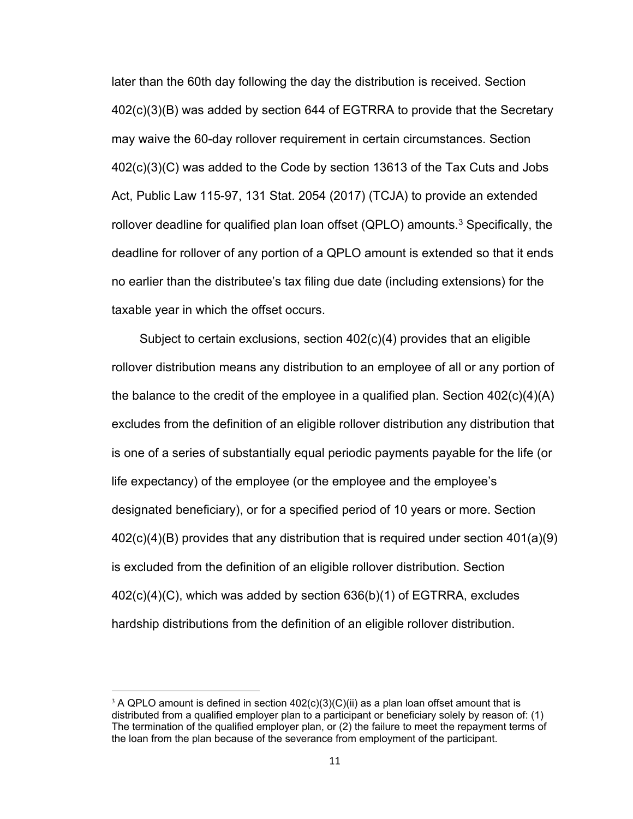later than the 60th day following the day the distribution is received. Section 402(c)(3)(B) was added by section 644 of EGTRRA to provide that the Secretary may waive the 60-day rollover requirement in certain circumstances. Section 402(c)(3)(C) was added to the Code by section 13613 of the Tax Cuts and Jobs Act, Public Law 115-97, 131 Stat. 2054 (2017) (TCJA) to provide an extended rollover deadline for qualified plan loan offset (QPLO) amounts. $^3$  Specifically, the deadline for rollover of any portion of a QPLO amount is extended so that it ends no earlier than the distributee's tax filing due date (including extensions) for the taxable year in which the offset occurs.

 Subject to certain exclusions, section 402(c)(4) provides that an eligible rollover distribution means any distribution to an employee of all or any portion of the balance to the credit of the employee in a qualified plan. Section  $402(c)(4)(A)$ excludes from the definition of an eligible rollover distribution any distribution that is one of a series of substantially equal periodic payments payable for the life (or life expectancy) of the employee (or the employee and the employee's designated beneficiary), or for a specified period of 10 years or more. Section 402(c)(4)(B) provides that any distribution that is required under section 401(a)(9) is excluded from the definition of an eligible rollover distribution. Section 402(c)(4)(C), which was added by section 636(b)(1) of EGTRRA, excludes hardship distributions from the definition of an eligible rollover distribution.

<sup>&</sup>lt;sup>3</sup> A QPLO amount is defined in section  $402(c)(3)(C)(ii)$  as a plan loan offset amount that is distributed from a qualified employer plan to a participant or beneficiary solely by reason of: (1) The termination of the qualified employer plan, or (2) the failure to meet the repayment terms of the loan from the plan because of the severance from employment of the participant.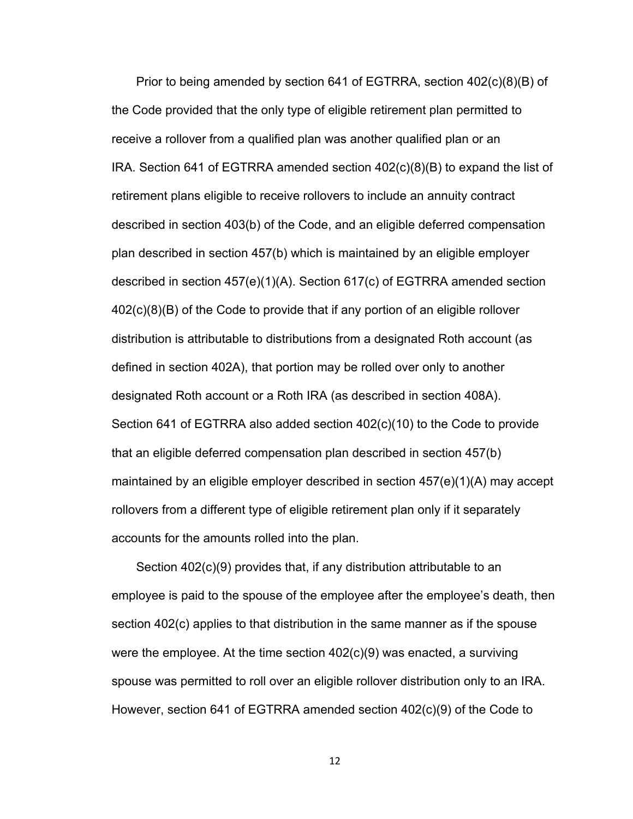Prior to being amended by section 641 of EGTRRA, section 402(c)(8)(B) of the Code provided that the only type of eligible retirement plan permitted to receive a rollover from a qualified plan was another qualified plan or an IRA. Section 641 of EGTRRA amended section 402(c)(8)(B) to expand the list of retirement plans eligible to receive rollovers to include an annuity contract described in section 403(b) of the Code, and an eligible deferred compensation plan described in section 457(b) which is maintained by an eligible employer described in section 457(e)(1)(A). Section 617(c) of EGTRRA amended section 402(c)(8)(B) of the Code to provide that if any portion of an eligible rollover distribution is attributable to distributions from a designated Roth account (as defined in section 402A), that portion may be rolled over only to another designated Roth account or a Roth IRA (as described in section 408A). Section 641 of EGTRRA also added section 402(c)(10) to the Code to provide that an eligible deferred compensation plan described in section 457(b) maintained by an eligible employer described in section 457(e)(1)(A) may accept rollovers from a different type of eligible retirement plan only if it separately accounts for the amounts rolled into the plan.

Section 402(c)(9) provides that, if any distribution attributable to an employee is paid to the spouse of the employee after the employee's death, then section 402(c) applies to that distribution in the same manner as if the spouse were the employee. At the time section  $402(c)(9)$  was enacted, a surviving spouse was permitted to roll over an eligible rollover distribution only to an IRA. However, section 641 of EGTRRA amended section 402(c)(9) of the Code to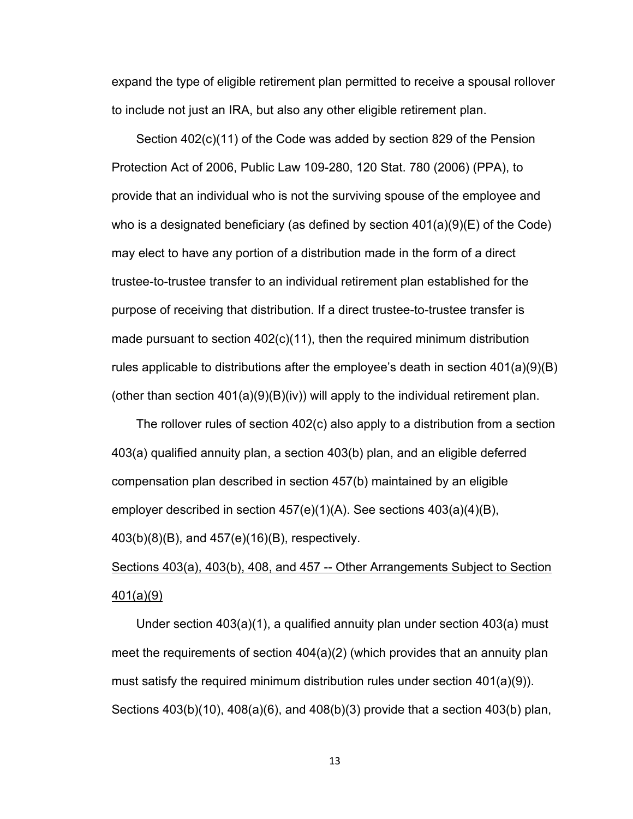expand the type of eligible retirement plan permitted to receive a spousal rollover to include not just an IRA, but also any other eligible retirement plan.

Section 402(c)(11) of the Code was added by section 829 of the Pension Protection Act of 2006, Public Law 109-280, 120 Stat. 780 (2006) (PPA), to provide that an individual who is not the surviving spouse of the employee and who is a designated beneficiary (as defined by section  $401(a)(9)(E)$  of the Code) may elect to have any portion of a distribution made in the form of a direct trustee-to-trustee transfer to an individual retirement plan established for the purpose of receiving that distribution. If a direct trustee-to-trustee transfer is made pursuant to section 402(c)(11), then the required minimum distribution rules applicable to distributions after the employee's death in section 401(a)(9)(B) (other than section  $401(a)(9)(B)(iv)$ ) will apply to the individual retirement plan.

The rollover rules of section 402(c) also apply to a distribution from a section 403(a) qualified annuity plan, a section 403(b) plan, and an eligible deferred compensation plan described in section 457(b) maintained by an eligible employer described in section 457(e)(1)(A). See sections 403(a)(4)(B), 403(b)(8)(B), and 457(e)(16)(B), respectively.

## Sections 403(a), 403(b), 408, and 457 -- Other Arrangements Subject to Section 401(a)(9)

Under section 403(a)(1), a qualified annuity plan under section 403(a) must meet the requirements of section 404(a)(2) (which provides that an annuity plan must satisfy the required minimum distribution rules under section 401(a)(9)). Sections 403(b)(10), 408(a)(6), and 408(b)(3) provide that a section 403(b) plan,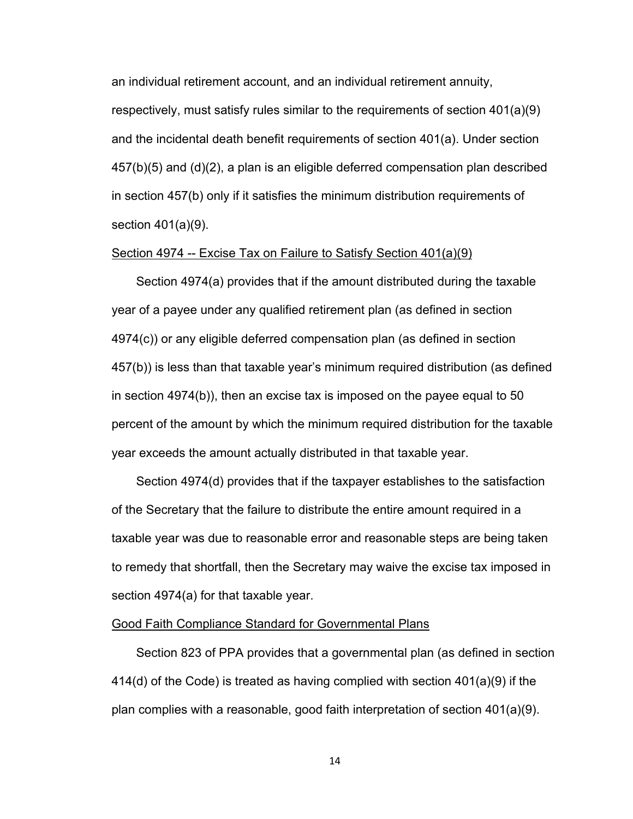an individual retirement account, and an individual retirement annuity,

respectively, must satisfy rules similar to the requirements of section 401(a)(9) and the incidental death benefit requirements of section 401(a). Under section 457(b)(5) and (d)(2), a plan is an eligible deferred compensation plan described in section 457(b) only if it satisfies the minimum distribution requirements of section 401(a)(9).

### Section 4974 -- Excise Tax on Failure to Satisfy Section 401(a)(9)

Section 4974(a) provides that if the amount distributed during the taxable year of a payee under any qualified retirement plan (as defined in section 4974(c)) or any eligible deferred compensation plan (as defined in section 457(b)) is less than that taxable year's minimum required distribution (as defined in section 4974(b)), then an excise tax is imposed on the payee equal to 50 percent of the amount by which the minimum required distribution for the taxable year exceeds the amount actually distributed in that taxable year.

Section 4974(d) provides that if the taxpayer establishes to the satisfaction of the Secretary that the failure to distribute the entire amount required in a taxable year was due to reasonable error and reasonable steps are being taken to remedy that shortfall, then the Secretary may waive the excise tax imposed in section 4974(a) for that taxable year.

#### Good Faith Compliance Standard for Governmental Plans

Section 823 of PPA provides that a governmental plan (as defined in section 414(d) of the Code) is treated as having complied with section 401(a)(9) if the plan complies with a reasonable, good faith interpretation of section 401(a)(9).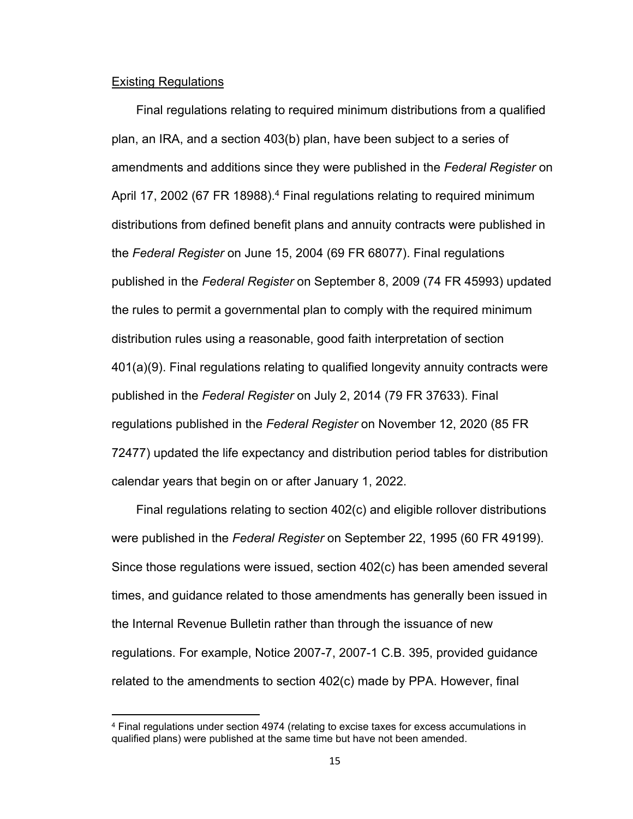#### Existing Regulations

Final regulations relating to required minimum distributions from a qualified plan, an IRA, and a section 403(b) plan, have been subject to a series of amendments and additions since they were published in the *Federal Register* on April 17, 2002 (67 FR 18988).<sup>4</sup> Final regulations relating to required minimum distributions from defined benefit plans and annuity contracts were published in the *Federal Register* on June 15, 2004 (69 FR 68077). Final regulations published in the *Federal Register* on September 8, 2009 (74 FR 45993) updated the rules to permit a governmental plan to comply with the required minimum distribution rules using a reasonable, good faith interpretation of section 401(a)(9). Final regulations relating to qualified longevity annuity contracts were published in the *Federal Register* on July 2, 2014 (79 FR 37633). Final regulations published in the *Federal Register* on November 12, 2020 (85 FR 72477) updated the life expectancy and distribution period tables for distribution calendar years that begin on or after January 1, 2022.

Final regulations relating to section 402(c) and eligible rollover distributions were published in the *Federal Register* on September 22, 1995 (60 FR 49199). Since those regulations were issued, section 402(c) has been amended several times, and guidance related to those amendments has generally been issued in the Internal Revenue Bulletin rather than through the issuance of new regulations. For example, Notice 2007-7, 2007-1 C.B. 395, provided guidance related to the amendments to section 402(c) made by PPA. However, final

<sup>4</sup> Final regulations under section 4974 (relating to excise taxes for excess accumulations in qualified plans) were published at the same time but have not been amended.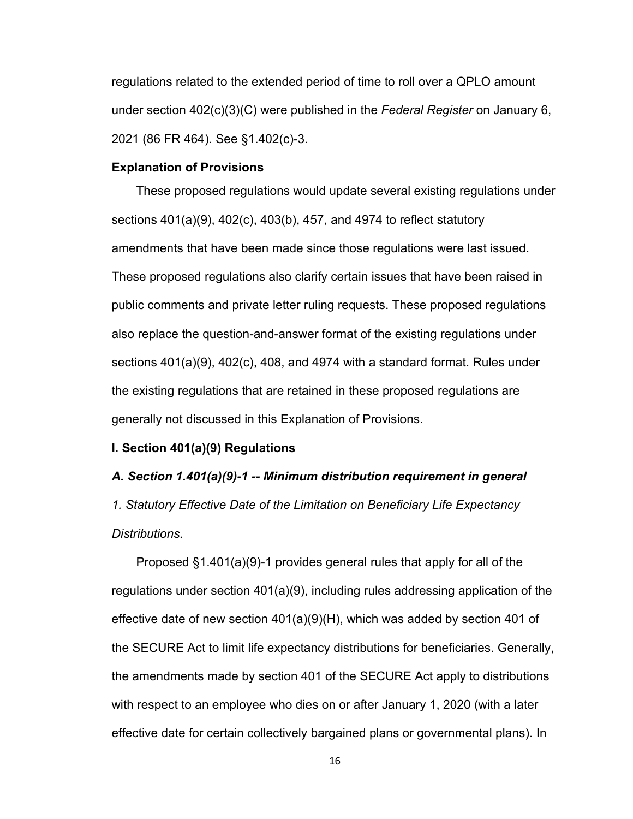regulations related to the extended period of time to roll over a QPLO amount under section 402(c)(3)(C) were published in the *Federal Register* on January 6, 2021 (86 FR 464). See §1.402(c)-3.

#### **Explanation of Provisions**

These proposed regulations would update several existing regulations under sections 401(a)(9), 402(c), 403(b), 457, and 4974 to reflect statutory amendments that have been made since those regulations were last issued. These proposed regulations also clarify certain issues that have been raised in public comments and private letter ruling requests. These proposed regulations also replace the question-and-answer format of the existing regulations under sections 401(a)(9), 402(c), 408, and 4974 with a standard format. Rules under the existing regulations that are retained in these proposed regulations are generally not discussed in this Explanation of Provisions.

#### **I. Section 401(a)(9) Regulations**

# *A. Section 1.401(a)(9)-1 -- Minimum distribution requirement in general 1. Statutory Effective Date of the Limitation on Beneficiary Life Expectancy*

#### *Distributions.*

Proposed §1.401(a)(9)-1 provides general rules that apply for all of the regulations under section 401(a)(9), including rules addressing application of the effective date of new section 401(a)(9)(H), which was added by section 401 of the SECURE Act to limit life expectancy distributions for beneficiaries. Generally, the amendments made by section 401 of the SECURE Act apply to distributions with respect to an employee who dies on or after January 1, 2020 (with a later effective date for certain collectively bargained plans or governmental plans). In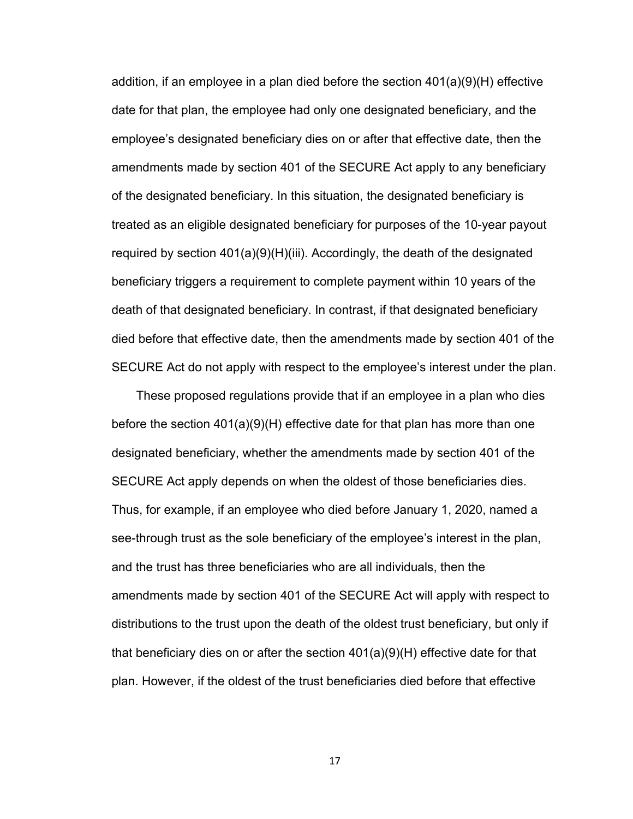addition, if an employee in a plan died before the section 401(a)(9)(H) effective date for that plan, the employee had only one designated beneficiary, and the employee's designated beneficiary dies on or after that effective date, then the amendments made by section 401 of the SECURE Act apply to any beneficiary of the designated beneficiary. In this situation, the designated beneficiary is treated as an eligible designated beneficiary for purposes of the 10-year payout required by section 401(a)(9)(H)(iii). Accordingly, the death of the designated beneficiary triggers a requirement to complete payment within 10 years of the death of that designated beneficiary. In contrast, if that designated beneficiary died before that effective date, then the amendments made by section 401 of the SECURE Act do not apply with respect to the employee's interest under the plan.

These proposed regulations provide that if an employee in a plan who dies before the section 401(a)(9)(H) effective date for that plan has more than one designated beneficiary, whether the amendments made by section 401 of the SECURE Act apply depends on when the oldest of those beneficiaries dies. Thus, for example, if an employee who died before January 1, 2020, named a see-through trust as the sole beneficiary of the employee's interest in the plan, and the trust has three beneficiaries who are all individuals, then the amendments made by section 401 of the SECURE Act will apply with respect to distributions to the trust upon the death of the oldest trust beneficiary, but only if that beneficiary dies on or after the section 401(a)(9)(H) effective date for that plan. However, if the oldest of the trust beneficiaries died before that effective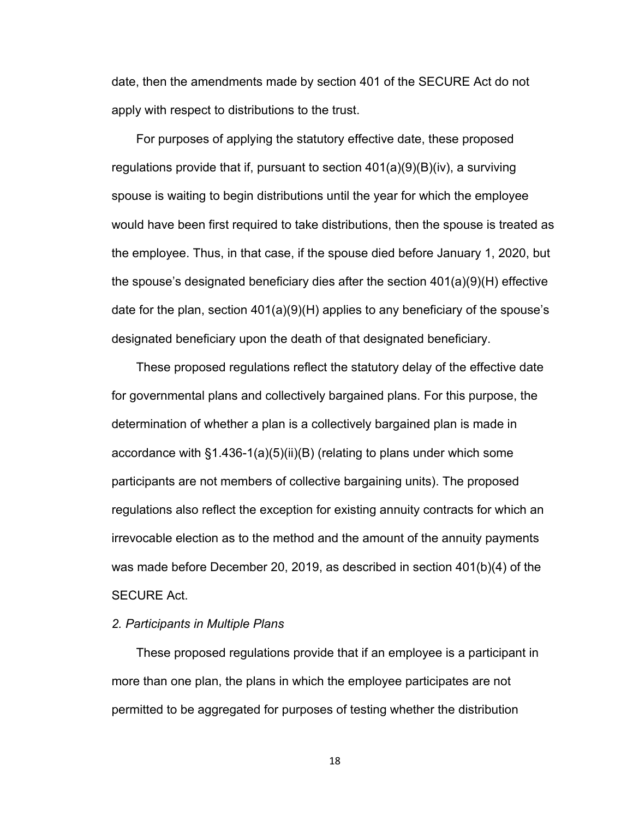date, then the amendments made by section 401 of the SECURE Act do not apply with respect to distributions to the trust.

For purposes of applying the statutory effective date, these proposed regulations provide that if, pursuant to section 401(a)(9)(B)(iv), a surviving spouse is waiting to begin distributions until the year for which the employee would have been first required to take distributions, then the spouse is treated as the employee. Thus, in that case, if the spouse died before January 1, 2020, but the spouse's designated beneficiary dies after the section 401(a)(9)(H) effective date for the plan, section 401(a)(9)(H) applies to any beneficiary of the spouse's designated beneficiary upon the death of that designated beneficiary.

These proposed regulations reflect the statutory delay of the effective date for governmental plans and collectively bargained plans. For this purpose, the determination of whether a plan is a collectively bargained plan is made in accordance with §1.436-1(a)(5)(ii)(B) (relating to plans under which some participants are not members of collective bargaining units). The proposed regulations also reflect the exception for existing annuity contracts for which an irrevocable election as to the method and the amount of the annuity payments was made before December 20, 2019, as described in section 401(b)(4) of the SECURE Act.

#### *2. Participants in Multiple Plans*

These proposed regulations provide that if an employee is a participant in more than one plan, the plans in which the employee participates are not permitted to be aggregated for purposes of testing whether the distribution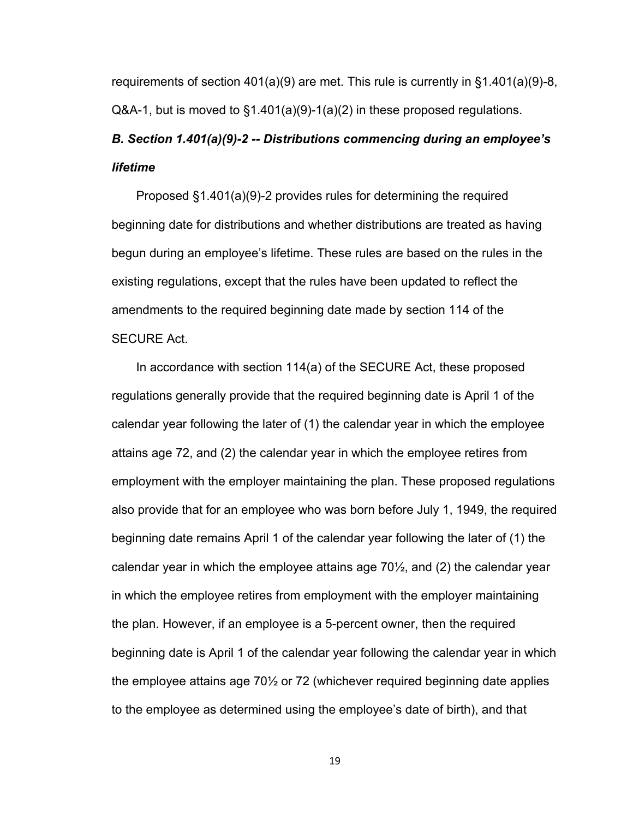requirements of section 401(a)(9) are met. This rule is currently in  $\S 1.401(a)(9)-8$ , Q&A-1, but is moved to §1.401(a)(9)-1(a)(2) in these proposed regulations.

## *B. Section 1.401(a)(9)-2 -- Distributions commencing during an employee's lifetime*

Proposed §1.401(a)(9)-2 provides rules for determining the required beginning date for distributions and whether distributions are treated as having begun during an employee's lifetime. These rules are based on the rules in the existing regulations, except that the rules have been updated to reflect the amendments to the required beginning date made by section 114 of the SECURE Act.

In accordance with section 114(a) of the SECURE Act, these proposed regulations generally provide that the required beginning date is April 1 of the calendar year following the later of (1) the calendar year in which the employee attains age 72, and (2) the calendar year in which the employee retires from employment with the employer maintaining the plan. These proposed regulations also provide that for an employee who was born before July 1, 1949, the required beginning date remains April 1 of the calendar year following the later of (1) the calendar year in which the employee attains age 70½, and (2) the calendar year in which the employee retires from employment with the employer maintaining the plan. However, if an employee is a 5-percent owner, then the required beginning date is April 1 of the calendar year following the calendar year in which the employee attains age 70½ or 72 (whichever required beginning date applies to the employee as determined using the employee's date of birth), and that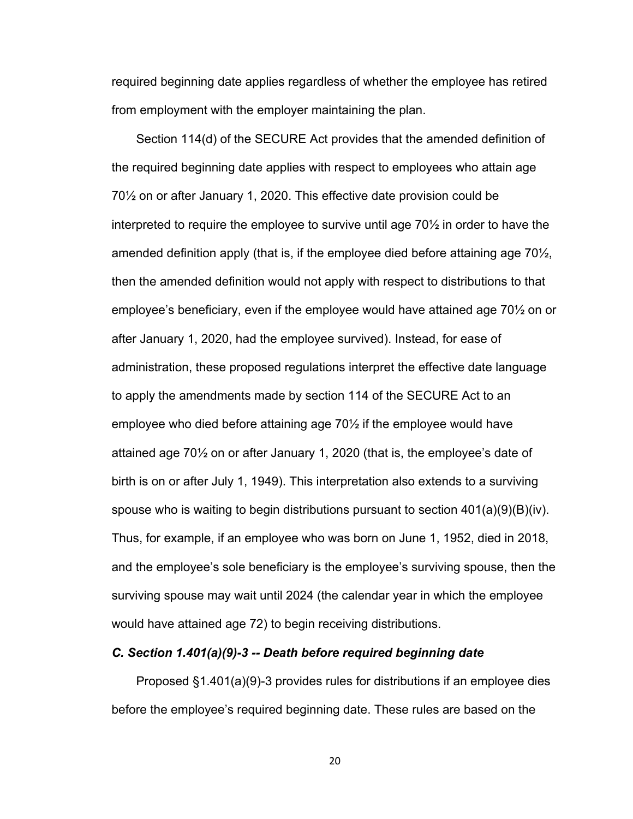required beginning date applies regardless of whether the employee has retired from employment with the employer maintaining the plan.

Section 114(d) of the SECURE Act provides that the amended definition of the required beginning date applies with respect to employees who attain age 70½ on or after January 1, 2020. This effective date provision could be interpreted to require the employee to survive until age 70½ in order to have the amended definition apply (that is, if the employee died before attaining age  $70\frac{1}{2}$ , then the amended definition would not apply with respect to distributions to that employee's beneficiary, even if the employee would have attained age 70½ on or after January 1, 2020, had the employee survived). Instead, for ease of administration, these proposed regulations interpret the effective date language to apply the amendments made by section 114 of the SECURE Act to an employee who died before attaining age 70½ if the employee would have attained age 70½ on or after January 1, 2020 (that is, the employee's date of birth is on or after July 1, 1949). This interpretation also extends to a surviving spouse who is waiting to begin distributions pursuant to section  $401(a)(9)(B)(iv)$ . Thus, for example, if an employee who was born on June 1, 1952, died in 2018, and the employee's sole beneficiary is the employee's surviving spouse, then the surviving spouse may wait until 2024 (the calendar year in which the employee would have attained age 72) to begin receiving distributions.

#### *C. Section 1.401(a)(9)-3 -- Death before required beginning date*

Proposed §1.401(a)(9)-3 provides rules for distributions if an employee dies before the employee's required beginning date. These rules are based on the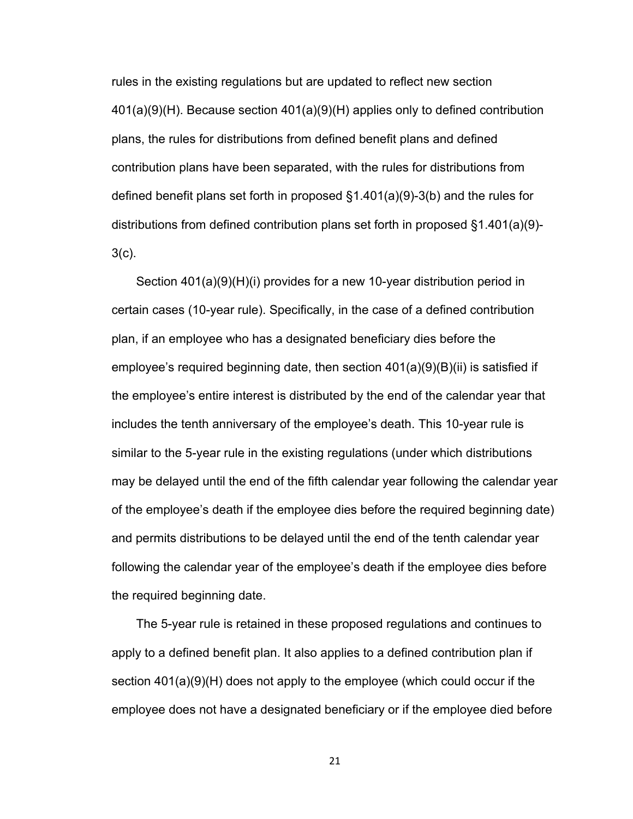rules in the existing regulations but are updated to reflect new section 401(a)(9)(H). Because section 401(a)(9)(H) applies only to defined contribution plans, the rules for distributions from defined benefit plans and defined contribution plans have been separated, with the rules for distributions from defined benefit plans set forth in proposed §1.401(a)(9)-3(b) and the rules for distributions from defined contribution plans set forth in proposed §1.401(a)(9)- 3(c).

Section 401(a)(9)(H)(i) provides for a new 10-year distribution period in certain cases (10-year rule). Specifically, in the case of a defined contribution plan, if an employee who has a designated beneficiary dies before the employee's required beginning date, then section 401(a)(9)(B)(ii) is satisfied if the employee's entire interest is distributed by the end of the calendar year that includes the tenth anniversary of the employee's death. This 10-year rule is similar to the 5-year rule in the existing regulations (under which distributions may be delayed until the end of the fifth calendar year following the calendar year of the employee's death if the employee dies before the required beginning date) and permits distributions to be delayed until the end of the tenth calendar year following the calendar year of the employee's death if the employee dies before the required beginning date.

The 5-year rule is retained in these proposed regulations and continues to apply to a defined benefit plan. It also applies to a defined contribution plan if section 401(a)(9)(H) does not apply to the employee (which could occur if the employee does not have a designated beneficiary or if the employee died before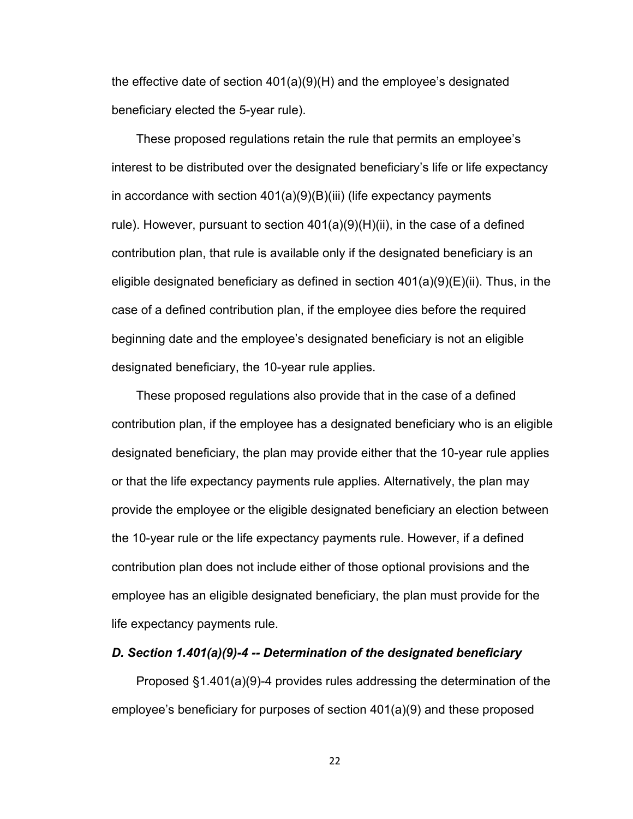the effective date of section 401(a)(9)(H) and the employee's designated beneficiary elected the 5-year rule).

These proposed regulations retain the rule that permits an employee's interest to be distributed over the designated beneficiary's life or life expectancy in accordance with section 401(a)(9)(B)(iii) (life expectancy payments rule). However, pursuant to section 401(a)(9)(H)(ii), in the case of a defined contribution plan, that rule is available only if the designated beneficiary is an eligible designated beneficiary as defined in section 401(a)(9)(E)(ii). Thus, in the case of a defined contribution plan, if the employee dies before the required beginning date and the employee's designated beneficiary is not an eligible designated beneficiary, the 10-year rule applies.

These proposed regulations also provide that in the case of a defined contribution plan, if the employee has a designated beneficiary who is an eligible designated beneficiary, the plan may provide either that the 10-year rule applies or that the life expectancy payments rule applies. Alternatively, the plan may provide the employee or the eligible designated beneficiary an election between the 10-year rule or the life expectancy payments rule. However, if a defined contribution plan does not include either of those optional provisions and the employee has an eligible designated beneficiary, the plan must provide for the life expectancy payments rule.

#### *D. Section 1.401(a)(9)-4 -- Determination of the designated beneficiary*

Proposed §1.401(a)(9)-4 provides rules addressing the determination of the employee's beneficiary for purposes of section 401(a)(9) and these proposed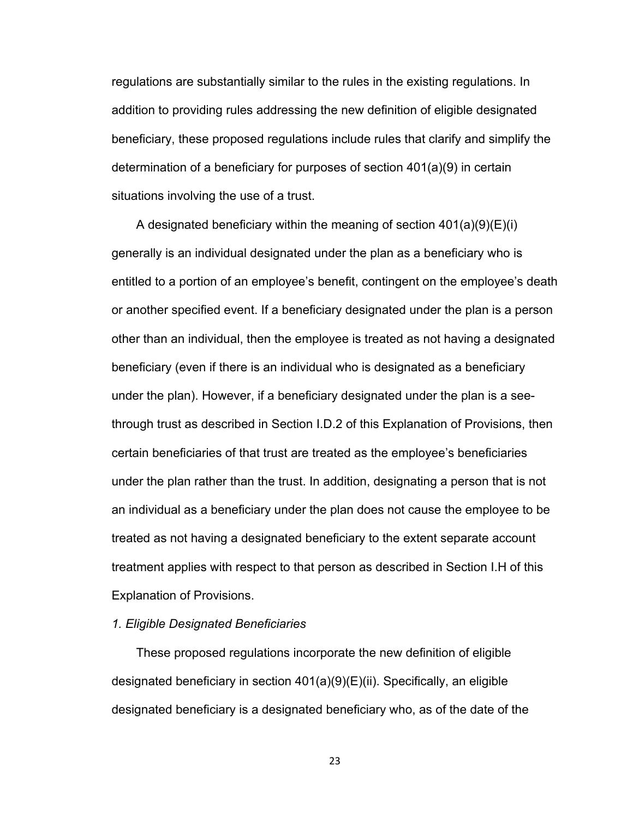regulations are substantially similar to the rules in the existing regulations. In addition to providing rules addressing the new definition of eligible designated beneficiary, these proposed regulations include rules that clarify and simplify the determination of a beneficiary for purposes of section 401(a)(9) in certain situations involving the use of a trust.

A designated beneficiary within the meaning of section  $401(a)(9)(E)(i)$ generally is an individual designated under the plan as a beneficiary who is entitled to a portion of an employee's benefit, contingent on the employee's death or another specified event. If a beneficiary designated under the plan is a person other than an individual, then the employee is treated as not having a designated beneficiary (even if there is an individual who is designated as a beneficiary under the plan). However, if a beneficiary designated under the plan is a seethrough trust as described in Section I.D.2 of this Explanation of Provisions, then certain beneficiaries of that trust are treated as the employee's beneficiaries under the plan rather than the trust. In addition, designating a person that is not an individual as a beneficiary under the plan does not cause the employee to be treated as not having a designated beneficiary to the extent separate account treatment applies with respect to that person as described in Section I.H of this Explanation of Provisions.

#### *1. Eligible Designated Beneficiaries*

These proposed regulations incorporate the new definition of eligible designated beneficiary in section 401(a)(9)(E)(ii). Specifically, an eligible designated beneficiary is a designated beneficiary who, as of the date of the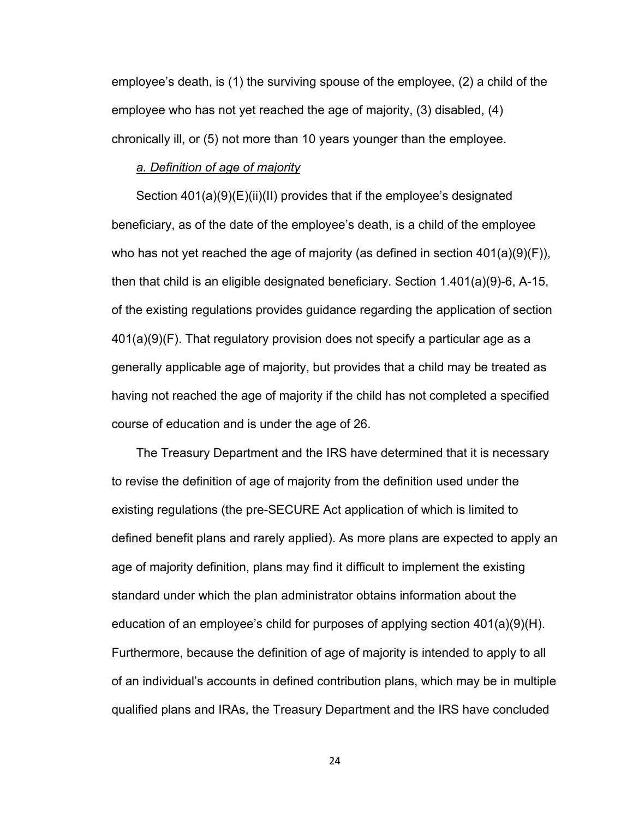employee's death, is (1) the surviving spouse of the employee, (2) a child of the employee who has not yet reached the age of majority, (3) disabled, (4) chronically ill, or (5) not more than 10 years younger than the employee.

#### *a. Definition of age of majority*

Section 401(a)(9)(E)(ii)(II) provides that if the employee's designated beneficiary, as of the date of the employee's death, is a child of the employee who has not yet reached the age of majority (as defined in section  $401(a)(9)(F)$ ), then that child is an eligible designated beneficiary. Section 1.401(a)(9)-6, A-15, of the existing regulations provides guidance regarding the application of section 401(a)(9)(F). That regulatory provision does not specify a particular age as a generally applicable age of majority, but provides that a child may be treated as having not reached the age of majority if the child has not completed a specified course of education and is under the age of 26.

The Treasury Department and the IRS have determined that it is necessary to revise the definition of age of majority from the definition used under the existing regulations (the pre-SECURE Act application of which is limited to defined benefit plans and rarely applied). As more plans are expected to apply an age of majority definition, plans may find it difficult to implement the existing standard under which the plan administrator obtains information about the education of an employee's child for purposes of applying section  $401(a)(9)(H)$ . Furthermore, because the definition of age of majority is intended to apply to all of an individual's accounts in defined contribution plans, which may be in multiple qualified plans and IRAs, the Treasury Department and the IRS have concluded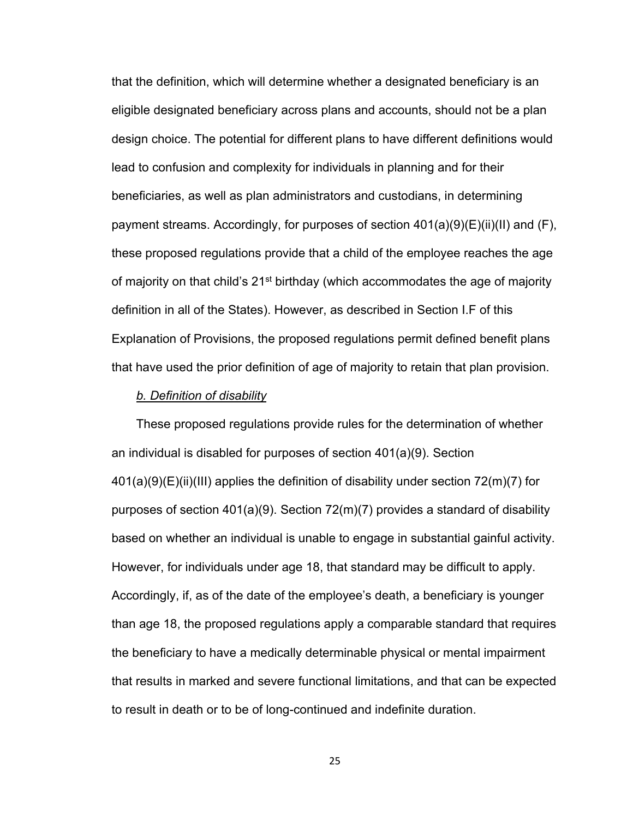that the definition, which will determine whether a designated beneficiary is an eligible designated beneficiary across plans and accounts, should not be a plan design choice. The potential for different plans to have different definitions would lead to confusion and complexity for individuals in planning and for their beneficiaries, as well as plan administrators and custodians, in determining payment streams. Accordingly, for purposes of section 401(a)(9)(E)(ii)(II) and (F), these proposed regulations provide that a child of the employee reaches the age of majority on that child's  $21^{st}$  birthday (which accommodates the age of majority definition in all of the States). However, as described in Section I.F of this Explanation of Provisions, the proposed regulations permit defined benefit plans that have used the prior definition of age of majority to retain that plan provision.

#### *b. Definition of disability*

These proposed regulations provide rules for the determination of whether an individual is disabled for purposes of section 401(a)(9). Section 401(a)(9)(E)(ii)(III) applies the definition of disability under section 72(m)(7) for purposes of section 401(a)(9). Section 72(m)(7) provides a standard of disability based on whether an individual is unable to engage in substantial gainful activity. However, for individuals under age 18, that standard may be difficult to apply. Accordingly, if, as of the date of the employee's death, a beneficiary is younger than age 18, the proposed regulations apply a comparable standard that requires the beneficiary to have a medically determinable physical or mental impairment that results in marked and severe functional limitations, and that can be expected to result in death or to be of long-continued and indefinite duration.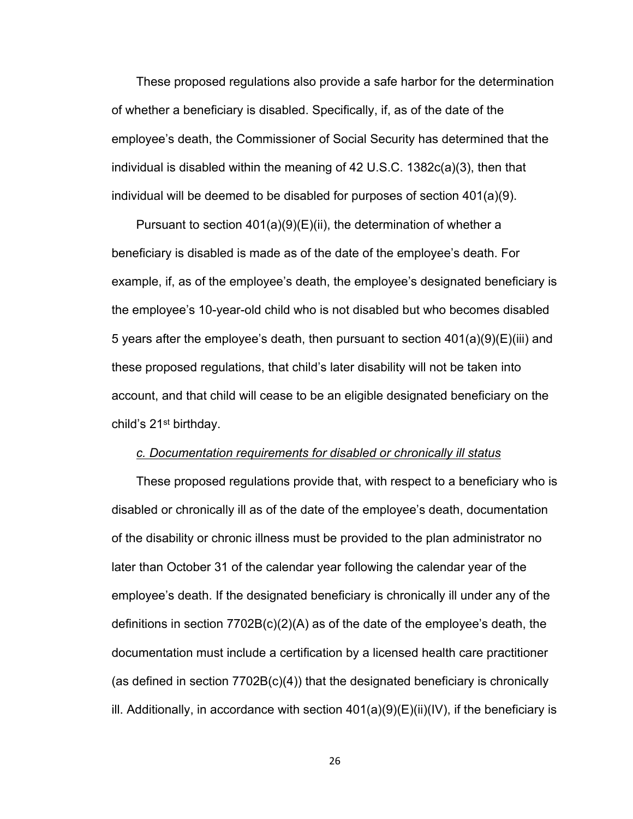These proposed regulations also provide a safe harbor for the determination of whether a beneficiary is disabled. Specifically, if, as of the date of the employee's death, the Commissioner of Social Security has determined that the individual is disabled within the meaning of 42 U.S.C. 1382c(a)(3), then that individual will be deemed to be disabled for purposes of section 401(a)(9).

Pursuant to section 401(a)(9)(E)(ii), the determination of whether a beneficiary is disabled is made as of the date of the employee's death. For example, if, as of the employee's death, the employee's designated beneficiary is the employee's 10-year-old child who is not disabled but who becomes disabled 5 years after the employee's death, then pursuant to section 401(a)(9)(E)(iii) and these proposed regulations, that child's later disability will not be taken into account, and that child will cease to be an eligible designated beneficiary on the child's 21st birthday.

#### *c. Documentation requirements for disabled or chronically ill status*

These proposed regulations provide that, with respect to a beneficiary who is disabled or chronically ill as of the date of the employee's death, documentation of the disability or chronic illness must be provided to the plan administrator no later than October 31 of the calendar year following the calendar year of the employee's death. If the designated beneficiary is chronically ill under any of the definitions in section 7702B(c)(2)(A) as of the date of the employee's death, the documentation must include a certification by a licensed health care practitioner (as defined in section 7702B(c)(4)) that the designated beneficiary is chronically ill. Additionally, in accordance with section 401(a)(9)(E)(ii)(IV), if the beneficiary is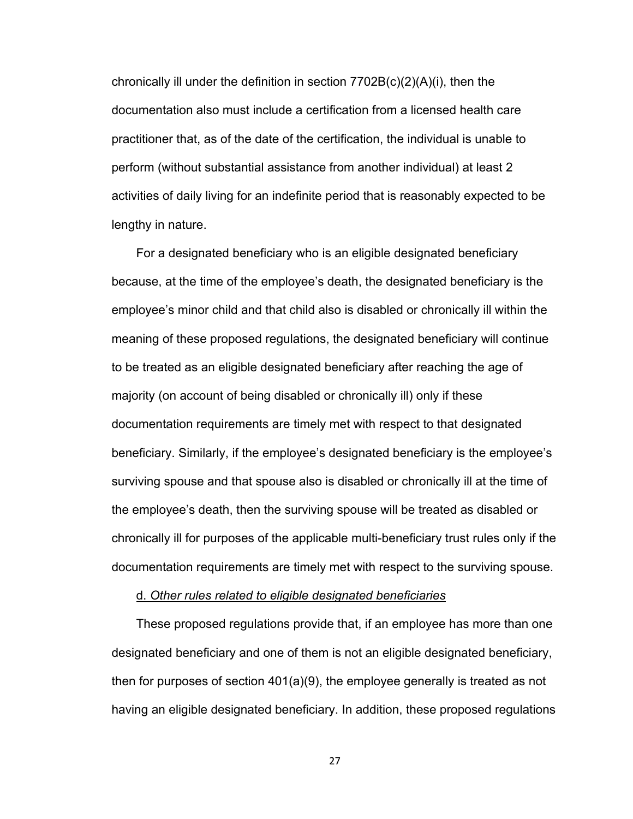chronically ill under the definition in section 7702B(c)(2)(A)(i), then the documentation also must include a certification from a licensed health care practitioner that, as of the date of the certification, the individual is unable to perform (without substantial assistance from another individual) at least 2 activities of daily living for an indefinite period that is reasonably expected to be lengthy in nature.

For a designated beneficiary who is an eligible designated beneficiary because, at the time of the employee's death, the designated beneficiary is the employee's minor child and that child also is disabled or chronically ill within the meaning of these proposed regulations, the designated beneficiary will continue to be treated as an eligible designated beneficiary after reaching the age of majority (on account of being disabled or chronically ill) only if these documentation requirements are timely met with respect to that designated beneficiary. Similarly, if the employee's designated beneficiary is the employee's surviving spouse and that spouse also is disabled or chronically ill at the time of the employee's death, then the surviving spouse will be treated as disabled or chronically ill for purposes of the applicable multi-beneficiary trust rules only if the documentation requirements are timely met with respect to the surviving spouse.

#### d. *Other rules related to eligible designated beneficiaries*

These proposed regulations provide that, if an employee has more than one designated beneficiary and one of them is not an eligible designated beneficiary, then for purposes of section 401(a)(9), the employee generally is treated as not having an eligible designated beneficiary. In addition, these proposed regulations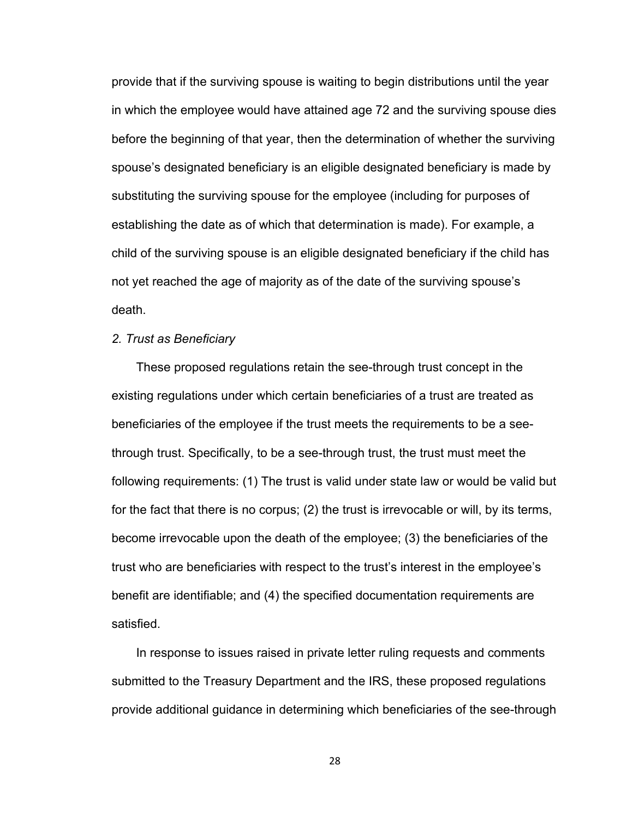provide that if the surviving spouse is waiting to begin distributions until the year in which the employee would have attained age 72 and the surviving spouse dies before the beginning of that year, then the determination of whether the surviving spouse's designated beneficiary is an eligible designated beneficiary is made by substituting the surviving spouse for the employee (including for purposes of establishing the date as of which that determination is made). For example, a child of the surviving spouse is an eligible designated beneficiary if the child has not yet reached the age of majority as of the date of the surviving spouse's death.

#### *2. Trust as Beneficiary*

These proposed regulations retain the see-through trust concept in the existing regulations under which certain beneficiaries of a trust are treated as beneficiaries of the employee if the trust meets the requirements to be a seethrough trust. Specifically, to be a see-through trust, the trust must meet the following requirements: (1) The trust is valid under state law or would be valid but for the fact that there is no corpus; (2) the trust is irrevocable or will, by its terms, become irrevocable upon the death of the employee; (3) the beneficiaries of the trust who are beneficiaries with respect to the trust's interest in the employee's benefit are identifiable; and (4) the specified documentation requirements are satisfied.

In response to issues raised in private letter ruling requests and comments submitted to the Treasury Department and the IRS, these proposed regulations provide additional guidance in determining which beneficiaries of the see-through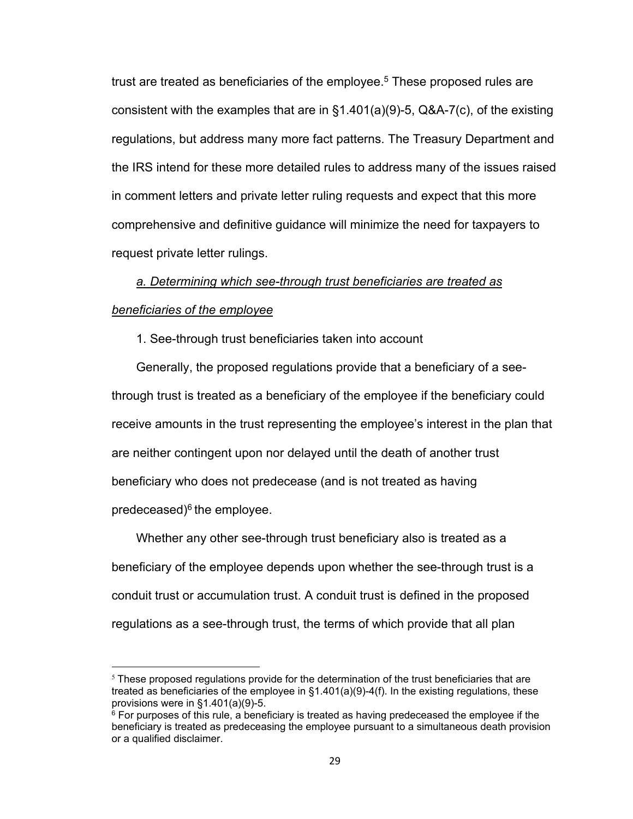trust are treated as beneficiaries of the employee. $^5$  These proposed rules are consistent with the examples that are in §1.401(a)(9)-5, Q&A-7(c), of the existing regulations, but address many more fact patterns. The Treasury Department and the IRS intend for these more detailed rules to address many of the issues raised in comment letters and private letter ruling requests and expect that this more comprehensive and definitive guidance will minimize the need for taxpayers to request private letter rulings.

# *a. Determining which see-through trust beneficiaries are treated as beneficiaries of the employee*

1. See-through trust beneficiaries taken into account

Generally, the proposed regulations provide that a beneficiary of a seethrough trust is treated as a beneficiary of the employee if the beneficiary could receive amounts in the trust representing the employee's interest in the plan that are neither contingent upon nor delayed until the death of another trust beneficiary who does not predecease (and is not treated as having predeceased) $6$  the employee.

Whether any other see-through trust beneficiary also is treated as a beneficiary of the employee depends upon whether the see-through trust is a conduit trust or accumulation trust. A conduit trust is defined in the proposed regulations as a see-through trust, the terms of which provide that all plan

 $5$  These proposed regulations provide for the determination of the trust beneficiaries that are treated as beneficiaries of the employee in  $§1.401(a)(9)-4(f)$ . In the existing regulations, these provisions were in §1.401(a)(9)-5.

 $^6$  For purposes of this rule, a beneficiary is treated as having predeceased the employee if the beneficiary is treated as predeceasing the employee pursuant to a simultaneous death provision or a qualified disclaimer.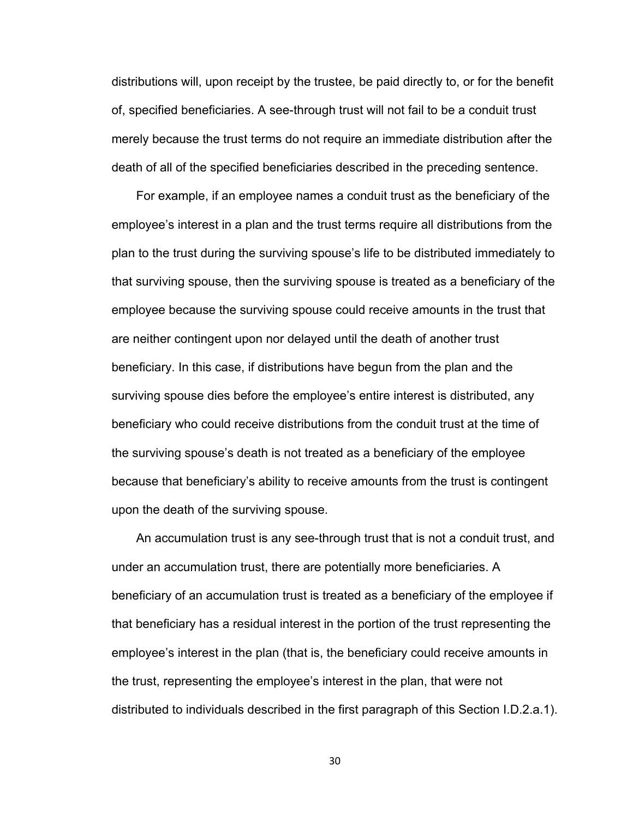distributions will, upon receipt by the trustee, be paid directly to, or for the benefit of, specified beneficiaries. A see-through trust will not fail to be a conduit trust merely because the trust terms do not require an immediate distribution after the death of all of the specified beneficiaries described in the preceding sentence.

For example, if an employee names a conduit trust as the beneficiary of the employee's interest in a plan and the trust terms require all distributions from the plan to the trust during the surviving spouse's life to be distributed immediately to that surviving spouse, then the surviving spouse is treated as a beneficiary of the employee because the surviving spouse could receive amounts in the trust that are neither contingent upon nor delayed until the death of another trust beneficiary. In this case, if distributions have begun from the plan and the surviving spouse dies before the employee's entire interest is distributed, any beneficiary who could receive distributions from the conduit trust at the time of the surviving spouse's death is not treated as a beneficiary of the employee because that beneficiary's ability to receive amounts from the trust is contingent upon the death of the surviving spouse.

An accumulation trust is any see-through trust that is not a conduit trust, and under an accumulation trust, there are potentially more beneficiaries. A beneficiary of an accumulation trust is treated as a beneficiary of the employee if that beneficiary has a residual interest in the portion of the trust representing the employee's interest in the plan (that is, the beneficiary could receive amounts in the trust, representing the employee's interest in the plan, that were not distributed to individuals described in the first paragraph of this Section I.D.2.a.1).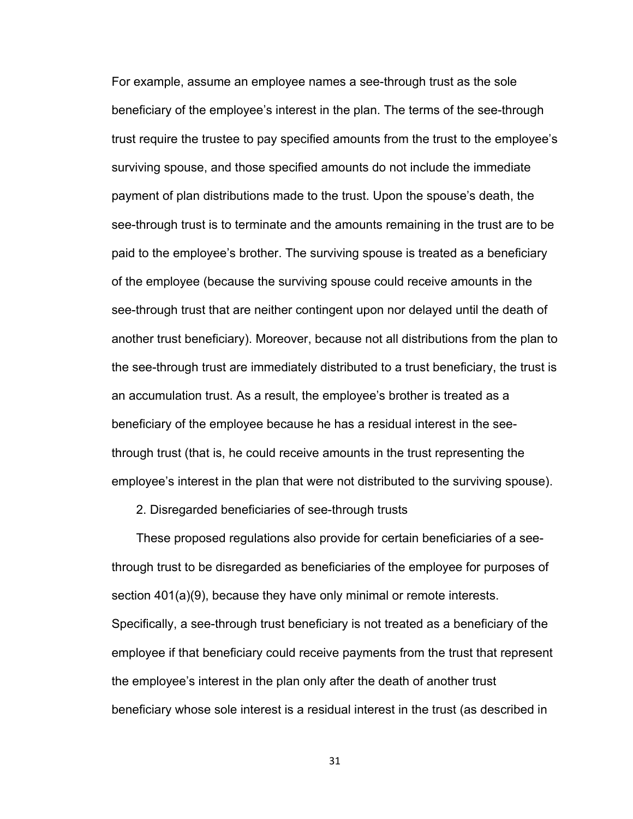For example, assume an employee names a see-through trust as the sole beneficiary of the employee's interest in the plan. The terms of the see-through trust require the trustee to pay specified amounts from the trust to the employee's surviving spouse, and those specified amounts do not include the immediate payment of plan distributions made to the trust. Upon the spouse's death, the see-through trust is to terminate and the amounts remaining in the trust are to be paid to the employee's brother. The surviving spouse is treated as a beneficiary of the employee (because the surviving spouse could receive amounts in the see-through trust that are neither contingent upon nor delayed until the death of another trust beneficiary). Moreover, because not all distributions from the plan to the see-through trust are immediately distributed to a trust beneficiary, the trust is an accumulation trust. As a result, the employee's brother is treated as a beneficiary of the employee because he has a residual interest in the seethrough trust (that is, he could receive amounts in the trust representing the employee's interest in the plan that were not distributed to the surviving spouse).

2. Disregarded beneficiaries of see-through trusts

These proposed regulations also provide for certain beneficiaries of a seethrough trust to be disregarded as beneficiaries of the employee for purposes of section 401(a)(9), because they have only minimal or remote interests. Specifically, a see-through trust beneficiary is not treated as a beneficiary of the employee if that beneficiary could receive payments from the trust that represent the employee's interest in the plan only after the death of another trust beneficiary whose sole interest is a residual interest in the trust (as described in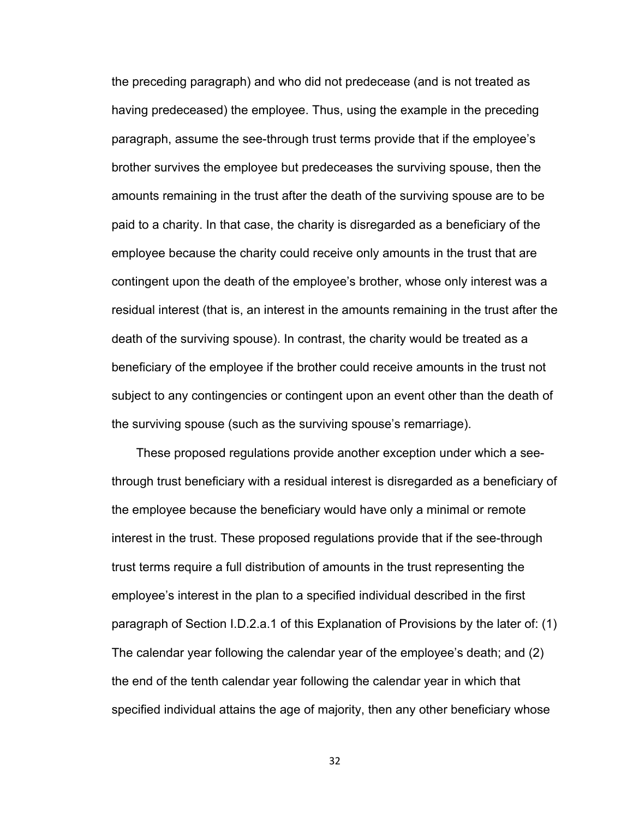the preceding paragraph) and who did not predecease (and is not treated as having predeceased) the employee. Thus, using the example in the preceding paragraph, assume the see-through trust terms provide that if the employee's brother survives the employee but predeceases the surviving spouse, then the amounts remaining in the trust after the death of the surviving spouse are to be paid to a charity. In that case, the charity is disregarded as a beneficiary of the employee because the charity could receive only amounts in the trust that are contingent upon the death of the employee's brother, whose only interest was a residual interest (that is, an interest in the amounts remaining in the trust after the death of the surviving spouse). In contrast, the charity would be treated as a beneficiary of the employee if the brother could receive amounts in the trust not subject to any contingencies or contingent upon an event other than the death of the surviving spouse (such as the surviving spouse's remarriage).

These proposed regulations provide another exception under which a seethrough trust beneficiary with a residual interest is disregarded as a beneficiary of the employee because the beneficiary would have only a minimal or remote interest in the trust. These proposed regulations provide that if the see-through trust terms require a full distribution of amounts in the trust representing the employee's interest in the plan to a specified individual described in the first paragraph of Section I.D.2.a.1 of this Explanation of Provisions by the later of: (1) The calendar year following the calendar year of the employee's death; and (2) the end of the tenth calendar year following the calendar year in which that specified individual attains the age of majority, then any other beneficiary whose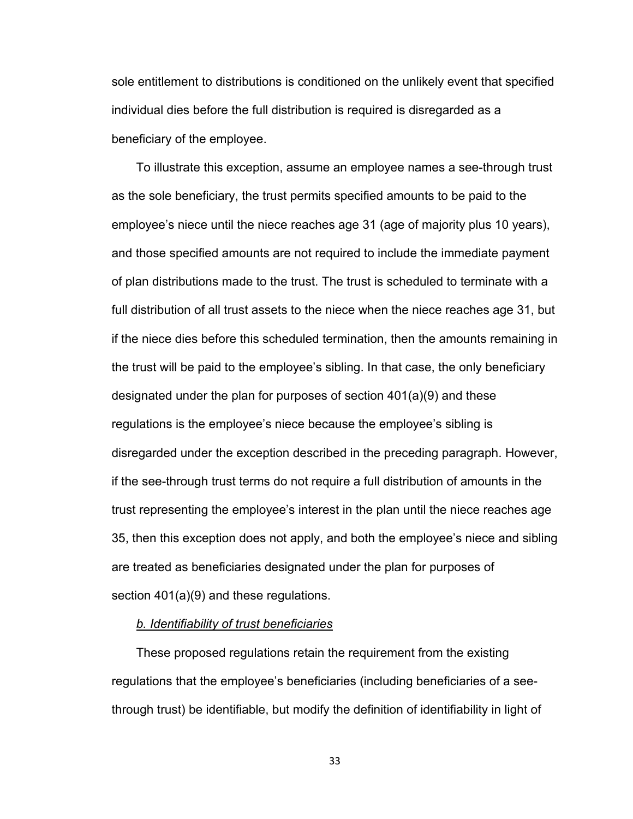sole entitlement to distributions is conditioned on the unlikely event that specified individual dies before the full distribution is required is disregarded as a beneficiary of the employee.

To illustrate this exception, assume an employee names a see-through trust as the sole beneficiary, the trust permits specified amounts to be paid to the employee's niece until the niece reaches age 31 (age of majority plus 10 years), and those specified amounts are not required to include the immediate payment of plan distributions made to the trust. The trust is scheduled to terminate with a full distribution of all trust assets to the niece when the niece reaches age 31, but if the niece dies before this scheduled termination, then the amounts remaining in the trust will be paid to the employee's sibling. In that case, the only beneficiary designated under the plan for purposes of section 401(a)(9) and these regulations is the employee's niece because the employee's sibling is disregarded under the exception described in the preceding paragraph. However, if the see-through trust terms do not require a full distribution of amounts in the trust representing the employee's interest in the plan until the niece reaches age 35, then this exception does not apply, and both the employee's niece and sibling are treated as beneficiaries designated under the plan for purposes of section 401(a)(9) and these regulations.

#### *b. Identifiability of trust beneficiaries*

These proposed regulations retain the requirement from the existing regulations that the employee's beneficiaries (including beneficiaries of a seethrough trust) be identifiable, but modify the definition of identifiability in light of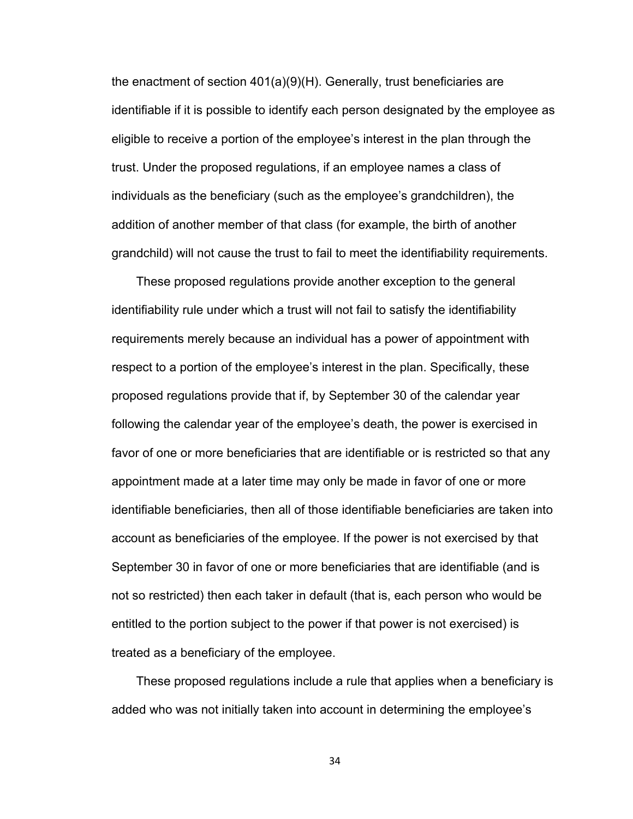the enactment of section 401(a)(9)(H). Generally, trust beneficiaries are identifiable if it is possible to identify each person designated by the employee as eligible to receive a portion of the employee's interest in the plan through the trust. Under the proposed regulations, if an employee names a class of individuals as the beneficiary (such as the employee's grandchildren), the addition of another member of that class (for example, the birth of another grandchild) will not cause the trust to fail to meet the identifiability requirements.

These proposed regulations provide another exception to the general identifiability rule under which a trust will not fail to satisfy the identifiability requirements merely because an individual has a power of appointment with respect to a portion of the employee's interest in the plan. Specifically, these proposed regulations provide that if, by September 30 of the calendar year following the calendar year of the employee's death, the power is exercised in favor of one or more beneficiaries that are identifiable or is restricted so that any appointment made at a later time may only be made in favor of one or more identifiable beneficiaries, then all of those identifiable beneficiaries are taken into account as beneficiaries of the employee. If the power is not exercised by that September 30 in favor of one or more beneficiaries that are identifiable (and is not so restricted) then each taker in default (that is, each person who would be entitled to the portion subject to the power if that power is not exercised) is treated as a beneficiary of the employee.

These proposed regulations include a rule that applies when a beneficiary is added who was not initially taken into account in determining the employee's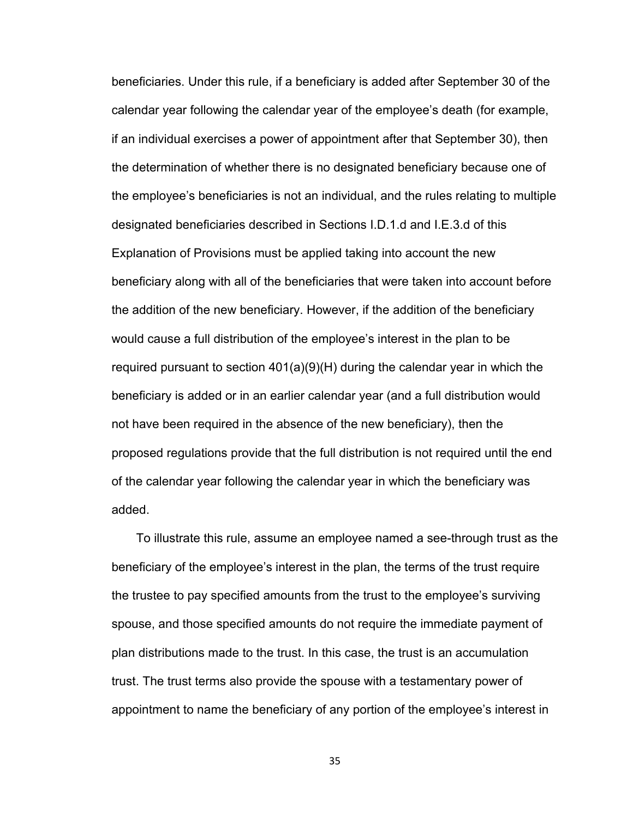beneficiaries. Under this rule, if a beneficiary is added after September 30 of the calendar year following the calendar year of the employee's death (for example, if an individual exercises a power of appointment after that September 30), then the determination of whether there is no designated beneficiary because one of the employee's beneficiaries is not an individual, and the rules relating to multiple designated beneficiaries described in Sections I.D.1.d and I.E.3.d of this Explanation of Provisions must be applied taking into account the new beneficiary along with all of the beneficiaries that were taken into account before the addition of the new beneficiary. However, if the addition of the beneficiary would cause a full distribution of the employee's interest in the plan to be required pursuant to section 401(a)(9)(H) during the calendar year in which the beneficiary is added or in an earlier calendar year (and a full distribution would not have been required in the absence of the new beneficiary), then the proposed regulations provide that the full distribution is not required until the end of the calendar year following the calendar year in which the beneficiary was added.

To illustrate this rule, assume an employee named a see-through trust as the beneficiary of the employee's interest in the plan, the terms of the trust require the trustee to pay specified amounts from the trust to the employee's surviving spouse, and those specified amounts do not require the immediate payment of plan distributions made to the trust. In this case, the trust is an accumulation trust. The trust terms also provide the spouse with a testamentary power of appointment to name the beneficiary of any portion of the employee's interest in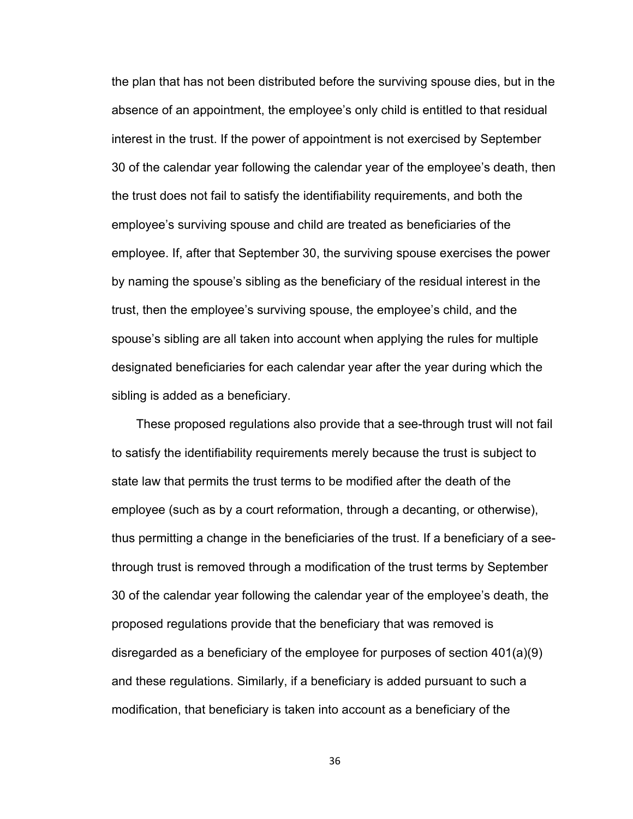the plan that has not been distributed before the surviving spouse dies, but in the absence of an appointment, the employee's only child is entitled to that residual interest in the trust. If the power of appointment is not exercised by September 30 of the calendar year following the calendar year of the employee's death, then the trust does not fail to satisfy the identifiability requirements, and both the employee's surviving spouse and child are treated as beneficiaries of the employee. If, after that September 30, the surviving spouse exercises the power by naming the spouse's sibling as the beneficiary of the residual interest in the trust, then the employee's surviving spouse, the employee's child, and the spouse's sibling are all taken into account when applying the rules for multiple designated beneficiaries for each calendar year after the year during which the sibling is added as a beneficiary.

These proposed regulations also provide that a see-through trust will not fail to satisfy the identifiability requirements merely because the trust is subject to state law that permits the trust terms to be modified after the death of the employee (such as by a court reformation, through a decanting, or otherwise), thus permitting a change in the beneficiaries of the trust. If a beneficiary of a seethrough trust is removed through a modification of the trust terms by September 30 of the calendar year following the calendar year of the employee's death, the proposed regulations provide that the beneficiary that was removed is disregarded as a beneficiary of the employee for purposes of section 401(a)(9) and these regulations. Similarly, if a beneficiary is added pursuant to such a modification, that beneficiary is taken into account as a beneficiary of the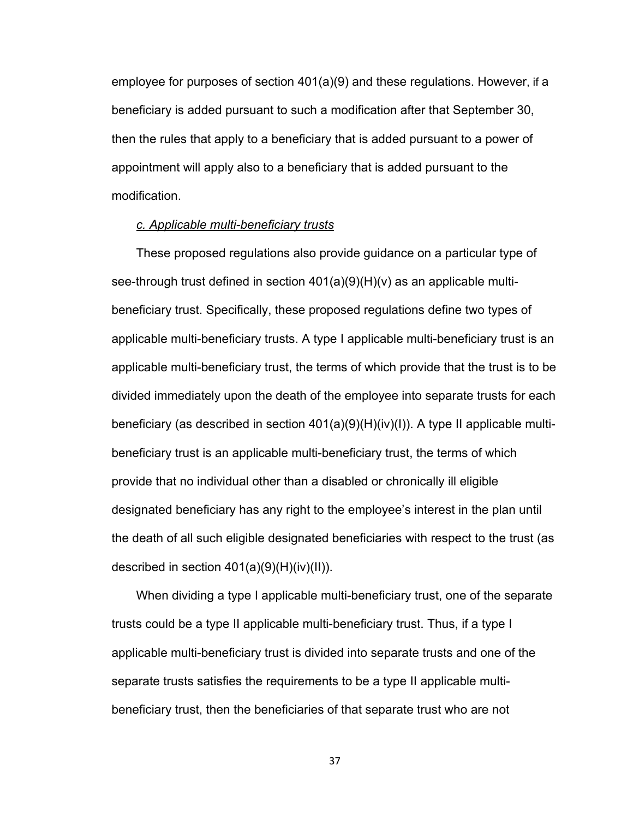employee for purposes of section 401(a)(9) and these regulations. However, if a beneficiary is added pursuant to such a modification after that September 30, then the rules that apply to a beneficiary that is added pursuant to a power of appointment will apply also to a beneficiary that is added pursuant to the modification.

#### *c. Applicable multi-beneficiary trusts*

These proposed regulations also provide guidance on a particular type of see-through trust defined in section  $401(a)(9)(H)(v)$  as an applicable multibeneficiary trust. Specifically, these proposed regulations define two types of applicable multi-beneficiary trusts. A type I applicable multi-beneficiary trust is an applicable multi-beneficiary trust, the terms of which provide that the trust is to be divided immediately upon the death of the employee into separate trusts for each beneficiary (as described in section  $401(a)(9)(H)(iv)(I)$ ). A type II applicable multibeneficiary trust is an applicable multi-beneficiary trust, the terms of which provide that no individual other than a disabled or chronically ill eligible designated beneficiary has any right to the employee's interest in the plan until the death of all such eligible designated beneficiaries with respect to the trust (as described in section 401(a)(9)(H)(iv)(II)).

When dividing a type I applicable multi-beneficiary trust, one of the separate trusts could be a type II applicable multi-beneficiary trust. Thus, if a type I applicable multi-beneficiary trust is divided into separate trusts and one of the separate trusts satisfies the requirements to be a type II applicable multibeneficiary trust, then the beneficiaries of that separate trust who are not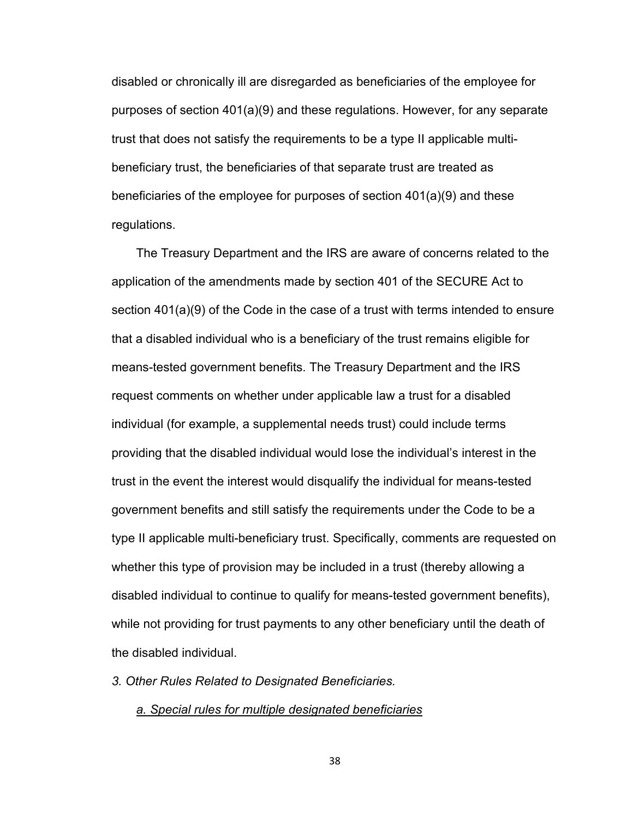disabled or chronically ill are disregarded as beneficiaries of the employee for purposes of section 401(a)(9) and these regulations. However, for any separate trust that does not satisfy the requirements to be a type II applicable multibeneficiary trust, the beneficiaries of that separate trust are treated as beneficiaries of the employee for purposes of section 401(a)(9) and these regulations.

The Treasury Department and the IRS are aware of concerns related to the application of the amendments made by section 401 of the SECURE Act to section 401(a)(9) of the Code in the case of a trust with terms intended to ensure that a disabled individual who is a beneficiary of the trust remains eligible for means-tested government benefits. The Treasury Department and the IRS request comments on whether under applicable law a trust for a disabled individual (for example, a supplemental needs trust) could include terms providing that the disabled individual would lose the individual's interest in the trust in the event the interest would disqualify the individual for means-tested government benefits and still satisfy the requirements under the Code to be a type II applicable multi-beneficiary trust. Specifically, comments are requested on whether this type of provision may be included in a trust (thereby allowing a disabled individual to continue to qualify for means-tested government benefits), while not providing for trust payments to any other beneficiary until the death of the disabled individual.

*3. Other Rules Related to Designated Beneficiaries.*

*a. Special rules for multiple designated beneficiaries*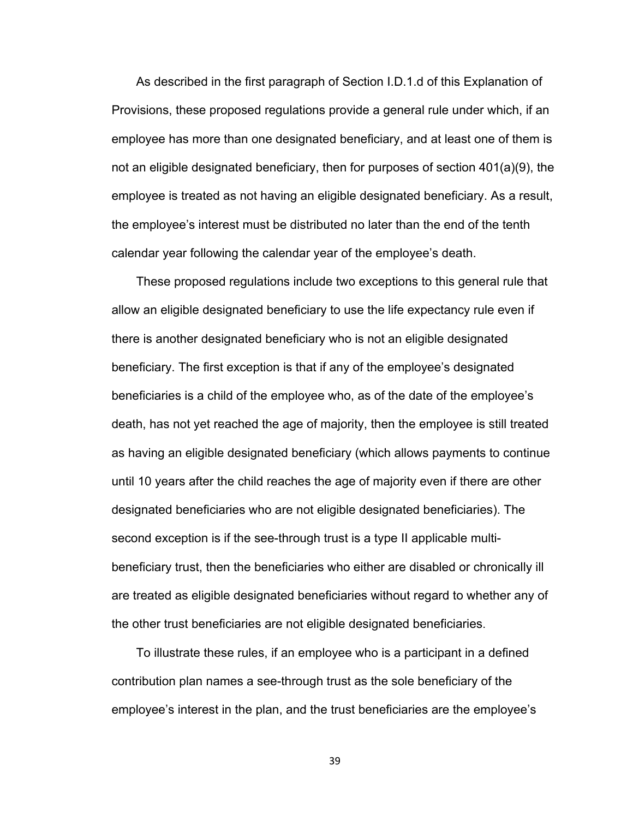As described in the first paragraph of Section I.D.1.d of this Explanation of Provisions, these proposed regulations provide a general rule under which, if an employee has more than one designated beneficiary, and at least one of them is not an eligible designated beneficiary, then for purposes of section 401(a)(9), the employee is treated as not having an eligible designated beneficiary. As a result, the employee's interest must be distributed no later than the end of the tenth calendar year following the calendar year of the employee's death.

These proposed regulations include two exceptions to this general rule that allow an eligible designated beneficiary to use the life expectancy rule even if there is another designated beneficiary who is not an eligible designated beneficiary. The first exception is that if any of the employee's designated beneficiaries is a child of the employee who, as of the date of the employee's death, has not yet reached the age of majority, then the employee is still treated as having an eligible designated beneficiary (which allows payments to continue until 10 years after the child reaches the age of majority even if there are other designated beneficiaries who are not eligible designated beneficiaries). The second exception is if the see-through trust is a type II applicable multibeneficiary trust, then the beneficiaries who either are disabled or chronically ill are treated as eligible designated beneficiaries without regard to whether any of the other trust beneficiaries are not eligible designated beneficiaries.

To illustrate these rules, if an employee who is a participant in a defined contribution plan names a see-through trust as the sole beneficiary of the employee's interest in the plan, and the trust beneficiaries are the employee's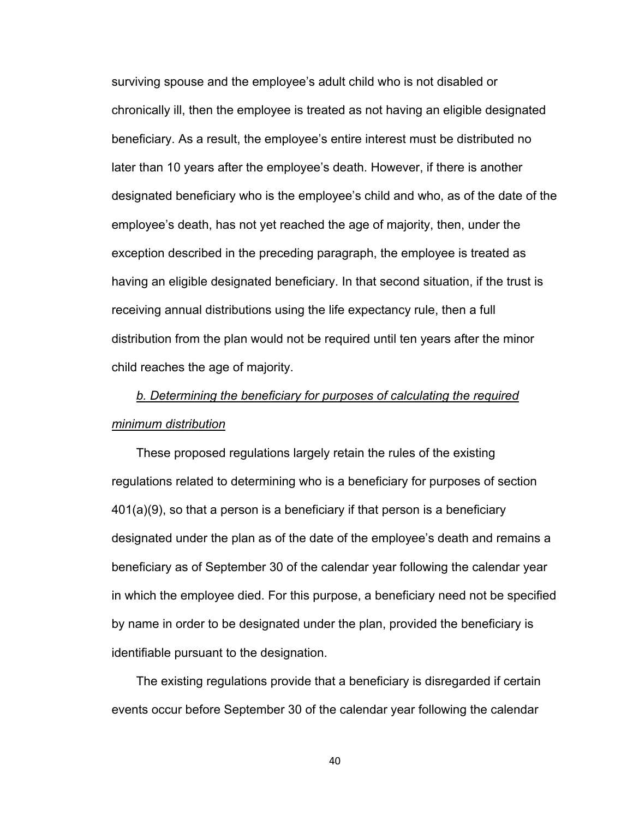surviving spouse and the employee's adult child who is not disabled or chronically ill, then the employee is treated as not having an eligible designated beneficiary. As a result, the employee's entire interest must be distributed no later than 10 years after the employee's death. However, if there is another designated beneficiary who is the employee's child and who, as of the date of the employee's death, has not yet reached the age of majority, then, under the exception described in the preceding paragraph, the employee is treated as having an eligible designated beneficiary. In that second situation, if the trust is receiving annual distributions using the life expectancy rule, then a full distribution from the plan would not be required until ten years after the minor child reaches the age of majority.

# *b. Determining the beneficiary for purposes of calculating the required minimum distribution*

These proposed regulations largely retain the rules of the existing regulations related to determining who is a beneficiary for purposes of section 401(a)(9), so that a person is a beneficiary if that person is a beneficiary designated under the plan as of the date of the employee's death and remains a beneficiary as of September 30 of the calendar year following the calendar year in which the employee died. For this purpose, a beneficiary need not be specified by name in order to be designated under the plan, provided the beneficiary is identifiable pursuant to the designation.

The existing regulations provide that a beneficiary is disregarded if certain events occur before September 30 of the calendar year following the calendar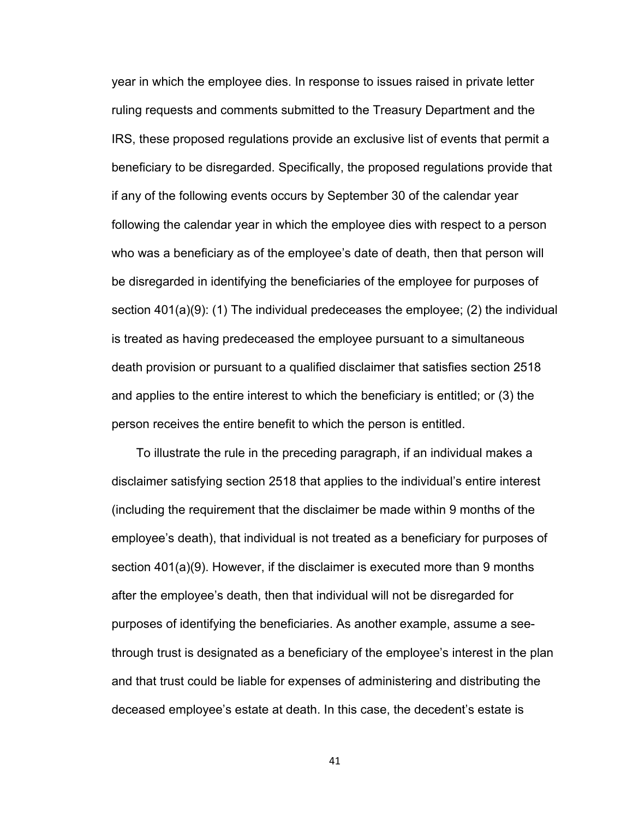year in which the employee dies. In response to issues raised in private letter ruling requests and comments submitted to the Treasury Department and the IRS, these proposed regulations provide an exclusive list of events that permit a beneficiary to be disregarded. Specifically, the proposed regulations provide that if any of the following events occurs by September 30 of the calendar year following the calendar year in which the employee dies with respect to a person who was a beneficiary as of the employee's date of death, then that person will be disregarded in identifying the beneficiaries of the employee for purposes of section 401(a)(9): (1) The individual predeceases the employee; (2) the individual is treated as having predeceased the employee pursuant to a simultaneous death provision or pursuant to a qualified disclaimer that satisfies section 2518 and applies to the entire interest to which the beneficiary is entitled; or (3) the person receives the entire benefit to which the person is entitled.

To illustrate the rule in the preceding paragraph, if an individual makes a disclaimer satisfying section 2518 that applies to the individual's entire interest (including the requirement that the disclaimer be made within 9 months of the employee's death), that individual is not treated as a beneficiary for purposes of section 401(a)(9). However, if the disclaimer is executed more than 9 months after the employee's death, then that individual will not be disregarded for purposes of identifying the beneficiaries. As another example, assume a seethrough trust is designated as a beneficiary of the employee's interest in the plan and that trust could be liable for expenses of administering and distributing the deceased employee's estate at death. In this case, the decedent's estate is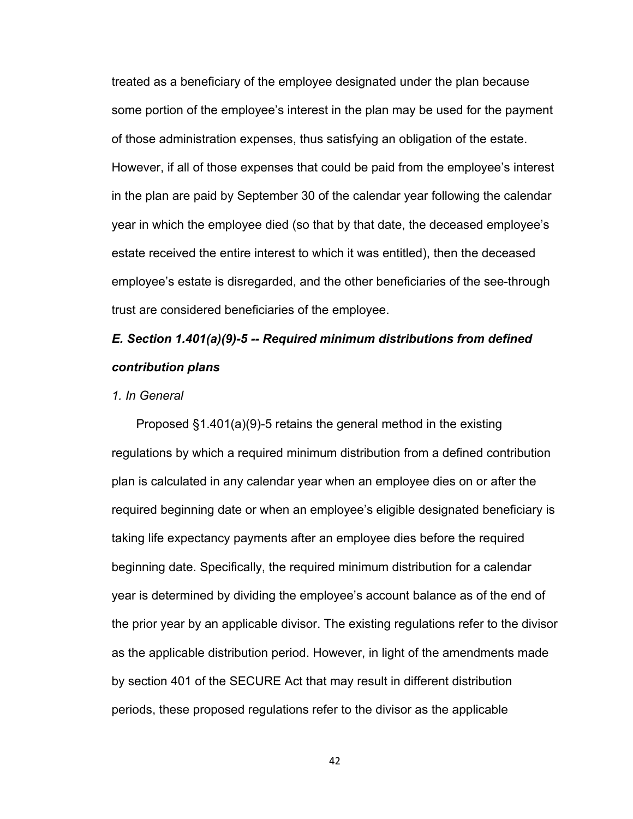treated as a beneficiary of the employee designated under the plan because some portion of the employee's interest in the plan may be used for the payment of those administration expenses, thus satisfying an obligation of the estate. However, if all of those expenses that could be paid from the employee's interest in the plan are paid by September 30 of the calendar year following the calendar year in which the employee died (so that by that date, the deceased employee's estate received the entire interest to which it was entitled), then the deceased employee's estate is disregarded, and the other beneficiaries of the see-through trust are considered beneficiaries of the employee.

# *E. Section 1.401(a)(9)-5 -- Required minimum distributions from defined contribution plans*

#### *1. In General*

Proposed §1.401(a)(9)-5 retains the general method in the existing regulations by which a required minimum distribution from a defined contribution plan is calculated in any calendar year when an employee dies on or after the required beginning date or when an employee's eligible designated beneficiary is taking life expectancy payments after an employee dies before the required beginning date. Specifically, the required minimum distribution for a calendar year is determined by dividing the employee's account balance as of the end of the prior year by an applicable divisor. The existing regulations refer to the divisor as the applicable distribution period. However, in light of the amendments made by section 401 of the SECURE Act that may result in different distribution periods, these proposed regulations refer to the divisor as the applicable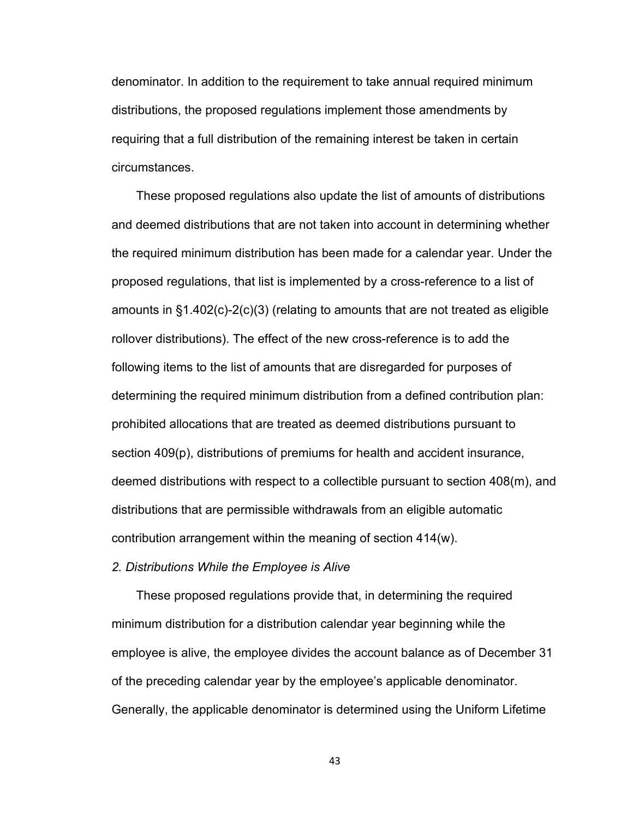denominator. In addition to the requirement to take annual required minimum distributions, the proposed regulations implement those amendments by requiring that a full distribution of the remaining interest be taken in certain circumstances.

These proposed regulations also update the list of amounts of distributions and deemed distributions that are not taken into account in determining whether the required minimum distribution has been made for a calendar year. Under the proposed regulations, that list is implemented by a cross-reference to a list of amounts in §1.402(c)-2(c)(3) (relating to amounts that are not treated as eligible rollover distributions). The effect of the new cross-reference is to add the following items to the list of amounts that are disregarded for purposes of determining the required minimum distribution from a defined contribution plan: prohibited allocations that are treated as deemed distributions pursuant to section 409(p), distributions of premiums for health and accident insurance, deemed distributions with respect to a collectible pursuant to section 408(m), and distributions that are permissible withdrawals from an eligible automatic contribution arrangement within the meaning of section 414(w).

*2. Distributions While the Employee is Alive*

These proposed regulations provide that, in determining the required minimum distribution for a distribution calendar year beginning while the employee is alive, the employee divides the account balance as of December 31 of the preceding calendar year by the employee's applicable denominator. Generally, the applicable denominator is determined using the Uniform Lifetime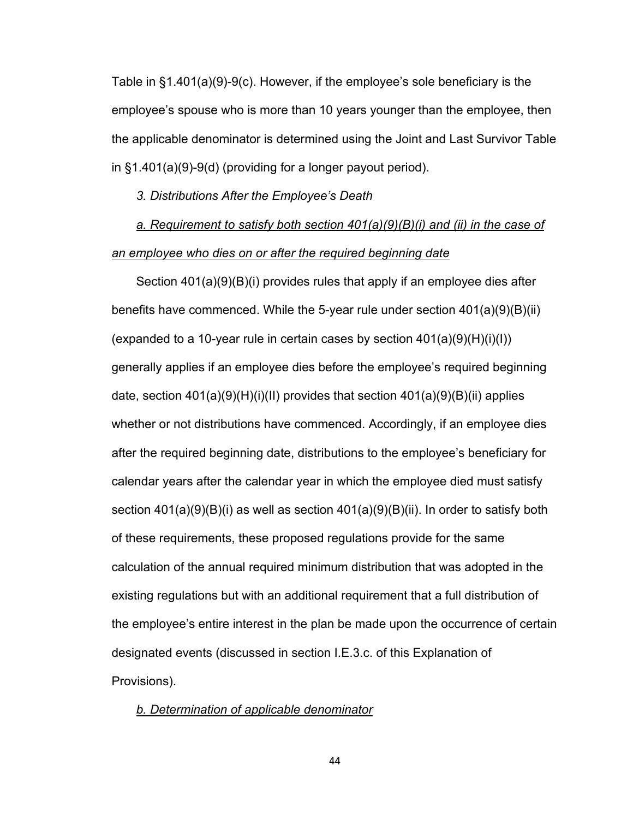Table in §1.401(a)(9)-9(c). However, if the employee's sole beneficiary is the employee's spouse who is more than 10 years younger than the employee, then the applicable denominator is determined using the Joint and Last Survivor Table in §1.401(a)(9)-9(d) (providing for a longer payout period).

*3. Distributions After the Employee's Death*

*a. Requirement to satisfy both section 401(a)(9)(B)(i) and (ii) in the case of an employee who dies on or after the required beginning date*

Section 401(a)(9)(B)(i) provides rules that apply if an employee dies after benefits have commenced. While the 5-year rule under section 401(a)(9)(B)(ii) (expanded to a 10-year rule in certain cases by section  $401(a)(9)(H)(i)(I))$ generally applies if an employee dies before the employee's required beginning date, section  $401(a)(9)(H)(i)(II)$  provides that section  $401(a)(9)(B)(ii)$  applies whether or not distributions have commenced. Accordingly, if an employee dies after the required beginning date, distributions to the employee's beneficiary for calendar years after the calendar year in which the employee died must satisfy section 401(a)(9)(B)(i) as well as section 401(a)(9)(B)(ii). In order to satisfy both of these requirements, these proposed regulations provide for the same calculation of the annual required minimum distribution that was adopted in the existing regulations but with an additional requirement that a full distribution of the employee's entire interest in the plan be made upon the occurrence of certain designated events (discussed in section I.E.3.c. of this Explanation of Provisions).

*b. Determination of applicable denominator*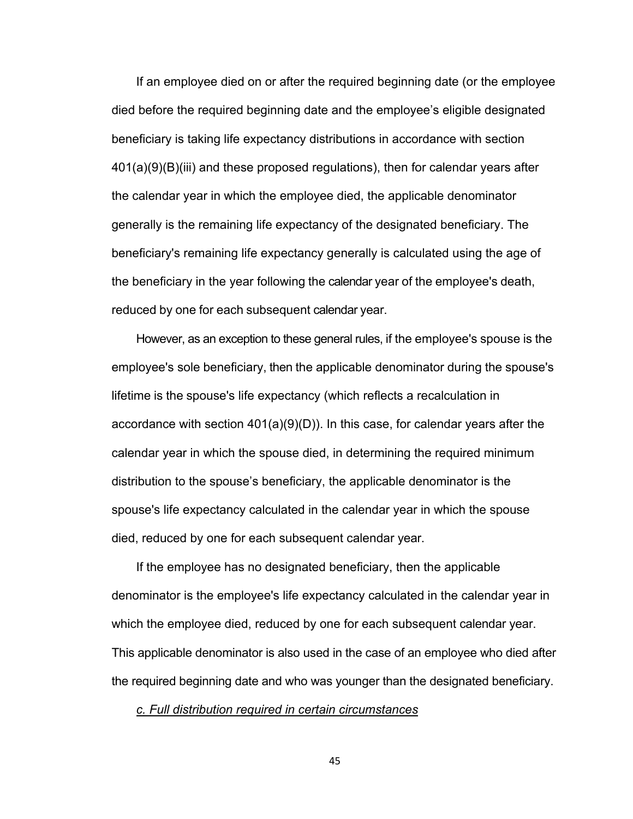If an employee died on or after the required beginning date (or the employee died before the required beginning date and the employee's eligible designated beneficiary is taking life expectancy distributions in accordance with section 401(a)(9)(B)(iii) and these proposed regulations), then for calendar years after the calendar year in which the employee died, the applicable denominator generally is the remaining life expectancy of the designated beneficiary. The beneficiary's remaining life expectancy generally is calculated using the age of the beneficiary in the year following the calendar year of the employee's death, reduced by one for each subsequent calendar year.

However, as an exception to these general rules, if the employee's spouse is the employee's sole beneficiary, then the applicable denominator during the spouse's lifetime is the spouse's life expectancy (which reflects a recalculation in accordance with section  $401(a)(9)(D)$ . In this case, for calendar years after the calendar year in which the spouse died, in determining the required minimum distribution to the spouse's beneficiary, the applicable denominator is the spouse's life expectancy calculated in the calendar year in which the spouse died, reduced by one for each subsequent calendar year.

If the employee has no designated beneficiary, then the applicable denominator is the employee's life expectancy calculated in the calendar year in which the employee died, reduced by one for each subsequent calendar year. This applicable denominator is also used in the case of an employee who died after the required beginning date and who was younger than the designated beneficiary.

*c. Full distribution required in certain circumstances*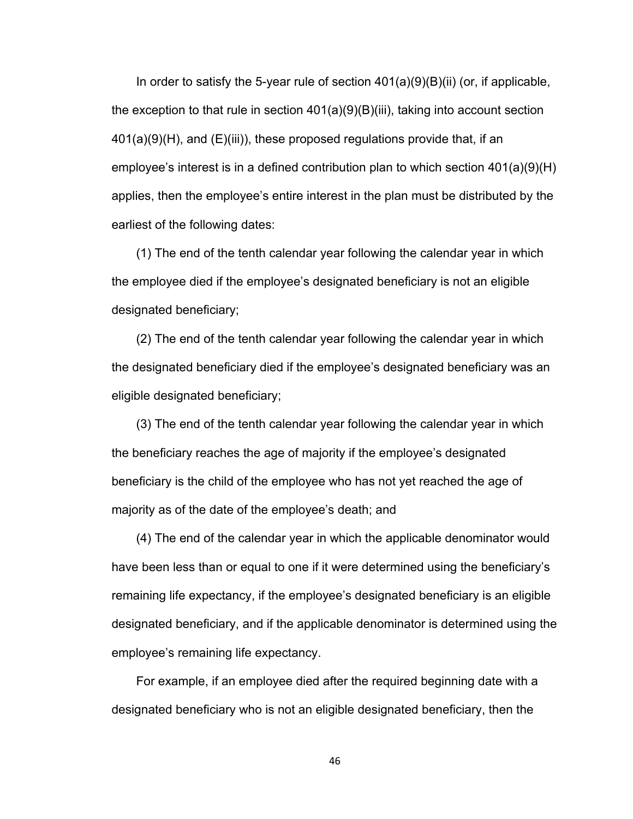In order to satisfy the 5-year rule of section  $401(a)(9)(B)(ii)$  (or, if applicable, the exception to that rule in section  $401(a)(9)(B)(iii)$ , taking into account section  $401(a)(9)(H)$ , and  $(E)(iii)$ , these proposed regulations provide that, if an employee's interest is in a defined contribution plan to which section 401(a)(9)(H) applies, then the employee's entire interest in the plan must be distributed by the earliest of the following dates:

(1) The end of the tenth calendar year following the calendar year in which the employee died if the employee's designated beneficiary is not an eligible designated beneficiary;

(2) The end of the tenth calendar year following the calendar year in which the designated beneficiary died if the employee's designated beneficiary was an eligible designated beneficiary;

(3) The end of the tenth calendar year following the calendar year in which the beneficiary reaches the age of majority if the employee's designated beneficiary is the child of the employee who has not yet reached the age of majority as of the date of the employee's death; and

(4) The end of the calendar year in which the applicable denominator would have been less than or equal to one if it were determined using the beneficiary's remaining life expectancy, if the employee's designated beneficiary is an eligible designated beneficiary, and if the applicable denominator is determined using the employee's remaining life expectancy.

For example, if an employee died after the required beginning date with a designated beneficiary who is not an eligible designated beneficiary, then the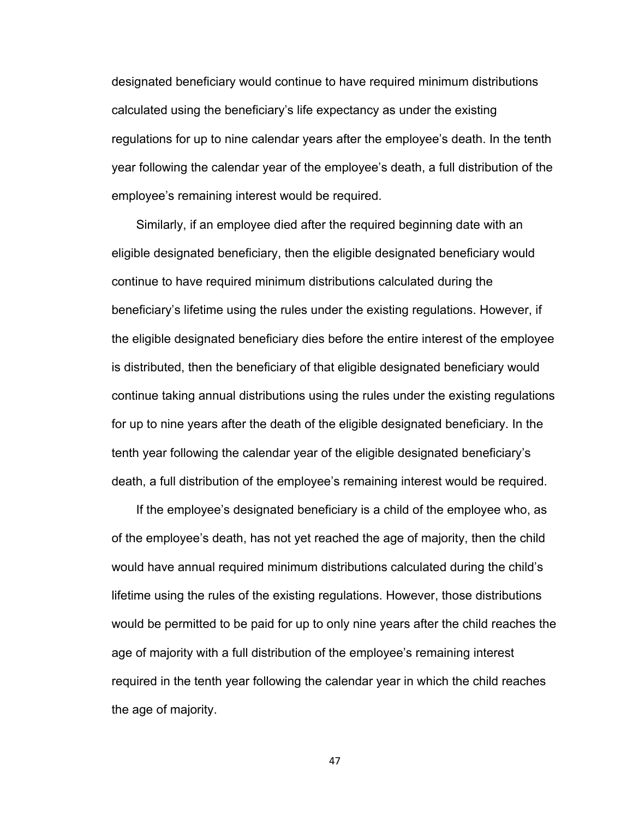designated beneficiary would continue to have required minimum distributions calculated using the beneficiary's life expectancy as under the existing regulations for up to nine calendar years after the employee's death. In the tenth year following the calendar year of the employee's death, a full distribution of the employee's remaining interest would be required.

Similarly, if an employee died after the required beginning date with an eligible designated beneficiary, then the eligible designated beneficiary would continue to have required minimum distributions calculated during the beneficiary's lifetime using the rules under the existing regulations. However, if the eligible designated beneficiary dies before the entire interest of the employee is distributed, then the beneficiary of that eligible designated beneficiary would continue taking annual distributions using the rules under the existing regulations for up to nine years after the death of the eligible designated beneficiary. In the tenth year following the calendar year of the eligible designated beneficiary's death, a full distribution of the employee's remaining interest would be required.

If the employee's designated beneficiary is a child of the employee who, as of the employee's death, has not yet reached the age of majority, then the child would have annual required minimum distributions calculated during the child's lifetime using the rules of the existing regulations. However, those distributions would be permitted to be paid for up to only nine years after the child reaches the age of majority with a full distribution of the employee's remaining interest required in the tenth year following the calendar year in which the child reaches the age of majority.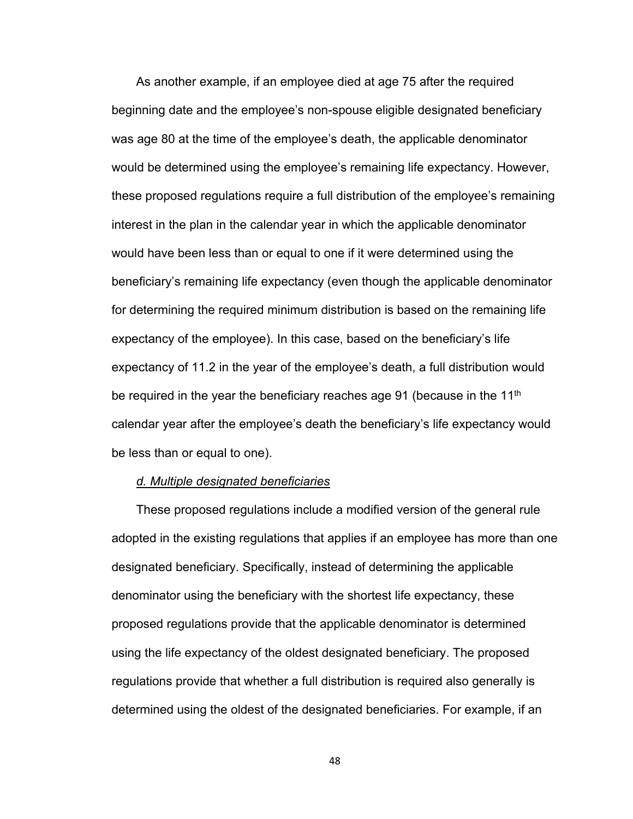As another example, if an employee died at age 75 after the required beginning date and the employee's non-spouse eligible designated beneficiary was age 80 at the time of the employee's death, the applicable denominator would be determined using the employee's remaining life expectancy. However, these proposed regulations require a full distribution of the employee's remaining interest in the plan in the calendar year in which the applicable denominator would have been less than or equal to one if it were determined using the beneficiary's remaining life expectancy (even though the applicable denominator for determining the required minimum distribution is based on the remaining life expectancy of the employee). In this case, based on the beneficiary's life expectancy of 11.2 in the year of the employee's death, a full distribution would be required in the year the beneficiary reaches age 91 (because in the 11<sup>th</sup> calendar year after the employee's death the beneficiary's life expectancy would be less than or equal to one).

#### *d. Multiple designated beneficiaries*

These proposed regulations include a modified version of the general rule adopted in the existing regulations that applies if an employee has more than one designated beneficiary. Specifically, instead of determining the applicable denominator using the beneficiary with the shortest life expectancy, these proposed regulations provide that the applicable denominator is determined using the life expectancy of the oldest designated beneficiary. The proposed regulations provide that whether a full distribution is required also generally is determined using the oldest of the designated beneficiaries. For example, if an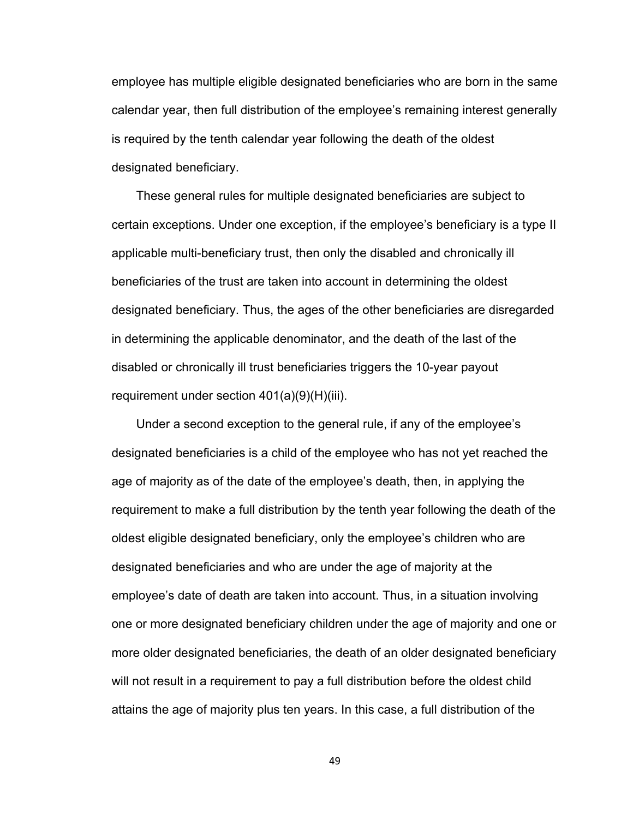employee has multiple eligible designated beneficiaries who are born in the same calendar year, then full distribution of the employee's remaining interest generally is required by the tenth calendar year following the death of the oldest designated beneficiary.

These general rules for multiple designated beneficiaries are subject to certain exceptions. Under one exception, if the employee's beneficiary is a type II applicable multi-beneficiary trust, then only the disabled and chronically ill beneficiaries of the trust are taken into account in determining the oldest designated beneficiary. Thus, the ages of the other beneficiaries are disregarded in determining the applicable denominator, and the death of the last of the disabled or chronically ill trust beneficiaries triggers the 10-year payout requirement under section 401(a)(9)(H)(iii).

Under a second exception to the general rule, if any of the employee's designated beneficiaries is a child of the employee who has not yet reached the age of majority as of the date of the employee's death, then, in applying the requirement to make a full distribution by the tenth year following the death of the oldest eligible designated beneficiary, only the employee's children who are designated beneficiaries and who are under the age of majority at the employee's date of death are taken into account. Thus, in a situation involving one or more designated beneficiary children under the age of majority and one or more older designated beneficiaries, the death of an older designated beneficiary will not result in a requirement to pay a full distribution before the oldest child attains the age of majority plus ten years. In this case, a full distribution of the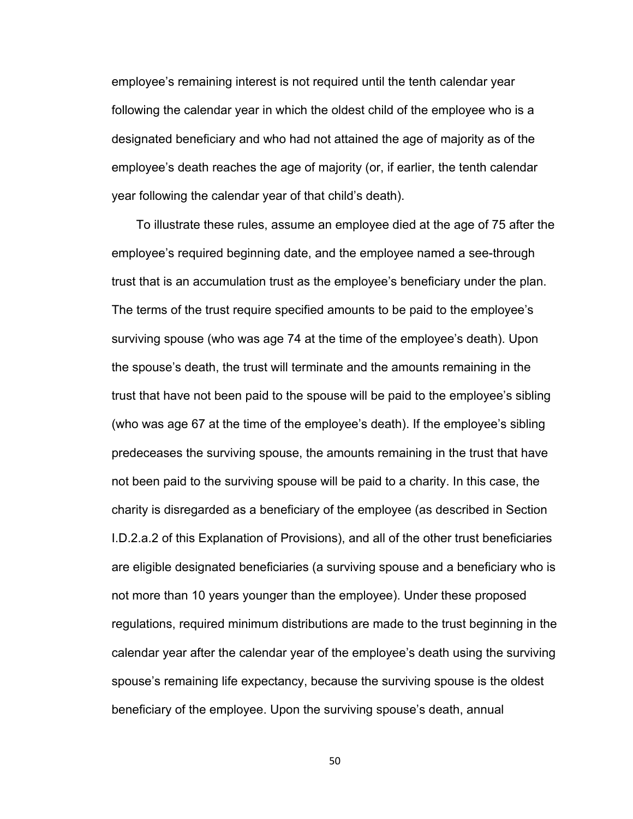employee's remaining interest is not required until the tenth calendar year following the calendar year in which the oldest child of the employee who is a designated beneficiary and who had not attained the age of majority as of the employee's death reaches the age of majority (or, if earlier, the tenth calendar year following the calendar year of that child's death).

To illustrate these rules, assume an employee died at the age of 75 after the employee's required beginning date, and the employee named a see-through trust that is an accumulation trust as the employee's beneficiary under the plan. The terms of the trust require specified amounts to be paid to the employee's surviving spouse (who was age 74 at the time of the employee's death). Upon the spouse's death, the trust will terminate and the amounts remaining in the trust that have not been paid to the spouse will be paid to the employee's sibling (who was age 67 at the time of the employee's death). If the employee's sibling predeceases the surviving spouse, the amounts remaining in the trust that have not been paid to the surviving spouse will be paid to a charity. In this case, the charity is disregarded as a beneficiary of the employee (as described in Section I.D.2.a.2 of this Explanation of Provisions), and all of the other trust beneficiaries are eligible designated beneficiaries (a surviving spouse and a beneficiary who is not more than 10 years younger than the employee). Under these proposed regulations, required minimum distributions are made to the trust beginning in the calendar year after the calendar year of the employee's death using the surviving spouse's remaining life expectancy, because the surviving spouse is the oldest beneficiary of the employee. Upon the surviving spouse's death, annual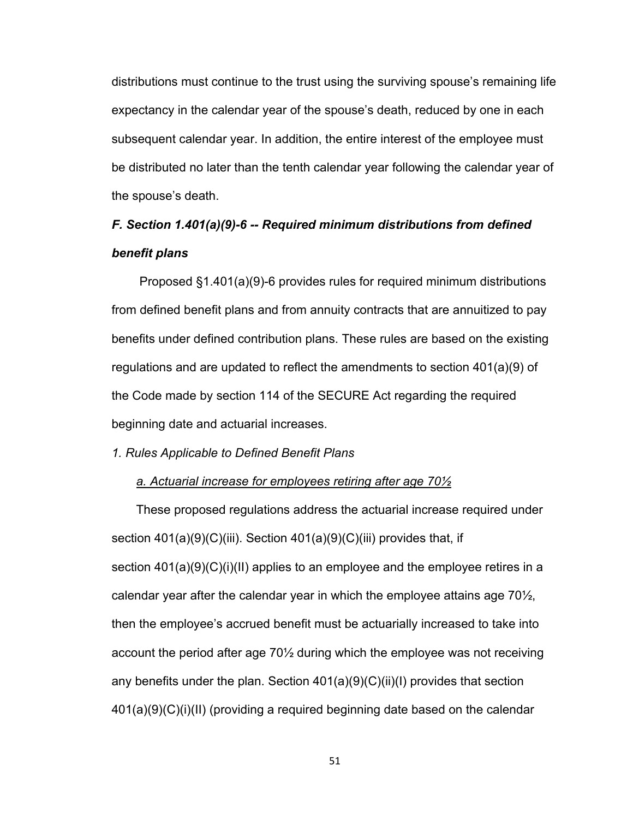distributions must continue to the trust using the surviving spouse's remaining life expectancy in the calendar year of the spouse's death, reduced by one in each subsequent calendar year. In addition, the entire interest of the employee must be distributed no later than the tenth calendar year following the calendar year of the spouse's death.

## *F. Section 1.401(a)(9)-6 -- Required minimum distributions from defined benefit plans*

Proposed §1.401(a)(9)-6 provides rules for required minimum distributions from defined benefit plans and from annuity contracts that are annuitized to pay benefits under defined contribution plans. These rules are based on the existing regulations and are updated to reflect the amendments to section 401(a)(9) of the Code made by section 114 of the SECURE Act regarding the required beginning date and actuarial increases.

#### *1. Rules Applicable to Defined Benefit Plans*

#### *a. Actuarial increase for employees retiring after age 70½*

These proposed regulations address the actuarial increase required under section 401(a)(9)(C)(iii). Section 401(a)(9)(C)(iii) provides that, if section 401(a)(9)(C)(i)(II) applies to an employee and the employee retires in a calendar year after the calendar year in which the employee attains age  $70\frac{1}{2}$ , then the employee's accrued benefit must be actuarially increased to take into account the period after age 70½ during which the employee was not receiving any benefits under the plan. Section 401(a)(9)(C)(ii)(I) provides that section 401(a)(9)(C)(i)(II) (providing a required beginning date based on the calendar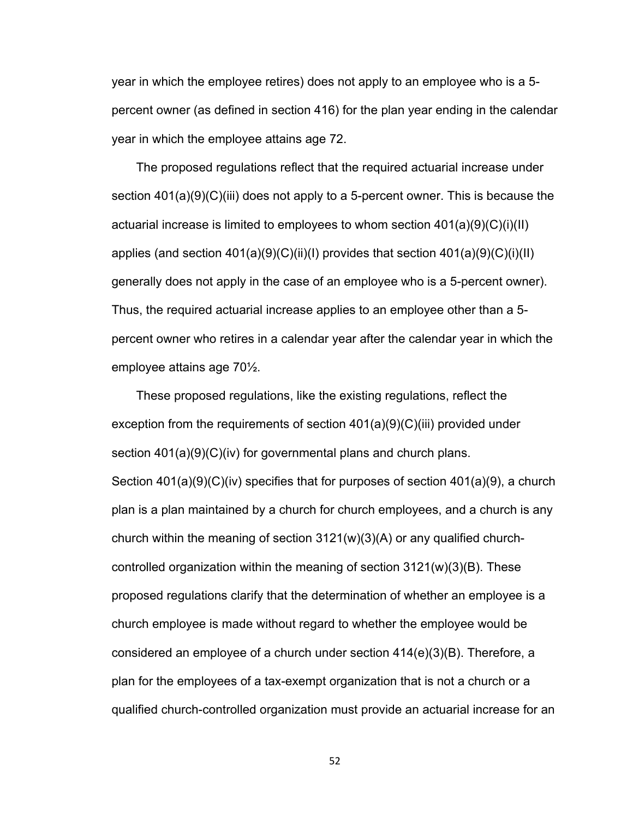year in which the employee retires) does not apply to an employee who is a 5 percent owner (as defined in section 416) for the plan year ending in the calendar year in which the employee attains age 72.

The proposed regulations reflect that the required actuarial increase under section 401(a)(9)(C)(iii) does not apply to a 5-percent owner. This is because the actuarial increase is limited to employees to whom section 401(a)(9)(C)(i)(II) applies (and section  $401(a)(9)(C)(ii)(I)$  provides that section  $401(a)(9)(C)(i)(II)$ generally does not apply in the case of an employee who is a 5-percent owner). Thus, the required actuarial increase applies to an employee other than a 5 percent owner who retires in a calendar year after the calendar year in which the employee attains age 70½.

These proposed regulations, like the existing regulations, reflect the exception from the requirements of section  $401(a)(9)(C)(iii)$  provided under section 401(a)(9)(C)(iv) for governmental plans and church plans. Section 401(a)(9)(C)(iv) specifies that for purposes of section 401(a)(9), a church plan is a plan maintained by a church for church employees, and a church is any church within the meaning of section  $3121(w)(3)(A)$  or any qualified churchcontrolled organization within the meaning of section  $3121(w)(3)(B)$ . These proposed regulations clarify that the determination of whether an employee is a church employee is made without regard to whether the employee would be considered an employee of a church under section 414(e)(3)(B). Therefore, a plan for the employees of a tax-exempt organization that is not a church or a qualified church-controlled organization must provide an actuarial increase for an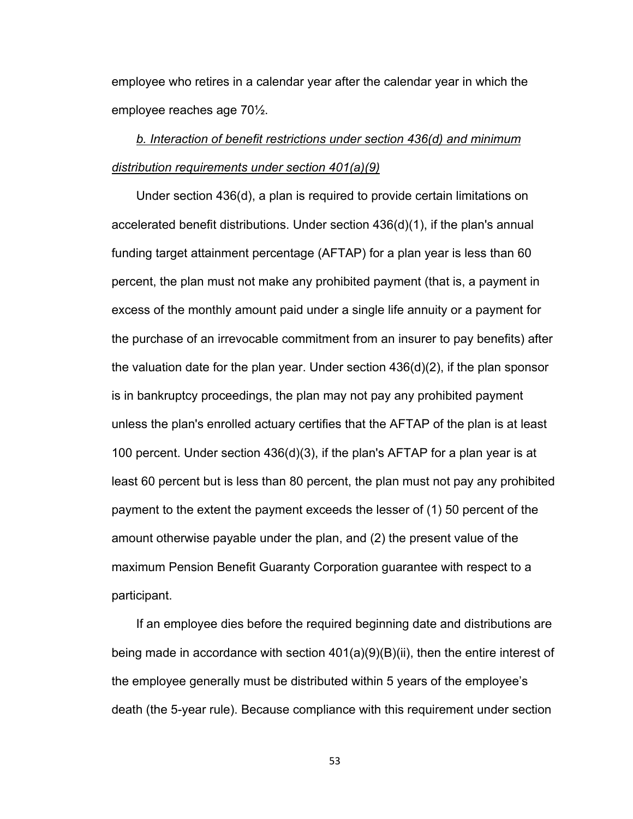employee who retires in a calendar year after the calendar year in which the employee reaches age 70½.

## *b. Interaction of benefit restrictions under section 436(d) and minimum distribution requirements under section 401(a)(9)*

Under section 436(d), a plan is required to provide certain limitations on accelerated benefit distributions. Under section 436(d)(1), if the plan's annual funding target attainment percentage (AFTAP) for a plan year is less than 60 percent, the plan must not make any prohibited payment (that is, a payment in excess of the monthly amount paid under a single life annuity or a payment for the purchase of an irrevocable commitment from an insurer to pay benefits) after the valuation date for the plan year. Under section 436(d)(2), if the plan sponsor is in bankruptcy proceedings, the plan may not pay any prohibited payment unless the plan's enrolled actuary certifies that the AFTAP of the plan is at least 100 percent. Under section 436(d)(3), if the plan's AFTAP for a plan year is at least 60 percent but is less than 80 percent, the plan must not pay any prohibited payment to the extent the payment exceeds the lesser of (1) 50 percent of the amount otherwise payable under the plan, and (2) the present value of the maximum Pension Benefit Guaranty Corporation guarantee with respect to a participant.

If an employee dies before the required beginning date and distributions are being made in accordance with section 401(a)(9)(B)(ii), then the entire interest of the employee generally must be distributed within 5 years of the employee's death (the 5-year rule). Because compliance with this requirement under section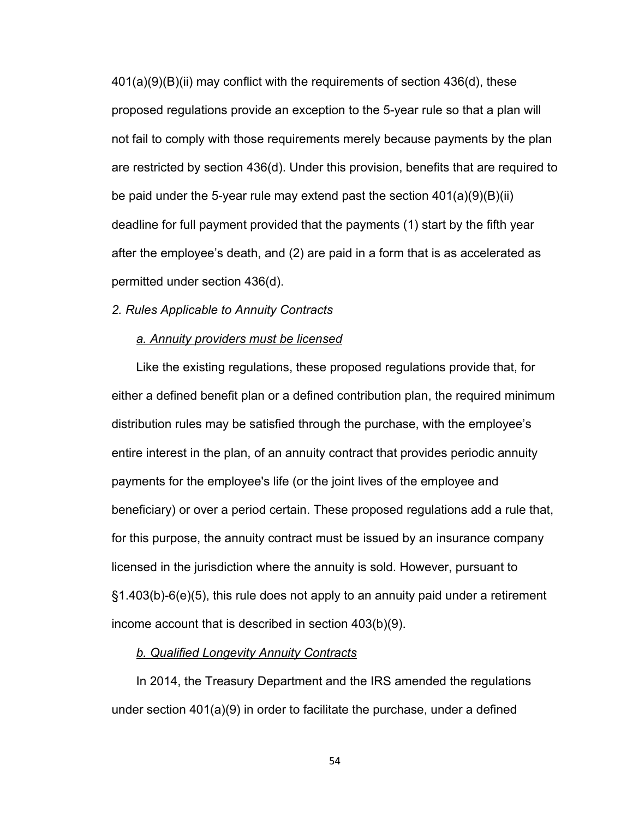401(a)(9)(B)(ii) may conflict with the requirements of section 436(d), these proposed regulations provide an exception to the 5-year rule so that a plan will not fail to comply with those requirements merely because payments by the plan are restricted by section 436(d). Under this provision, benefits that are required to be paid under the 5-year rule may extend past the section 401(a)(9)(B)(ii) deadline for full payment provided that the payments (1) start by the fifth year after the employee's death, and (2) are paid in a form that is as accelerated as permitted under section 436(d).

*2. Rules Applicable to Annuity Contracts*

#### *a. Annuity providers must be licensed*

Like the existing regulations, these proposed regulations provide that, for either a defined benefit plan or a defined contribution plan, the required minimum distribution rules may be satisfied through the purchase, with the employee's entire interest in the plan, of an annuity contract that provides periodic annuity payments for the employee's life (or the joint lives of the employee and beneficiary) or over a period certain. These proposed regulations add a rule that, for this purpose, the annuity contract must be issued by an insurance company licensed in the jurisdiction where the annuity is sold. However, pursuant to §1.403(b)-6(e)(5), this rule does not apply to an annuity paid under a retirement income account that is described in section 403(b)(9).

#### *b. Qualified Longevity Annuity Contracts*

In 2014, the Treasury Department and the IRS amended the regulations under section 401(a)(9) in order to facilitate the purchase, under a defined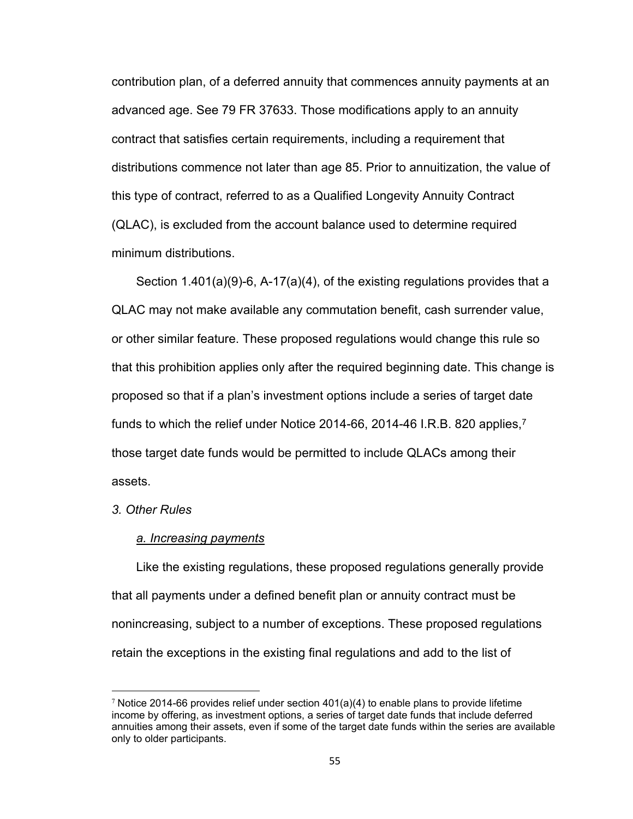contribution plan, of a deferred annuity that commences annuity payments at an advanced age. See 79 FR 37633. Those modifications apply to an annuity contract that satisfies certain requirements, including a requirement that distributions commence not later than age 85. Prior to annuitization, the value of this type of contract, referred to as a Qualified Longevity Annuity Contract (QLAC), is excluded from the account balance used to determine required minimum distributions.

Section 1.401(a)(9)-6, A-17(a)(4), of the existing regulations provides that a QLAC may not make available any commutation benefit, cash surrender value, or other similar feature. These proposed regulations would change this rule so that this prohibition applies only after the required beginning date. This change is proposed so that if a plan's investment options include a series of target date funds to which the relief under Notice 2014-66, 2014-46 I.R.B. 820 applies,<sup>7</sup> those target date funds would be permitted to include QLACs among their assets.

#### *3. Other Rules*

#### *a. Increasing payments*

Like the existing regulations, these proposed regulations generally provide that all payments under a defined benefit plan or annuity contract must be nonincreasing, subject to a number of exceptions. These proposed regulations retain the exceptions in the existing final regulations and add to the list of

 $7$  Notice 2014-66 provides relief under section 401(a)(4) to enable plans to provide lifetime income by offering, as investment options, a series of target date funds that include deferred annuities among their assets, even if some of the target date funds within the series are available only to older participants.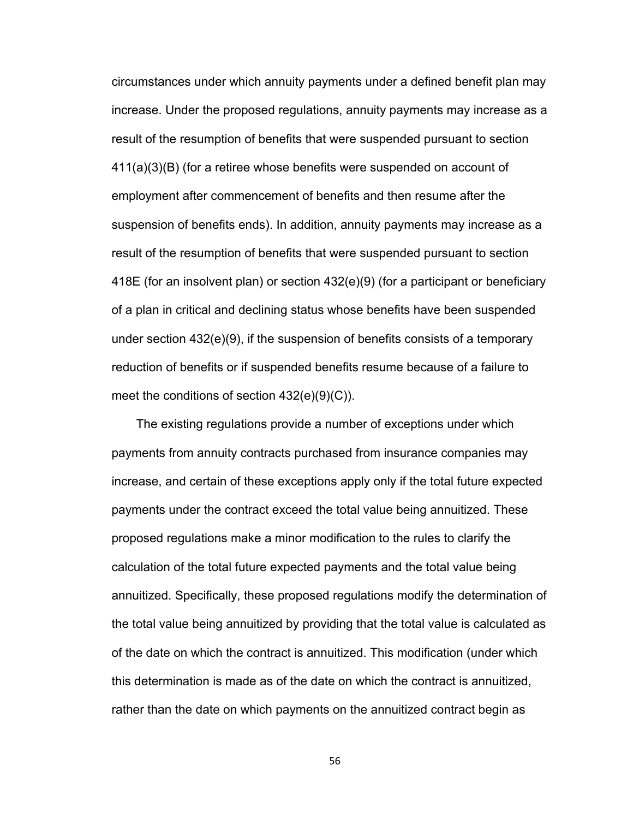circumstances under which annuity payments under a defined benefit plan may increase. Under the proposed regulations, annuity payments may increase as a result of the resumption of benefits that were suspended pursuant to section 411(a)(3)(B) (for a retiree whose benefits were suspended on account of employment after commencement of benefits and then resume after the suspension of benefits ends). In addition, annuity payments may increase as a result of the resumption of benefits that were suspended pursuant to section 418E (for an insolvent plan) or section 432(e)(9) (for a participant or beneficiary of a plan in critical and declining status whose benefits have been suspended under section 432(e)(9), if the suspension of benefits consists of a temporary reduction of benefits or if suspended benefits resume because of a failure to meet the conditions of section 432(e)(9)(C)).

The existing regulations provide a number of exceptions under which payments from annuity contracts purchased from insurance companies may increase, and certain of these exceptions apply only if the total future expected payments under the contract exceed the total value being annuitized. These proposed regulations make a minor modification to the rules to clarify the calculation of the total future expected payments and the total value being annuitized. Specifically, these proposed regulations modify the determination of the total value being annuitized by providing that the total value is calculated as of the date on which the contract is annuitized. This modification (under which this determination is made as of the date on which the contract is annuitized, rather than the date on which payments on the annuitized contract begin as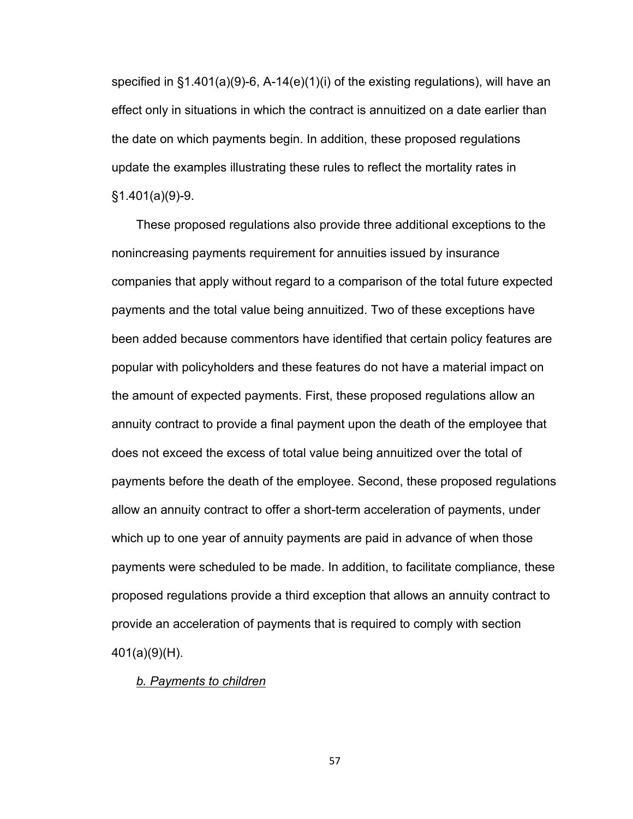specified in §1.401(a)(9)-6, A-14(e)(1)(i) of the existing regulations), will have an effect only in situations in which the contract is annuitized on a date earlier than the date on which payments begin. In addition, these proposed regulations update the examples illustrating these rules to reflect the mortality rates in §1.401(a)(9)-9.

These proposed regulations also provide three additional exceptions to the nonincreasing payments requirement for annuities issued by insurance companies that apply without regard to a comparison of the total future expected payments and the total value being annuitized. Two of these exceptions have been added because commentors have identified that certain policy features are popular with policyholders and these features do not have a material impact on the amount of expected payments. First, these proposed regulations allow an annuity contract to provide a final payment upon the death of the employee that does not exceed the excess of total value being annuitized over the total of payments before the death of the employee. Second, these proposed regulations allow an annuity contract to offer a short-term acceleration of payments, under which up to one year of annuity payments are paid in advance of when those payments were scheduled to be made. In addition, to facilitate compliance, these proposed regulations provide a third exception that allows an annuity contract to provide an acceleration of payments that is required to comply with section 401(a)(9)(H).

#### *b. Payments to children*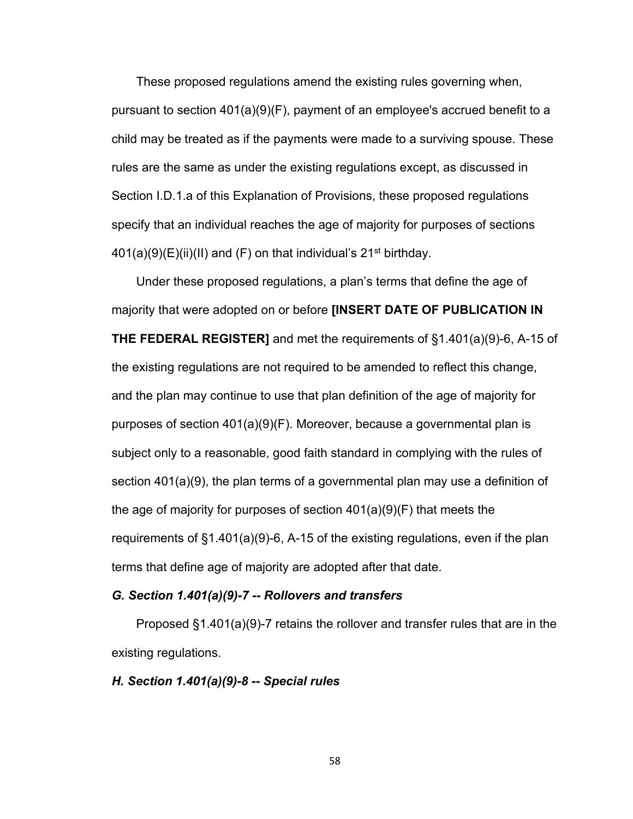These proposed regulations amend the existing rules governing when, pursuant to section 401(a)(9)(F), payment of an employee's accrued benefit to a child may be treated as if the payments were made to a surviving spouse. These rules are the same as under the existing regulations except, as discussed in Section I.D.1.a of this Explanation of Provisions, these proposed regulations specify that an individual reaches the age of majority for purposes of sections  $401(a)(9)(E)(ii)(II)$  and  $(F)$  on that individual's 21<sup>st</sup> birthday.

Under these proposed regulations, a plan's terms that define the age of majority that were adopted on or before **[INSERT DATE OF PUBLICATION IN THE FEDERAL REGISTER]** and met the requirements of §1.401(a)(9)-6, A-15 of the existing regulations are not required to be amended to reflect this change, and the plan may continue to use that plan definition of the age of majority for purposes of section 401(a)(9)(F). Moreover, because a governmental plan is subject only to a reasonable, good faith standard in complying with the rules of section 401(a)(9), the plan terms of a governmental plan may use a definition of the age of majority for purposes of section 401(a)(9)(F) that meets the requirements of §1.401(a)(9)-6, A-15 of the existing regulations, even if the plan terms that define age of majority are adopted after that date.

#### *G. Section 1.401(a)(9)-7 -- Rollovers and transfers*

Proposed §1.401(a)(9)-7 retains the rollover and transfer rules that are in the existing regulations.

#### *H. Section 1.401(a)(9)-8 -- Special rules*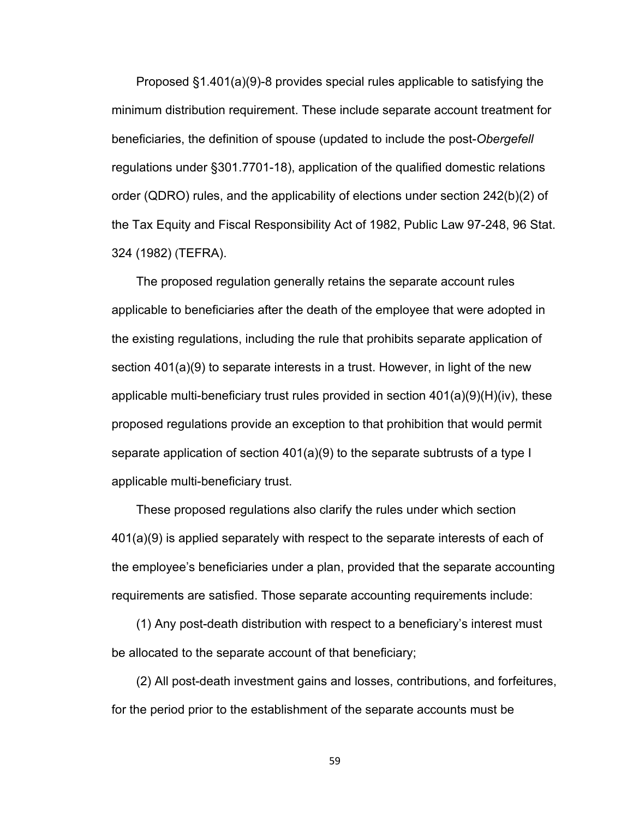Proposed §1.401(a)(9)-8 provides special rules applicable to satisfying the minimum distribution requirement. These include separate account treatment for beneficiaries, the definition of spouse (updated to include the post-*Obergefell*  regulations under §301.7701-18), application of the qualified domestic relations order (QDRO) rules, and the applicability of elections under section 242(b)(2) of the Tax Equity and Fiscal Responsibility Act of 1982, Public Law 97-248, 96 Stat. 324 (1982) (TEFRA).

The proposed regulation generally retains the separate account rules applicable to beneficiaries after the death of the employee that were adopted in the existing regulations, including the rule that prohibits separate application of section 401(a)(9) to separate interests in a trust. However, in light of the new applicable multi-beneficiary trust rules provided in section  $401(a)(9)(H)(iv)$ , these proposed regulations provide an exception to that prohibition that would permit separate application of section 401(a)(9) to the separate subtrusts of a type I applicable multi-beneficiary trust.

These proposed regulations also clarify the rules under which section 401(a)(9) is applied separately with respect to the separate interests of each of the employee's beneficiaries under a plan, provided that the separate accounting requirements are satisfied. Those separate accounting requirements include:

(1) Any post-death distribution with respect to a beneficiary's interest must be allocated to the separate account of that beneficiary;

(2) All post-death investment gains and losses, contributions, and forfeitures, for the period prior to the establishment of the separate accounts must be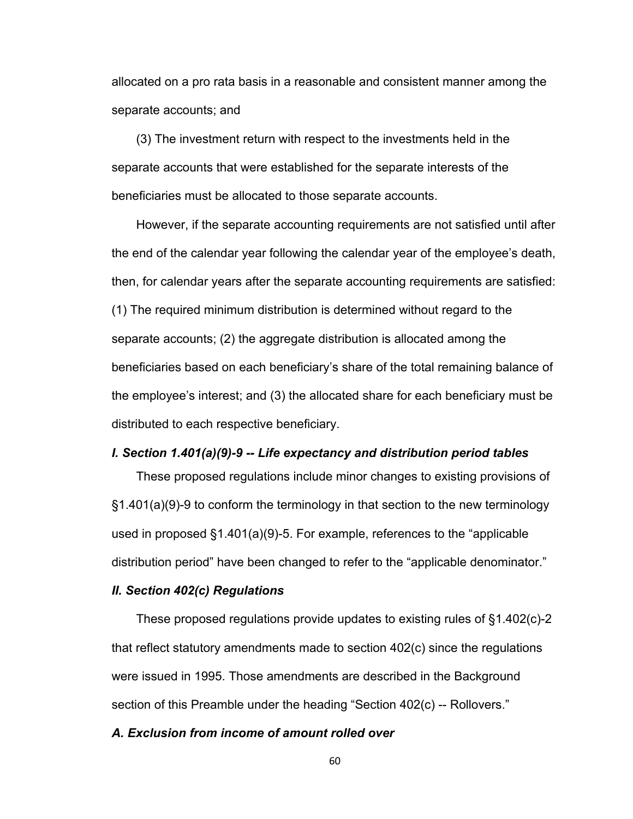allocated on a pro rata basis in a reasonable and consistent manner among the separate accounts; and

(3) The investment return with respect to the investments held in the separate accounts that were established for the separate interests of the beneficiaries must be allocated to those separate accounts.

However, if the separate accounting requirements are not satisfied until after the end of the calendar year following the calendar year of the employee's death, then, for calendar years after the separate accounting requirements are satisfied: (1) The required minimum distribution is determined without regard to the separate accounts; (2) the aggregate distribution is allocated among the beneficiaries based on each beneficiary's share of the total remaining balance of the employee's interest; and (3) the allocated share for each beneficiary must be distributed to each respective beneficiary.

#### *I. Section 1.401(a)(9)-9 -- Life expectancy and distribution period tables*

These proposed regulations include minor changes to existing provisions of §1.401(a)(9)-9 to conform the terminology in that section to the new terminology used in proposed §1.401(a)(9)-5. For example, references to the "applicable distribution period" have been changed to refer to the "applicable denominator."

#### *II. Section 402(c) Regulations*

These proposed regulations provide updates to existing rules of §1.402(c)-2 that reflect statutory amendments made to section 402(c) since the regulations were issued in 1995. Those amendments are described in the Background section of this Preamble under the heading "Section 402(c) -- Rollovers."

#### *A. Exclusion from income of amount rolled over*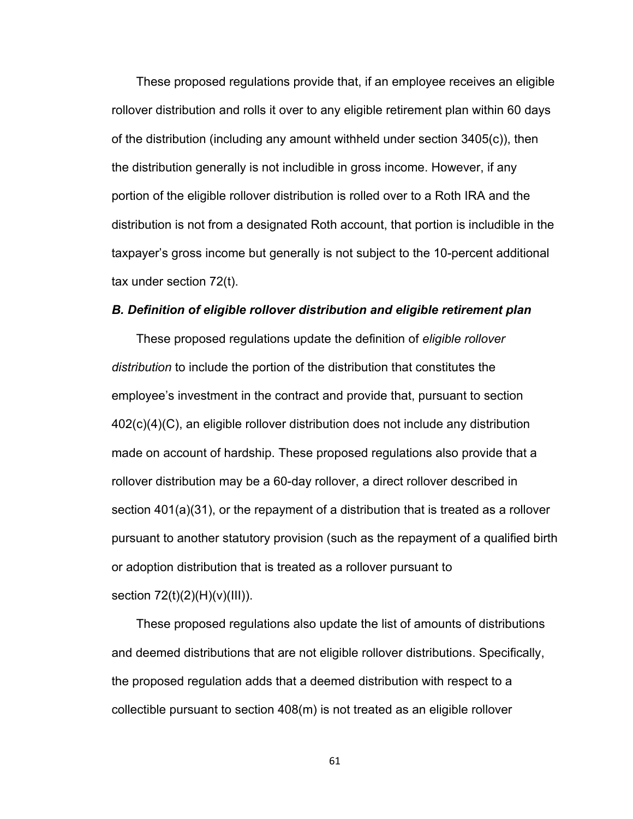These proposed regulations provide that, if an employee receives an eligible rollover distribution and rolls it over to any eligible retirement plan within 60 days of the distribution (including any amount withheld under section 3405(c)), then the distribution generally is not includible in gross income. However, if any portion of the eligible rollover distribution is rolled over to a Roth IRA and the distribution is not from a designated Roth account, that portion is includible in the taxpayer's gross income but generally is not subject to the 10-percent additional tax under section 72(t).

#### *B. Definition of eligible rollover distribution and eligible retirement plan*

These proposed regulations update the definition of *eligible rollover distribution* to include the portion of the distribution that constitutes the employee's investment in the contract and provide that, pursuant to section 402(c)(4)(C), an eligible rollover distribution does not include any distribution made on account of hardship. These proposed regulations also provide that a rollover distribution may be a 60-day rollover, a direct rollover described in section 401(a)(31), or the repayment of a distribution that is treated as a rollover pursuant to another statutory provision (such as the repayment of a qualified birth or adoption distribution that is treated as a rollover pursuant to section 72(t)(2)(H)(v)(III)).

These proposed regulations also update the list of amounts of distributions and deemed distributions that are not eligible rollover distributions. Specifically, the proposed regulation adds that a deemed distribution with respect to a collectible pursuant to section 408(m) is not treated as an eligible rollover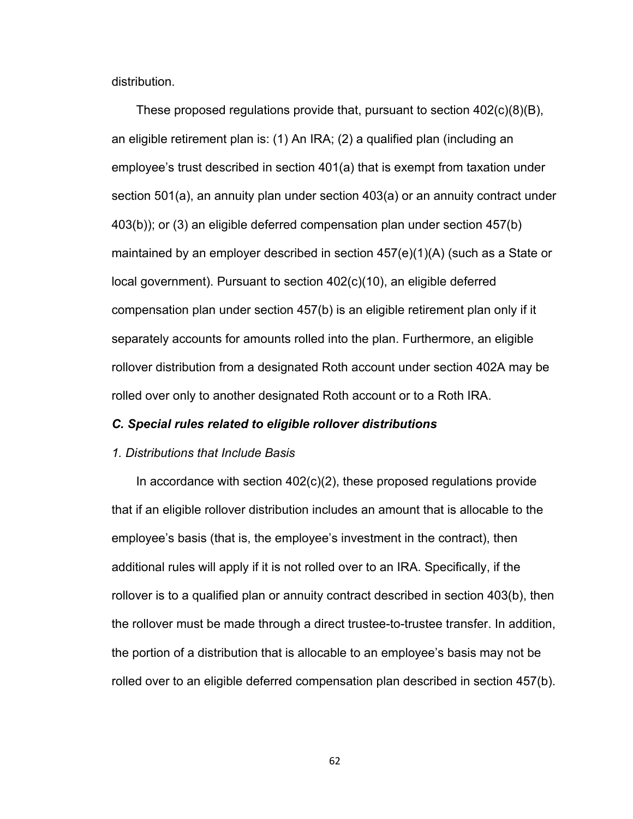distribution.

These proposed regulations provide that, pursuant to section 402(c)(8)(B), an eligible retirement plan is: (1) An IRA; (2) a qualified plan (including an employee's trust described in section 401(a) that is exempt from taxation under section 501(a), an annuity plan under section 403(a) or an annuity contract under 403(b)); or (3) an eligible deferred compensation plan under section 457(b) maintained by an employer described in section 457(e)(1)(A) (such as a State or local government). Pursuant to section 402(c)(10), an eligible deferred compensation plan under section 457(b) is an eligible retirement plan only if it separately accounts for amounts rolled into the plan. Furthermore, an eligible rollover distribution from a designated Roth account under section 402A may be rolled over only to another designated Roth account or to a Roth IRA.

#### *C. Special rules related to eligible rollover distributions*

#### *1. Distributions that Include Basis*

In accordance with section  $402(c)(2)$ , these proposed regulations provide that if an eligible rollover distribution includes an amount that is allocable to the employee's basis (that is, the employee's investment in the contract), then additional rules will apply if it is not rolled over to an IRA. Specifically, if the rollover is to a qualified plan or annuity contract described in section 403(b), then the rollover must be made through a direct trustee-to-trustee transfer. In addition, the portion of a distribution that is allocable to an employee's basis may not be rolled over to an eligible deferred compensation plan described in section 457(b).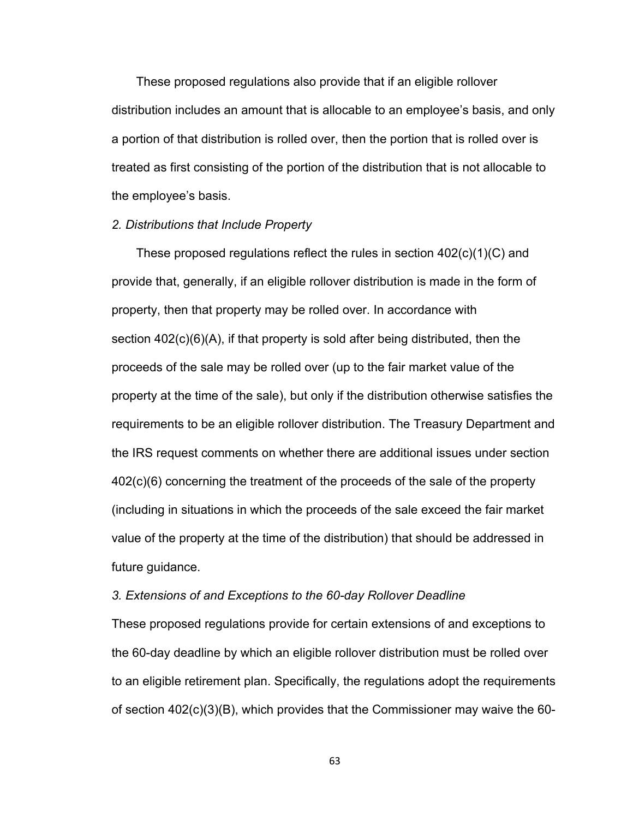These proposed regulations also provide that if an eligible rollover distribution includes an amount that is allocable to an employee's basis, and only a portion of that distribution is rolled over, then the portion that is rolled over is treated as first consisting of the portion of the distribution that is not allocable to the employee's basis.

#### *2. Distributions that Include Property*

These proposed regulations reflect the rules in section  $402(c)(1)(C)$  and provide that, generally, if an eligible rollover distribution is made in the form of property, then that property may be rolled over. In accordance with section 402(c)(6)(A), if that property is sold after being distributed, then the proceeds of the sale may be rolled over (up to the fair market value of the property at the time of the sale), but only if the distribution otherwise satisfies the requirements to be an eligible rollover distribution. The Treasury Department and the IRS request comments on whether there are additional issues under section 402(c)(6) concerning the treatment of the proceeds of the sale of the property (including in situations in which the proceeds of the sale exceed the fair market value of the property at the time of the distribution) that should be addressed in future guidance.

#### *3. Extensions of and Exceptions to the 60-day Rollover Deadline*

These proposed regulations provide for certain extensions of and exceptions to the 60-day deadline by which an eligible rollover distribution must be rolled over to an eligible retirement plan. Specifically, the regulations adopt the requirements of section 402(c)(3)(B), which provides that the Commissioner may waive the 60-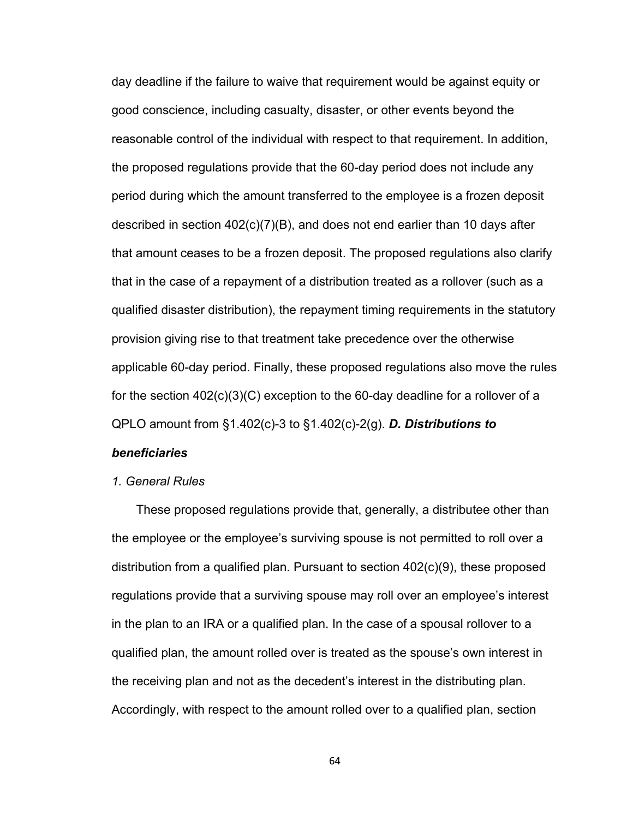day deadline if the failure to waive that requirement would be against equity or good conscience, including casualty, disaster, or other events beyond the reasonable control of the individual with respect to that requirement. In addition, the proposed regulations provide that the 60-day period does not include any period during which the amount transferred to the employee is a frozen deposit described in section 402(c)(7)(B), and does not end earlier than 10 days after that amount ceases to be a frozen deposit. The proposed regulations also clarify that in the case of a repayment of a distribution treated as a rollover (such as a qualified disaster distribution), the repayment timing requirements in the statutory provision giving rise to that treatment take precedence over the otherwise applicable 60-day period. Finally, these proposed regulations also move the rules for the section  $402(c)(3)(C)$  exception to the 60-day deadline for a rollover of a QPLO amount from §1.402(c)-3 to §1.402(c)-2(g). *D. Distributions to* 

### *beneficiaries*

#### *1. General Rules*

These proposed regulations provide that, generally, a distributee other than the employee or the employee's surviving spouse is not permitted to roll over a distribution from a qualified plan. Pursuant to section 402(c)(9), these proposed regulations provide that a surviving spouse may roll over an employee's interest in the plan to an IRA or a qualified plan. In the case of a spousal rollover to a qualified plan, the amount rolled over is treated as the spouse's own interest in the receiving plan and not as the decedent's interest in the distributing plan. Accordingly, with respect to the amount rolled over to a qualified plan, section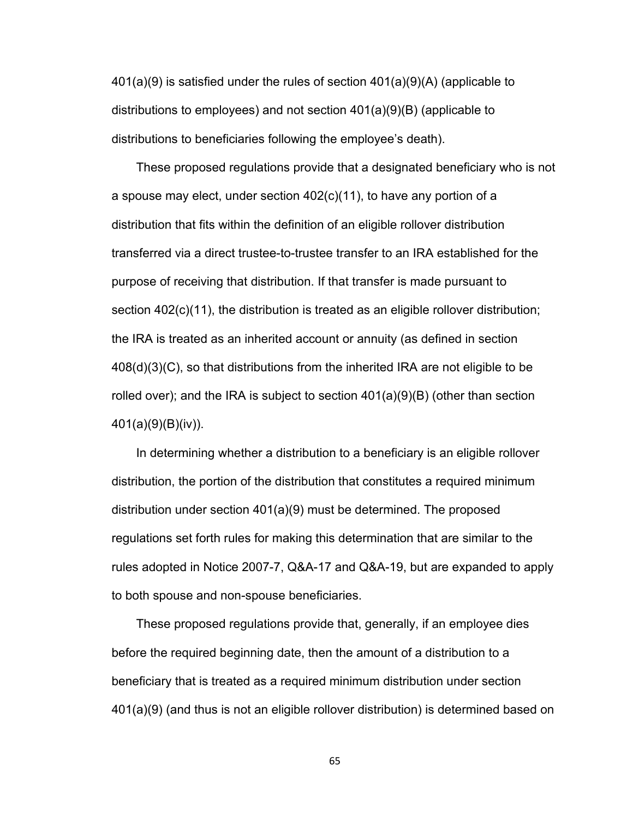$401(a)(9)$  is satisfied under the rules of section  $401(a)(9)(A)$  (applicable to distributions to employees) and not section 401(a)(9)(B) (applicable to distributions to beneficiaries following the employee's death).

These proposed regulations provide that a designated beneficiary who is not a spouse may elect, under section 402(c)(11), to have any portion of a distribution that fits within the definition of an eligible rollover distribution transferred via a direct trustee-to-trustee transfer to an IRA established for the purpose of receiving that distribution. If that transfer is made pursuant to section 402(c)(11), the distribution is treated as an eligible rollover distribution; the IRA is treated as an inherited account or annuity (as defined in section 408(d)(3)(C), so that distributions from the inherited IRA are not eligible to be rolled over); and the IRA is subject to section 401(a)(9)(B) (other than section 401(a)(9)(B)(iv)).

In determining whether a distribution to a beneficiary is an eligible rollover distribution, the portion of the distribution that constitutes a required minimum distribution under section 401(a)(9) must be determined. The proposed regulations set forth rules for making this determination that are similar to the rules adopted in Notice 2007-7, Q&A-17 and Q&A-19, but are expanded to apply to both spouse and non-spouse beneficiaries.

These proposed regulations provide that, generally, if an employee dies before the required beginning date, then the amount of a distribution to a beneficiary that is treated as a required minimum distribution under section 401(a)(9) (and thus is not an eligible rollover distribution) is determined based on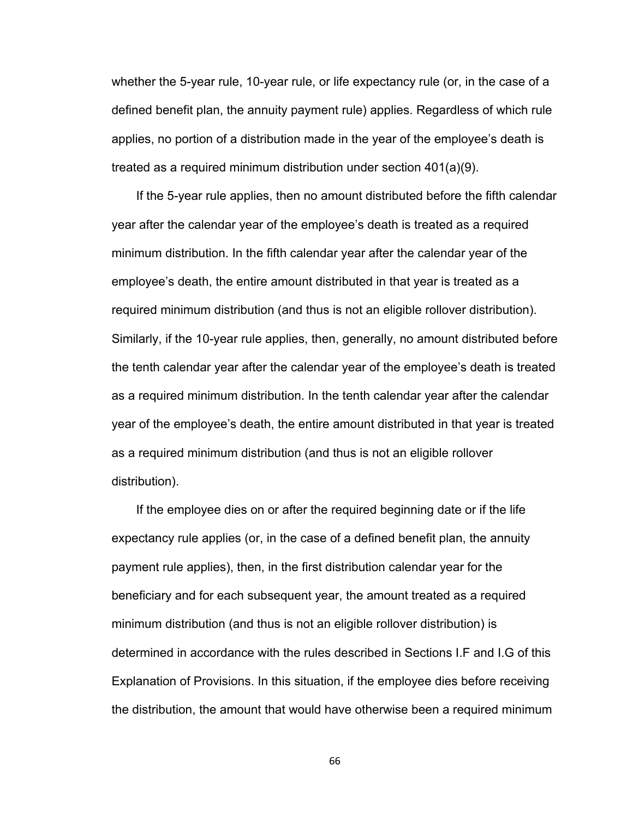whether the 5-year rule, 10-year rule, or life expectancy rule (or, in the case of a defined benefit plan, the annuity payment rule) applies. Regardless of which rule applies, no portion of a distribution made in the year of the employee's death is treated as a required minimum distribution under section 401(a)(9).

If the 5-year rule applies, then no amount distributed before the fifth calendar year after the calendar year of the employee's death is treated as a required minimum distribution. In the fifth calendar year after the calendar year of the employee's death, the entire amount distributed in that year is treated as a required minimum distribution (and thus is not an eligible rollover distribution). Similarly, if the 10-year rule applies, then, generally, no amount distributed before the tenth calendar year after the calendar year of the employee's death is treated as a required minimum distribution. In the tenth calendar year after the calendar year of the employee's death, the entire amount distributed in that year is treated as a required minimum distribution (and thus is not an eligible rollover distribution).

If the employee dies on or after the required beginning date or if the life expectancy rule applies (or, in the case of a defined benefit plan, the annuity payment rule applies), then, in the first distribution calendar year for the beneficiary and for each subsequent year, the amount treated as a required minimum distribution (and thus is not an eligible rollover distribution) is determined in accordance with the rules described in Sections I.F and I.G of this Explanation of Provisions. In this situation, if the employee dies before receiving the distribution, the amount that would have otherwise been a required minimum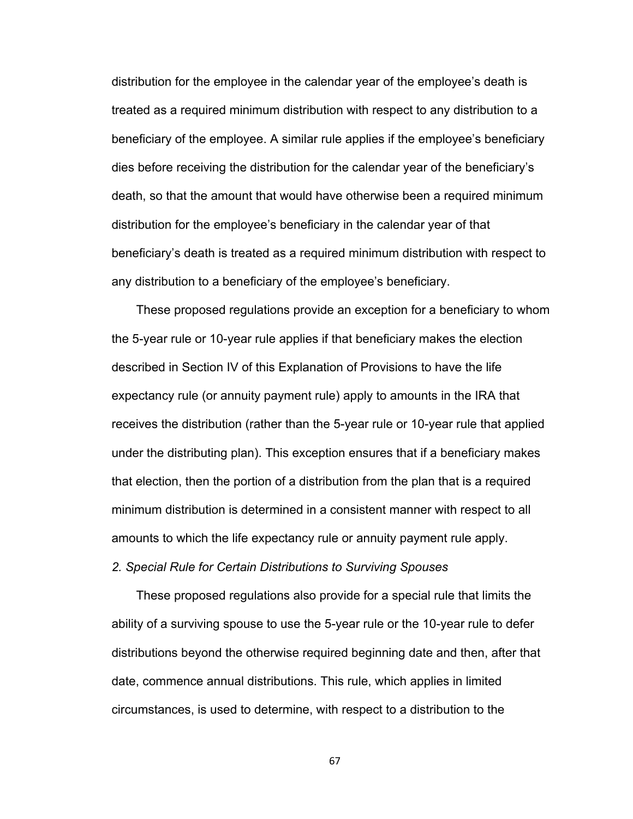distribution for the employee in the calendar year of the employee's death is treated as a required minimum distribution with respect to any distribution to a beneficiary of the employee. A similar rule applies if the employee's beneficiary dies before receiving the distribution for the calendar year of the beneficiary's death, so that the amount that would have otherwise been a required minimum distribution for the employee's beneficiary in the calendar year of that beneficiary's death is treated as a required minimum distribution with respect to any distribution to a beneficiary of the employee's beneficiary.

These proposed regulations provide an exception for a beneficiary to whom the 5-year rule or 10-year rule applies if that beneficiary makes the election described in Section IV of this Explanation of Provisions to have the life expectancy rule (or annuity payment rule) apply to amounts in the IRA that receives the distribution (rather than the 5-year rule or 10-year rule that applied under the distributing plan). This exception ensures that if a beneficiary makes that election, then the portion of a distribution from the plan that is a required minimum distribution is determined in a consistent manner with respect to all amounts to which the life expectancy rule or annuity payment rule apply.

*2. Special Rule for Certain Distributions to Surviving Spouses*

These proposed regulations also provide for a special rule that limits the ability of a surviving spouse to use the 5-year rule or the 10-year rule to defer distributions beyond the otherwise required beginning date and then, after that date, commence annual distributions. This rule, which applies in limited circumstances, is used to determine, with respect to a distribution to the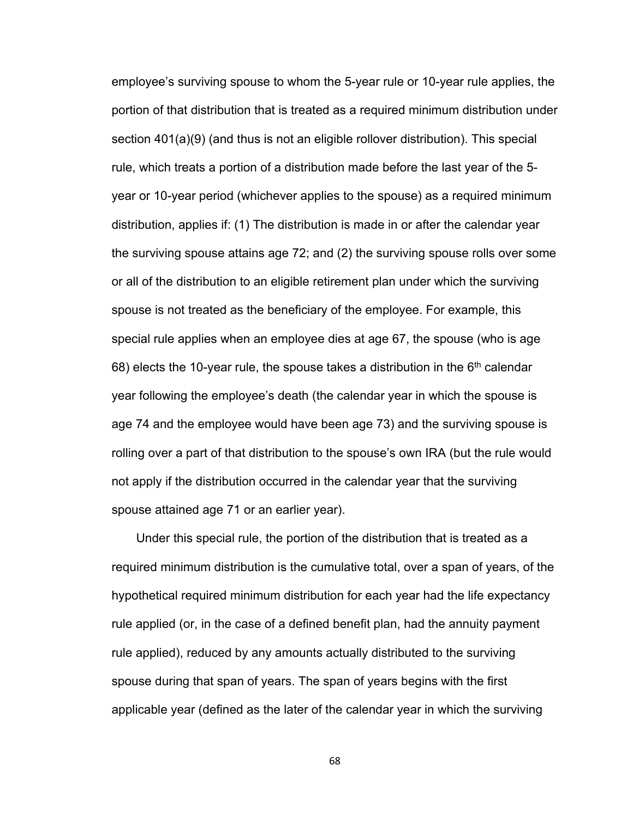employee's surviving spouse to whom the 5-year rule or 10-year rule applies, the portion of that distribution that is treated as a required minimum distribution under section 401(a)(9) (and thus is not an eligible rollover distribution). This special rule, which treats a portion of a distribution made before the last year of the 5 year or 10-year period (whichever applies to the spouse) as a required minimum distribution, applies if: (1) The distribution is made in or after the calendar year the surviving spouse attains age 72; and (2) the surviving spouse rolls over some or all of the distribution to an eligible retirement plan under which the surviving spouse is not treated as the beneficiary of the employee. For example, this special rule applies when an employee dies at age 67, the spouse (who is age 68) elects the 10-year rule, the spouse takes a distribution in the  $6<sup>th</sup>$  calendar year following the employee's death (the calendar year in which the spouse is age 74 and the employee would have been age 73) and the surviving spouse is rolling over a part of that distribution to the spouse's own IRA (but the rule would not apply if the distribution occurred in the calendar year that the surviving spouse attained age 71 or an earlier year).

Under this special rule, the portion of the distribution that is treated as a required minimum distribution is the cumulative total, over a span of years, of the hypothetical required minimum distribution for each year had the life expectancy rule applied (or, in the case of a defined benefit plan, had the annuity payment rule applied), reduced by any amounts actually distributed to the surviving spouse during that span of years. The span of years begins with the first applicable year (defined as the later of the calendar year in which the surviving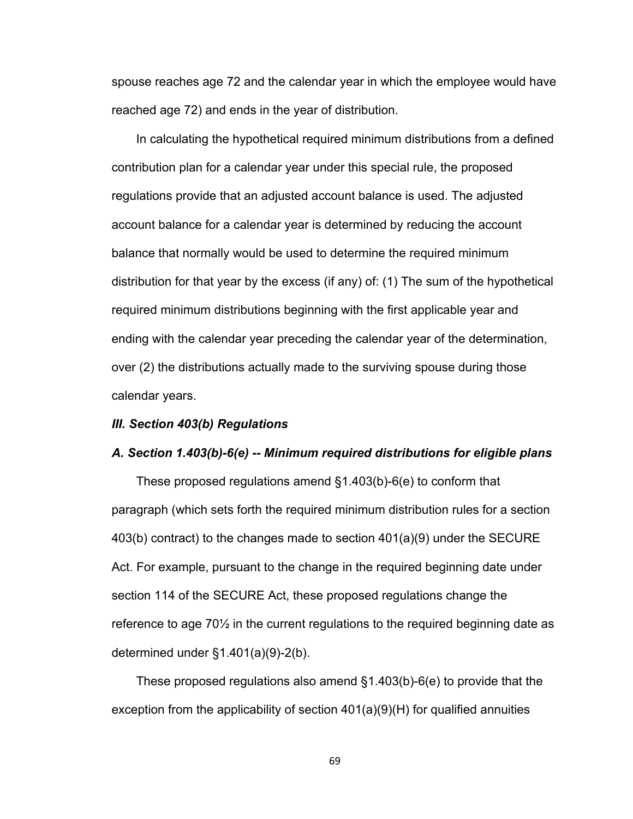spouse reaches age 72 and the calendar year in which the employee would have reached age 72) and ends in the year of distribution.

In calculating the hypothetical required minimum distributions from a defined contribution plan for a calendar year under this special rule, the proposed regulations provide that an adjusted account balance is used. The adjusted account balance for a calendar year is determined by reducing the account balance that normally would be used to determine the required minimum distribution for that year by the excess (if any) of: (1) The sum of the hypothetical required minimum distributions beginning with the first applicable year and ending with the calendar year preceding the calendar year of the determination, over (2) the distributions actually made to the surviving spouse during those calendar years.

#### *III. Section 403(b) Regulations*

#### *A. Section 1.403(b)-6(e) -- Minimum required distributions for eligible plans*

These proposed regulations amend §1.403(b)-6(e) to conform that paragraph (which sets forth the required minimum distribution rules for a section 403(b) contract) to the changes made to section 401(a)(9) under the SECURE Act. For example, pursuant to the change in the required beginning date under section 114 of the SECURE Act, these proposed regulations change the reference to age 70½ in the current regulations to the required beginning date as determined under §1.401(a)(9)-2(b).

These proposed regulations also amend §1.403(b)-6(e) to provide that the exception from the applicability of section 401(a)(9)(H) for qualified annuities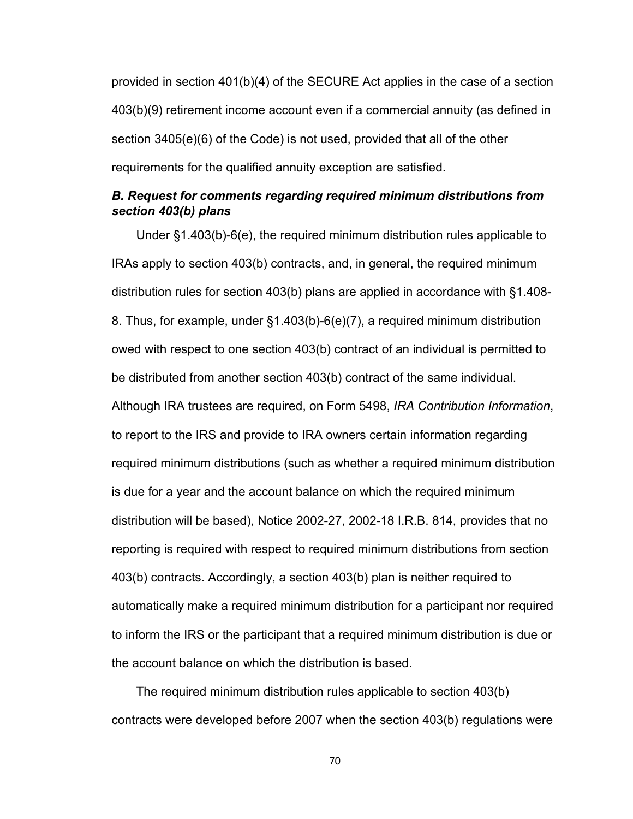provided in section 401(b)(4) of the SECURE Act applies in the case of a section 403(b)(9) retirement income account even if a commercial annuity (as defined in section 3405(e)(6) of the Code) is not used, provided that all of the other requirements for the qualified annuity exception are satisfied.

### *B. Request for comments regarding required minimum distributions from section 403(b) plans*

Under §1.403(b)-6(e), the required minimum distribution rules applicable to IRAs apply to section 403(b) contracts, and, in general, the required minimum distribution rules for section 403(b) plans are applied in accordance with §1.408- 8. Thus, for example, under §1.403(b)-6(e)(7), a required minimum distribution owed with respect to one section 403(b) contract of an individual is permitted to be distributed from another section 403(b) contract of the same individual. Although IRA trustees are required, on Form 5498, *IRA Contribution Information*, to report to the IRS and provide to IRA owners certain information regarding required minimum distributions (such as whether a required minimum distribution is due for a year and the account balance on which the required minimum distribution will be based), Notice 2002-27, 2002-18 I.R.B. 814, provides that no reporting is required with respect to required minimum distributions from section 403(b) contracts. Accordingly, a section 403(b) plan is neither required to automatically make a required minimum distribution for a participant nor required to inform the IRS or the participant that a required minimum distribution is due or the account balance on which the distribution is based.

The required minimum distribution rules applicable to section 403(b) contracts were developed before 2007 when the section 403(b) regulations were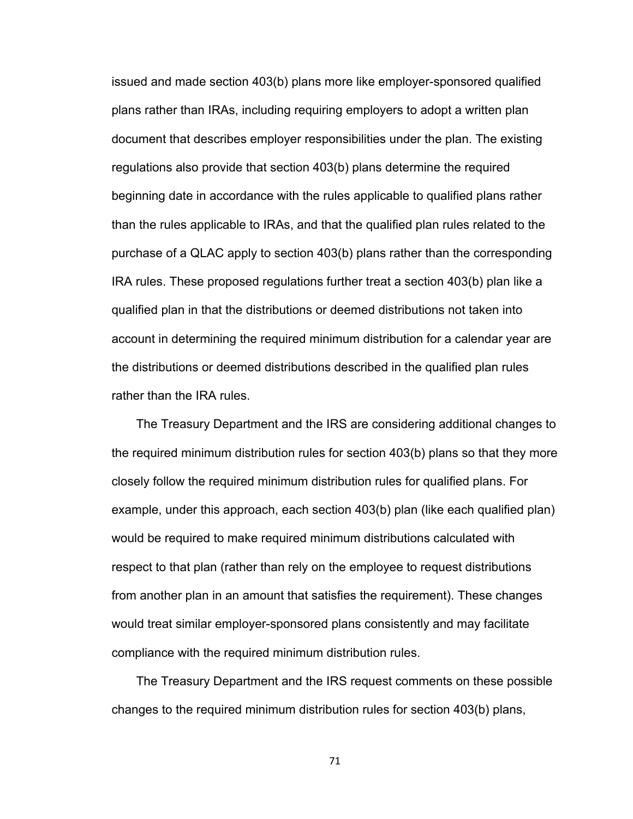issued and made section 403(b) plans more like employer-sponsored qualified plans rather than IRAs, including requiring employers to adopt a written plan document that describes employer responsibilities under the plan. The existing regulations also provide that section 403(b) plans determine the required beginning date in accordance with the rules applicable to qualified plans rather than the rules applicable to IRAs, and that the qualified plan rules related to the purchase of a QLAC apply to section 403(b) plans rather than the corresponding IRA rules. These proposed regulations further treat a section 403(b) plan like a qualified plan in that the distributions or deemed distributions not taken into account in determining the required minimum distribution for a calendar year are the distributions or deemed distributions described in the qualified plan rules rather than the IRA rules.

The Treasury Department and the IRS are considering additional changes to the required minimum distribution rules for section 403(b) plans so that they more closely follow the required minimum distribution rules for qualified plans. For example, under this approach, each section 403(b) plan (like each qualified plan) would be required to make required minimum distributions calculated with respect to that plan (rather than rely on the employee to request distributions from another plan in an amount that satisfies the requirement). These changes would treat similar employer-sponsored plans consistently and may facilitate compliance with the required minimum distribution rules.

The Treasury Department and the IRS request comments on these possible changes to the required minimum distribution rules for section 403(b) plans,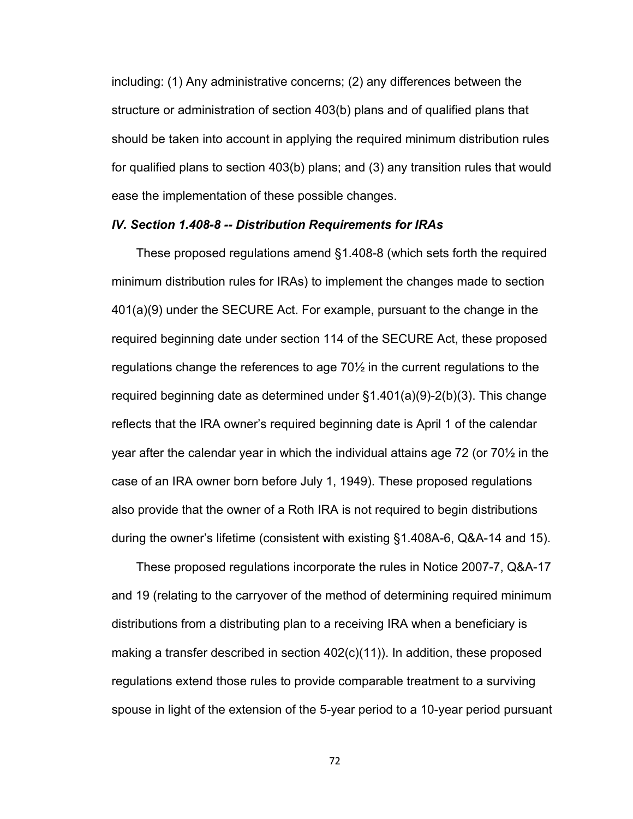including: (1) Any administrative concerns; (2) any differences between the structure or administration of section 403(b) plans and of qualified plans that should be taken into account in applying the required minimum distribution rules for qualified plans to section 403(b) plans; and (3) any transition rules that would ease the implementation of these possible changes.

#### *IV. Section 1.408-8 -- Distribution Requirements for IRAs*

These proposed regulations amend §1.408-8 (which sets forth the required minimum distribution rules for IRAs) to implement the changes made to section 401(a)(9) under the SECURE Act. For example, pursuant to the change in the required beginning date under section 114 of the SECURE Act, these proposed regulations change the references to age 70½ in the current regulations to the required beginning date as determined under §1.401(a)(9)-2(b)(3). This change reflects that the IRA owner's required beginning date is April 1 of the calendar year after the calendar year in which the individual attains age 72 (or 70½ in the case of an IRA owner born before July 1, 1949). These proposed regulations also provide that the owner of a Roth IRA is not required to begin distributions during the owner's lifetime (consistent with existing §1.408A-6, Q&A-14 and 15).

These proposed regulations incorporate the rules in Notice 2007-7, Q&A-17 and 19 (relating to the carryover of the method of determining required minimum distributions from a distributing plan to a receiving IRA when a beneficiary is making a transfer described in section 402(c)(11)). In addition, these proposed regulations extend those rules to provide comparable treatment to a surviving spouse in light of the extension of the 5-year period to a 10-year period pursuant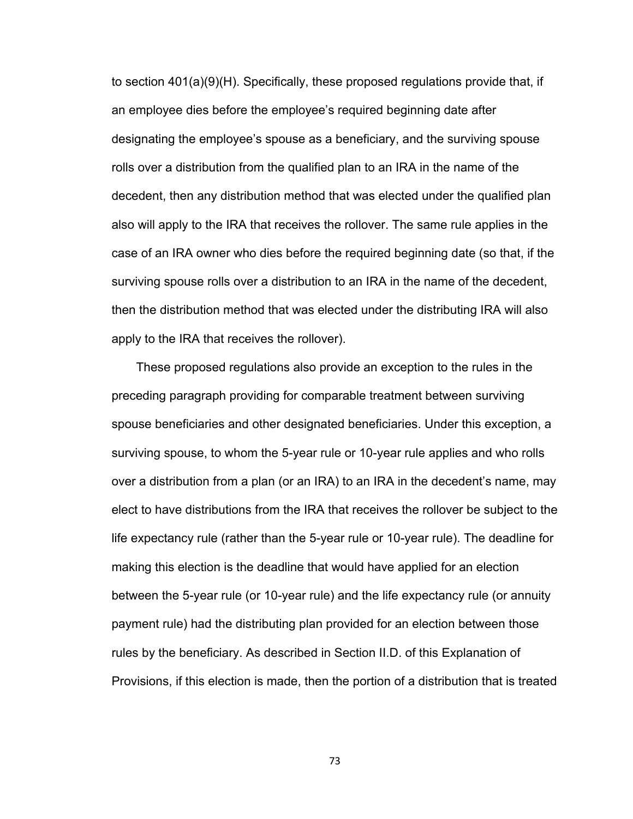to section 401(a)(9)(H). Specifically, these proposed regulations provide that, if an employee dies before the employee's required beginning date after designating the employee's spouse as a beneficiary, and the surviving spouse rolls over a distribution from the qualified plan to an IRA in the name of the decedent, then any distribution method that was elected under the qualified plan also will apply to the IRA that receives the rollover. The same rule applies in the case of an IRA owner who dies before the required beginning date (so that, if the surviving spouse rolls over a distribution to an IRA in the name of the decedent, then the distribution method that was elected under the distributing IRA will also apply to the IRA that receives the rollover).

These proposed regulations also provide an exception to the rules in the preceding paragraph providing for comparable treatment between surviving spouse beneficiaries and other designated beneficiaries. Under this exception, a surviving spouse, to whom the 5-year rule or 10-year rule applies and who rolls over a distribution from a plan (or an IRA) to an IRA in the decedent's name, may elect to have distributions from the IRA that receives the rollover be subject to the life expectancy rule (rather than the 5-year rule or 10-year rule). The deadline for making this election is the deadline that would have applied for an election between the 5-year rule (or 10-year rule) and the life expectancy rule (or annuity payment rule) had the distributing plan provided for an election between those rules by the beneficiary. As described in Section II.D. of this Explanation of Provisions, if this election is made, then the portion of a distribution that is treated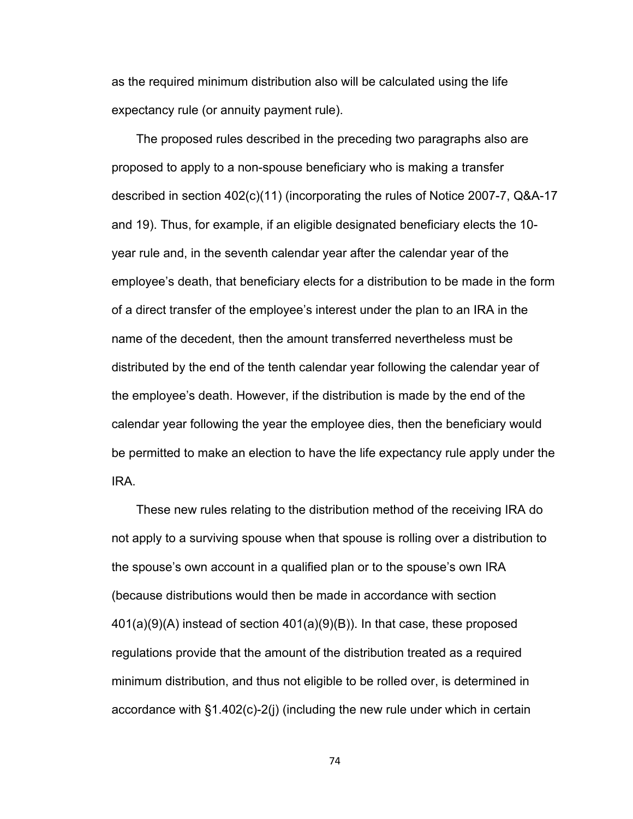as the required minimum distribution also will be calculated using the life expectancy rule (or annuity payment rule).

The proposed rules described in the preceding two paragraphs also are proposed to apply to a non-spouse beneficiary who is making a transfer described in section 402(c)(11) (incorporating the rules of Notice 2007-7, Q&A-17 and 19). Thus, for example, if an eligible designated beneficiary elects the 10 year rule and, in the seventh calendar year after the calendar year of the employee's death, that beneficiary elects for a distribution to be made in the form of a direct transfer of the employee's interest under the plan to an IRA in the name of the decedent, then the amount transferred nevertheless must be distributed by the end of the tenth calendar year following the calendar year of the employee's death. However, if the distribution is made by the end of the calendar year following the year the employee dies, then the beneficiary would be permitted to make an election to have the life expectancy rule apply under the IRA.

These new rules relating to the distribution method of the receiving IRA do not apply to a surviving spouse when that spouse is rolling over a distribution to the spouse's own account in a qualified plan or to the spouse's own IRA (because distributions would then be made in accordance with section 401(a)(9)(A) instead of section 401(a)(9)(B)). In that case, these proposed regulations provide that the amount of the distribution treated as a required minimum distribution, and thus not eligible to be rolled over, is determined in accordance with §1.402(c)-2(j) (including the new rule under which in certain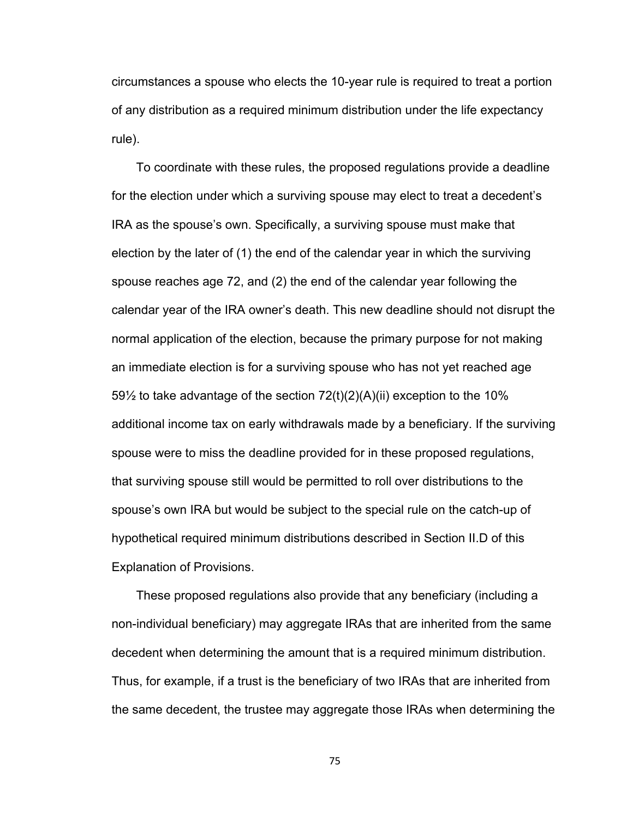circumstances a spouse who elects the 10-year rule is required to treat a portion of any distribution as a required minimum distribution under the life expectancy rule).

To coordinate with these rules, the proposed regulations provide a deadline for the election under which a surviving spouse may elect to treat a decedent's IRA as the spouse's own. Specifically, a surviving spouse must make that election by the later of (1) the end of the calendar year in which the surviving spouse reaches age 72, and (2) the end of the calendar year following the calendar year of the IRA owner's death. This new deadline should not disrupt the normal application of the election, because the primary purpose for not making an immediate election is for a surviving spouse who has not yet reached age  $59\frac{1}{2}$  to take advantage of the section  $72(t)(2)(A)(ii)$  exception to the 10% additional income tax on early withdrawals made by a beneficiary. If the surviving spouse were to miss the deadline provided for in these proposed regulations, that surviving spouse still would be permitted to roll over distributions to the spouse's own IRA but would be subject to the special rule on the catch-up of hypothetical required minimum distributions described in Section II.D of this Explanation of Provisions.

These proposed regulations also provide that any beneficiary (including a non-individual beneficiary) may aggregate IRAs that are inherited from the same decedent when determining the amount that is a required minimum distribution. Thus, for example, if a trust is the beneficiary of two IRAs that are inherited from the same decedent, the trustee may aggregate those IRAs when determining the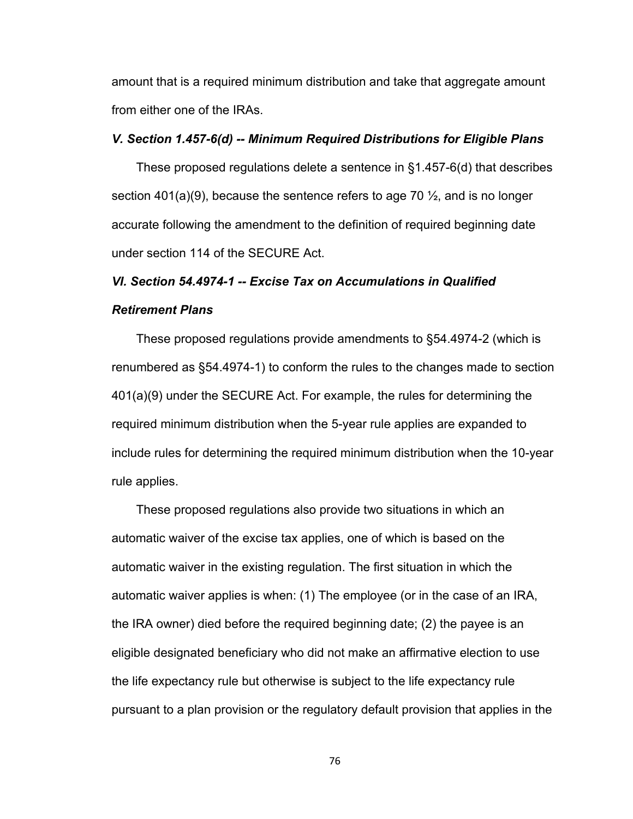amount that is a required minimum distribution and take that aggregate amount from either one of the IRAs.

## *V. Section 1.457-6(d) -- Minimum Required Distributions for Eligible Plans*

These proposed regulations delete a sentence in §1.457-6(d) that describes section 401(a)(9), because the sentence refers to age 70  $\frac{1}{2}$ , and is no longer accurate following the amendment to the definition of required beginning date under section 114 of the SECURE Act.

# *VI. Section 54.4974-1 -- Excise Tax on Accumulations in Qualified Retirement Plans*

These proposed regulations provide amendments to §54.4974-2 (which is renumbered as §54.4974-1) to conform the rules to the changes made to section 401(a)(9) under the SECURE Act. For example, the rules for determining the required minimum distribution when the 5-year rule applies are expanded to include rules for determining the required minimum distribution when the 10-year rule applies.

These proposed regulations also provide two situations in which an automatic waiver of the excise tax applies, one of which is based on the automatic waiver in the existing regulation. The first situation in which the automatic waiver applies is when: (1) The employee (or in the case of an IRA, the IRA owner) died before the required beginning date; (2) the payee is an eligible designated beneficiary who did not make an affirmative election to use the life expectancy rule but otherwise is subject to the life expectancy rule pursuant to a plan provision or the regulatory default provision that applies in the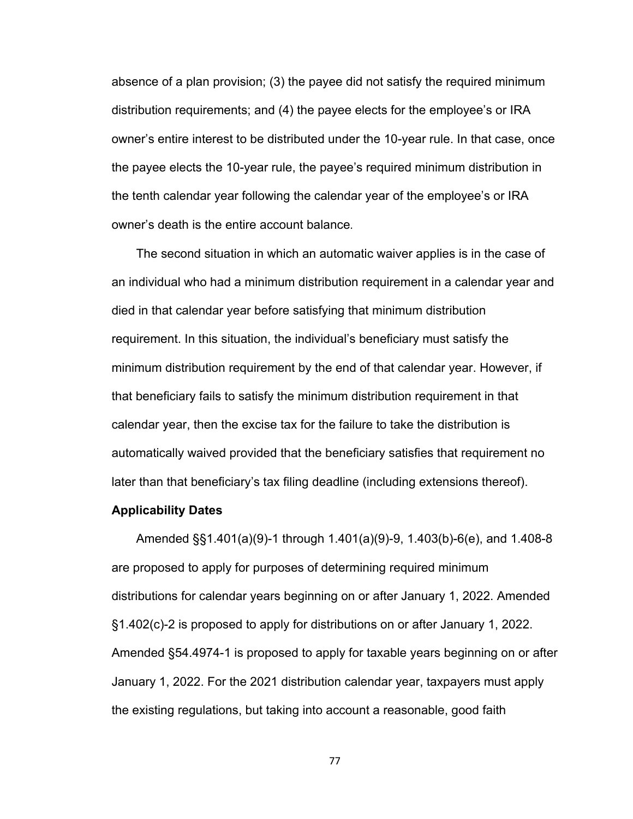absence of a plan provision; (3) the payee did not satisfy the required minimum distribution requirements; and (4) the payee elects for the employee's or IRA owner's entire interest to be distributed under the 10-year rule. In that case, once the payee elects the 10-year rule, the payee's required minimum distribution in the tenth calendar year following the calendar year of the employee's or IRA owner's death is the entire account balance.

The second situation in which an automatic waiver applies is in the case of an individual who had a minimum distribution requirement in a calendar year and died in that calendar year before satisfying that minimum distribution requirement. In this situation, the individual's beneficiary must satisfy the minimum distribution requirement by the end of that calendar year. However, if that beneficiary fails to satisfy the minimum distribution requirement in that calendar year, then the excise tax for the failure to take the distribution is automatically waived provided that the beneficiary satisfies that requirement no later than that beneficiary's tax filing deadline (including extensions thereof).

### **Applicability Dates**

Amended §§1.401(a)(9)-1 through 1.401(a)(9)-9, 1.403(b)-6(e), and 1.408-8 are proposed to apply for purposes of determining required minimum distributions for calendar years beginning on or after January 1, 2022. Amended §1.402(c)-2 is proposed to apply for distributions on or after January 1, 2022. Amended §54.4974-1 is proposed to apply for taxable years beginning on or after January 1, 2022. For the 2021 distribution calendar year, taxpayers must apply the existing regulations, but taking into account a reasonable, good faith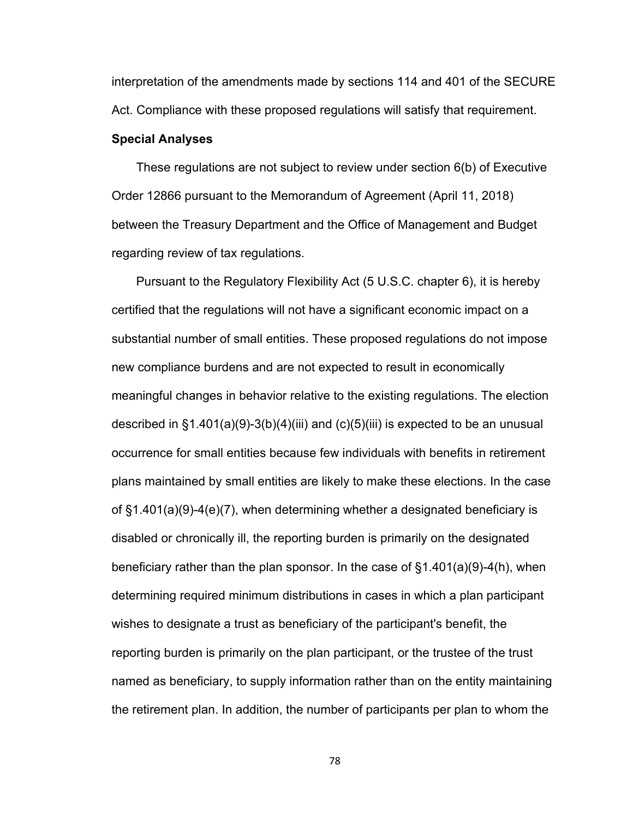interpretation of the amendments made by sections 114 and 401 of the SECURE Act. Compliance with these proposed regulations will satisfy that requirement.

### **Special Analyses**

These regulations are not subject to review under section 6(b) of Executive Order 12866 pursuant to the Memorandum of Agreement (April 11, 2018) between the Treasury Department and the Office of Management and Budget regarding review of tax regulations.

Pursuant to the Regulatory Flexibility Act (5 U.S.C. chapter 6), it is hereby certified that the regulations will not have a significant economic impact on a substantial number of small entities. These proposed regulations do not impose new compliance burdens and are not expected to result in economically meaningful changes in behavior relative to the existing regulations. The election described in  $\S1.401(a)(9)-3(b)(4)(iii)$  and (c)(5)(iii) is expected to be an unusual occurrence for small entities because few individuals with benefits in retirement plans maintained by small entities are likely to make these elections. In the case of §1.401(a)(9)-4(e)(7), when determining whether a designated beneficiary is disabled or chronically ill, the reporting burden is primarily on the designated beneficiary rather than the plan sponsor. In the case of §1.401(a)(9)-4(h), when determining required minimum distributions in cases in which a plan participant wishes to designate a trust as beneficiary of the participant's benefit, the reporting burden is primarily on the plan participant, or the trustee of the trust named as beneficiary, to supply information rather than on the entity maintaining the retirement plan. In addition, the number of participants per plan to whom the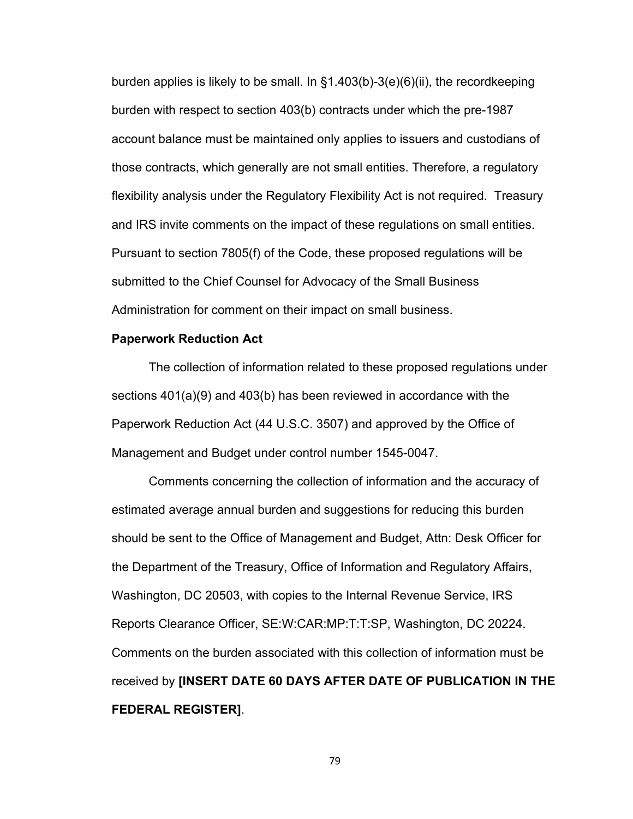burden applies is likely to be small. In §1.403(b)-3(e)(6)(ii), the recordkeeping burden with respect to section 403(b) contracts under which the pre-1987 account balance must be maintained only applies to issuers and custodians of those contracts, which generally are not small entities. Therefore, a regulatory flexibility analysis under the Regulatory Flexibility Act is not required. Treasury and IRS invite comments on the impact of these regulations on small entities. Pursuant to section 7805(f) of the Code, these proposed regulations will be submitted to the Chief Counsel for Advocacy of the Small Business Administration for comment on their impact on small business.

## **Paperwork Reduction Act**

The collection of information related to these proposed regulations under sections 401(a)(9) and 403(b) has been reviewed in accordance with the Paperwork Reduction Act (44 U.S.C. 3507) and approved by the Office of Management and Budget under control number 1545-0047.

Comments concerning the collection of information and the accuracy of estimated average annual burden and suggestions for reducing this burden should be sent to the Office of Management and Budget, Attn: Desk Officer for the Department of the Treasury, Office of Information and Regulatory Affairs, Washington, DC 20503, with copies to the Internal Revenue Service, IRS Reports Clearance Officer, SE:W:CAR:MP:T:T:SP, Washington, DC 20224. Comments on the burden associated with this collection of information must be received by **[INSERT DATE 60 DAYS AFTER DATE OF PUBLICATION IN THE FEDERAL REGISTER]**.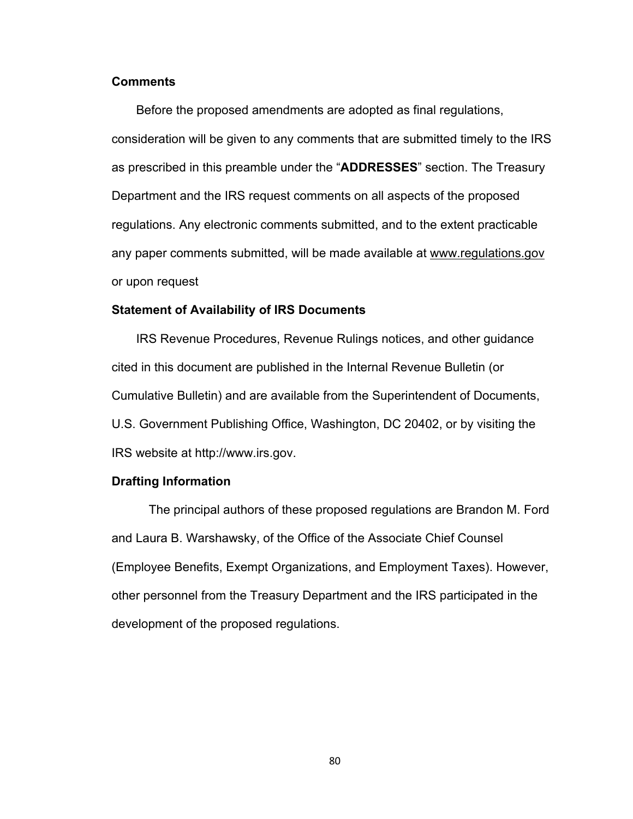# **Comments**

Before the proposed amendments are adopted as final regulations, consideration will be given to any comments that are submitted timely to the IRS as prescribed in this preamble under the "**ADDRESSES**" section. The Treasury Department and the IRS request comments on all aspects of the proposed regulations. Any electronic comments submitted, and to the extent practicable any paper comments submitted, will be made available at www.regulations.gov or upon request

#### **Statement of Availability of IRS Documents**

IRS Revenue Procedures, Revenue Rulings notices, and other guidance cited in this document are published in the Internal Revenue Bulletin (or Cumulative Bulletin) and are available from the Superintendent of Documents, U.S. Government Publishing Office, Washington, DC 20402, or by visiting the IRS website at http://www.irs.gov.

#### **Drafting Information**

The principal authors of these proposed regulations are Brandon M. Ford and Laura B. Warshawsky, of the Office of the Associate Chief Counsel (Employee Benefits, Exempt Organizations, and Employment Taxes). However, other personnel from the Treasury Department and the IRS participated in the development of the proposed regulations.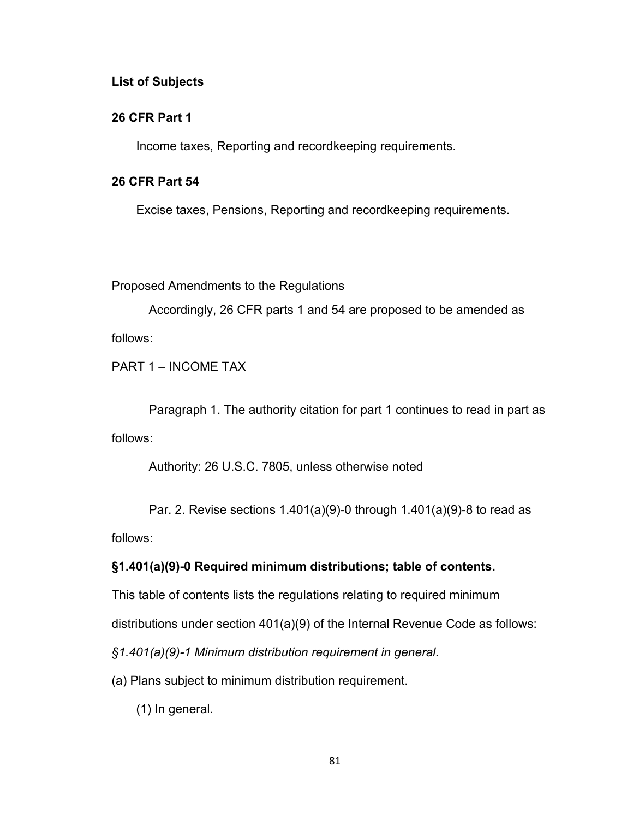## **List of Subjects**

## **26 CFR Part 1**

Income taxes, Reporting and recordkeeping requirements.

# **26 CFR Part 54**

Excise taxes, Pensions, Reporting and recordkeeping requirements.

Proposed Amendments to the Regulations

Accordingly, 26 CFR parts 1 and 54 are proposed to be amended as follows:

PART 1 – INCOME TAX

Paragraph 1. The authority citation for part 1 continues to read in part as follows:

Authority: 26 U.S.C. 7805, unless otherwise noted

Par. 2. Revise sections 1.401(a)(9)-0 through 1.401(a)(9)-8 to read as follows:

# **§1.401(a)(9)-0 Required minimum distributions; table of contents.**

This table of contents lists the regulations relating to required minimum

distributions under section 401(a)(9) of the Internal Revenue Code as follows:

*§1.401(a)(9)-1 Minimum distribution requirement in general.*

- (a) Plans subject to minimum distribution requirement.
	- (1) In general.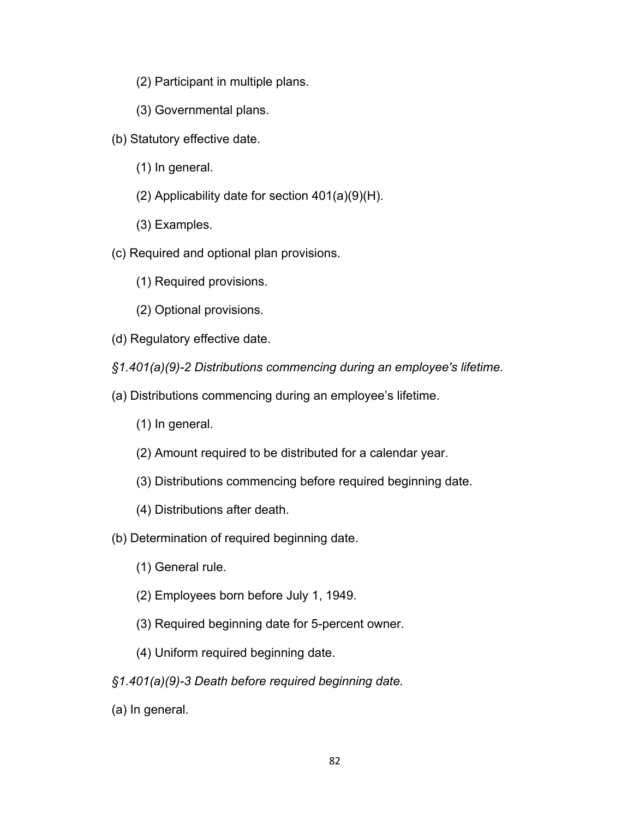- (2) Participant in multiple plans.
- (3) Governmental plans.
- (b) Statutory effective date.
	- (1) In general.
	- (2) Applicability date for section 401(a)(9)(H).
	- (3) Examples.
- (c) Required and optional plan provisions.
	- (1) Required provisions.
	- (2) Optional provisions.
- (d) Regulatory effective date.
- *§1.401(a)(9)-2 Distributions commencing during an employee's lifetime.*
- (a) Distributions commencing during an employee's lifetime.
	- (1) In general.
	- (2) Amount required to be distributed for a calendar year.
	- (3) Distributions commencing before required beginning date.
	- (4) Distributions after death.
- (b) Determination of required beginning date.
	- (1) General rule.
	- (2) Employees born before July 1, 1949.
	- (3) Required beginning date for 5-percent owner.
	- (4) Uniform required beginning date.
- *§1.401(a)(9)-3 Death before required beginning date.*
- (a) In general.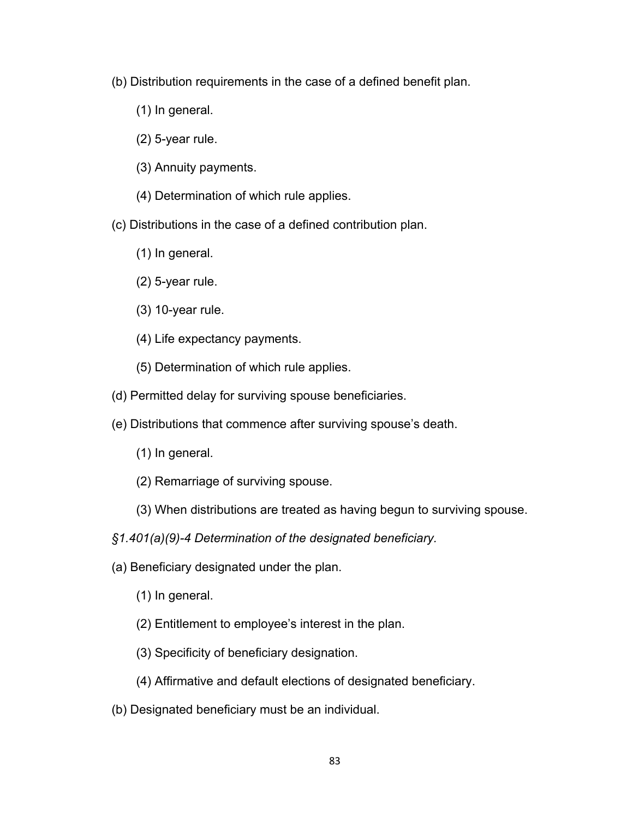- (b) Distribution requirements in the case of a defined benefit plan.
	- (1) In general.
	- (2) 5-year rule.
	- (3) Annuity payments.
	- (4) Determination of which rule applies.
- (c) Distributions in the case of a defined contribution plan.
	- (1) In general.
	- (2) 5-year rule.
	- (3) 10-year rule.
	- (4) Life expectancy payments.
	- (5) Determination of which rule applies.
- (d) Permitted delay for surviving spouse beneficiaries.
- (e) Distributions that commence after surviving spouse's death.
	- (1) In general.
	- (2) Remarriage of surviving spouse.
	- (3) When distributions are treated as having begun to surviving spouse.
- *§1.401(a)(9)-4 Determination of the designated beneficiary.*
- (a) Beneficiary designated under the plan.
	- (1) In general.
	- (2) Entitlement to employee's interest in the plan.
	- (3) Specificity of beneficiary designation.
	- (4) Affirmative and default elections of designated beneficiary.
- (b) Designated beneficiary must be an individual.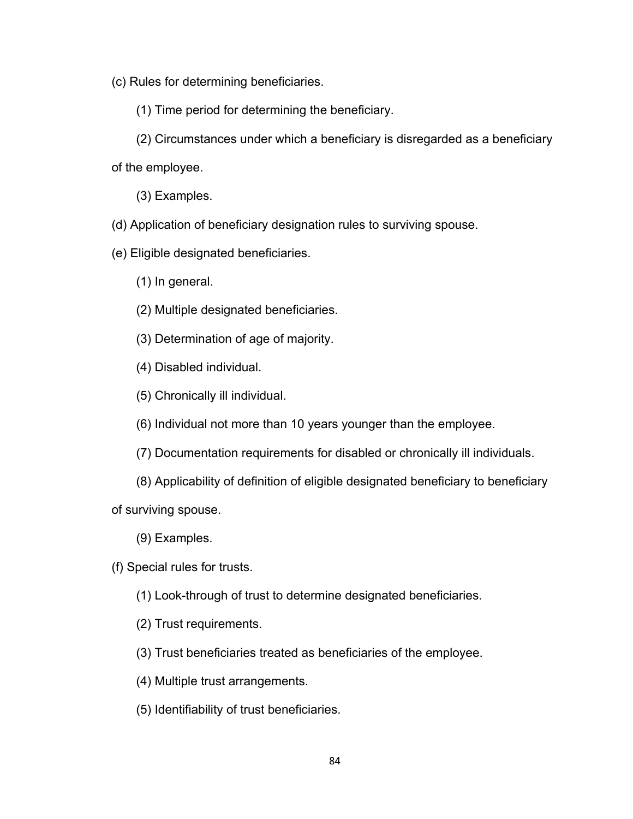(c) Rules for determining beneficiaries.

(1) Time period for determining the beneficiary.

(2) Circumstances under which a beneficiary is disregarded as a beneficiary of the employee.

(3) Examples.

(d) Application of beneficiary designation rules to surviving spouse.

(e) Eligible designated beneficiaries.

(1) In general.

(2) Multiple designated beneficiaries.

(3) Determination of age of majority.

(4) Disabled individual.

(5) Chronically ill individual.

(6) Individual not more than 10 years younger than the employee.

(7) Documentation requirements for disabled or chronically ill individuals.

(8) Applicability of definition of eligible designated beneficiary to beneficiary

of surviving spouse.

(9) Examples.

(f) Special rules for trusts.

(1) Look-through of trust to determine designated beneficiaries.

(2) Trust requirements.

(3) Trust beneficiaries treated as beneficiaries of the employee.

(4) Multiple trust arrangements.

(5) Identifiability of trust beneficiaries.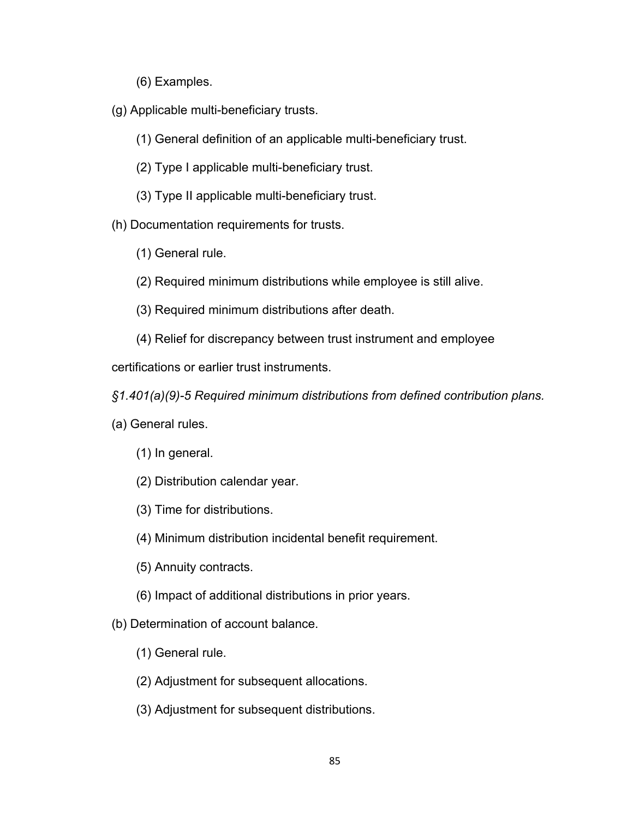- (6) Examples.
- (g) Applicable multi-beneficiary trusts.
	- (1) General definition of an applicable multi-beneficiary trust.
	- (2) Type I applicable multi-beneficiary trust.
	- (3) Type II applicable multi-beneficiary trust.
- (h) Documentation requirements for trusts.
	- (1) General rule.
	- (2) Required minimum distributions while employee is still alive.
	- (3) Required minimum distributions after death.
	- (4) Relief for discrepancy between trust instrument and employee

certifications or earlier trust instruments.

*§1.401(a)(9)-5 Required minimum distributions from defined contribution plans.*

- (a) General rules.
	- (1) In general.
	- (2) Distribution calendar year.
	- (3) Time for distributions.
	- (4) Minimum distribution incidental benefit requirement.
	- (5) Annuity contracts.
	- (6) Impact of additional distributions in prior years.
- (b) Determination of account balance.
	- (1) General rule.
	- (2) Adjustment for subsequent allocations.
	- (3) Adjustment for subsequent distributions.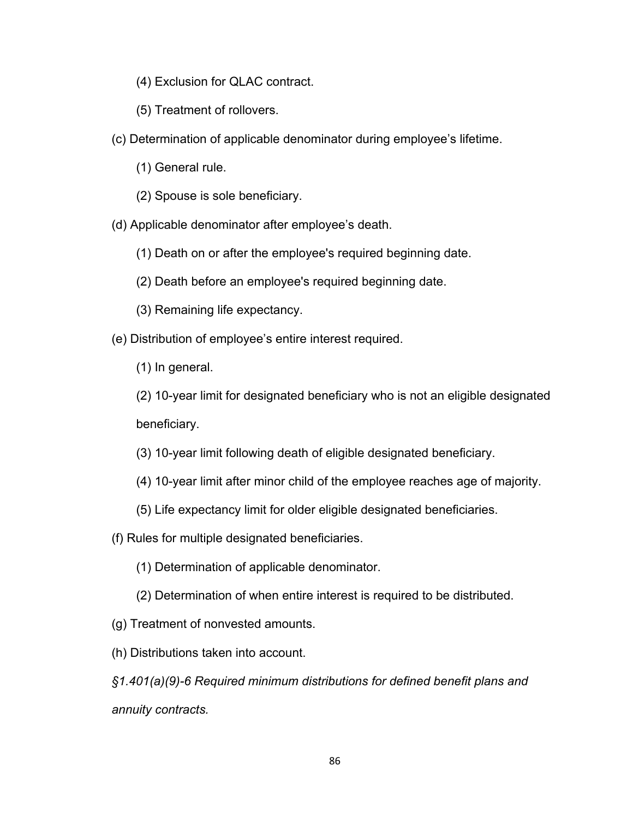- (4) Exclusion for QLAC contract.
- (5) Treatment of rollovers.
- (c) Determination of applicable denominator during employee's lifetime.
	- (1) General rule.
	- (2) Spouse is sole beneficiary.
- (d) Applicable denominator after employee's death.
	- (1) Death on or after the employee's required beginning date.
	- (2) Death before an employee's required beginning date.
	- (3) Remaining life expectancy.
- (e) Distribution of employee's entire interest required.
	- (1) In general.
	- (2) 10-year limit for designated beneficiary who is not an eligible designated beneficiary.
	- (3) 10-year limit following death of eligible designated beneficiary.
	- (4) 10-year limit after minor child of the employee reaches age of majority.
	- (5) Life expectancy limit for older eligible designated beneficiaries.
- (f) Rules for multiple designated beneficiaries.
	- (1) Determination of applicable denominator.
	- (2) Determination of when entire interest is required to be distributed.
- (g) Treatment of nonvested amounts.
- (h) Distributions taken into account.

*§1.401(a)(9)-6 Required minimum distributions for defined benefit plans and annuity contracts.*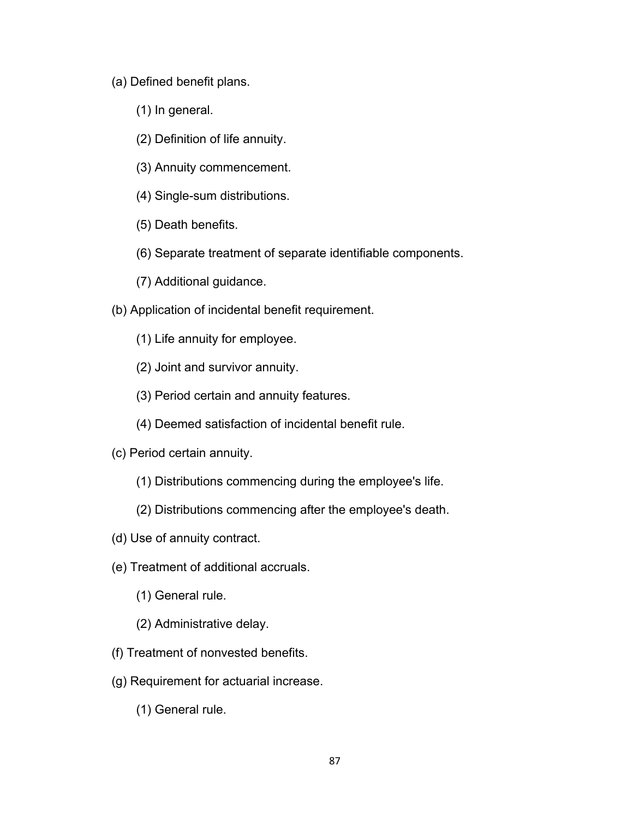- (a) Defined benefit plans.
	- (1) In general.
	- (2) Definition of life annuity.
	- (3) Annuity commencement.
	- (4) Single-sum distributions.
	- (5) Death benefits.
	- (6) Separate treatment of separate identifiable components.
	- (7) Additional guidance.
- (b) Application of incidental benefit requirement.
	- (1) Life annuity for employee.
	- (2) Joint and survivor annuity.
	- (3) Period certain and annuity features.
	- (4) Deemed satisfaction of incidental benefit rule.
- (c) Period certain annuity.
	- (1) Distributions commencing during the employee's life.
	- (2) Distributions commencing after the employee's death.
- (d) Use of annuity contract.
- (e) Treatment of additional accruals.
	- (1) General rule.
	- (2) Administrative delay.
- (f) Treatment of nonvested benefits.
- (g) Requirement for actuarial increase.
	- (1) General rule.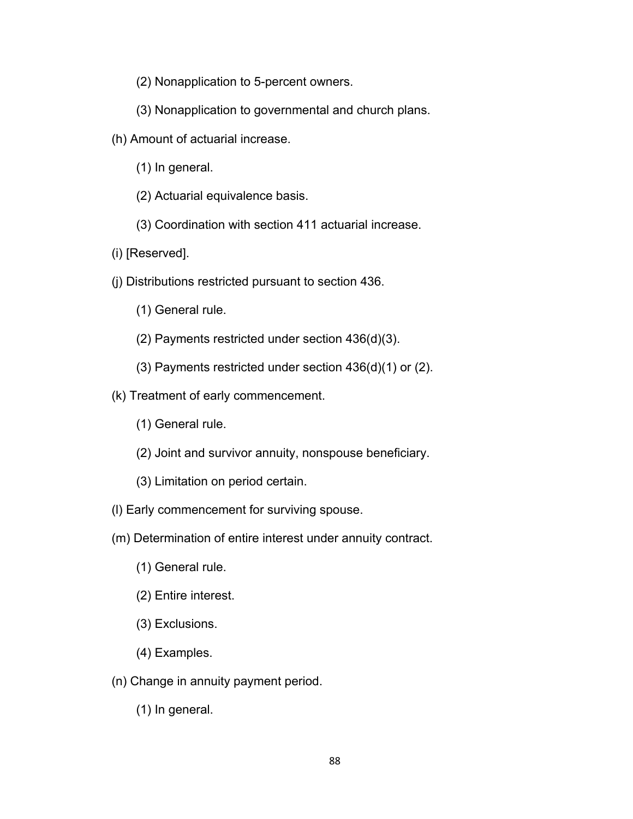- (2) Nonapplication to 5-percent owners.
- (3) Nonapplication to governmental and church plans.
- (h) Amount of actuarial increase.
	- (1) In general.
	- (2) Actuarial equivalence basis.
	- (3) Coordination with section 411 actuarial increase.
- (i) [Reserved].
- (j) Distributions restricted pursuant to section 436.
	- (1) General rule.
	- (2) Payments restricted under section 436(d)(3).
	- (3) Payments restricted under section 436(d)(1) or (2).
- (k) Treatment of early commencement.
	- (1) General rule.
	- (2) Joint and survivor annuity, nonspouse beneficiary.
	- (3) Limitation on period certain.
- (l) Early commencement for surviving spouse.
- (m) Determination of entire interest under annuity contract.
	- (1) General rule.
	- (2) Entire interest.
	- (3) Exclusions.
	- (4) Examples.
- (n) Change in annuity payment period.
	- (1) In general.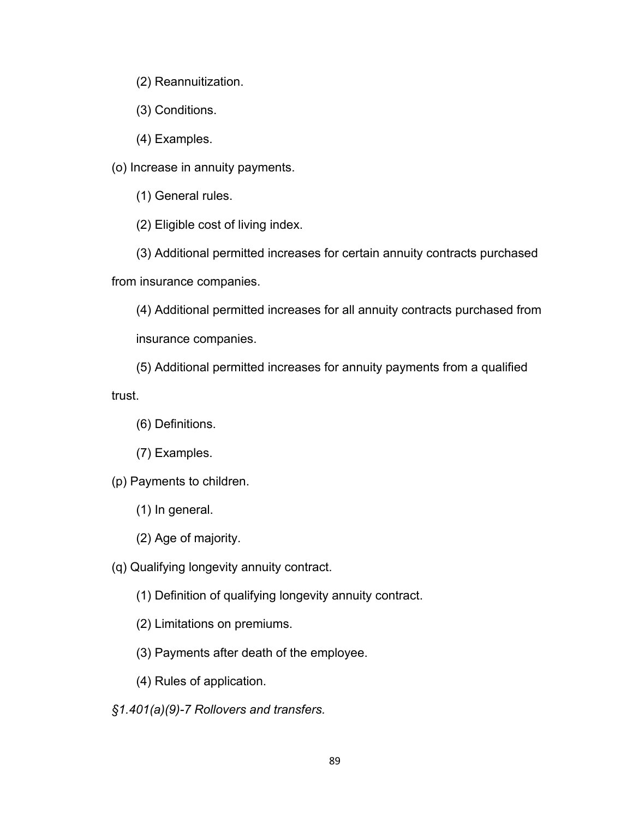- (2) Reannuitization.
- (3) Conditions.
- (4) Examples.

(o) Increase in annuity payments.

(1) General rules.

(2) Eligible cost of living index.

(3) Additional permitted increases for certain annuity contracts purchased from insurance companies.

(4) Additional permitted increases for all annuity contracts purchased from insurance companies.

(5) Additional permitted increases for annuity payments from a qualified

trust.

- (6) Definitions.
- (7) Examples.

(p) Payments to children.

- (1) In general.
- (2) Age of majority.

(q) Qualifying longevity annuity contract.

- (1) Definition of qualifying longevity annuity contract.
- (2) Limitations on premiums.
- (3) Payments after death of the employee.
- (4) Rules of application.

*§1.401(a)(9)-7 Rollovers and transfers.*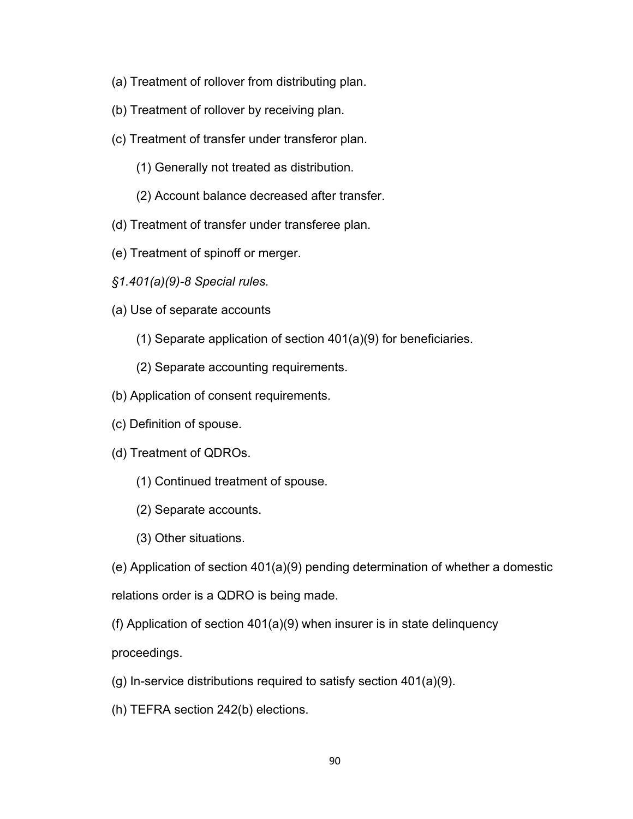- (a) Treatment of rollover from distributing plan.
- (b) Treatment of rollover by receiving plan.
- (c) Treatment of transfer under transferor plan.
	- (1) Generally not treated as distribution.
	- (2) Account balance decreased after transfer.
- (d) Treatment of transfer under transferee plan.
- (e) Treatment of spinoff or merger.
- *§1.401(a)(9)-8 Special rules.*
- (a) Use of separate accounts
	- (1) Separate application of section 401(a)(9) for beneficiaries.
	- (2) Separate accounting requirements.
- (b) Application of consent requirements.
- (c) Definition of spouse.
- (d) Treatment of QDROs.
	- (1) Continued treatment of spouse.
	- (2) Separate accounts.
	- (3) Other situations.

(e) Application of section 401(a)(9) pending determination of whether a domestic relations order is a QDRO is being made.

(f) Application of section 401(a)(9) when insurer is in state delinquency proceedings.

- (g) In-service distributions required to satisfy section 401(a)(9).
- (h) TEFRA section 242(b) elections.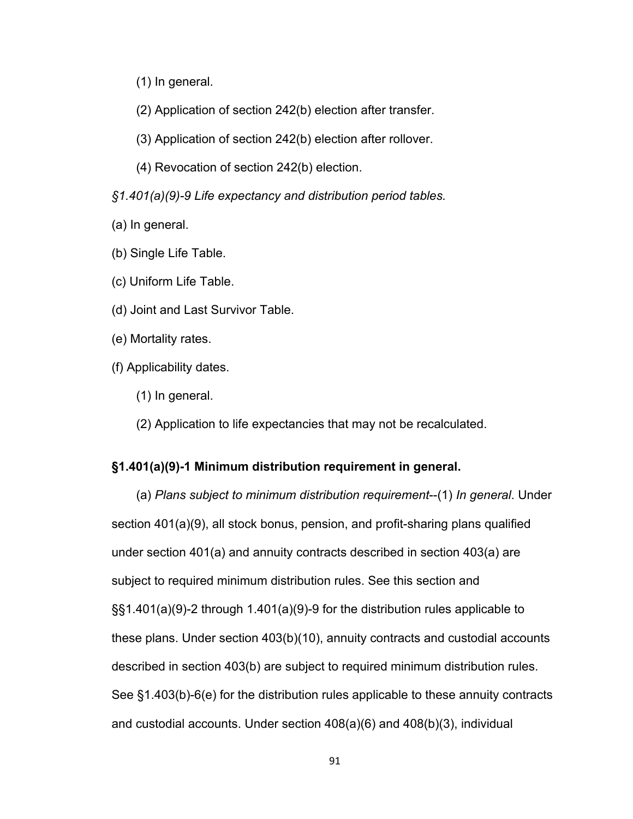- (1) In general.
- (2) Application of section 242(b) election after transfer.
- (3) Application of section 242(b) election after rollover.
- (4) Revocation of section 242(b) election.
- *§1.401(a)(9)-9 Life expectancy and distribution period tables.*
- (a) In general.
- (b) Single Life Table.
- (c) Uniform Life Table.
- (d) Joint and Last Survivor Table.
- (e) Mortality rates.
- (f) Applicability dates.
	- (1) In general.
	- (2) Application to life expectancies that may not be recalculated.

# **§1.401(a)(9)-1 Minimum distribution requirement in general.**

(a) *Plans subject to minimum distribution requirement*--(1) *In general*. Under section 401(a)(9), all stock bonus, pension, and profit-sharing plans qualified under section 401(a) and annuity contracts described in section 403(a) are subject to required minimum distribution rules. See this section and §§1.401(a)(9)-2 through 1.401(a)(9)-9 for the distribution rules applicable to these plans. Under section 403(b)(10), annuity contracts and custodial accounts described in section 403(b) are subject to required minimum distribution rules. See §1.403(b)-6(e) for the distribution rules applicable to these annuity contracts and custodial accounts. Under section 408(a)(6) and 408(b)(3), individual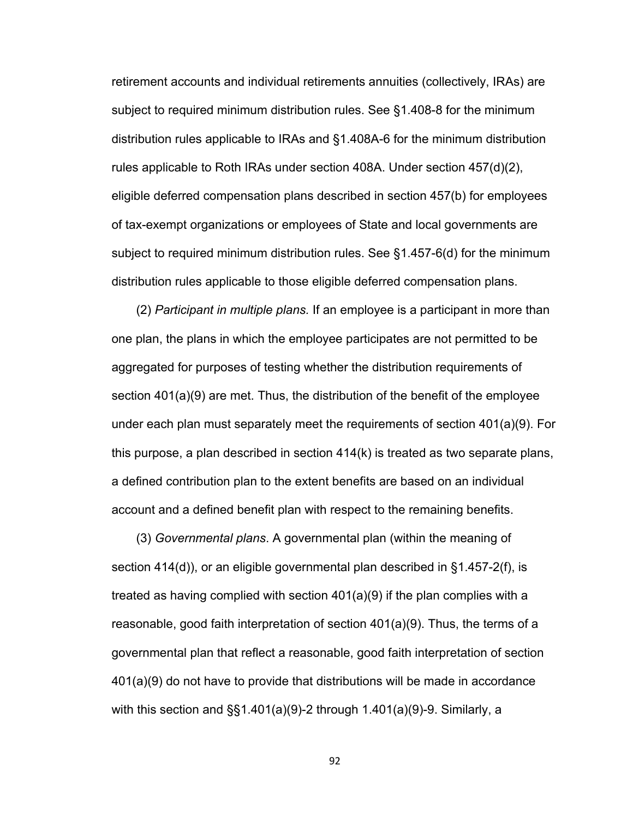retirement accounts and individual retirements annuities (collectively, IRAs) are subject to required minimum distribution rules. See §1.408-8 for the minimum distribution rules applicable to IRAs and §1.408A-6 for the minimum distribution rules applicable to Roth IRAs under section 408A. Under section 457(d)(2), eligible deferred compensation plans described in section 457(b) for employees of tax-exempt organizations or employees of State and local governments are subject to required minimum distribution rules. See §1.457-6(d) for the minimum distribution rules applicable to those eligible deferred compensation plans.

(2) *Participant in multiple plans.* If an employee is a participant in more than one plan, the plans in which the employee participates are not permitted to be aggregated for purposes of testing whether the distribution requirements of section 401(a)(9) are met. Thus, the distribution of the benefit of the employee under each plan must separately meet the requirements of section 401(a)(9). For this purpose, a plan described in section 414(k) is treated as two separate plans, a defined contribution plan to the extent benefits are based on an individual account and a defined benefit plan with respect to the remaining benefits.

(3) *Governmental plans*. A governmental plan (within the meaning of section 414(d)), or an eligible governmental plan described in §1.457-2(f), is treated as having complied with section 401(a)(9) if the plan complies with a reasonable, good faith interpretation of section 401(a)(9). Thus, the terms of a governmental plan that reflect a reasonable, good faith interpretation of section 401(a)(9) do not have to provide that distributions will be made in accordance with this section and §§1.401(a)(9)-2 through 1.401(a)(9)-9. Similarly, a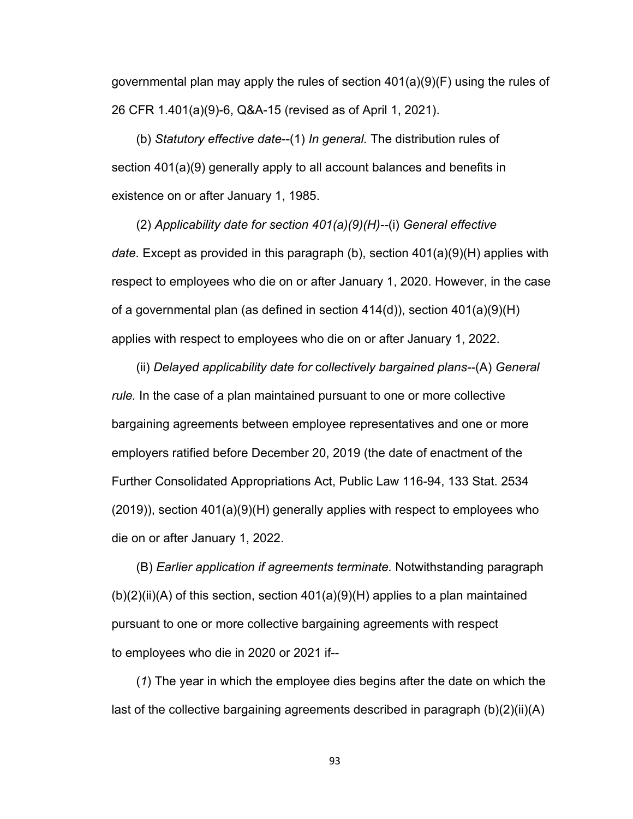governmental plan may apply the rules of section  $401(a)(9)(F)$  using the rules of 26 CFR 1.401(a)(9)-6, Q&A-15 (revised as of April 1, 2021).

(b) *Statutory effective date*--(1) *In general.* The distribution rules of section 401(a)(9) generally apply to all account balances and benefits in existence on or after January 1, 1985.

(2) *Applicability date for section 401(a)(9)(H)--*(i) *General effective date.* Except as provided in this paragraph (b), section 401(a)(9)(H) applies with respect to employees who die on or after January 1, 2020. However, in the case of a governmental plan (as defined in section 414(d)), section 401(a)(9)(H) applies with respect to employees who die on or after January 1, 2022.

(ii) *Delayed applicability date for* c*ollectively bargained plans--*(A) *General rule.* In the case of a plan maintained pursuant to one or more collective bargaining agreements between employee representatives and one or more employers ratified before December 20, 2019 (the date of enactment of the Further Consolidated Appropriations Act, Public Law 116-94, 133 Stat. 2534  $(2019)$ ), section  $401(a)(9)$ (H) generally applies with respect to employees who die on or after January 1, 2022.

(B) *Earlier application if agreements terminate.* Notwithstanding paragraph  $(b)(2)(ii)(A)$  of this section, section 401(a)(9)(H) applies to a plan maintained pursuant to one or more collective bargaining agreements with respect to employees who die in 2020 or 2021 if--

(*1*) The year in which the employee dies begins after the date on which the last of the collective bargaining agreements described in paragraph (b)(2)(ii)(A)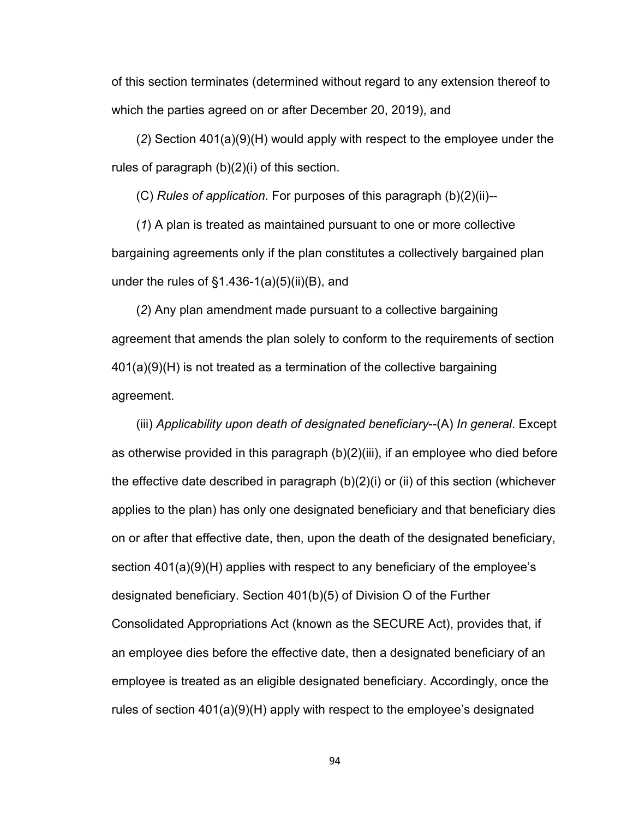of this section terminates (determined without regard to any extension thereof to which the parties agreed on or after December 20, 2019), and

(*2*) Section 401(a)(9)(H) would apply with respect to the employee under the rules of paragraph (b)(2)(i) of this section.

(C) *Rules of application.* For purposes of this paragraph (b)(2)(ii)--

(*1*) A plan is treated as maintained pursuant to one or more collective bargaining agreements only if the plan constitutes a collectively bargained plan under the rules of  $\S1.436-1(a)(5)(ii)(B)$ , and

(*2*) Any plan amendment made pursuant to a collective bargaining agreement that amends the plan solely to conform to the requirements of section 401(a)(9)(H) is not treated as a termination of the collective bargaining agreement.

(iii) *Applicability upon death of designated beneficiary*--(A) *In general*. Except as otherwise provided in this paragraph (b)(2)(iii), if an employee who died before the effective date described in paragraph (b)(2)(i) or (ii) of this section (whichever applies to the plan) has only one designated beneficiary and that beneficiary dies on or after that effective date, then, upon the death of the designated beneficiary, section 401(a)(9)(H) applies with respect to any beneficiary of the employee's designated beneficiary. Section 401(b)(5) of Division O of the Further Consolidated Appropriations Act (known as the SECURE Act), provides that, if an employee dies before the effective date, then a designated beneficiary of an employee is treated as an eligible designated beneficiary. Accordingly, once the rules of section 401(a)(9)(H) apply with respect to the employee's designated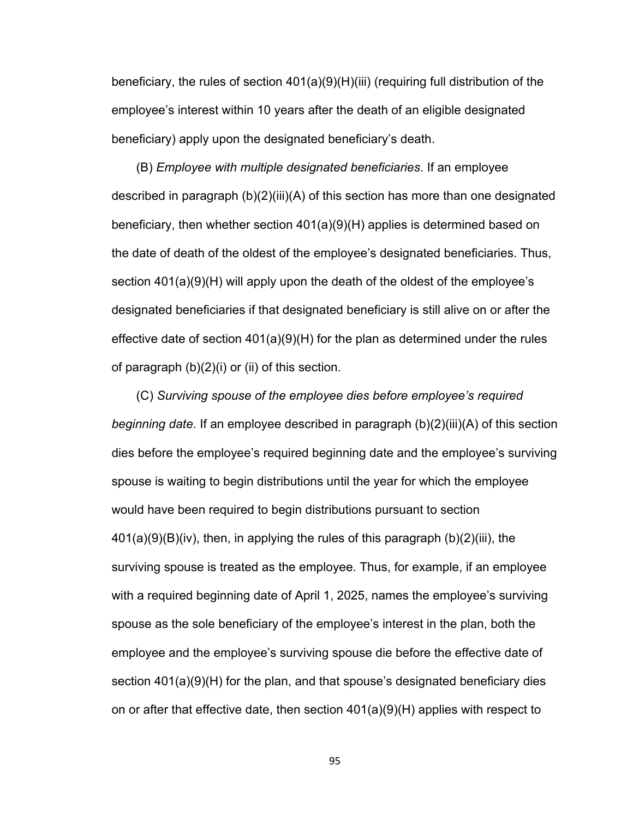beneficiary, the rules of section 401(a)(9)(H)(iii) (requiring full distribution of the employee's interest within 10 years after the death of an eligible designated beneficiary) apply upon the designated beneficiary's death.

(B) *Employee with multiple designated beneficiaries*. If an employee described in paragraph (b)(2)(iii)(A) of this section has more than one designated beneficiary, then whether section 401(a)(9)(H) applies is determined based on the date of death of the oldest of the employee's designated beneficiaries. Thus, section 401(a)(9)(H) will apply upon the death of the oldest of the employee's designated beneficiaries if that designated beneficiary is still alive on or after the effective date of section 401(a)(9)(H) for the plan as determined under the rules of paragraph (b)(2)(i) or (ii) of this section.

(C) *Surviving spouse of the employee dies before employee's required beginning date*. If an employee described in paragraph (b)(2)(iii)(A) of this section dies before the employee's required beginning date and the employee's surviving spouse is waiting to begin distributions until the year for which the employee would have been required to begin distributions pursuant to section 401(a)(9)(B)(iv), then, in applying the rules of this paragraph (b)(2)(iii), the surviving spouse is treated as the employee. Thus, for example, if an employee with a required beginning date of April 1, 2025, names the employee's surviving spouse as the sole beneficiary of the employee's interest in the plan, both the employee and the employee's surviving spouse die before the effective date of section 401(a)(9)(H) for the plan, and that spouse's designated beneficiary dies on or after that effective date, then section 401(a)(9)(H) applies with respect to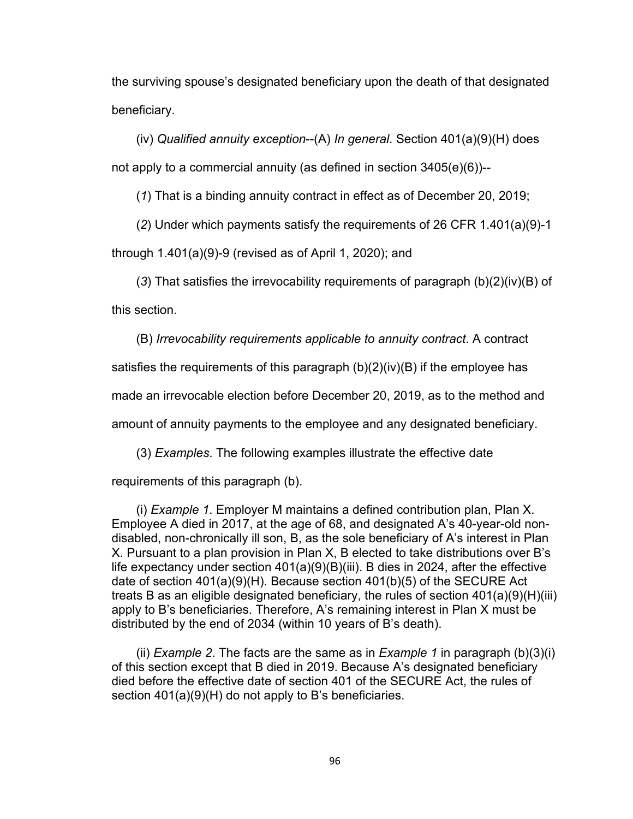the surviving spouse's designated beneficiary upon the death of that designated beneficiary.

(iv) *Qualified annuity exception*--(A) *In general*. Section 401(a)(9)(H) does not apply to a commercial annuity (as defined in section 3405(e)(6))--

(*1*) That is a binding annuity contract in effect as of December 20, 2019;

(*2*) Under which payments satisfy the requirements of 26 CFR 1.401(a)(9)-1

through 1.401(a)(9)-9 (revised as of April 1, 2020); and

(*3*) That satisfies the irrevocability requirements of paragraph (b)(2)(iv)(B) of this section.

(B) *Irrevocability requirements applicable to annuity contract*. A contract

satisfies the requirements of this paragraph (b)(2)(iv)(B) if the employee has

made an irrevocable election before December 20, 2019, as to the method and

amount of annuity payments to the employee and any designated beneficiary.

(3) *Examples*. The following examples illustrate the effective date

requirements of this paragraph (b).

(i) *Example 1*. Employer M maintains a defined contribution plan, Plan X. Employee A died in 2017, at the age of 68, and designated A's 40-year-old nondisabled, non-chronically ill son, B, as the sole beneficiary of A's interest in Plan X. Pursuant to a plan provision in Plan X, B elected to take distributions over B's life expectancy under section 401(a)(9)(B)(iii). B dies in 2024, after the effective date of section 401(a)(9)(H). Because section 401(b)(5) of the SECURE Act treats B as an eligible designated beneficiary, the rules of section 401(a)(9)(H)(iii) apply to B's beneficiaries. Therefore, A's remaining interest in Plan X must be distributed by the end of 2034 (within 10 years of B's death).

(ii) *Example 2*. The facts are the same as in *Example 1* in paragraph (b)(3)(i) of this section except that B died in 2019. Because A's designated beneficiary died before the effective date of section 401 of the SECURE Act, the rules of section 401(a)(9)(H) do not apply to B's beneficiaries.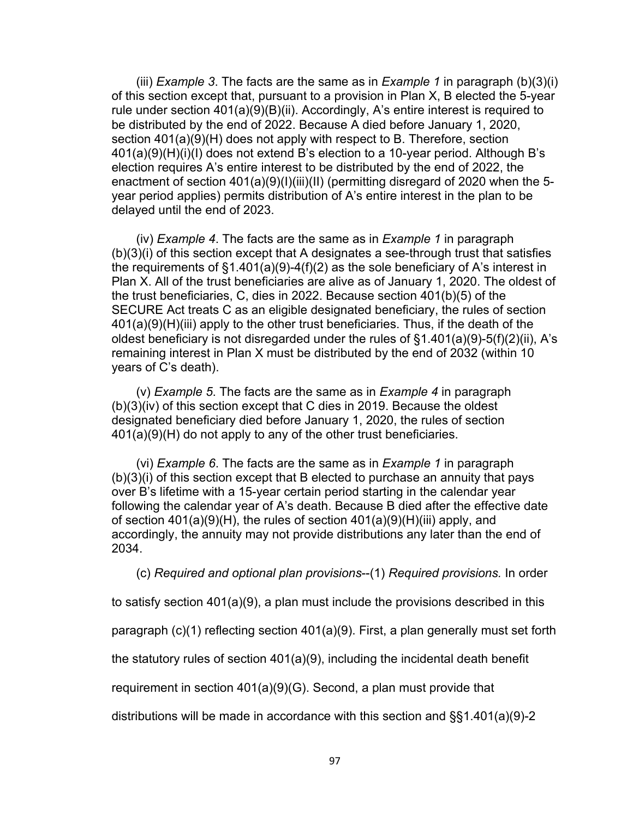(iii) *Example 3*. The facts are the same as in *Example 1* in paragraph (b)(3)(i) of this section except that, pursuant to a provision in Plan X, B elected the 5-year rule under section 401(a)(9)(B)(ii). Accordingly, A's entire interest is required to be distributed by the end of 2022. Because A died before January 1, 2020, section 401(a)(9)(H) does not apply with respect to B. Therefore, section 401(a)(9)(H)(i)(I) does not extend B's election to a 10-year period. Although B's election requires A's entire interest to be distributed by the end of 2022, the enactment of section 401(a)(9)(I)(iii)(II) (permitting disregard of 2020 when the 5 year period applies) permits distribution of A's entire interest in the plan to be delayed until the end of 2023.

(iv) *Example 4*. The facts are the same as in *Example 1* in paragraph (b)(3)(i) of this section except that A designates a see-through trust that satisfies the requirements of  $\S1.401(a)(9)-4(f)(2)$  as the sole beneficiary of A's interest in Plan X. All of the trust beneficiaries are alive as of January 1, 2020. The oldest of the trust beneficiaries, C, dies in 2022. Because section 401(b)(5) of the SECURE Act treats C as an eligible designated beneficiary, the rules of section 401(a)(9)(H)(iii) apply to the other trust beneficiaries. Thus, if the death of the oldest beneficiary is not disregarded under the rules of §1.401(a)(9)-5(f)(2)(ii), A's remaining interest in Plan X must be distributed by the end of 2032 (within 10 years of C's death).

(v) *Example 5*. The facts are the same as in *Example 4* in paragraph (b)(3)(iv) of this section except that C dies in 2019. Because the oldest designated beneficiary died before January 1, 2020, the rules of section 401(a)(9)(H) do not apply to any of the other trust beneficiaries.

(vi) *Example 6*. The facts are the same as in *Example 1* in paragraph (b)(3)(i) of this section except that B elected to purchase an annuity that pays over B's lifetime with a 15-year certain period starting in the calendar year following the calendar year of A's death. Because B died after the effective date of section 401(a)(9)(H), the rules of section 401(a)(9)(H)(iii) apply, and accordingly, the annuity may not provide distributions any later than the end of 2034.

(c) *Required and optional plan provisions*--(1) *Required provisions.* In order

to satisfy section 401(a)(9), a plan must include the provisions described in this

paragraph (c)(1) reflecting section 401(a)(9). First, a plan generally must set forth

the statutory rules of section 401(a)(9), including the incidental death benefit

requirement in section 401(a)(9)(G). Second, a plan must provide that

distributions will be made in accordance with this section and §§1.401(a)(9)-2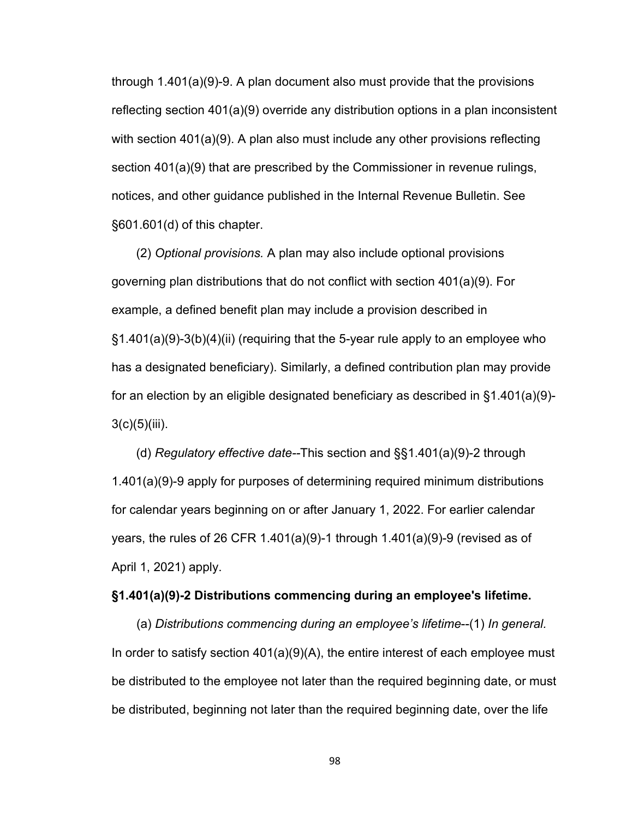through 1.401(a)(9)-9. A plan document also must provide that the provisions reflecting section 401(a)(9) override any distribution options in a plan inconsistent with section 401(a)(9). A plan also must include any other provisions reflecting section 401(a)(9) that are prescribed by the Commissioner in revenue rulings, notices, and other guidance published in the Internal Revenue Bulletin. See §601.601(d) of this chapter.

(2) *Optional provisions.* A plan may also include optional provisions governing plan distributions that do not conflict with section 401(a)(9). For example, a defined benefit plan may include a provision described in §1.401(a)(9)-3(b)(4)(ii) (requiring that the 5-year rule apply to an employee who has a designated beneficiary). Similarly, a defined contribution plan may provide for an election by an eligible designated beneficiary as described in  $\S1.401(a)(9)$ - $3(c)(5)(iii)$ .

(d) *Regulatory effective date--*This section and §§1.401(a)(9)-2 through 1.401(a)(9)-9 apply for purposes of determining required minimum distributions for calendar years beginning on or after January 1, 2022. For earlier calendar years, the rules of 26 CFR 1.401(a)(9)-1 through 1.401(a)(9)-9 (revised as of April 1, 2021) apply.

## **§1.401(a)(9)-2 Distributions commencing during an employee's lifetime.**

(a) *Distributions commencing during an employee's lifetime*--(1) *In general.*  In order to satisfy section 401(a)(9)(A), the entire interest of each employee must be distributed to the employee not later than the required beginning date, or must be distributed, beginning not later than the required beginning date, over the life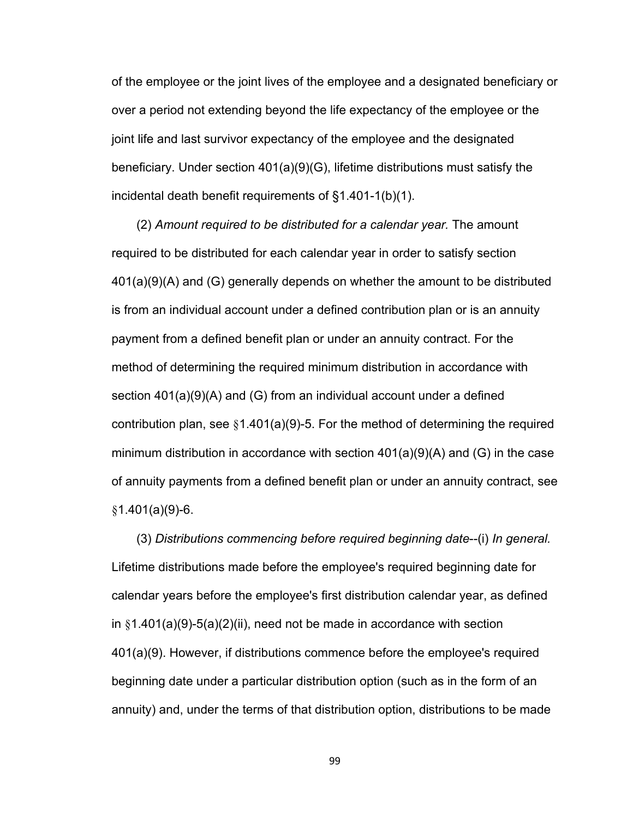of the employee or the joint lives of the employee and a designated beneficiary or over a period not extending beyond the life expectancy of the employee or the joint life and last survivor expectancy of the employee and the designated beneficiary. Under section 401(a)(9)(G), lifetime distributions must satisfy the incidental death benefit requirements of §1.401-1(b)(1).

(2) *Amount required to be distributed for a calendar year.* The amount required to be distributed for each calendar year in order to satisfy section 401(a)(9)(A) and (G) generally depends on whether the amount to be distributed is from an individual account under a defined contribution plan or is an annuity payment from a defined benefit plan or under an annuity contract. For the method of determining the required minimum distribution in accordance with section 401(a)(9)(A) and (G) from an individual account under a defined contribution plan, see  $\S1.401(a)(9)-5$ . For the method of determining the required minimum distribution in accordance with section 401(a)(9)(A) and (G) in the case of annuity payments from a defined benefit plan or under an annuity contract, see  $§1.401(a)(9)-6.$ 

(3) *Distributions commencing before required beginning date*--(i) *In general.*  Lifetime distributions made before the employee's required beginning date for calendar years before the employee's first distribution calendar year, as defined in  $§1.401(a)(9)-5(a)(2)(ii)$ , need not be made in accordance with section 401(a)(9). However, if distributions commence before the employee's required beginning date under a particular distribution option (such as in the form of an annuity) and, under the terms of that distribution option, distributions to be made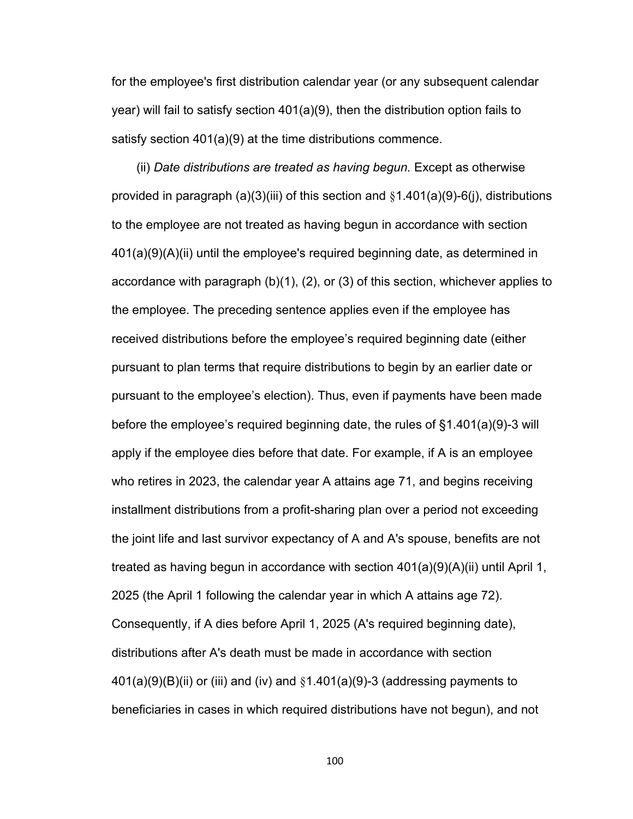for the employee's first distribution calendar year (or any subsequent calendar year) will fail to satisfy section 401(a)(9), then the distribution option fails to satisfy section 401(a)(9) at the time distributions commence.

(ii) *Date distributions are treated as having begun.* Except as otherwise provided in paragraph (a)(3)(iii) of this section and  $\S1.401(a)(9)-6(i)$ , distributions to the employee are not treated as having begun in accordance with section 401(a)(9)(A)(ii) until the employee's required beginning date, as determined in accordance with paragraph (b)(1), (2), or (3) of this section, whichever applies to the employee. The preceding sentence applies even if the employee has received distributions before the employee's required beginning date (either pursuant to plan terms that require distributions to begin by an earlier date or pursuant to the employee's election). Thus, even if payments have been made before the employee's required beginning date, the rules of §1.401(a)(9)-3 will apply if the employee dies before that date. For example, if A is an employee who retires in 2023, the calendar year A attains age 71, and begins receiving installment distributions from a profit-sharing plan over a period not exceeding the joint life and last survivor expectancy of A and A's spouse, benefits are not treated as having begun in accordance with section 401(a)(9)(A)(ii) until April 1, 2025 (the April 1 following the calendar year in which A attains age 72). Consequently, if A dies before April 1, 2025 (A's required beginning date), distributions after A's death must be made in accordance with section  $401(a)(9)(B)(ii)$  or (iii) and (iv) and  $§1.401(a)(9)-3$  (addressing payments to beneficiaries in cases in which required distributions have not begun), and not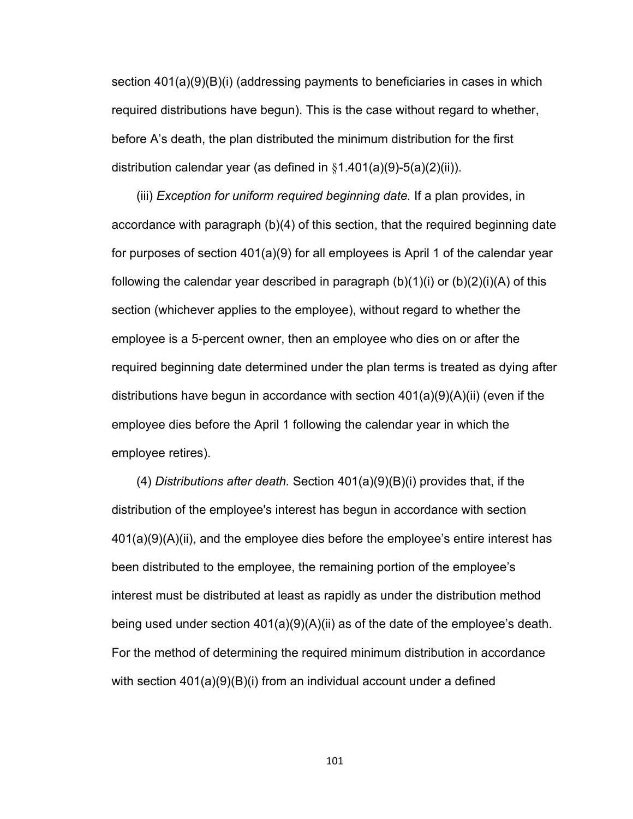section 401(a)(9)(B)(i) (addressing payments to beneficiaries in cases in which required distributions have begun). This is the case without regard to whether, before A's death, the plan distributed the minimum distribution for the first distribution calendar year (as defined in  $§1.401(a)(9)-5(a)(2)(ii)$ ).

(iii) *Exception for uniform required beginning date.* If a plan provides, in accordance with paragraph (b)(4) of this section, that the required beginning date for purposes of section 401(a)(9) for all employees is April 1 of the calendar year following the calendar year described in paragraph  $(b)(1)(i)$  or  $(b)(2)(i)(A)$  of this section (whichever applies to the employee), without regard to whether the employee is a 5-percent owner, then an employee who dies on or after the required beginning date determined under the plan terms is treated as dying after distributions have begun in accordance with section  $401(a)(9)(A)(ii)$  (even if the employee dies before the April 1 following the calendar year in which the employee retires).

(4) *Distributions after death.* Section 401(a)(9)(B)(i) provides that, if the distribution of the employee's interest has begun in accordance with section 401(a)(9)(A)(ii), and the employee dies before the employee's entire interest has been distributed to the employee, the remaining portion of the employee's interest must be distributed at least as rapidly as under the distribution method being used under section 401(a)(9)(A)(ii) as of the date of the employee's death. For the method of determining the required minimum distribution in accordance with section 401(a)(9)(B)(i) from an individual account under a defined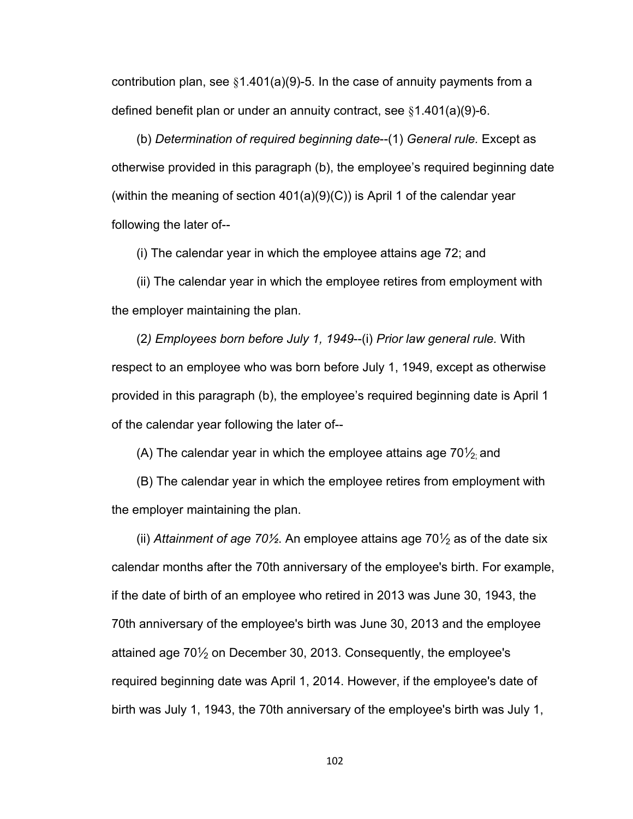contribution plan, see §1.401(a)(9)-5. In the case of annuity payments from a defined benefit plan or under an annuity contract, see §1.401(a)(9)-6.

(b) *Determination of required beginning date*--(1) *General rule.* Except as otherwise provided in this paragraph (b), the employee's required beginning date (within the meaning of section  $401(a)(9)(C)$ ) is April 1 of the calendar year following the later of--

(i) The calendar year in which the employee attains age 72; and

(ii) The calendar year in which the employee retires from employment with the employer maintaining the plan.

(2*) Employees born before July 1, 1949*--(i) *Prior law general rule.* With respect to an employee who was born before July 1, 1949, except as otherwise provided in this paragraph (b), the employee's required beginning date is April 1 of the calendar year following the later of--

(A) The calendar year in which the employee attains age 70 $\frac{1}{2}$  and

(B) The calendar year in which the employee retires from employment with the employer maintaining the plan.

(ii) *Attainment of age 70½*. An employee attains age 70<sup>1</sup> ⁄2 as of the date six calendar months after the 70th anniversary of the employee's birth. For example, if the date of birth of an employee who retired in 2013 was June 30, 1943, the 70th anniversary of the employee's birth was June 30, 2013 and the employee attained age 70 $\frac{1}{2}$  on December 30, 2013. Consequently, the employee's required beginning date was April 1, 2014. However, if the employee's date of birth was July 1, 1943, the 70th anniversary of the employee's birth was July 1,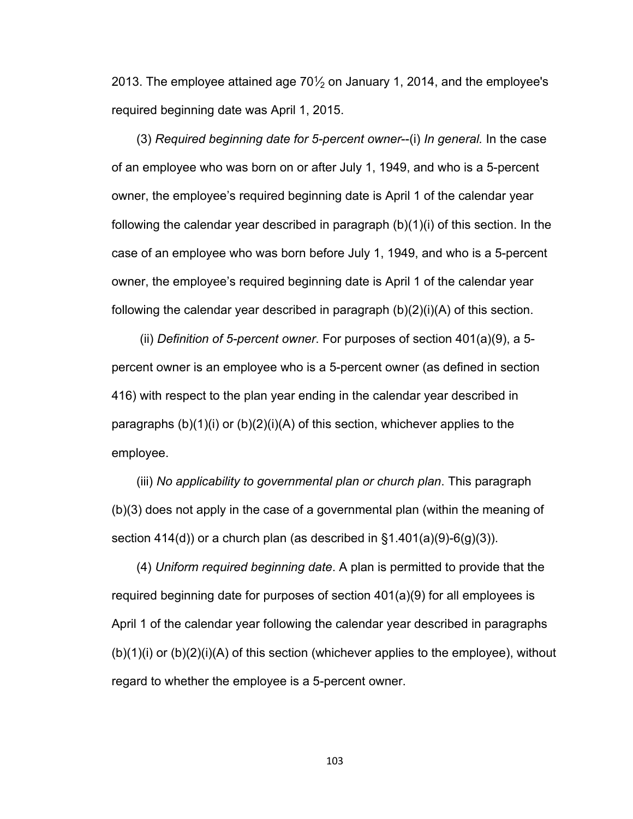2013. The employee attained age 70 $\frac{1}{2}$  on January 1, 2014, and the employee's required beginning date was April 1, 2015.

(3) *Required beginning date for 5-percent owner*--(i) *In general.* In the case of an employee who was born on or after July 1, 1949, and who is a 5-percent owner, the employee's required beginning date is April 1 of the calendar year following the calendar year described in paragraph (b)(1)(i) of this section. In the case of an employee who was born before July 1, 1949, and who is a 5-percent owner, the employee's required beginning date is April 1 of the calendar year following the calendar year described in paragraph (b)(2)(i)(A) of this section.

 (ii) *Definition of 5-percent owner*. For purposes of section 401(a)(9), a 5 percent owner is an employee who is a 5-percent owner (as defined in section 416) with respect to the plan year ending in the calendar year described in paragraphs (b)(1)(i) or (b)(2)(i)(A) of this section, whichever applies to the employee.

(iii) *No applicability to governmental plan or church plan*. This paragraph (b)(3) does not apply in the case of a governmental plan (within the meaning of section 414(d)) or a church plan (as described in  $\S1.401(a)(9)-6(g)(3)$ .

(4) *Uniform required beginning date*. A plan is permitted to provide that the required beginning date for purposes of section 401(a)(9) for all employees is April 1 of the calendar year following the calendar year described in paragraphs  $(b)(1)(i)$  or  $(b)(2)(i)(A)$  of this section (whichever applies to the employee), without regard to whether the employee is a 5-percent owner.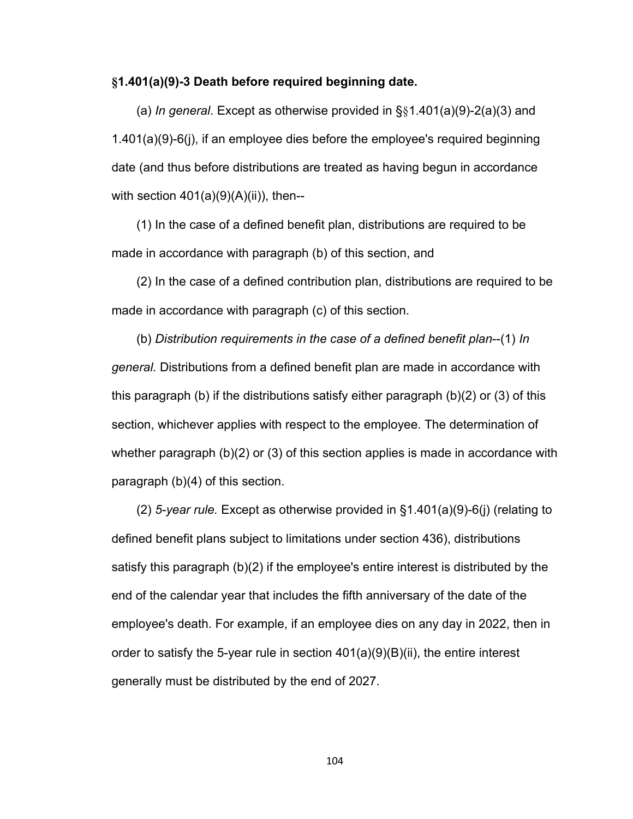### **§1.401(a)(9)-3 Death before required beginning date.**

(a) *In general*. Except as otherwise provided in §§1.401(a)(9)-2(a)(3) and 1.401(a)(9)-6(j), if an employee dies before the employee's required beginning date (and thus before distributions are treated as having begun in accordance with section  $401(a)(9)(A)(ii)$ , then--

(1) In the case of a defined benefit plan, distributions are required to be made in accordance with paragraph (b) of this section, and

(2) In the case of a defined contribution plan, distributions are required to be made in accordance with paragraph (c) of this section.

(b) *Distribution requirements in the case of a defined benefit plan*--(1) *In general.* Distributions from a defined benefit plan are made in accordance with this paragraph (b) if the distributions satisfy either paragraph (b)(2) or (3) of this section, whichever applies with respect to the employee. The determination of whether paragraph (b)(2) or (3) of this section applies is made in accordance with paragraph (b)(4) of this section.

(2) *5-year rule.* Except as otherwise provided in §1.401(a)(9)-6(j) (relating to defined benefit plans subject to limitations under section 436), distributions satisfy this paragraph (b)(2) if the employee's entire interest is distributed by the end of the calendar year that includes the fifth anniversary of the date of the employee's death. For example, if an employee dies on any day in 2022, then in order to satisfy the 5-year rule in section  $401(a)(9)(B)(ii)$ , the entire interest generally must be distributed by the end of 2027.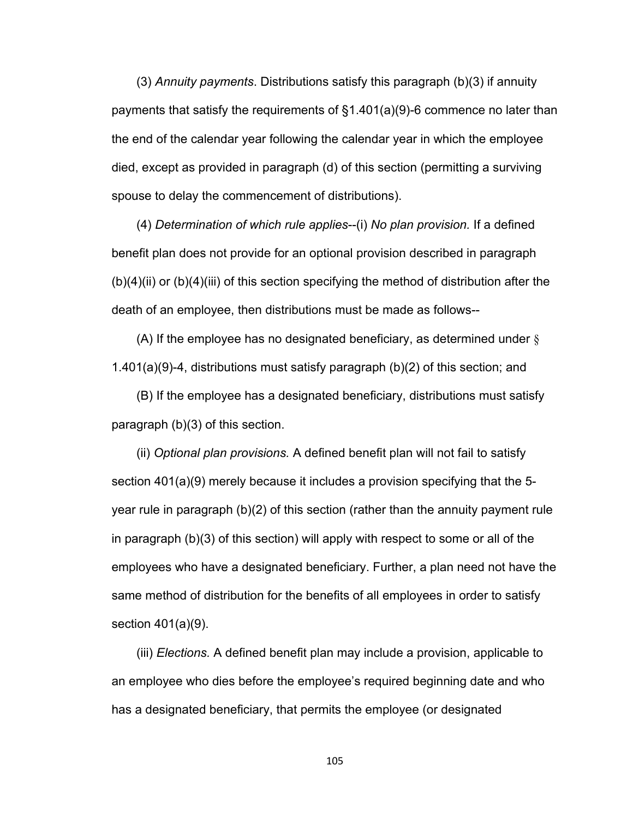(3) *Annuity payments*. Distributions satisfy this paragraph (b)(3) if annuity payments that satisfy the requirements of §1.401(a)(9)-6 commence no later than the end of the calendar year following the calendar year in which the employee died, except as provided in paragraph (d) of this section (permitting a surviving spouse to delay the commencement of distributions).

(4) *Determination of which rule applies*--(i) *No plan provision.* If a defined benefit plan does not provide for an optional provision described in paragraph (b)(4)(ii) or (b)(4)(iii) of this section specifying the method of distribution after the death of an employee, then distributions must be made as follows--

(A) If the employee has no designated beneficiary, as determined under § 1.401(a)(9)-4, distributions must satisfy paragraph (b)(2) of this section; and

(B) If the employee has a designated beneficiary, distributions must satisfy paragraph (b)(3) of this section.

(ii) *Optional plan provisions.* A defined benefit plan will not fail to satisfy section 401(a)(9) merely because it includes a provision specifying that the 5 year rule in paragraph (b)(2) of this section (rather than the annuity payment rule in paragraph (b)(3) of this section) will apply with respect to some or all of the employees who have a designated beneficiary. Further, a plan need not have the same method of distribution for the benefits of all employees in order to satisfy section 401(a)(9).

(iii) *Elections.* A defined benefit plan may include a provision, applicable to an employee who dies before the employee's required beginning date and who has a designated beneficiary, that permits the employee (or designated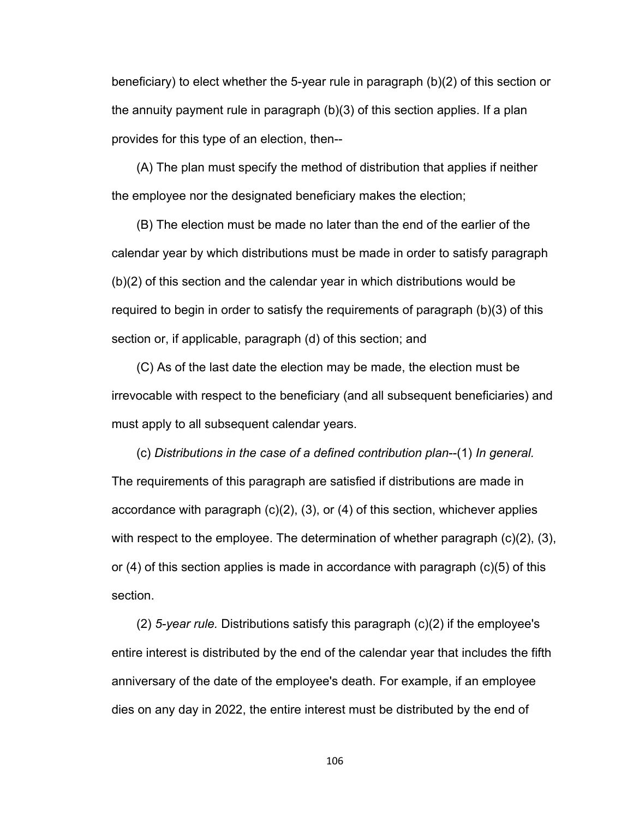beneficiary) to elect whether the 5-year rule in paragraph (b)(2) of this section or the annuity payment rule in paragraph (b)(3) of this section applies. If a plan provides for this type of an election, then--

(A) The plan must specify the method of distribution that applies if neither the employee nor the designated beneficiary makes the election;

(B) The election must be made no later than the end of the earlier of the calendar year by which distributions must be made in order to satisfy paragraph (b)(2) of this section and the calendar year in which distributions would be required to begin in order to satisfy the requirements of paragraph (b)(3) of this section or, if applicable, paragraph (d) of this section; and

(C) As of the last date the election may be made, the election must be irrevocable with respect to the beneficiary (and all subsequent beneficiaries) and must apply to all subsequent calendar years.

(c) *Distributions in the case of a defined contribution plan*--(1) *In general.* The requirements of this paragraph are satisfied if distributions are made in accordance with paragraph (c)(2), (3), or (4) of this section, whichever applies with respect to the employee. The determination of whether paragraph (c)(2), (3), or (4) of this section applies is made in accordance with paragraph (c)(5) of this section.

(2) *5-year rule.* Distributions satisfy this paragraph (c)(2) if the employee's entire interest is distributed by the end of the calendar year that includes the fifth anniversary of the date of the employee's death. For example, if an employee dies on any day in 2022, the entire interest must be distributed by the end of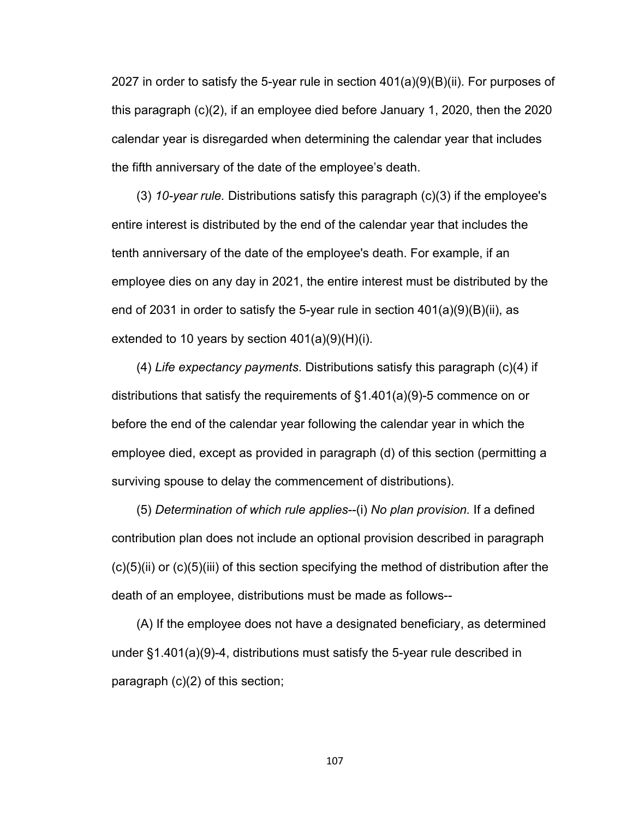2027 in order to satisfy the 5-year rule in section 401(a)(9)(B)(ii). For purposes of this paragraph (c)(2), if an employee died before January 1, 2020, then the 2020 calendar year is disregarded when determining the calendar year that includes the fifth anniversary of the date of the employee's death.

(3) *10-year rule.* Distributions satisfy this paragraph (c)(3) if the employee's entire interest is distributed by the end of the calendar year that includes the tenth anniversary of the date of the employee's death. For example, if an employee dies on any day in 2021, the entire interest must be distributed by the end of 2031 in order to satisfy the 5-year rule in section 401(a)(9)(B)(ii), as extended to 10 years by section 401(a)(9)(H)(i).

(4) *Life expectancy payments*. Distributions satisfy this paragraph (c)(4) if distributions that satisfy the requirements of §1.401(a)(9)-5 commence on or before the end of the calendar year following the calendar year in which the employee died, except as provided in paragraph (d) of this section (permitting a surviving spouse to delay the commencement of distributions).

(5) *Determination of which rule applies*--(i) *No plan provision.* If a defined contribution plan does not include an optional provision described in paragraph (c)(5)(ii) or (c)(5)(iii) of this section specifying the method of distribution after the death of an employee, distributions must be made as follows--

(A) If the employee does not have a designated beneficiary, as determined under §1.401(a)(9)-4, distributions must satisfy the 5-year rule described in paragraph (c)(2) of this section;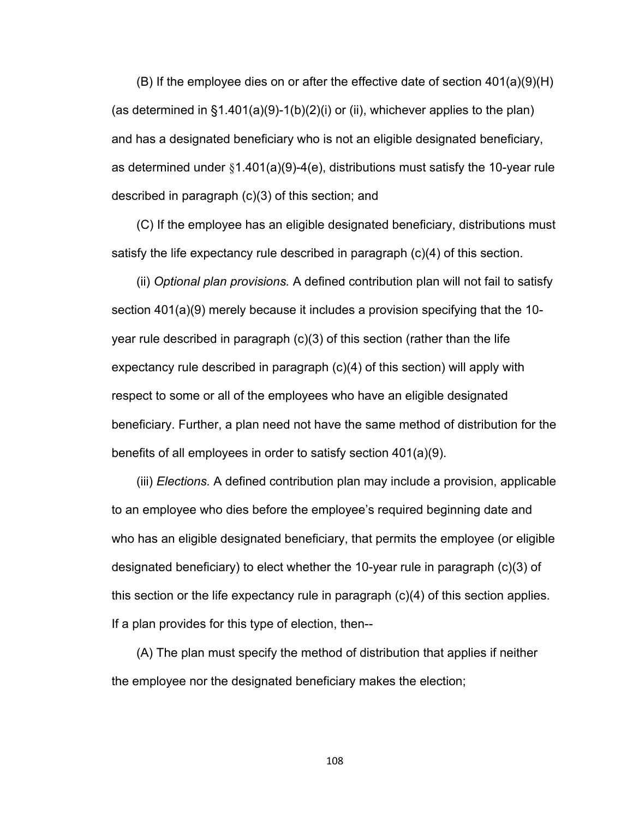(B) If the employee dies on or after the effective date of section 401(a)(9)(H) (as determined in  $\S1.401(a)(9)-1(b)(2)(i)$  or (ii), whichever applies to the plan) and has a designated beneficiary who is not an eligible designated beneficiary, as determined under §1.401(a)(9)-4(e), distributions must satisfy the 10-year rule described in paragraph (c)(3) of this section; and

(C) If the employee has an eligible designated beneficiary, distributions must satisfy the life expectancy rule described in paragraph (c)(4) of this section.

(ii) *Optional plan provisions.* A defined contribution plan will not fail to satisfy section 401(a)(9) merely because it includes a provision specifying that the 10 year rule described in paragraph (c)(3) of this section (rather than the life expectancy rule described in paragraph (c)(4) of this section) will apply with respect to some or all of the employees who have an eligible designated beneficiary. Further, a plan need not have the same method of distribution for the benefits of all employees in order to satisfy section 401(a)(9).

(iii) *Elections.* A defined contribution plan may include a provision, applicable to an employee who dies before the employee's required beginning date and who has an eligible designated beneficiary, that permits the employee (or eligible designated beneficiary) to elect whether the 10-year rule in paragraph (c)(3) of this section or the life expectancy rule in paragraph (c)(4) of this section applies. If a plan provides for this type of election, then--

(A) The plan must specify the method of distribution that applies if neither the employee nor the designated beneficiary makes the election;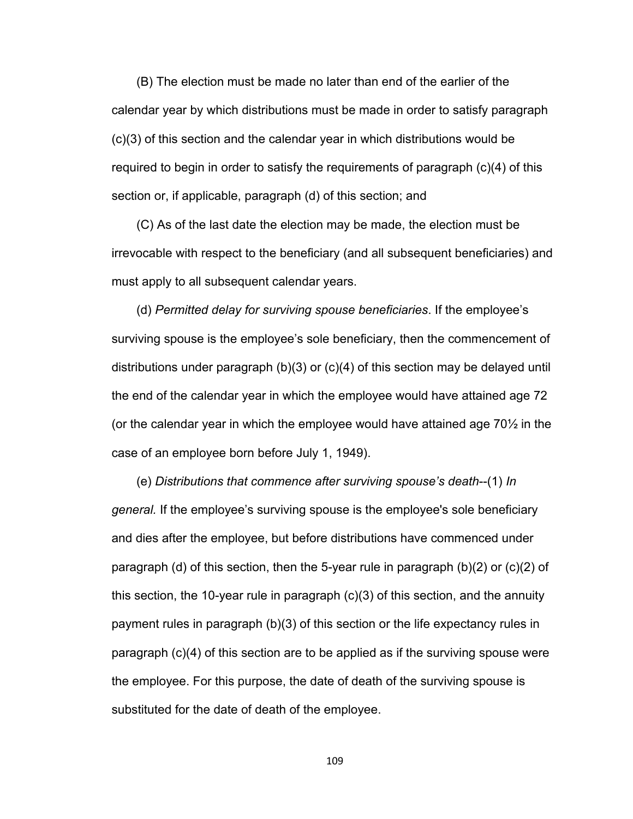(B) The election must be made no later than end of the earlier of the calendar year by which distributions must be made in order to satisfy paragraph (c)(3) of this section and the calendar year in which distributions would be required to begin in order to satisfy the requirements of paragraph (c)(4) of this section or, if applicable, paragraph (d) of this section; and

(C) As of the last date the election may be made, the election must be irrevocable with respect to the beneficiary (and all subsequent beneficiaries) and must apply to all subsequent calendar years.

(d) *Permitted delay for surviving spouse beneficiaries*. If the employee's surviving spouse is the employee's sole beneficiary, then the commencement of distributions under paragraph (b)(3) or (c)(4) of this section may be delayed until the end of the calendar year in which the employee would have attained age 72 (or the calendar year in which the employee would have attained age  $70\%$  in the case of an employee born before July 1, 1949).

(e) *Distributions that commence after surviving spouse's death*--(1) *In general.* If the employee's surviving spouse is the employee's sole beneficiary and dies after the employee, but before distributions have commenced under paragraph (d) of this section, then the 5-year rule in paragraph (b)(2) or (c)(2) of this section, the 10-year rule in paragraph (c)(3) of this section, and the annuity payment rules in paragraph (b)(3) of this section or the life expectancy rules in paragraph (c)(4) of this section are to be applied as if the surviving spouse were the employee. For this purpose, the date of death of the surviving spouse is substituted for the date of death of the employee.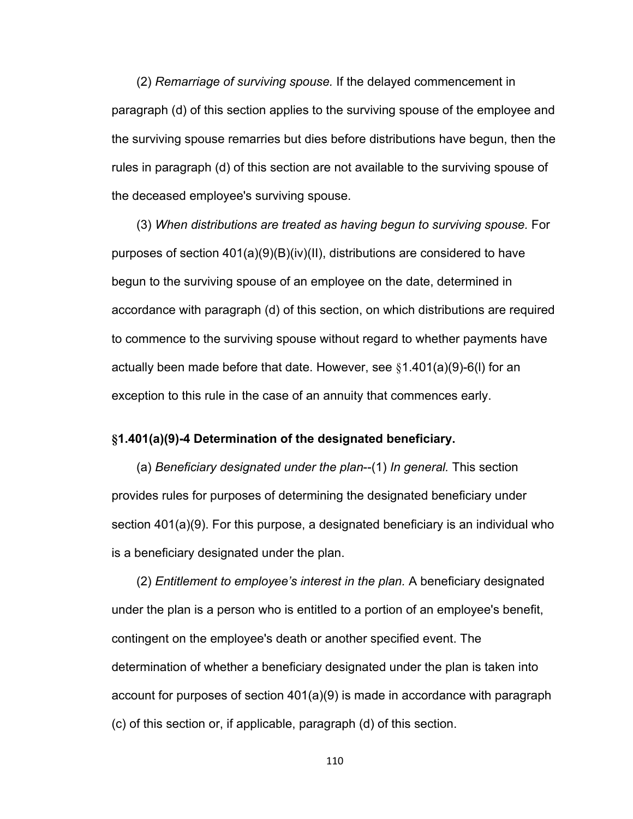(2) *Remarriage of surviving spouse.* If the delayed commencement in paragraph (d) of this section applies to the surviving spouse of the employee and the surviving spouse remarries but dies before distributions have begun, then the rules in paragraph (d) of this section are not available to the surviving spouse of the deceased employee's surviving spouse.

(3) *When distributions are treated as having begun to surviving spouse.* For purposes of section 401(a)(9)(B)(iv)(II), distributions are considered to have begun to the surviving spouse of an employee on the date, determined in accordance with paragraph (d) of this section, on which distributions are required to commence to the surviving spouse without regard to whether payments have actually been made before that date. However, see  $§1.401(a)(9)-6(1)$  for an exception to this rule in the case of an annuity that commences early.

## **§1.401(a)(9)-4 Determination of the designated beneficiary.**

(a) *Beneficiary designated under the plan*--(1) *In general.* This section provides rules for purposes of determining the designated beneficiary under section 401(a)(9). For this purpose, a designated beneficiary is an individual who is a beneficiary designated under the plan.

(2) *Entitlement to employee's interest in the plan.* A beneficiary designated under the plan is a person who is entitled to a portion of an employee's benefit, contingent on the employee's death or another specified event. The determination of whether a beneficiary designated under the plan is taken into account for purposes of section 401(a)(9) is made in accordance with paragraph (c) of this section or, if applicable, paragraph (d) of this section.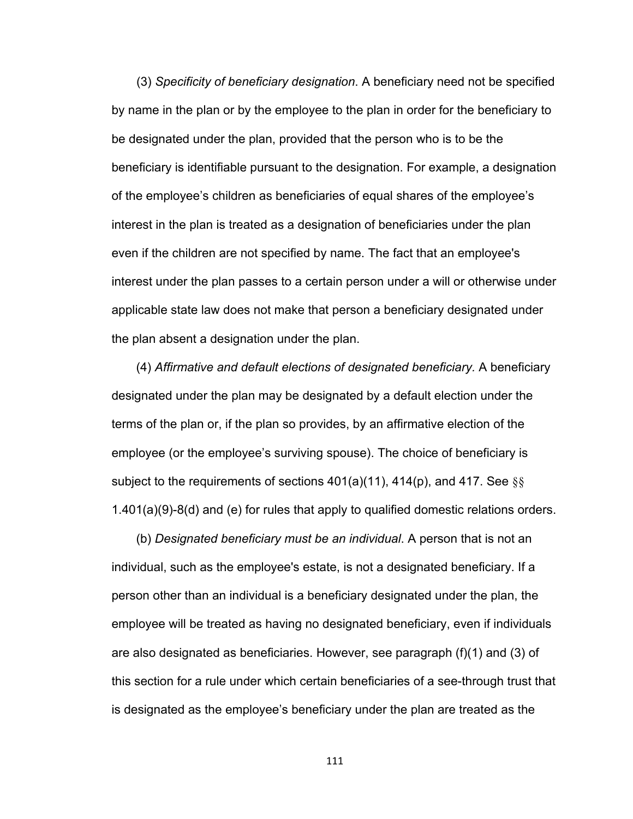(3) *Specificity of beneficiary designation*. A beneficiary need not be specified by name in the plan or by the employee to the plan in order for the beneficiary to be designated under the plan, provided that the person who is to be the beneficiary is identifiable pursuant to the designation. For example, a designation of the employee's children as beneficiaries of equal shares of the employee's interest in the plan is treated as a designation of beneficiaries under the plan even if the children are not specified by name. The fact that an employee's interest under the plan passes to a certain person under a will or otherwise under applicable state law does not make that person a beneficiary designated under the plan absent a designation under the plan.

(4) *Affirmative and default elections of designated beneficiary.* A beneficiary designated under the plan may be designated by a default election under the terms of the plan or, if the plan so provides, by an affirmative election of the employee (or the employee's surviving spouse). The choice of beneficiary is subject to the requirements of sections  $401(a)(11)$ ,  $414(p)$ , and  $417$ . See §§ 1.401(a)(9)-8(d) and (e) for rules that apply to qualified domestic relations orders.

(b) *Designated beneficiary must be an individual*. A person that is not an individual, such as the employee's estate, is not a designated beneficiary. If a person other than an individual is a beneficiary designated under the plan, the employee will be treated as having no designated beneficiary, even if individuals are also designated as beneficiaries. However, see paragraph (f)(1) and (3) of this section for a rule under which certain beneficiaries of a see-through trust that is designated as the employee's beneficiary under the plan are treated as the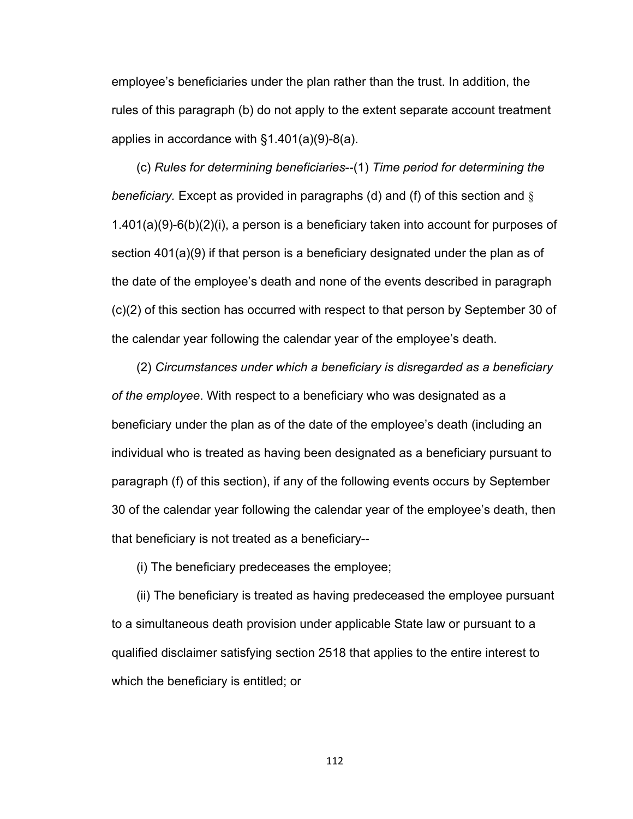employee's beneficiaries under the plan rather than the trust. In addition, the rules of this paragraph (b) do not apply to the extent separate account treatment applies in accordance with §1.401(a)(9)-8(a).

(c) *Rules for determining beneficiaries*--(1) *Time period for determining the beneficiary.* Except as provided in paragraphs (d) and (f) of this section and § 1.401(a)(9)-6(b)(2)(i), a person is a beneficiary taken into account for purposes of section 401(a)(9) if that person is a beneficiary designated under the plan as of the date of the employee's death and none of the events described in paragraph (c)(2) of this section has occurred with respect to that person by September 30 of the calendar year following the calendar year of the employee's death.

(2) *Circumstances under which a beneficiary is disregarded as a beneficiary of the employee*. With respect to a beneficiary who was designated as a beneficiary under the plan as of the date of the employee's death (including an individual who is treated as having been designated as a beneficiary pursuant to paragraph (f) of this section), if any of the following events occurs by September 30 of the calendar year following the calendar year of the employee's death, then that beneficiary is not treated as a beneficiary--

(i) The beneficiary predeceases the employee;

(ii) The beneficiary is treated as having predeceased the employee pursuant to a simultaneous death provision under applicable State law or pursuant to a qualified disclaimer satisfying section 2518 that applies to the entire interest to which the beneficiary is entitled; or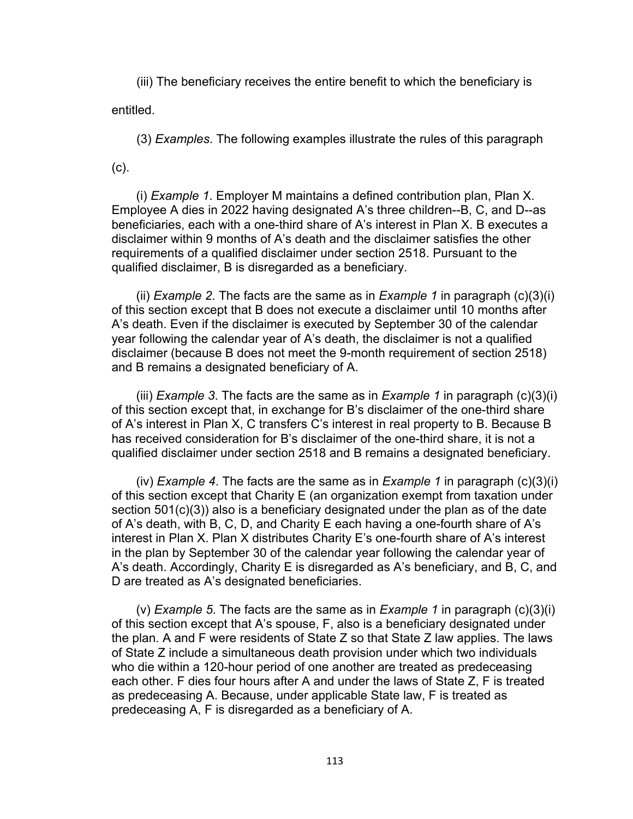(iii) The beneficiary receives the entire benefit to which the beneficiary is

entitled.

(3) *Examples*. The following examples illustrate the rules of this paragraph

(c).

(i) *Example 1*. Employer M maintains a defined contribution plan, Plan X. Employee A dies in 2022 having designated A's three children--B, C, and D--as beneficiaries, each with a one-third share of A's interest in Plan X. B executes a disclaimer within 9 months of A's death and the disclaimer satisfies the other requirements of a qualified disclaimer under section 2518. Pursuant to the qualified disclaimer, B is disregarded as a beneficiary.

(ii) *Example 2*. The facts are the same as in *Example 1* in paragraph (c)(3)(i) of this section except that B does not execute a disclaimer until 10 months after A's death. Even if the disclaimer is executed by September 30 of the calendar year following the calendar year of A's death, the disclaimer is not a qualified disclaimer (because B does not meet the 9-month requirement of section 2518) and B remains a designated beneficiary of A.

(iii) *Example 3*. The facts are the same as in *Example 1* in paragraph (c)(3)(i) of this section except that, in exchange for B's disclaimer of the one-third share of A's interest in Plan X, C transfers C's interest in real property to B. Because B has received consideration for B's disclaimer of the one-third share, it is not a qualified disclaimer under section 2518 and B remains a designated beneficiary.

(iv) *Example 4*. The facts are the same as in *Example 1* in paragraph (c)(3)(i) of this section except that Charity E (an organization exempt from taxation under section 501(c)(3)) also is a beneficiary designated under the plan as of the date of A's death, with B, C, D, and Charity E each having a one-fourth share of A's interest in Plan X. Plan X distributes Charity E's one-fourth share of A's interest in the plan by September 30 of the calendar year following the calendar year of A's death. Accordingly, Charity E is disregarded as A's beneficiary, and B, C, and D are treated as A's designated beneficiaries.

(v) *Example 5*. The facts are the same as in *Example 1* in paragraph (c)(3)(i) of this section except that A's spouse, F, also is a beneficiary designated under the plan. A and F were residents of State Z so that State Z law applies. The laws of State Z include a simultaneous death provision under which two individuals who die within a 120-hour period of one another are treated as predeceasing each other. F dies four hours after A and under the laws of State Z, F is treated as predeceasing A. Because, under applicable State law, F is treated as predeceasing A, F is disregarded as a beneficiary of A.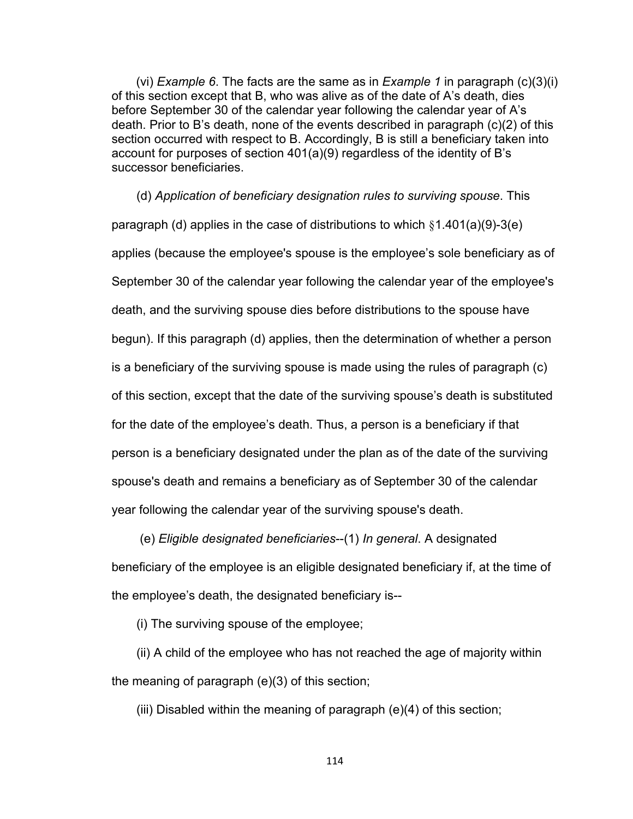(vi) *Example 6*. The facts are the same as in *Example 1* in paragraph (c)(3)(i) of this section except that B, who was alive as of the date of A's death, dies before September 30 of the calendar year following the calendar year of A's death. Prior to B's death, none of the events described in paragraph (c)(2) of this section occurred with respect to B. Accordingly, B is still a beneficiary taken into account for purposes of section 401(a)(9) regardless of the identity of B's successor beneficiaries.

(d) *Application of beneficiary designation rules to surviving spouse*. This paragraph (d) applies in the case of distributions to which §1.401(a)(9)-3(e) applies (because the employee's spouse is the employee's sole beneficiary as of September 30 of the calendar year following the calendar year of the employee's death, and the surviving spouse dies before distributions to the spouse have begun). If this paragraph (d) applies, then the determination of whether a person is a beneficiary of the surviving spouse is made using the rules of paragraph (c) of this section, except that the date of the surviving spouse's death is substituted for the date of the employee's death. Thus, a person is a beneficiary if that person is a beneficiary designated under the plan as of the date of the surviving spouse's death and remains a beneficiary as of September 30 of the calendar year following the calendar year of the surviving spouse's death.

 (e) *Eligible designated beneficiaries*--(1) *In general*. A designated beneficiary of the employee is an eligible designated beneficiary if, at the time of the employee's death, the designated beneficiary is--

(i) The surviving spouse of the employee;

(ii) A child of the employee who has not reached the age of majority within the meaning of paragraph (e)(3) of this section;

(iii) Disabled within the meaning of paragraph (e)(4) of this section;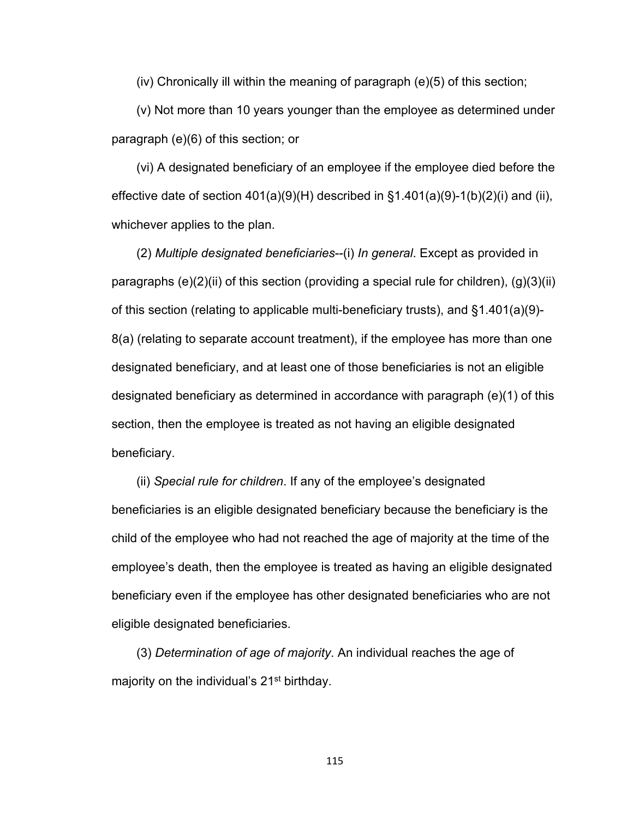(iv) Chronically ill within the meaning of paragraph (e)(5) of this section;

(v) Not more than 10 years younger than the employee as determined under paragraph (e)(6) of this section; or

(vi) A designated beneficiary of an employee if the employee died before the effective date of section  $401(a)(9)(H)$  described in  $\S1.401(a)(9)-1(b)(2)(i)$  and (ii), whichever applies to the plan.

(2) *Multiple designated beneficiaries*--(i) *In general*. Except as provided in paragraphs (e)(2)(ii) of this section (providing a special rule for children), (g)(3)(ii) of this section (relating to applicable multi-beneficiary trusts), and §1.401(a)(9)- 8(a) (relating to separate account treatment), if the employee has more than one designated beneficiary, and at least one of those beneficiaries is not an eligible designated beneficiary as determined in accordance with paragraph (e)(1) of this section, then the employee is treated as not having an eligible designated beneficiary.

(ii) *Special rule for children*. If any of the employee's designated beneficiaries is an eligible designated beneficiary because the beneficiary is the child of the employee who had not reached the age of majority at the time of the employee's death, then the employee is treated as having an eligible designated beneficiary even if the employee has other designated beneficiaries who are not eligible designated beneficiaries.

(3) *Determination of age of majority*. An individual reaches the age of majority on the individual's 21<sup>st</sup> birthday.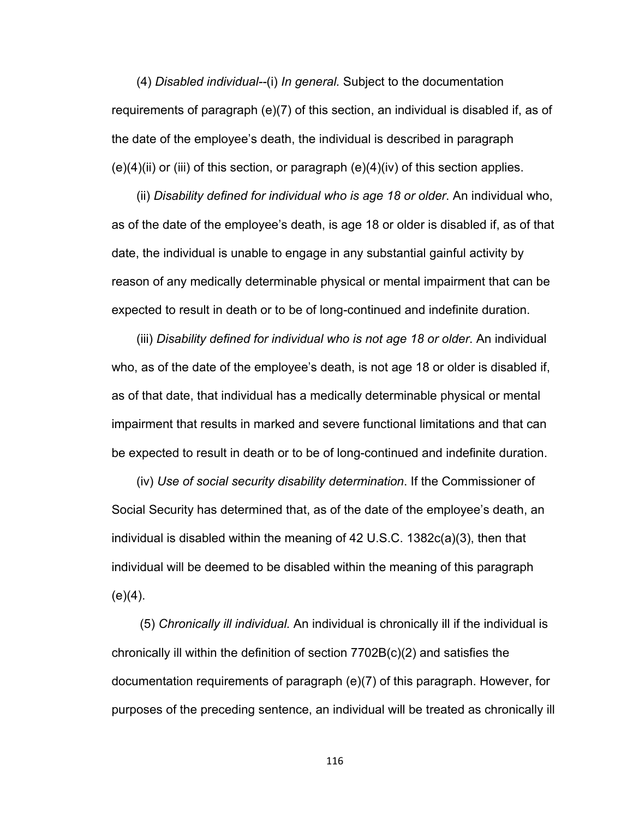(4) *Disabled individual--*(i) *In general.* Subject to the documentation requirements of paragraph (e)(7) of this section, an individual is disabled if, as of the date of the employee's death, the individual is described in paragraph  $(e)(4)(ii)$  or (iii) of this section, or paragraph  $(e)(4)(iv)$  of this section applies.

(ii) *Disability defined for individual who is age 18 or older*. An individual who, as of the date of the employee's death, is age 18 or older is disabled if, as of that date, the individual is unable to engage in any substantial gainful activity by reason of any medically determinable physical or mental impairment that can be expected to result in death or to be of long-continued and indefinite duration.

(iii) *Disability defined for individual who is not age 18 or older*. An individual who, as of the date of the employee's death, is not age 18 or older is disabled if, as of that date, that individual has a medically determinable physical or mental impairment that results in marked and severe functional limitations and that can be expected to result in death or to be of long-continued and indefinite duration.

(iv) *Use of social security disability determination*. If the Commissioner of Social Security has determined that, as of the date of the employee's death, an individual is disabled within the meaning of 42 U.S.C. 1382c(a)(3), then that individual will be deemed to be disabled within the meaning of this paragraph  $(e)(4)$ .

 (5) *Chronically ill individual.* An individual is chronically ill if the individual is chronically ill within the definition of section 7702B(c)(2) and satisfies the documentation requirements of paragraph (e)(7) of this paragraph. However, for purposes of the preceding sentence, an individual will be treated as chronically ill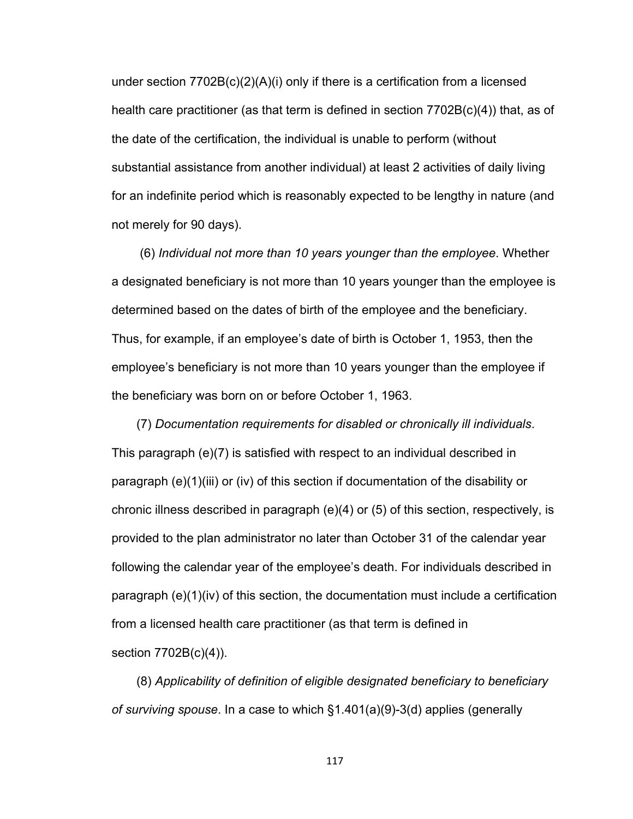under section 7702B(c)(2)(A)(i) only if there is a certification from a licensed health care practitioner (as that term is defined in section  $7702B(c)(4)$ ) that, as of the date of the certification, the individual is unable to perform (without substantial assistance from another individual) at least 2 activities of daily living for an indefinite period which is reasonably expected to be lengthy in nature (and not merely for 90 days).

 (6) *Individual not more than 10 years younger than the employee*. Whether a designated beneficiary is not more than 10 years younger than the employee is determined based on the dates of birth of the employee and the beneficiary. Thus, for example, if an employee's date of birth is October 1, 1953, then the employee's beneficiary is not more than 10 years younger than the employee if the beneficiary was born on or before October 1, 1963.

(7) *Documentation requirements for disabled or chronically ill individuals*. This paragraph (e)(7) is satisfied with respect to an individual described in paragraph (e)(1)(iii) or (iv) of this section if documentation of the disability or chronic illness described in paragraph (e)(4) or (5) of this section, respectively, is provided to the plan administrator no later than October 31 of the calendar year following the calendar year of the employee's death. For individuals described in paragraph (e)(1)(iv) of this section, the documentation must include a certification from a licensed health care practitioner (as that term is defined in section 7702B(c)(4)).

(8) *Applicability of definition of eligible designated beneficiary to beneficiary of surviving spouse*. In a case to which §1.401(a)(9)-3(d) applies (generally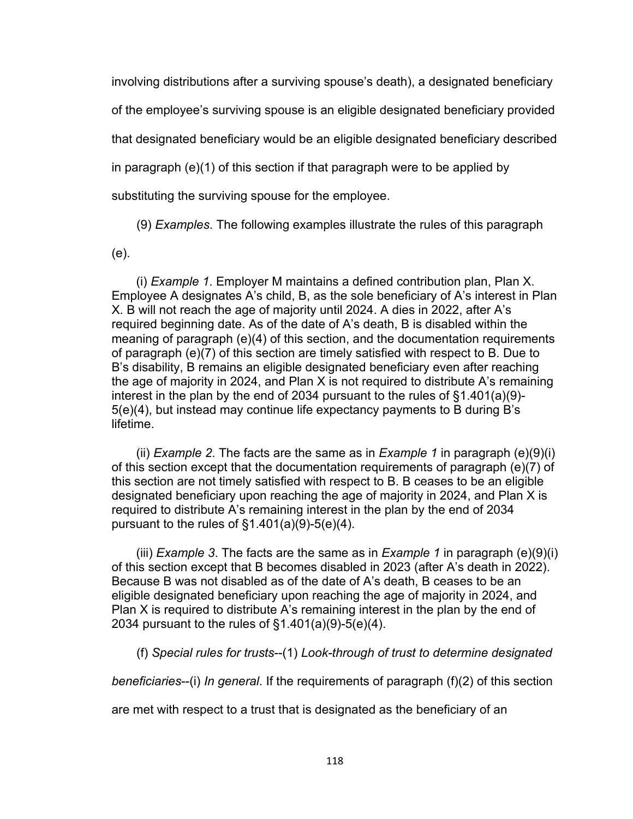involving distributions after a surviving spouse's death), a designated beneficiary of the employee's surviving spouse is an eligible designated beneficiary provided that designated beneficiary would be an eligible designated beneficiary described in paragraph (e)(1) of this section if that paragraph were to be applied by substituting the surviving spouse for the employee.

(9) *Examples*. The following examples illustrate the rules of this paragraph

(e).

(i) *Example 1*. Employer M maintains a defined contribution plan, Plan X. Employee A designates A's child, B, as the sole beneficiary of A's interest in Plan X. B will not reach the age of majority until 2024. A dies in 2022, after A's required beginning date. As of the date of A's death, B is disabled within the meaning of paragraph (e)(4) of this section, and the documentation requirements of paragraph (e)(7) of this section are timely satisfied with respect to B. Due to B's disability, B remains an eligible designated beneficiary even after reaching the age of majority in 2024, and Plan X is not required to distribute A's remaining interest in the plan by the end of 2034 pursuant to the rules of §1.401(a)(9)- 5(e)(4), but instead may continue life expectancy payments to B during B's lifetime.

(ii) *Example 2*. The facts are the same as in *Example 1* in paragraph (e)(9)(i) of this section except that the documentation requirements of paragraph (e)(7) of this section are not timely satisfied with respect to B. B ceases to be an eligible designated beneficiary upon reaching the age of majority in 2024, and Plan X is required to distribute A's remaining interest in the plan by the end of 2034 pursuant to the rules of §1.401(a)(9)-5(e)(4).

(iii) *Example 3*. The facts are the same as in *Example 1* in paragraph (e)(9)(i) of this section except that B becomes disabled in 2023 (after A's death in 2022). Because B was not disabled as of the date of A's death, B ceases to be an eligible designated beneficiary upon reaching the age of majority in 2024, and Plan X is required to distribute A's remaining interest in the plan by the end of 2034 pursuant to the rules of §1.401(a)(9)-5(e)(4).

(f) *Special rules for trusts*--(1) *Look-through of trust to determine designated* 

*beneficiaries*--(i) *In general*. If the requirements of paragraph (f)(2) of this section

are met with respect to a trust that is designated as the beneficiary of an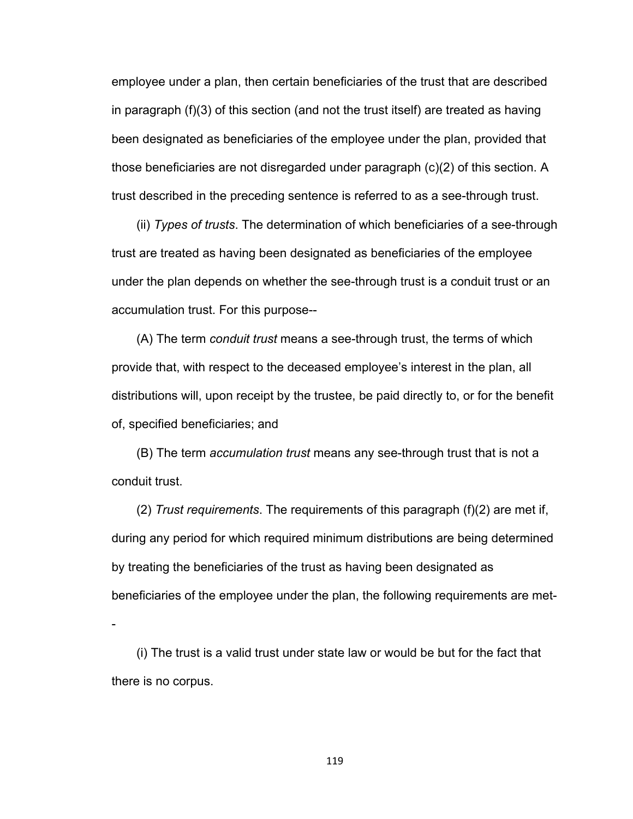employee under a plan, then certain beneficiaries of the trust that are described in paragraph (f)(3) of this section (and not the trust itself) are treated as having been designated as beneficiaries of the employee under the plan, provided that those beneficiaries are not disregarded under paragraph (c)(2) of this section. A trust described in the preceding sentence is referred to as a see-through trust.

(ii) *Types of trusts*. The determination of which beneficiaries of a see-through trust are treated as having been designated as beneficiaries of the employee under the plan depends on whether the see-through trust is a conduit trust or an accumulation trust. For this purpose--

(A) The term *conduit trust* means a see-through trust, the terms of which provide that, with respect to the deceased employee's interest in the plan, all distributions will, upon receipt by the trustee, be paid directly to, or for the benefit of, specified beneficiaries; and

(B) The term *accumulation trust* means any see-through trust that is not a conduit trust.

(2) *Trust requirements*. The requirements of this paragraph (f)(2) are met if, during any period for which required minimum distributions are being determined by treating the beneficiaries of the trust as having been designated as beneficiaries of the employee under the plan, the following requirements are met-

-

(i) The trust is a valid trust under state law or would be but for the fact that there is no corpus.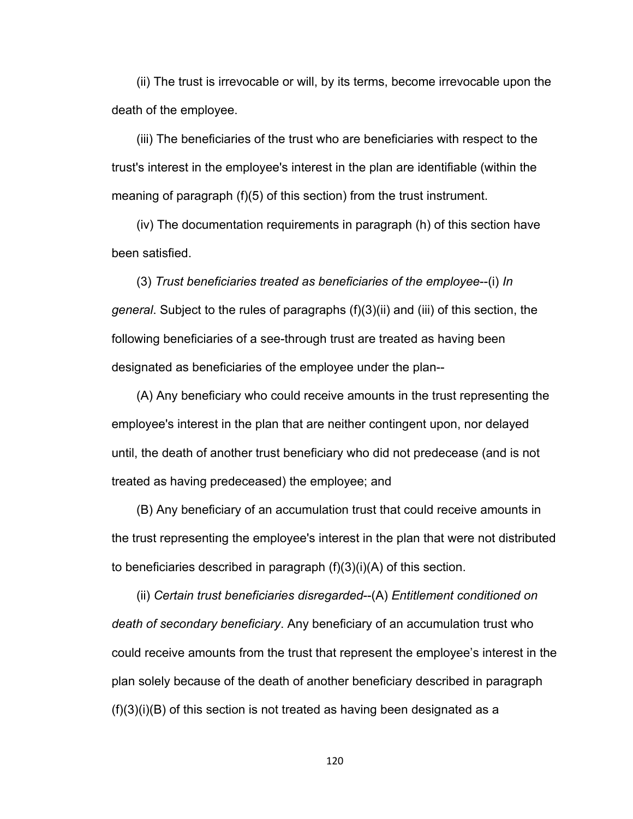(ii) The trust is irrevocable or will, by its terms, become irrevocable upon the death of the employee.

(iii) The beneficiaries of the trust who are beneficiaries with respect to the trust's interest in the employee's interest in the plan are identifiable (within the meaning of paragraph (f)(5) of this section) from the trust instrument.

(iv) The documentation requirements in paragraph (h) of this section have been satisfied.

(3) *Trust beneficiaries treated as beneficiaries of the employee*--(i) *In general*. Subject to the rules of paragraphs (f)(3)(ii) and (iii) of this section, the following beneficiaries of a see-through trust are treated as having been designated as beneficiaries of the employee under the plan--

(A) Any beneficiary who could receive amounts in the trust representing the employee's interest in the plan that are neither contingent upon, nor delayed until, the death of another trust beneficiary who did not predecease (and is not treated as having predeceased) the employee; and

(B) Any beneficiary of an accumulation trust that could receive amounts in the trust representing the employee's interest in the plan that were not distributed to beneficiaries described in paragraph (f)(3)(i)(A) of this section.

(ii) *Certain trust beneficiaries disregarded*--(A) *Entitlement conditioned on death of secondary beneficiary*. Any beneficiary of an accumulation trust who could receive amounts from the trust that represent the employee's interest in the plan solely because of the death of another beneficiary described in paragraph (f)(3)(i)(B) of this section is not treated as having been designated as a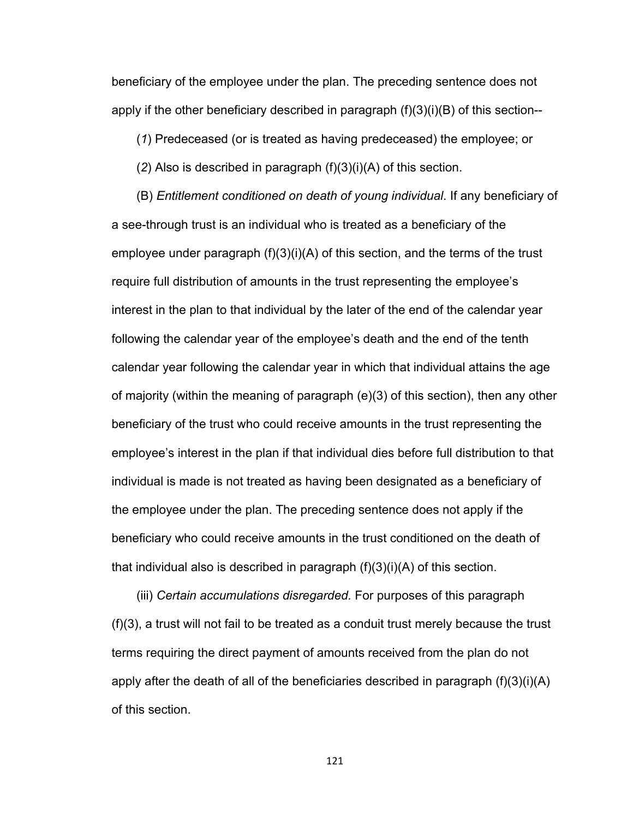beneficiary of the employee under the plan. The preceding sentence does not apply if the other beneficiary described in paragraph  $(f)(3)(i)(B)$  of this section--

(*1*) Predeceased (or is treated as having predeceased) the employee; or

(*2*) Also is described in paragraph (f)(3)(i)(A) of this section.

(B) *Entitlement conditioned on death of young individual*. If any beneficiary of a see-through trust is an individual who is treated as a beneficiary of the employee under paragraph  $(f)(3)(i)(A)$  of this section, and the terms of the trust require full distribution of amounts in the trust representing the employee's interest in the plan to that individual by the later of the end of the calendar year following the calendar year of the employee's death and the end of the tenth calendar year following the calendar year in which that individual attains the age of majority (within the meaning of paragraph (e)(3) of this section), then any other beneficiary of the trust who could receive amounts in the trust representing the employee's interest in the plan if that individual dies before full distribution to that individual is made is not treated as having been designated as a beneficiary of the employee under the plan. The preceding sentence does not apply if the beneficiary who could receive amounts in the trust conditioned on the death of that individual also is described in paragraph (f)(3)(i)(A) of this section.

(iii) *Certain accumulations disregarded.* For purposes of this paragraph (f)(3), a trust will not fail to be treated as a conduit trust merely because the trust terms requiring the direct payment of amounts received from the plan do not apply after the death of all of the beneficiaries described in paragraph (f)(3)(i)(A) of this section.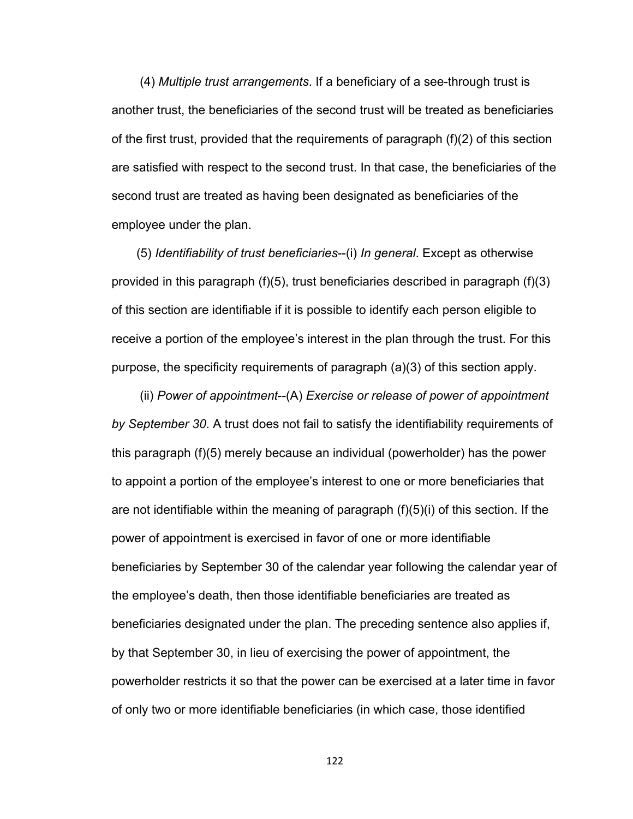(4) *Multiple trust arrangements*. If a beneficiary of a see-through trust is another trust, the beneficiaries of the second trust will be treated as beneficiaries of the first trust, provided that the requirements of paragraph (f)(2) of this section are satisfied with respect to the second trust. In that case, the beneficiaries of the second trust are treated as having been designated as beneficiaries of the employee under the plan.

(5) *Identifiability of trust beneficiaries*--(i) *In general*. Except as otherwise provided in this paragraph (f)(5), trust beneficiaries described in paragraph (f)(3) of this section are identifiable if it is possible to identify each person eligible to receive a portion of the employee's interest in the plan through the trust. For this purpose, the specificity requirements of paragraph (a)(3) of this section apply.

 (ii) *Power of appointment*--(A) *Exercise or release of power of appointment by September 30*. A trust does not fail to satisfy the identifiability requirements of this paragraph (f)(5) merely because an individual (powerholder) has the power to appoint a portion of the employee's interest to one or more beneficiaries that are not identifiable within the meaning of paragraph (f)(5)(i) of this section. If the power of appointment is exercised in favor of one or more identifiable beneficiaries by September 30 of the calendar year following the calendar year of the employee's death, then those identifiable beneficiaries are treated as beneficiaries designated under the plan. The preceding sentence also applies if, by that September 30, in lieu of exercising the power of appointment, the powerholder restricts it so that the power can be exercised at a later time in favor of only two or more identifiable beneficiaries (in which case, those identified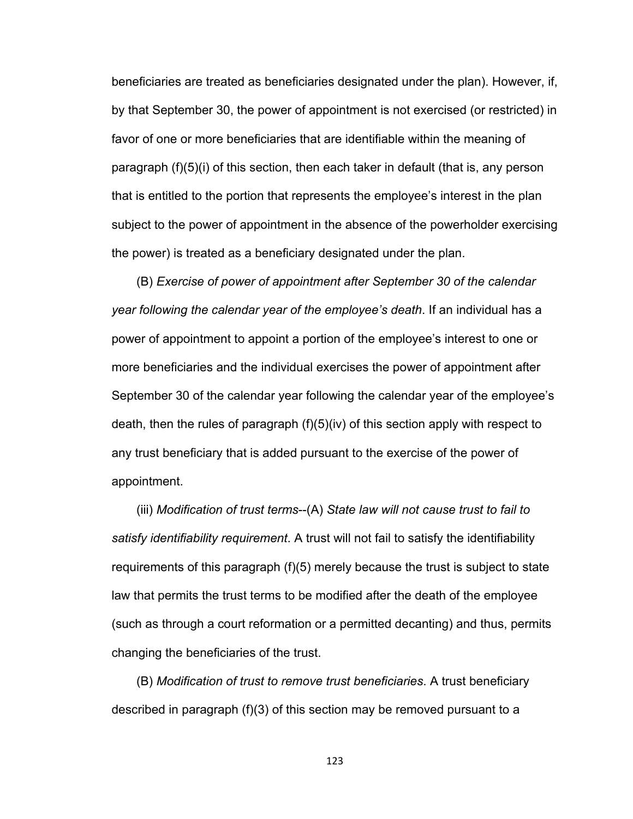beneficiaries are treated as beneficiaries designated under the plan). However, if, by that September 30, the power of appointment is not exercised (or restricted) in favor of one or more beneficiaries that are identifiable within the meaning of paragraph (f)(5)(i) of this section, then each taker in default (that is, any person that is entitled to the portion that represents the employee's interest in the plan subject to the power of appointment in the absence of the powerholder exercising the power) is treated as a beneficiary designated under the plan.

(B) *Exercise of power of appointment after September 30 of the calendar year following the calendar year of the employee's death*. If an individual has a power of appointment to appoint a portion of the employee's interest to one or more beneficiaries and the individual exercises the power of appointment after September 30 of the calendar year following the calendar year of the employee's death, then the rules of paragraph (f)(5)(iv) of this section apply with respect to any trust beneficiary that is added pursuant to the exercise of the power of appointment.

(iii) *Modification of trust terms*--(A) *State law will not cause trust to fail to satisfy identifiability requirement*. A trust will not fail to satisfy the identifiability requirements of this paragraph (f)(5) merely because the trust is subject to state law that permits the trust terms to be modified after the death of the employee (such as through a court reformation or a permitted decanting) and thus, permits changing the beneficiaries of the trust.

(B) *Modification of trust to remove trust beneficiaries*. A trust beneficiary described in paragraph (f)(3) of this section may be removed pursuant to a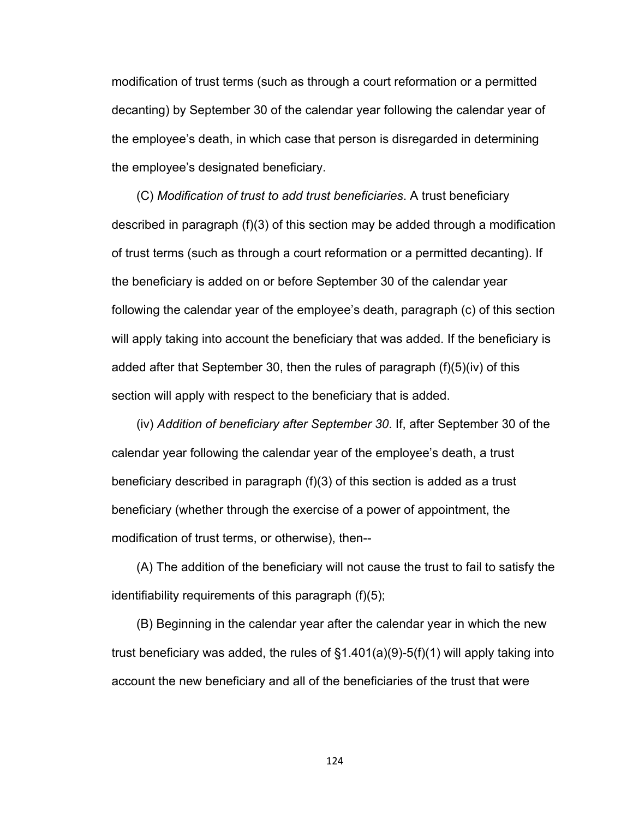modification of trust terms (such as through a court reformation or a permitted decanting) by September 30 of the calendar year following the calendar year of the employee's death, in which case that person is disregarded in determining the employee's designated beneficiary.

(C) *Modification of trust to add trust beneficiaries*. A trust beneficiary described in paragraph (f)(3) of this section may be added through a modification of trust terms (such as through a court reformation or a permitted decanting). If the beneficiary is added on or before September 30 of the calendar year following the calendar year of the employee's death, paragraph (c) of this section will apply taking into account the beneficiary that was added. If the beneficiary is added after that September 30, then the rules of paragraph (f)(5)(iv) of this section will apply with respect to the beneficiary that is added.

(iv) *Addition of beneficiary after September 30*. If, after September 30 of the calendar year following the calendar year of the employee's death, a trust beneficiary described in paragraph (f)(3) of this section is added as a trust beneficiary (whether through the exercise of a power of appointment, the modification of trust terms, or otherwise), then--

(A) The addition of the beneficiary will not cause the trust to fail to satisfy the identifiability requirements of this paragraph (f)(5);

(B) Beginning in the calendar year after the calendar year in which the new trust beneficiary was added, the rules of  $\S1.401(a)(9)-5(f)(1)$  will apply taking into account the new beneficiary and all of the beneficiaries of the trust that were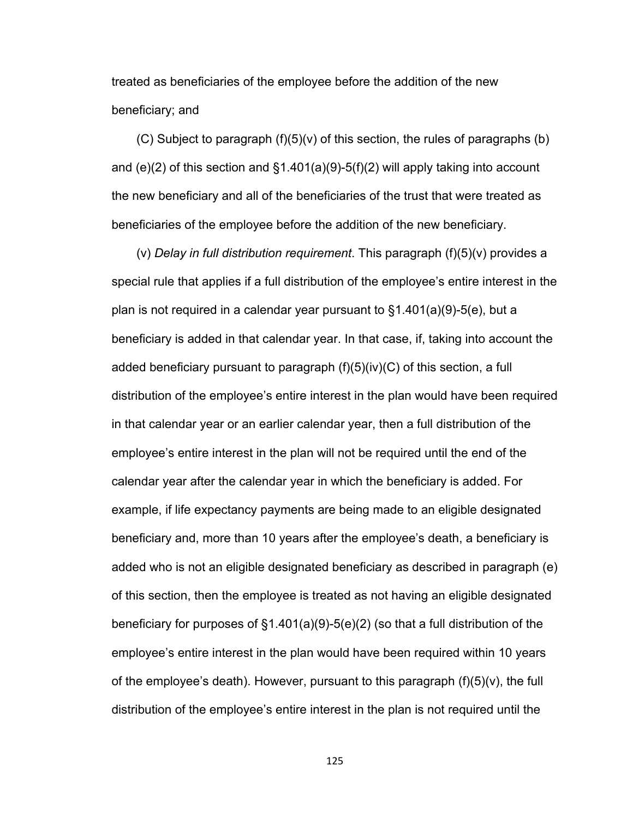treated as beneficiaries of the employee before the addition of the new beneficiary; and

 $(C)$  Subject to paragraph  $(f)(5)(v)$  of this section, the rules of paragraphs (b) and (e)(2) of this section and  $\S1.401(a)(9)-5(f)(2)$  will apply taking into account the new beneficiary and all of the beneficiaries of the trust that were treated as beneficiaries of the employee before the addition of the new beneficiary.

(v) *Delay in full distribution requirement*. This paragraph (f)(5)(v) provides a special rule that applies if a full distribution of the employee's entire interest in the plan is not required in a calendar year pursuant to §1.401(a)(9)-5(e), but a beneficiary is added in that calendar year. In that case, if, taking into account the added beneficiary pursuant to paragraph  $(f)(5)(iv)(C)$  of this section, a full distribution of the employee's entire interest in the plan would have been required in that calendar year or an earlier calendar year, then a full distribution of the employee's entire interest in the plan will not be required until the end of the calendar year after the calendar year in which the beneficiary is added. For example, if life expectancy payments are being made to an eligible designated beneficiary and, more than 10 years after the employee's death, a beneficiary is added who is not an eligible designated beneficiary as described in paragraph (e) of this section, then the employee is treated as not having an eligible designated beneficiary for purposes of §1.401(a)(9)-5(e)(2) (so that a full distribution of the employee's entire interest in the plan would have been required within 10 years of the employee's death). However, pursuant to this paragraph  $(f)(5)(v)$ , the full distribution of the employee's entire interest in the plan is not required until the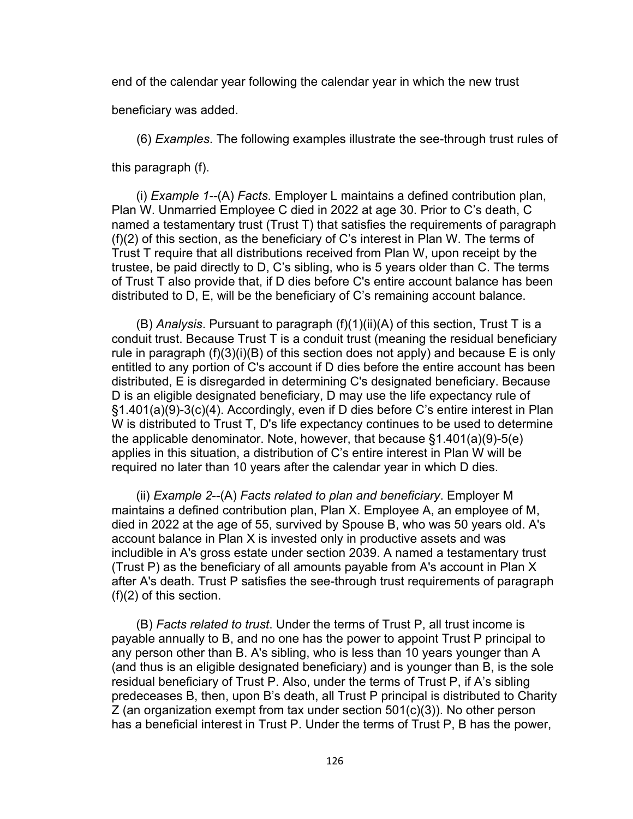end of the calendar year following the calendar year in which the new trust

beneficiary was added.

(6) *Examples*. The following examples illustrate the see-through trust rules of

this paragraph (f).

(i) *Example 1--*(A) *Facts*. Employer L maintains a defined contribution plan, Plan W. Unmarried Employee C died in 2022 at age 30. Prior to C's death, C named a testamentary trust (Trust T) that satisfies the requirements of paragraph (f)(2) of this section, as the beneficiary of C's interest in Plan W. The terms of Trust T require that all distributions received from Plan W, upon receipt by the trustee, be paid directly to D, C's sibling, who is 5 years older than C. The terms of Trust T also provide that, if D dies before C's entire account balance has been distributed to D, E, will be the beneficiary of C's remaining account balance.

(B) *Analysis*. Pursuant to paragraph (f)(1)(ii)(A) of this section, Trust T is a conduit trust. Because Trust T is a conduit trust (meaning the residual beneficiary rule in paragraph  $(f)(3)(i)(B)$  of this section does not apply) and because E is only entitled to any portion of C's account if D dies before the entire account has been distributed, E is disregarded in determining C's designated beneficiary. Because D is an eligible designated beneficiary, D may use the life expectancy rule of §1.401(a)(9)-3(c)(4). Accordingly, even if D dies before C's entire interest in Plan W is distributed to Trust T, D's life expectancy continues to be used to determine the applicable denominator. Note, however, that because §1.401(a)(9)-5(e) applies in this situation, a distribution of C's entire interest in Plan W will be required no later than 10 years after the calendar year in which D dies.

(ii) *Example 2*--(A) *Facts related to plan and beneficiary*. Employer M maintains a defined contribution plan, Plan X. Employee A, an employee of M, died in 2022 at the age of 55, survived by Spouse B, who was 50 years old. A's account balance in Plan X is invested only in productive assets and was includible in A's gross estate under section 2039. A named a testamentary trust (Trust P) as the beneficiary of all amounts payable from A's account in Plan X after A's death. Trust P satisfies the see-through trust requirements of paragraph (f)(2) of this section.

(B) *Facts related to trust*. Under the terms of Trust P, all trust income is payable annually to B, and no one has the power to appoint Trust P principal to any person other than B. A's sibling, who is less than 10 years younger than A (and thus is an eligible designated beneficiary) and is younger than B, is the sole residual beneficiary of Trust P. Also, under the terms of Trust P, if A's sibling predeceases B, then, upon B's death, all Trust P principal is distributed to Charity Z (an organization exempt from tax under section 501(c)(3)). No other person has a beneficial interest in Trust P. Under the terms of Trust P, B has the power,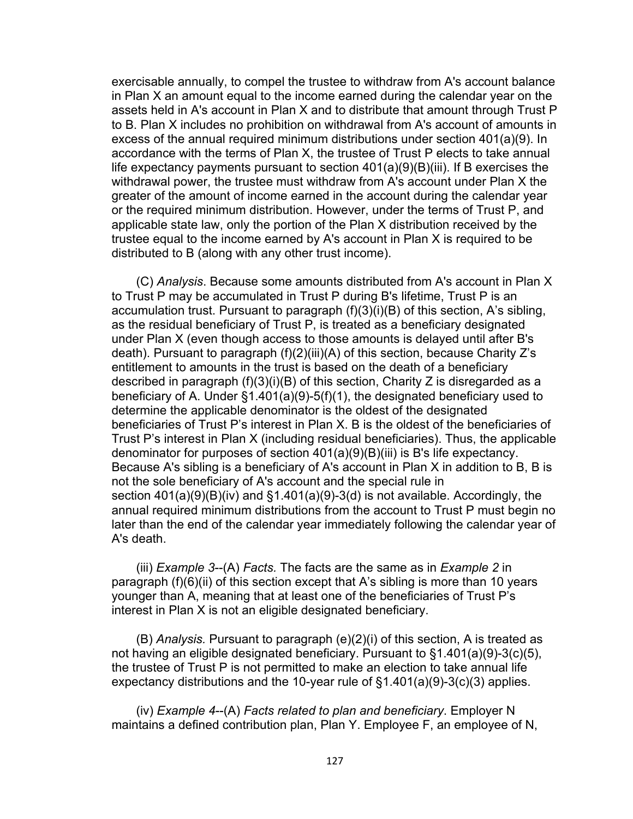exercisable annually, to compel the trustee to withdraw from A's account balance in Plan X an amount equal to the income earned during the calendar year on the assets held in A's account in Plan X and to distribute that amount through Trust P to B. Plan X includes no prohibition on withdrawal from A's account of amounts in excess of the annual required minimum distributions under section 401(a)(9). In accordance with the terms of Plan X, the trustee of Trust P elects to take annual life expectancy payments pursuant to section 401(a)(9)(B)(iii). If B exercises the withdrawal power, the trustee must withdraw from A's account under Plan X the greater of the amount of income earned in the account during the calendar year or the required minimum distribution. However, under the terms of Trust P, and applicable state law, only the portion of the Plan X distribution received by the trustee equal to the income earned by A's account in Plan X is required to be distributed to B (along with any other trust income).

(C) *Analysis*. Because some amounts distributed from A's account in Plan X to Trust P may be accumulated in Trust P during B's lifetime, Trust P is an accumulation trust. Pursuant to paragraph (f)(3)(i)(B) of this section, A's sibling, as the residual beneficiary of Trust P, is treated as a beneficiary designated under Plan X (even though access to those amounts is delayed until after B's death). Pursuant to paragraph (f)(2)(iii)(A) of this section, because Charity Z's entitlement to amounts in the trust is based on the death of a beneficiary described in paragraph (f)(3)(i)(B) of this section, Charity Z is disregarded as a beneficiary of A. Under §1.401(a)(9)-5(f)(1), the designated beneficiary used to determine the applicable denominator is the oldest of the designated beneficiaries of Trust P's interest in Plan X. B is the oldest of the beneficiaries of Trust P's interest in Plan X (including residual beneficiaries). Thus, the applicable denominator for purposes of section 401(a)(9)(B)(iii) is B's life expectancy. Because A's sibling is a beneficiary of A's account in Plan X in addition to B, B is not the sole beneficiary of A's account and the special rule in section 401(a)(9)(B)(iv) and §1.401(a)(9)-3(d) is not available. Accordingly, the annual required minimum distributions from the account to Trust P must begin no later than the end of the calendar year immediately following the calendar year of A's death.

(iii) *Example 3*--(A) *Facts.* The facts are the same as in *Example 2* in paragraph (f)(6)(ii) of this section except that A's sibling is more than 10 years younger than A, meaning that at least one of the beneficiaries of Trust P's interest in Plan X is not an eligible designated beneficiary.

(B) *Analysis.* Pursuant to paragraph (e)(2)(i) of this section, A is treated as not having an eligible designated beneficiary. Pursuant to §1.401(a)(9)-3(c)(5), the trustee of Trust P is not permitted to make an election to take annual life expectancy distributions and the 10-year rule of §1.401(a)(9)-3(c)(3) applies.

(iv) *Example 4*--(A) *Facts related to plan and beneficiary*. Employer N maintains a defined contribution plan, Plan Y. Employee F, an employee of N,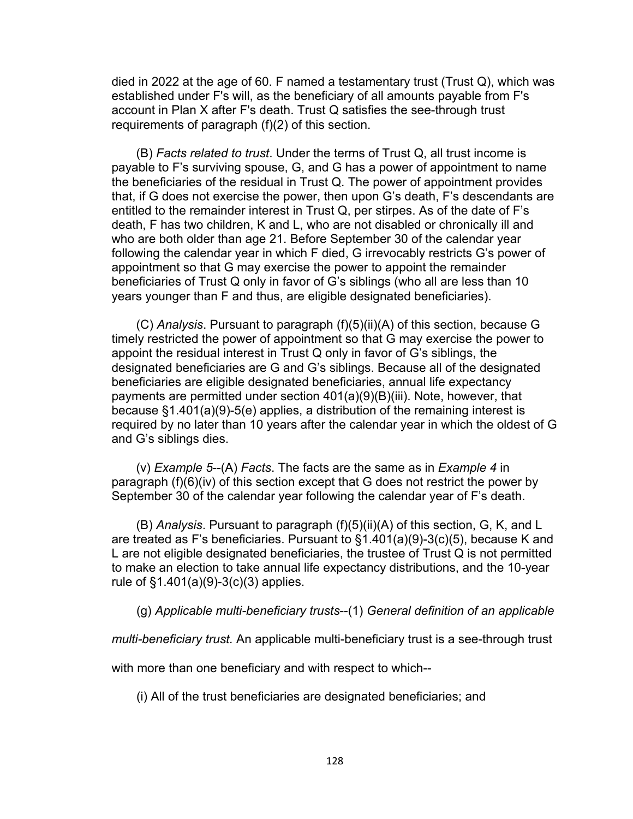died in 2022 at the age of 60. F named a testamentary trust (Trust Q), which was established under F's will, as the beneficiary of all amounts payable from F's account in Plan X after F's death. Trust Q satisfies the see-through trust requirements of paragraph (f)(2) of this section.

(B) *Facts related to trust*. Under the terms of Trust Q, all trust income is payable to F's surviving spouse, G, and G has a power of appointment to name the beneficiaries of the residual in Trust Q. The power of appointment provides that, if G does not exercise the power, then upon G's death, F's descendants are entitled to the remainder interest in Trust Q, per stirpes. As of the date of F's death, F has two children, K and L, who are not disabled or chronically ill and who are both older than age 21. Before September 30 of the calendar year following the calendar year in which F died, G irrevocably restricts G's power of appointment so that G may exercise the power to appoint the remainder beneficiaries of Trust Q only in favor of G's siblings (who all are less than 10 years younger than F and thus, are eligible designated beneficiaries).

(C) *Analysis*. Pursuant to paragraph (f)(5)(ii)(A) of this section, because G timely restricted the power of appointment so that G may exercise the power to appoint the residual interest in Trust Q only in favor of G's siblings, the designated beneficiaries are G and G's siblings. Because all of the designated beneficiaries are eligible designated beneficiaries, annual life expectancy payments are permitted under section 401(a)(9)(B)(iii). Note, however, that because §1.401(a)(9)-5(e) applies, a distribution of the remaining interest is required by no later than 10 years after the calendar year in which the oldest of G and G's siblings dies.

(v) *Example 5*--(A) *Facts*. The facts are the same as in *Example 4* in paragraph (f)(6)(iv) of this section except that G does not restrict the power by September 30 of the calendar year following the calendar year of F's death.

(B) *Analysis*. Pursuant to paragraph (f)(5)(ii)(A) of this section, G, K, and L are treated as F's beneficiaries. Pursuant to §1.401(a)(9)-3(c)(5), because K and L are not eligible designated beneficiaries, the trustee of Trust Q is not permitted to make an election to take annual life expectancy distributions, and the 10-year rule of §1.401(a)(9)-3(c)(3) applies.

(g) *Applicable multi-beneficiary trusts*--(1) *General definition of an applicable* 

*multi-beneficiary trust.* An applicable multi-beneficiary trust is a see-through trust

with more than one beneficiary and with respect to which--

(i) All of the trust beneficiaries are designated beneficiaries; and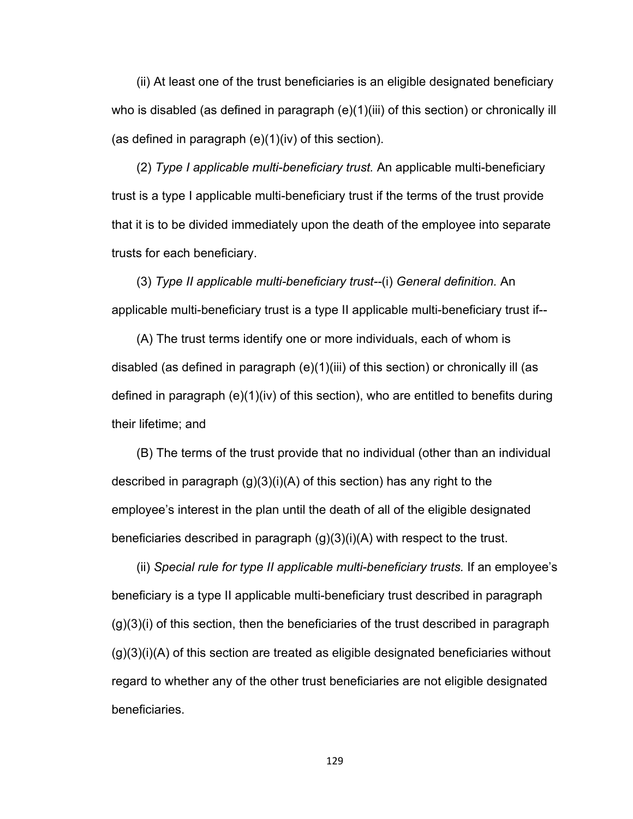(ii) At least one of the trust beneficiaries is an eligible designated beneficiary who is disabled (as defined in paragraph  $(e)(1)(iii)$  of this section) or chronically ill (as defined in paragraph (e)(1)(iv) of this section).

(2) *Type I applicable multi-beneficiary trust.* An applicable multi-beneficiary trust is a type I applicable multi-beneficiary trust if the terms of the trust provide that it is to be divided immediately upon the death of the employee into separate trusts for each beneficiary.

(3) *Type II applicable multi-beneficiary trust--*(i) *General definition.* An applicable multi-beneficiary trust is a type II applicable multi-beneficiary trust if--

(A) The trust terms identify one or more individuals, each of whom is disabled (as defined in paragraph (e)(1)(iii) of this section) or chronically ill (as defined in paragraph (e)(1)(iv) of this section), who are entitled to benefits during their lifetime; and

(B) The terms of the trust provide that no individual (other than an individual described in paragraph (g)(3)(i)(A) of this section) has any right to the employee's interest in the plan until the death of all of the eligible designated beneficiaries described in paragraph (g)(3)(i)(A) with respect to the trust.

(ii) *Special rule for type II applicable multi-beneficiary trusts.* If an employee's beneficiary is a type II applicable multi-beneficiary trust described in paragraph (g)(3)(i) of this section, then the beneficiaries of the trust described in paragraph  $(g)(3)(i)(A)$  of this section are treated as eligible designated beneficiaries without regard to whether any of the other trust beneficiaries are not eligible designated beneficiaries.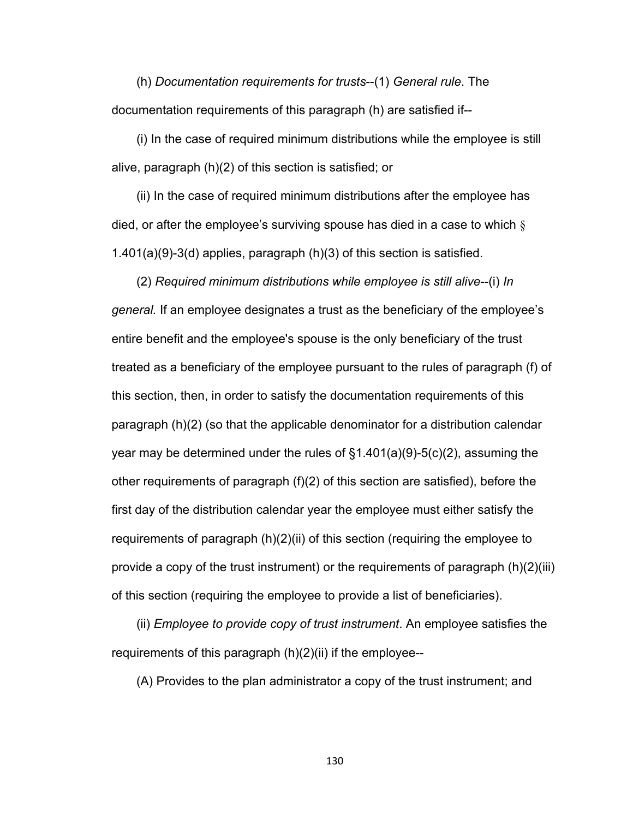(h) *Documentation requirements for trusts*--(1) *General rule*. The documentation requirements of this paragraph (h) are satisfied if--

(i) In the case of required minimum distributions while the employee is still alive, paragraph (h)(2) of this section is satisfied; or

(ii) In the case of required minimum distributions after the employee has died, or after the employee's surviving spouse has died in a case to which  $\S$ 1.401(a)(9)-3(d) applies, paragraph (h)(3) of this section is satisfied.

(2) *Required minimum distributions while employee is still alive*--(i) *In general.* If an employee designates a trust as the beneficiary of the employee's entire benefit and the employee's spouse is the only beneficiary of the trust treated as a beneficiary of the employee pursuant to the rules of paragraph (f) of this section, then, in order to satisfy the documentation requirements of this paragraph (h)(2) (so that the applicable denominator for a distribution calendar year may be determined under the rules of  $\S1.401(a)(9)-5(c)(2)$ , assuming the other requirements of paragraph (f)(2) of this section are satisfied), before the first day of the distribution calendar year the employee must either satisfy the requirements of paragraph (h)(2)(ii) of this section (requiring the employee to provide a copy of the trust instrument) or the requirements of paragraph (h)(2)(iii) of this section (requiring the employee to provide a list of beneficiaries).

(ii) *Employee to provide copy of trust instrument*. An employee satisfies the requirements of this paragraph (h)(2)(ii) if the employee--

(A) Provides to the plan administrator a copy of the trust instrument; and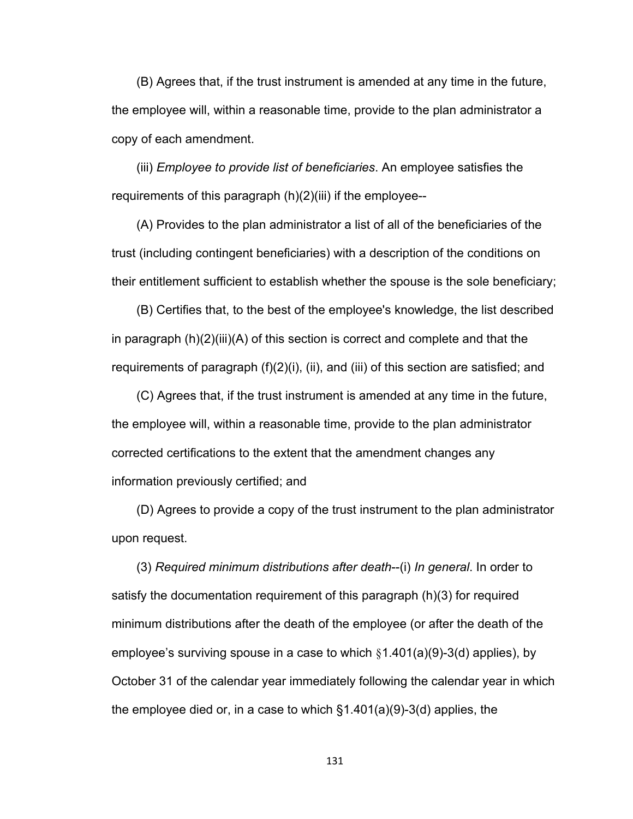(B) Agrees that, if the trust instrument is amended at any time in the future, the employee will, within a reasonable time, provide to the plan administrator a copy of each amendment.

(iii) *Employee to provide list of beneficiaries*. An employee satisfies the requirements of this paragraph (h)(2)(iii) if the employee--

(A) Provides to the plan administrator a list of all of the beneficiaries of the trust (including contingent beneficiaries) with a description of the conditions on their entitlement sufficient to establish whether the spouse is the sole beneficiary;

(B) Certifies that, to the best of the employee's knowledge, the list described in paragraph (h)(2)(iii)(A) of this section is correct and complete and that the requirements of paragraph (f)(2)(i), (ii), and (iii) of this section are satisfied; and

(C) Agrees that, if the trust instrument is amended at any time in the future, the employee will, within a reasonable time, provide to the plan administrator corrected certifications to the extent that the amendment changes any information previously certified; and

(D) Agrees to provide a copy of the trust instrument to the plan administrator upon request.

(3) *Required minimum distributions after death*--(i) *In general*. In order to satisfy the documentation requirement of this paragraph (h)(3) for required minimum distributions after the death of the employee (or after the death of the employee's surviving spouse in a case to which §1.401(a)(9)-3(d) applies), by October 31 of the calendar year immediately following the calendar year in which the employee died or, in a case to which §1.401(a)(9)-3(d) applies, the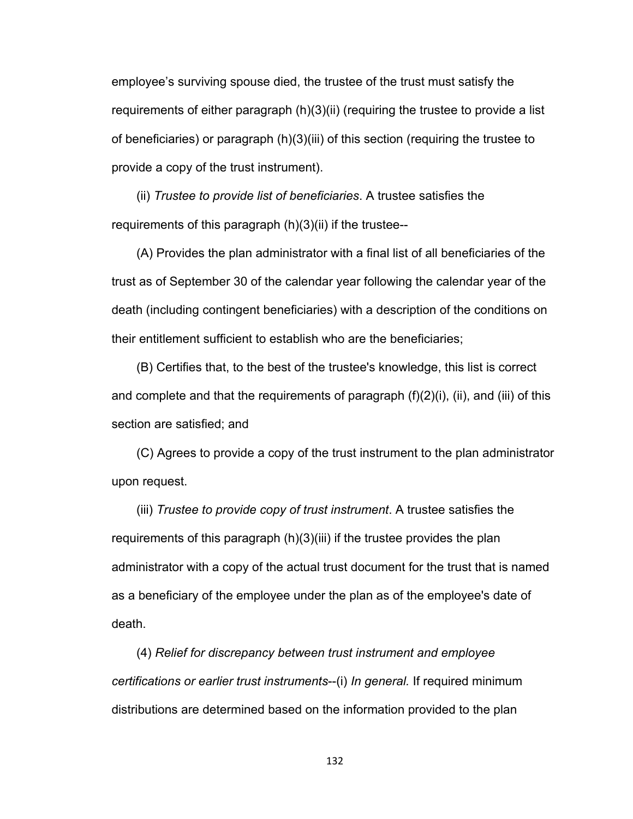employee's surviving spouse died, the trustee of the trust must satisfy the requirements of either paragraph (h)(3)(ii) (requiring the trustee to provide a list of beneficiaries) or paragraph (h)(3)(iii) of this section (requiring the trustee to provide a copy of the trust instrument).

(ii) *Trustee to provide list of beneficiaries*. A trustee satisfies the requirements of this paragraph (h)(3)(ii) if the trustee--

(A) Provides the plan administrator with a final list of all beneficiaries of the trust as of September 30 of the calendar year following the calendar year of the death (including contingent beneficiaries) with a description of the conditions on their entitlement sufficient to establish who are the beneficiaries;

(B) Certifies that, to the best of the trustee's knowledge, this list is correct and complete and that the requirements of paragraph (f)(2)(i), (ii), and (iii) of this section are satisfied; and

(C) Agrees to provide a copy of the trust instrument to the plan administrator upon request.

(iii) *Trustee to provide copy of trust instrument*. A trustee satisfies the requirements of this paragraph (h)(3)(iii) if the trustee provides the plan administrator with a copy of the actual trust document for the trust that is named as a beneficiary of the employee under the plan as of the employee's date of death.

(4) *Relief for discrepancy between trust instrument and employee certifications or earlier trust instruments*--(i) *In general.* If required minimum distributions are determined based on the information provided to the plan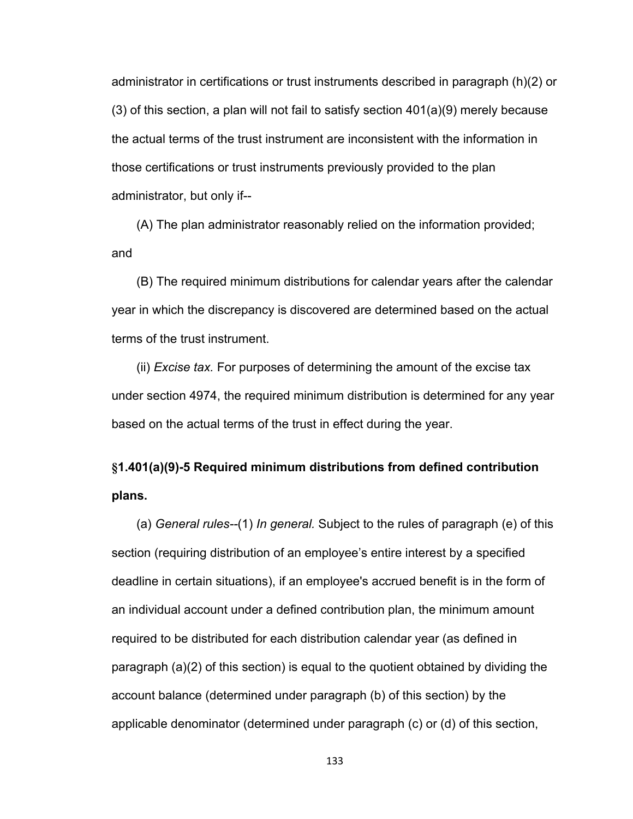administrator in certifications or trust instruments described in paragraph (h)(2) or  $(3)$  of this section, a plan will not fail to satisfy section  $401(a)(9)$  merely because the actual terms of the trust instrument are inconsistent with the information in those certifications or trust instruments previously provided to the plan administrator, but only if--

(A) The plan administrator reasonably relied on the information provided; and

(B) The required minimum distributions for calendar years after the calendar year in which the discrepancy is discovered are determined based on the actual terms of the trust instrument.

(ii) *Excise tax.* For purposes of determining the amount of the excise tax under section 4974, the required minimum distribution is determined for any year based on the actual terms of the trust in effect during the year.

## **§1.401(a)(9)-5 Required minimum distributions from defined contribution plans.**

(a) *General rules--*(1) *In general.* Subject to the rules of paragraph (e) of this section (requiring distribution of an employee's entire interest by a specified deadline in certain situations), if an employee's accrued benefit is in the form of an individual account under a defined contribution plan, the minimum amount required to be distributed for each distribution calendar year (as defined in paragraph (a)(2) of this section) is equal to the quotient obtained by dividing the account balance (determined under paragraph (b) of this section) by the applicable denominator (determined under paragraph (c) or (d) of this section,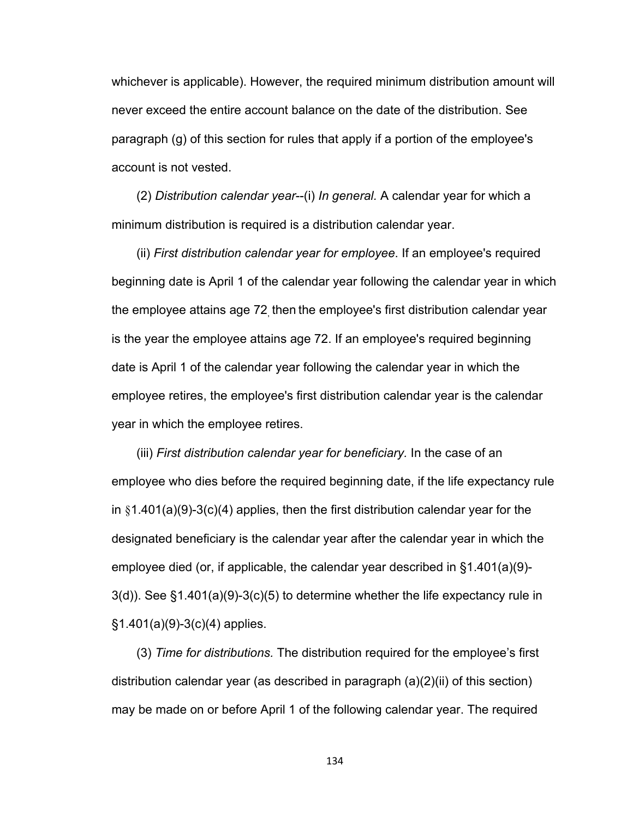whichever is applicable). However, the required minimum distribution amount will never exceed the entire account balance on the date of the distribution. See paragraph (g) of this section for rules that apply if a portion of the employee's account is not vested.

(2) *Distribution calendar year*--(i) *In general.* A calendar year for which a minimum distribution is required is a distribution calendar year.

(ii) *First distribution calendar year for employee*. If an employee's required beginning date is April 1 of the calendar year following the calendar year in which the employee attains age 72<sub>,</sub> then the employee's first distribution calendar year is the year the employee attains age 72. If an employee's required beginning date is April 1 of the calendar year following the calendar year in which the employee retires, the employee's first distribution calendar year is the calendar year in which the employee retires.

(iii) *First distribution calendar year for beneficiary.* In the case of an employee who dies before the required beginning date, if the life expectancy rule in  $§1.401(a)(9)-3(c)(4)$  applies, then the first distribution calendar year for the designated beneficiary is the calendar year after the calendar year in which the employee died (or, if applicable, the calendar year described in §1.401(a)(9)- 3(d)). See §1.401(a)(9)-3(c)(5) to determine whether the life expectancy rule in §1.401(a)(9)-3(c)(4) applies.

(3) *Time for distributions.* The distribution required for the employee's first distribution calendar year (as described in paragraph (a)(2)(ii) of this section) may be made on or before April 1 of the following calendar year. The required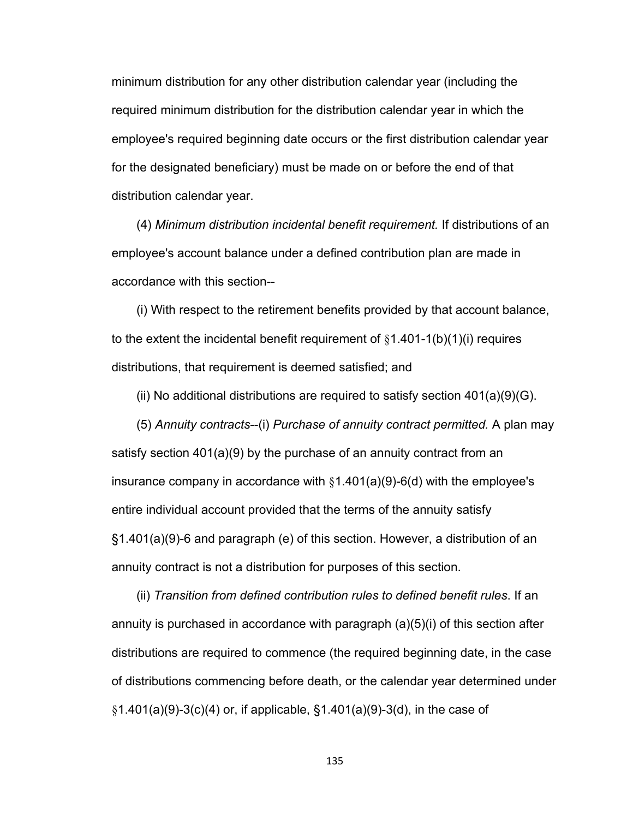minimum distribution for any other distribution calendar year (including the required minimum distribution for the distribution calendar year in which the employee's required beginning date occurs or the first distribution calendar year for the designated beneficiary) must be made on or before the end of that distribution calendar year.

(4) *Minimum distribution incidental benefit requirement.* If distributions of an employee's account balance under a defined contribution plan are made in accordance with this section--

(i) With respect to the retirement benefits provided by that account balance, to the extent the incidental benefit requirement of  $§1.401-1(b)(1)(i)$  requires distributions, that requirement is deemed satisfied; and

(ii) No additional distributions are required to satisfy section  $401(a)(9)(G)$ .

(5) *Annuity contracts*--(i) *Purchase of annuity contract permitted.* A plan may satisfy section 401(a)(9) by the purchase of an annuity contract from an insurance company in accordance with §1.401(a)(9)-6(d) with the employee's entire individual account provided that the terms of the annuity satisfy §1.401(a)(9)-6 and paragraph (e) of this section. However, a distribution of an annuity contract is not a distribution for purposes of this section.

(ii) *Transition from defined contribution rules to defined benefit rules*. If an annuity is purchased in accordance with paragraph (a)(5)(i) of this section after distributions are required to commence (the required beginning date, in the case of distributions commencing before death, or the calendar year determined under  $\S1.401(a)(9)-3(c)(4)$  or, if applicable,  $\S1.401(a)(9)-3(d)$ , in the case of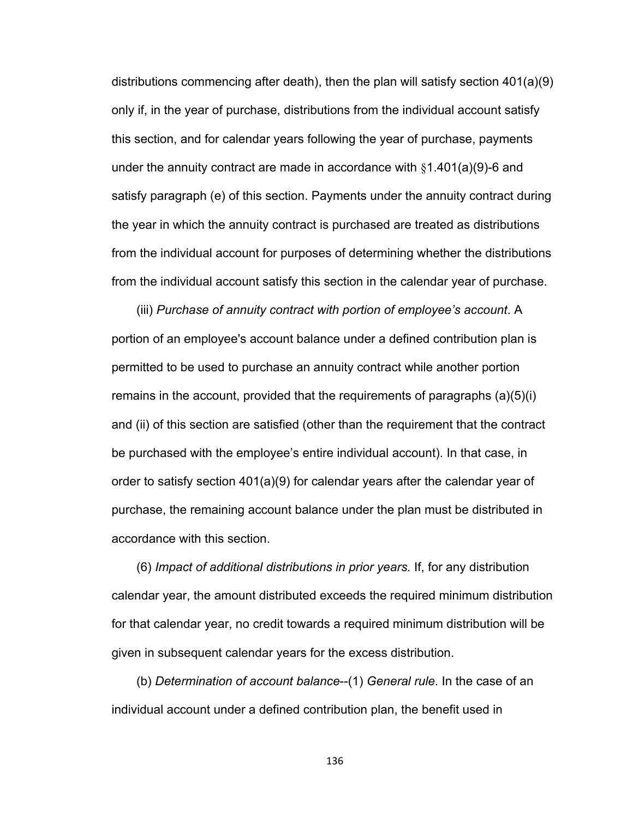distributions commencing after death), then the plan will satisfy section 401(a)(9) only if, in the year of purchase, distributions from the individual account satisfy this section, and for calendar years following the year of purchase, payments under the annuity contract are made in accordance with §1.401(a)(9)-6 and satisfy paragraph (e) of this section. Payments under the annuity contract during the year in which the annuity contract is purchased are treated as distributions from the individual account for purposes of determining whether the distributions from the individual account satisfy this section in the calendar year of purchase.

(iii) *Purchase of annuity contract with portion of employee's account*. A portion of an employee's account balance under a defined contribution plan is permitted to be used to purchase an annuity contract while another portion remains in the account, provided that the requirements of paragraphs (a)(5)(i) and (ii) of this section are satisfied (other than the requirement that the contract be purchased with the employee's entire individual account). In that case, in order to satisfy section 401(a)(9) for calendar years after the calendar year of purchase, the remaining account balance under the plan must be distributed in accordance with this section.

(6) *Impact of additional distributions in prior years.* If, for any distribution calendar year, the amount distributed exceeds the required minimum distribution for that calendar year, no credit towards a required minimum distribution will be given in subsequent calendar years for the excess distribution.

(b) *Determination of account balance*--(1) *General rule*. In the case of an individual account under a defined contribution plan, the benefit used in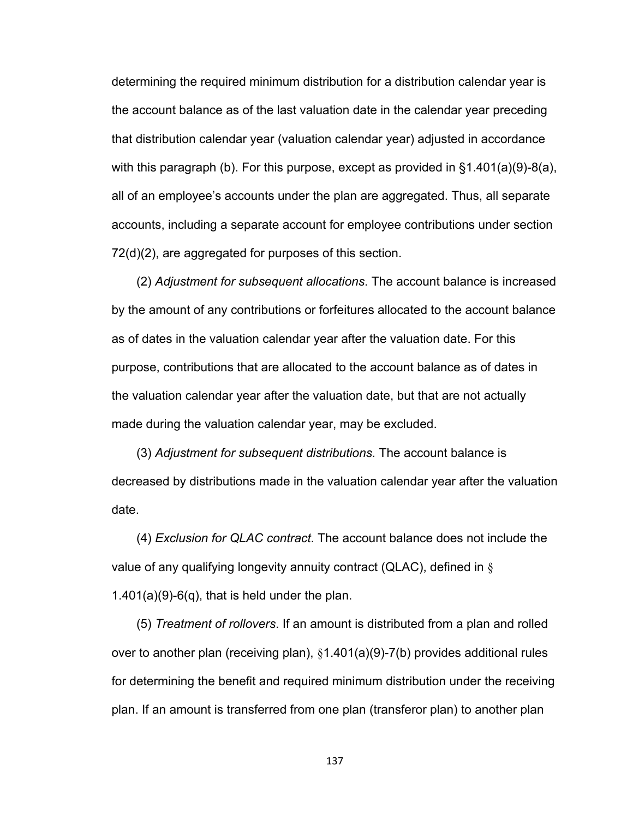determining the required minimum distribution for a distribution calendar year is the account balance as of the last valuation date in the calendar year preceding that distribution calendar year (valuation calendar year) adjusted in accordance with this paragraph (b). For this purpose, except as provided in §1.401(a)(9)-8(a), all of an employee's accounts under the plan are aggregated. Thus, all separate accounts, including a separate account for employee contributions under section 72(d)(2), are aggregated for purposes of this section.

(2) *Adjustment for subsequent allocations*. The account balance is increased by the amount of any contributions or forfeitures allocated to the account balance as of dates in the valuation calendar year after the valuation date. For this purpose, contributions that are allocated to the account balance as of dates in the valuation calendar year after the valuation date, but that are not actually made during the valuation calendar year, may be excluded.

(3) *Adjustment for subsequent distributions.* The account balance is decreased by distributions made in the valuation calendar year after the valuation date.

(4) *Exclusion for QLAC contract*. The account balance does not include the value of any qualifying longevity annuity contract (QLAC), defined in  $\S$  $1.401(a)(9)-6(q)$ , that is held under the plan.

(5) *Treatment of rollovers*. If an amount is distributed from a plan and rolled over to another plan (receiving plan), §1.401(a)(9)-7(b) provides additional rules for determining the benefit and required minimum distribution under the receiving plan. If an amount is transferred from one plan (transferor plan) to another plan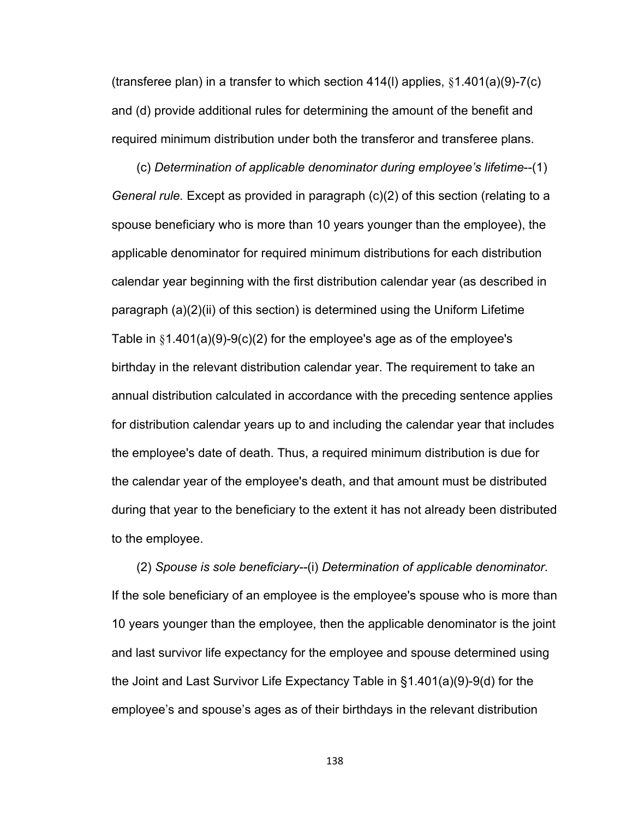(transferee plan) in a transfer to which section 414(l) applies, §1.401(a)(9)-7(c) and (d) provide additional rules for determining the amount of the benefit and required minimum distribution under both the transferor and transferee plans.

(c) *Determination of applicable denominator during employee's lifetime*--(1) *General rule.* Except as provided in paragraph (c)(2) of this section (relating to a spouse beneficiary who is more than 10 years younger than the employee), the applicable denominator for required minimum distributions for each distribution calendar year beginning with the first distribution calendar year (as described in paragraph (a)(2)(ii) of this section) is determined using the Uniform Lifetime Table in  $\S1.401(a)(9)-9(c)(2)$  for the employee's age as of the employee's birthday in the relevant distribution calendar year. The requirement to take an annual distribution calculated in accordance with the preceding sentence applies for distribution calendar years up to and including the calendar year that includes the employee's date of death. Thus, a required minimum distribution is due for the calendar year of the employee's death, and that amount must be distributed during that year to the beneficiary to the extent it has not already been distributed to the employee.

(2) *Spouse is sole beneficiary--*(i) *Determination of applicable denominator*. If the sole beneficiary of an employee is the employee's spouse who is more than 10 years younger than the employee, then the applicable denominator is the joint and last survivor life expectancy for the employee and spouse determined using the Joint and Last Survivor Life Expectancy Table in §1.401(a)(9)-9(d) for the employee's and spouse's ages as of their birthdays in the relevant distribution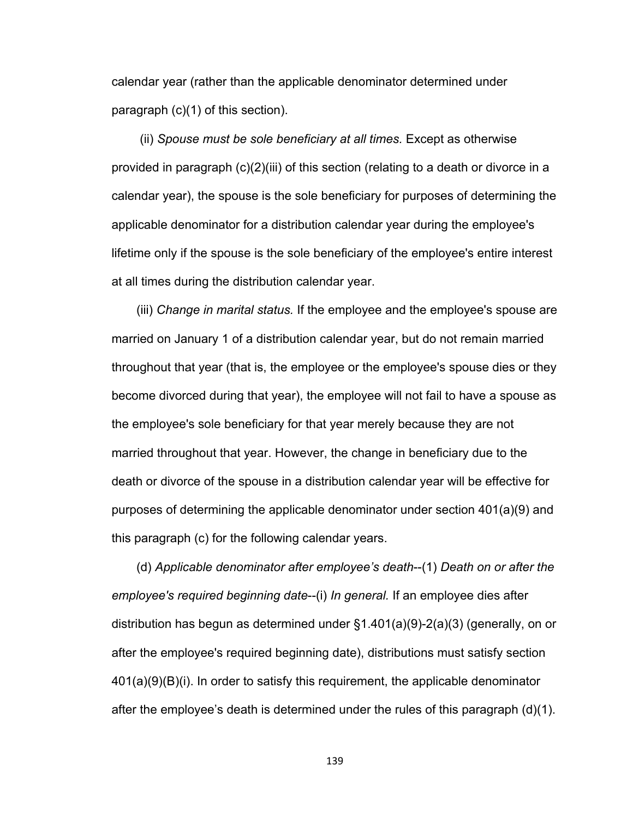calendar year (rather than the applicable denominator determined under paragraph (c)(1) of this section).

 (ii) *Spouse must be sole beneficiary at all times.* Except as otherwise provided in paragraph (c)(2)(iii) of this section (relating to a death or divorce in a calendar year), the spouse is the sole beneficiary for purposes of determining the applicable denominator for a distribution calendar year during the employee's lifetime only if the spouse is the sole beneficiary of the employee's entire interest at all times during the distribution calendar year.

(iii) *Change in marital status.* If the employee and the employee's spouse are married on January 1 of a distribution calendar year, but do not remain married throughout that year (that is, the employee or the employee's spouse dies or they become divorced during that year), the employee will not fail to have a spouse as the employee's sole beneficiary for that year merely because they are not married throughout that year. However, the change in beneficiary due to the death or divorce of the spouse in a distribution calendar year will be effective for purposes of determining the applicable denominator under section 401(a)(9) and this paragraph (c) for the following calendar years.

(d) *Applicable denominator after employee's death*--(1) *Death on or after the employee's required beginning date*--(i) *In general.* If an employee dies after distribution has begun as determined under §1.401(a)(9)-2(a)(3) (generally, on or after the employee's required beginning date), distributions must satisfy section 401(a)(9)(B)(i). In order to satisfy this requirement, the applicable denominator after the employee's death is determined under the rules of this paragraph (d)(1).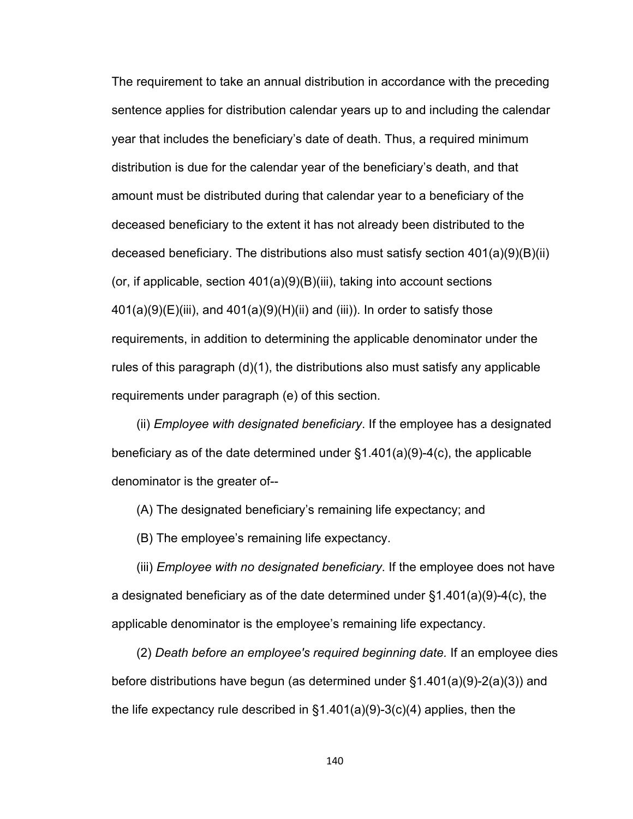The requirement to take an annual distribution in accordance with the preceding sentence applies for distribution calendar years up to and including the calendar year that includes the beneficiary's date of death. Thus, a required minimum distribution is due for the calendar year of the beneficiary's death, and that amount must be distributed during that calendar year to a beneficiary of the deceased beneficiary to the extent it has not already been distributed to the deceased beneficiary. The distributions also must satisfy section 401(a)(9)(B)(ii) (or, if applicable, section  $401(a)(9)(B)(iii)$ , taking into account sections  $401(a)(9)(E)(iii)$ , and  $401(a)(9)(H)(ii)$  and (iii)). In order to satisfy those requirements, in addition to determining the applicable denominator under the rules of this paragraph (d)(1), the distributions also must satisfy any applicable requirements under paragraph (e) of this section.

(ii) *Employee with designated beneficiary*. If the employee has a designated beneficiary as of the date determined under §1.401(a)(9)-4(c), the applicable denominator is the greater of--

(A) The designated beneficiary's remaining life expectancy; and

(B) The employee's remaining life expectancy.

(iii) *Employee with no designated beneficiary*. If the employee does not have a designated beneficiary as of the date determined under §1.401(a)(9)-4(c), the applicable denominator is the employee's remaining life expectancy.

(2) *Death before an employee's required beginning date.* If an employee dies before distributions have begun (as determined under §1.401(a)(9)-2(a)(3)) and the life expectancy rule described in  $\S1.401(a)(9)-3(c)(4)$  applies, then the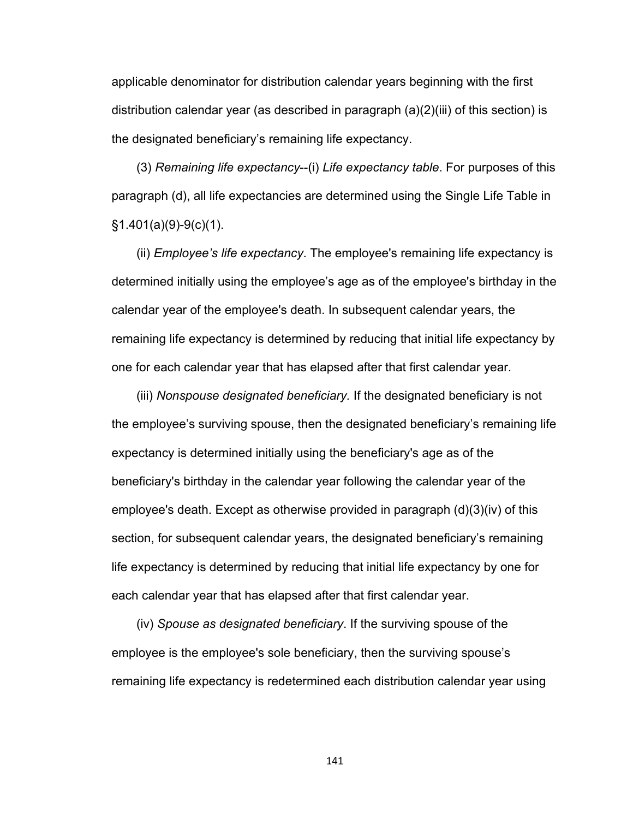applicable denominator for distribution calendar years beginning with the first distribution calendar year (as described in paragraph (a)(2)(iii) of this section) is the designated beneficiary's remaining life expectancy.

(3) *Remaining life expectancy*--(i) *Life expectancy table*. For purposes of this paragraph (d), all life expectancies are determined using the Single Life Table in §1.401(a)(9)-9(c)(1).

(ii) *Employee's life expectancy*. The employee's remaining life expectancy is determined initially using the employee's age as of the employee's birthday in the calendar year of the employee's death. In subsequent calendar years, the remaining life expectancy is determined by reducing that initial life expectancy by one for each calendar year that has elapsed after that first calendar year.

(iii) *Nonspouse designated beneficiary.* If the designated beneficiary is not the employee's surviving spouse, then the designated beneficiary's remaining life expectancy is determined initially using the beneficiary's age as of the beneficiary's birthday in the calendar year following the calendar year of the employee's death. Except as otherwise provided in paragraph (d)(3)(iv) of this section, for subsequent calendar years, the designated beneficiary's remaining life expectancy is determined by reducing that initial life expectancy by one for each calendar year that has elapsed after that first calendar year.

(iv) *Spouse as designated beneficiary*. If the surviving spouse of the employee is the employee's sole beneficiary, then the surviving spouse's remaining life expectancy is redetermined each distribution calendar year using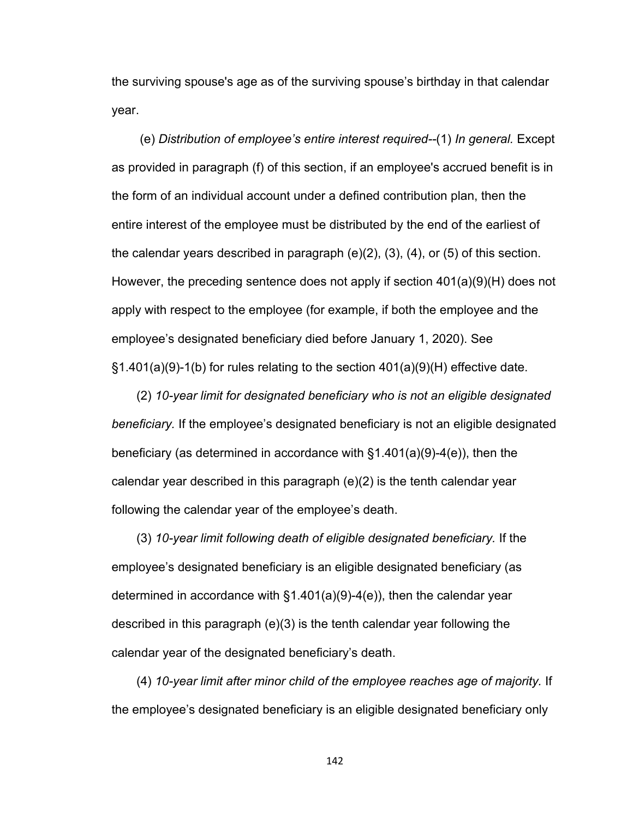the surviving spouse's age as of the surviving spouse's birthday in that calendar year.

 (e) *Distribution of employee's entire interest required--*(1) *In general.* Except as provided in paragraph (f) of this section, if an employee's accrued benefit is in the form of an individual account under a defined contribution plan, then the entire interest of the employee must be distributed by the end of the earliest of the calendar years described in paragraph  $(e)(2)$ ,  $(3)$ ,  $(4)$ , or  $(5)$  of this section. However, the preceding sentence does not apply if section 401(a)(9)(H) does not apply with respect to the employee (for example, if both the employee and the employee's designated beneficiary died before January 1, 2020). See §1.401(a)(9)-1(b) for rules relating to the section 401(a)(9)(H) effective date.

(2) *10-year limit for designated beneficiary who is not an eligible designated beneficiary.* If the employee's designated beneficiary is not an eligible designated beneficiary (as determined in accordance with §1.401(a)(9)-4(e)), then the calendar year described in this paragraph (e)(2) is the tenth calendar year following the calendar year of the employee's death.

(3) *10-year limit following death of eligible designated beneficiary.* If the employee's designated beneficiary is an eligible designated beneficiary (as determined in accordance with §1.401(a)(9)-4(e)), then the calendar year described in this paragraph (e)(3) is the tenth calendar year following the calendar year of the designated beneficiary's death.

(4) *10-year limit after minor child of the employee reaches age of majority.* If the employee's designated beneficiary is an eligible designated beneficiary only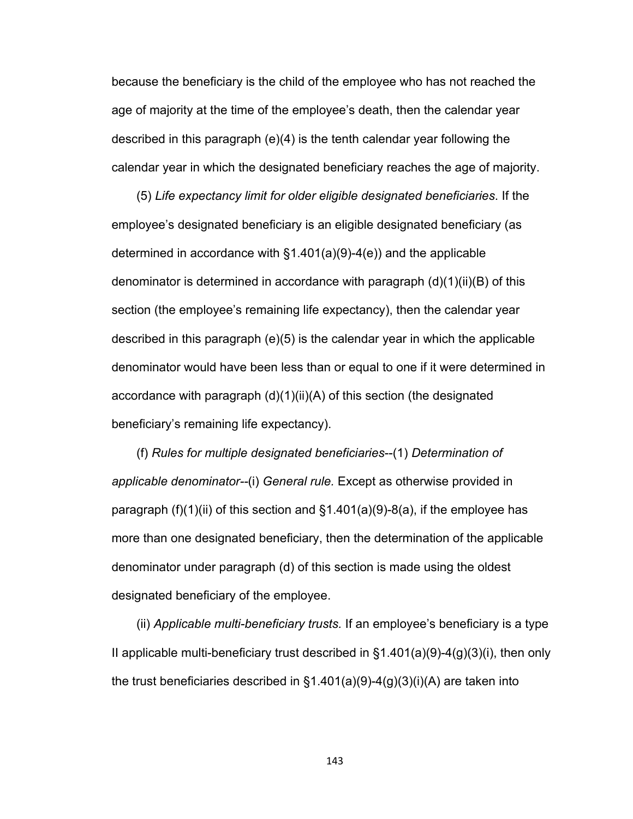because the beneficiary is the child of the employee who has not reached the age of majority at the time of the employee's death, then the calendar year described in this paragraph (e)(4) is the tenth calendar year following the calendar year in which the designated beneficiary reaches the age of majority.

(5) *Life expectancy limit for older eligible designated beneficiaries*. If the employee's designated beneficiary is an eligible designated beneficiary (as determined in accordance with §1.401(a)(9)-4(e)) and the applicable denominator is determined in accordance with paragraph (d)(1)(ii)(B) of this section (the employee's remaining life expectancy), then the calendar year described in this paragraph (e)(5) is the calendar year in which the applicable denominator would have been less than or equal to one if it were determined in accordance with paragraph (d)(1)(ii)(A) of this section (the designated beneficiary's remaining life expectancy).

(f) *Rules for multiple designated beneficiaries*--(1) *Determination of applicable denominator--*(i) *General rule.* Except as otherwise provided in paragraph (f)(1)(ii) of this section and  $\S$ 1.401(a)(9)-8(a), if the employee has more than one designated beneficiary, then the determination of the applicable denominator under paragraph (d) of this section is made using the oldest designated beneficiary of the employee.

(ii) *Applicable multi-beneficiary trusts.* If an employee's beneficiary is a type II applicable multi-beneficiary trust described in  $\S1.401(a)(9)-4(g)(3)(i)$ , then only the trust beneficiaries described in  $\S1.401(a)(9)-4(g)(3)(i)(A)$  are taken into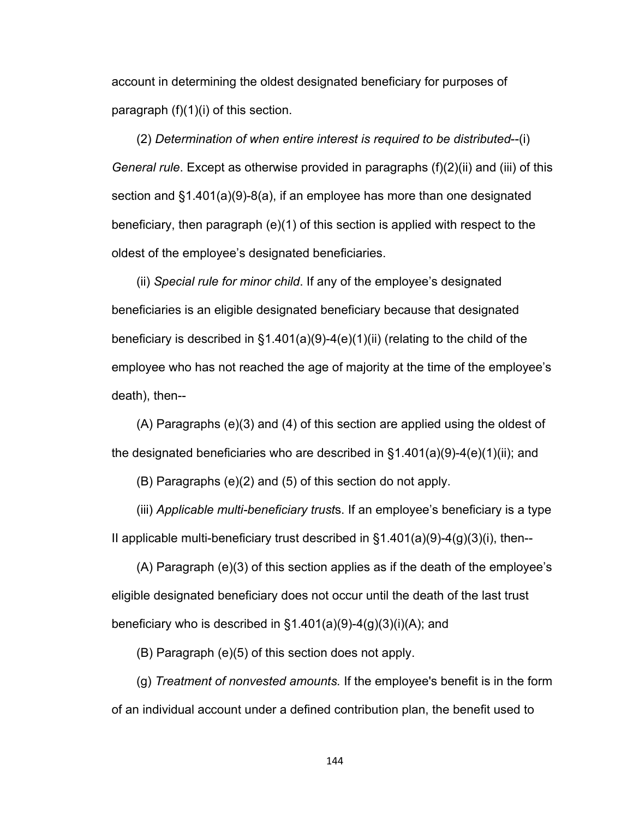account in determining the oldest designated beneficiary for purposes of paragraph  $(f)(1)(i)$  of this section.

(2) *Determination of when entire interest is required to be distributed*--(i) *General rule*. Except as otherwise provided in paragraphs (f)(2)(ii) and (iii) of this section and §1.401(a)(9)-8(a), if an employee has more than one designated beneficiary, then paragraph (e)(1) of this section is applied with respect to the oldest of the employee's designated beneficiaries.

(ii) *Special rule for minor child*. If any of the employee's designated beneficiaries is an eligible designated beneficiary because that designated beneficiary is described in §1.401(a)(9)-4(e)(1)(ii) (relating to the child of the employee who has not reached the age of majority at the time of the employee's death), then--

(A) Paragraphs (e)(3) and (4) of this section are applied using the oldest of the designated beneficiaries who are described in §1.401(a)(9)-4(e)(1)(ii); and

(B) Paragraphs (e)(2) and (5) of this section do not apply.

(iii) *Applicable multi-beneficiary trust*s. If an employee's beneficiary is a type II applicable multi-beneficiary trust described in  $\S1.401(a)(9)-4(g)(3)(i)$ , then--

(A) Paragraph (e)(3) of this section applies as if the death of the employee's eligible designated beneficiary does not occur until the death of the last trust beneficiary who is described in  $\S1.401(a)(9)-4(g)(3)(i)(A)$ ; and

(B) Paragraph (e)(5) of this section does not apply.

(g) *Treatment of nonvested amounts.* If the employee's benefit is in the form of an individual account under a defined contribution plan, the benefit used to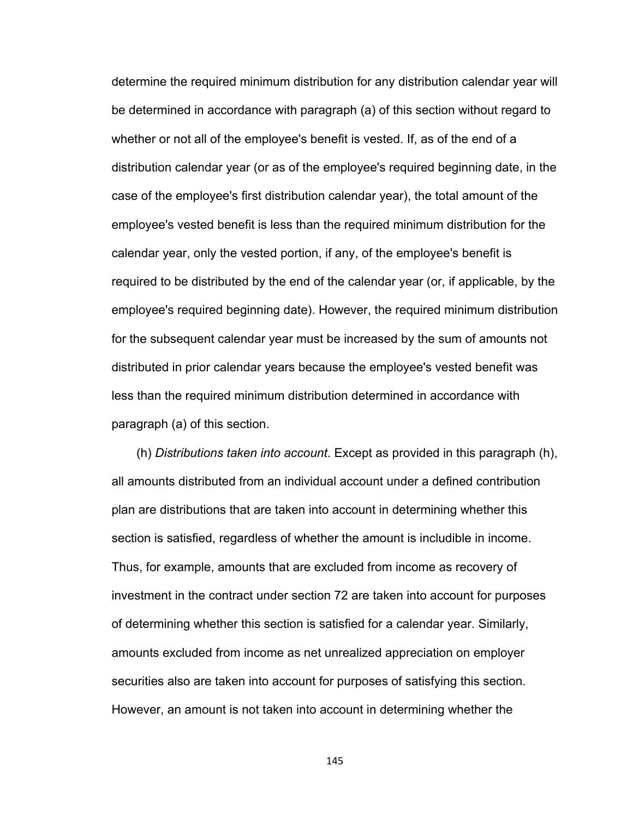determine the required minimum distribution for any distribution calendar year will be determined in accordance with paragraph (a) of this section without regard to whether or not all of the employee's benefit is vested. If, as of the end of a distribution calendar year (or as of the employee's required beginning date, in the case of the employee's first distribution calendar year), the total amount of the employee's vested benefit is less than the required minimum distribution for the calendar year, only the vested portion, if any, of the employee's benefit is required to be distributed by the end of the calendar year (or, if applicable, by the employee's required beginning date). However, the required minimum distribution for the subsequent calendar year must be increased by the sum of amounts not distributed in prior calendar years because the employee's vested benefit was less than the required minimum distribution determined in accordance with paragraph (a) of this section.

(h) *Distributions taken into account*. Except as provided in this paragraph (h), all amounts distributed from an individual account under a defined contribution plan are distributions that are taken into account in determining whether this section is satisfied, regardless of whether the amount is includible in income. Thus, for example, amounts that are excluded from income as recovery of investment in the contract under section 72 are taken into account for purposes of determining whether this section is satisfied for a calendar year. Similarly, amounts excluded from income as net unrealized appreciation on employer securities also are taken into account for purposes of satisfying this section. However, an amount is not taken into account in determining whether the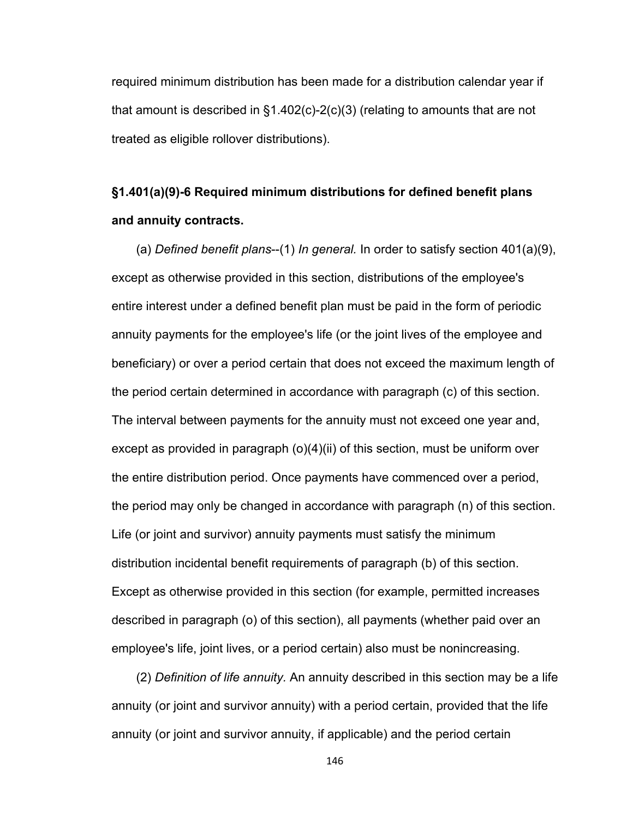required minimum distribution has been made for a distribution calendar year if that amount is described in §1.402(c)-2(c)(3) (relating to amounts that are not treated as eligible rollover distributions).

# **§1.401(a)(9)-6 Required minimum distributions for defined benefit plans and annuity contracts.**

(a) *Defined benefit plans*--(1) *In general.* In order to satisfy section 401(a)(9), except as otherwise provided in this section, distributions of the employee's entire interest under a defined benefit plan must be paid in the form of periodic annuity payments for the employee's life (or the joint lives of the employee and beneficiary) or over a period certain that does not exceed the maximum length of the period certain determined in accordance with paragraph (c) of this section. The interval between payments for the annuity must not exceed one year and, except as provided in paragraph (o)(4)(ii) of this section, must be uniform over the entire distribution period. Once payments have commenced over a period, the period may only be changed in accordance with paragraph (n) of this section. Life (or joint and survivor) annuity payments must satisfy the minimum distribution incidental benefit requirements of paragraph (b) of this section. Except as otherwise provided in this section (for example, permitted increases described in paragraph (o) of this section), all payments (whether paid over an employee's life, joint lives, or a period certain) also must be nonincreasing.

(2) *Definition of life annuity.* An annuity described in this section may be a life annuity (or joint and survivor annuity) with a period certain, provided that the life annuity (or joint and survivor annuity, if applicable) and the period certain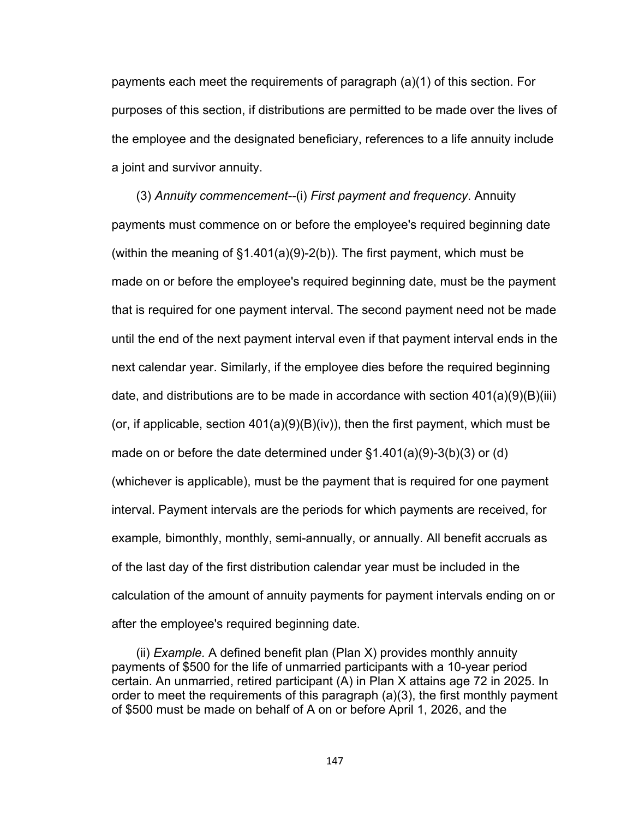payments each meet the requirements of paragraph (a)(1) of this section. For purposes of this section, if distributions are permitted to be made over the lives of the employee and the designated beneficiary, references to a life annuity include a joint and survivor annuity.

(3) *Annuity commencement--*(i) *First payment and frequency*. Annuity payments must commence on or before the employee's required beginning date (within the meaning of §1.401(a)(9)-2(b)). The first payment, which must be made on or before the employee's required beginning date, must be the payment that is required for one payment interval. The second payment need not be made until the end of the next payment interval even if that payment interval ends in the next calendar year. Similarly, if the employee dies before the required beginning date, and distributions are to be made in accordance with section  $401(a)(9)(B)(iii)$ (or, if applicable, section  $401(a)(9)(B)(iv)$ , then the first payment, which must be made on or before the date determined under  $\S1.401(a)(9)-3(b)(3)$  or (d) (whichever is applicable), must be the payment that is required for one payment interval. Payment intervals are the periods for which payments are received, for example*,* bimonthly, monthly, semi-annually, or annually. All benefit accruals as of the last day of the first distribution calendar year must be included in the calculation of the amount of annuity payments for payment intervals ending on or after the employee's required beginning date.

(ii) *Example.* A defined benefit plan (Plan X) provides monthly annuity payments of \$500 for the life of unmarried participants with a 10-year period certain. An unmarried, retired participant (A) in Plan X attains age 72 in 2025. In order to meet the requirements of this paragraph (a)(3), the first monthly payment of \$500 must be made on behalf of A on or before April 1, 2026, and the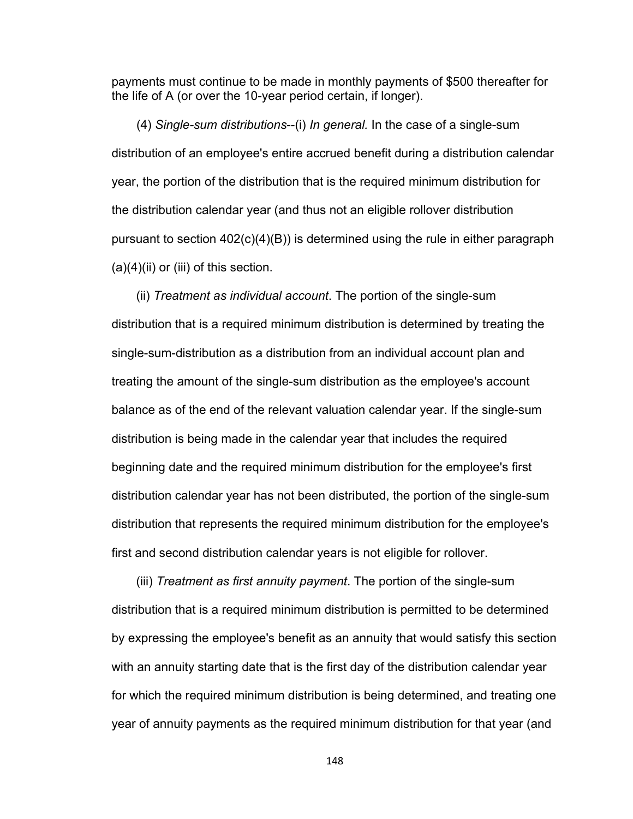payments must continue to be made in monthly payments of \$500 thereafter for the life of A (or over the 10-year period certain, if longer).

(4) *Single-sum distributions*--(i) *In general.* In the case of a single-sum distribution of an employee's entire accrued benefit during a distribution calendar year, the portion of the distribution that is the required minimum distribution for the distribution calendar year (and thus not an eligible rollover distribution pursuant to section 402(c)(4)(B)) is determined using the rule in either paragraph  $(a)(4)(ii)$  or (iii) of this section.

(ii) *Treatment as individual account*. The portion of the single-sum distribution that is a required minimum distribution is determined by treating the single-sum-distribution as a distribution from an individual account plan and treating the amount of the single-sum distribution as the employee's account balance as of the end of the relevant valuation calendar year. If the single-sum distribution is being made in the calendar year that includes the required beginning date and the required minimum distribution for the employee's first distribution calendar year has not been distributed, the portion of the single-sum distribution that represents the required minimum distribution for the employee's first and second distribution calendar years is not eligible for rollover.

(iii) *Treatment as first annuity payment*. The portion of the single-sum distribution that is a required minimum distribution is permitted to be determined by expressing the employee's benefit as an annuity that would satisfy this section with an annuity starting date that is the first day of the distribution calendar year for which the required minimum distribution is being determined, and treating one year of annuity payments as the required minimum distribution for that year (and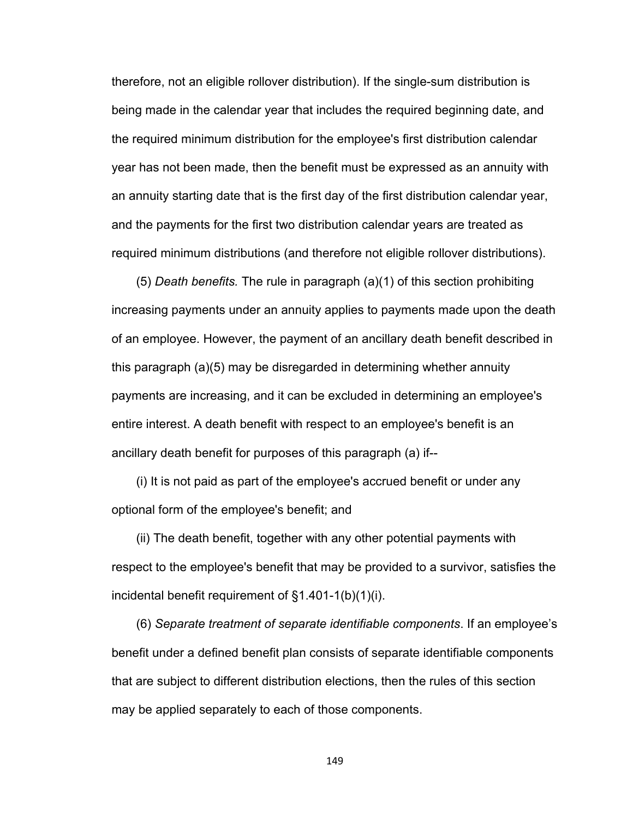therefore, not an eligible rollover distribution). If the single-sum distribution is being made in the calendar year that includes the required beginning date, and the required minimum distribution for the employee's first distribution calendar year has not been made, then the benefit must be expressed as an annuity with an annuity starting date that is the first day of the first distribution calendar year, and the payments for the first two distribution calendar years are treated as required minimum distributions (and therefore not eligible rollover distributions).

(5) *Death benefits.* The rule in paragraph (a)(1) of this section prohibiting increasing payments under an annuity applies to payments made upon the death of an employee. However, the payment of an ancillary death benefit described in this paragraph (a)(5) may be disregarded in determining whether annuity payments are increasing, and it can be excluded in determining an employee's entire interest. A death benefit with respect to an employee's benefit is an ancillary death benefit for purposes of this paragraph (a) if--

(i) It is not paid as part of the employee's accrued benefit or under any optional form of the employee's benefit; and

(ii) The death benefit, together with any other potential payments with respect to the employee's benefit that may be provided to a survivor, satisfies the incidental benefit requirement of §1.401-1(b)(1)(i).

(6) *Separate treatment of separate identifiable components*. If an employee's benefit under a defined benefit plan consists of separate identifiable components that are subject to different distribution elections, then the rules of this section may be applied separately to each of those components.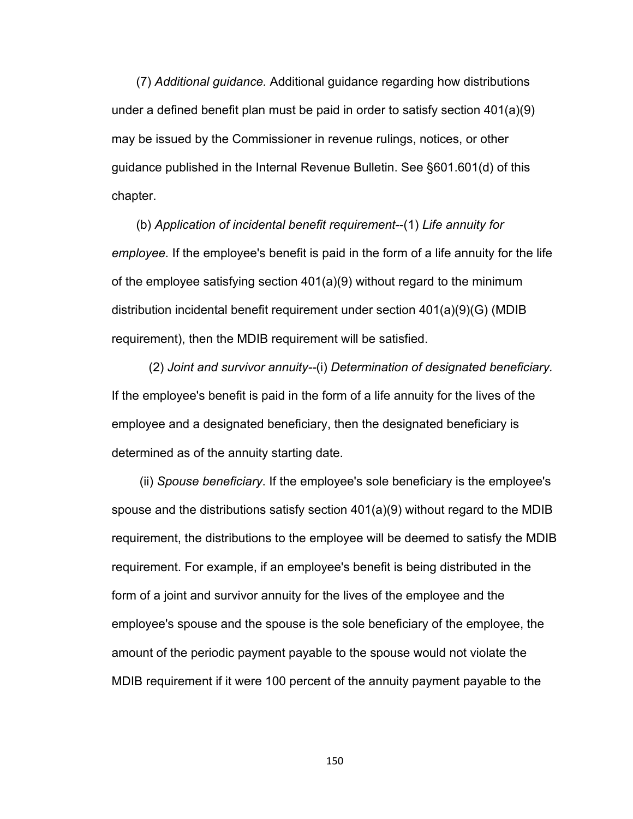(7) *Additional guidance.* Additional guidance regarding how distributions under a defined benefit plan must be paid in order to satisfy section 401(a)(9) may be issued by the Commissioner in revenue rulings, notices, or other guidance published in the Internal Revenue Bulletin. See §601.601(d) of this chapter.

(b) *Application of incidental benefit requirement*--(1) *Life annuity for employee.* If the employee's benefit is paid in the form of a life annuity for the life of the employee satisfying section 401(a)(9) without regard to the minimum distribution incidental benefit requirement under section 401(a)(9)(G) (MDIB requirement), then the MDIB requirement will be satisfied.

(2) *Joint and survivor annuity--*(i) *Determination of designated beneficiary.*  If the employee's benefit is paid in the form of a life annuity for the lives of the employee and a designated beneficiary, then the designated beneficiary is determined as of the annuity starting date.

(ii) *Spouse beneficiary*. If the employee's sole beneficiary is the employee's spouse and the distributions satisfy section 401(a)(9) without regard to the MDIB requirement, the distributions to the employee will be deemed to satisfy the MDIB requirement. For example, if an employee's benefit is being distributed in the form of a joint and survivor annuity for the lives of the employee and the employee's spouse and the spouse is the sole beneficiary of the employee, the amount of the periodic payment payable to the spouse would not violate the MDIB requirement if it were 100 percent of the annuity payment payable to the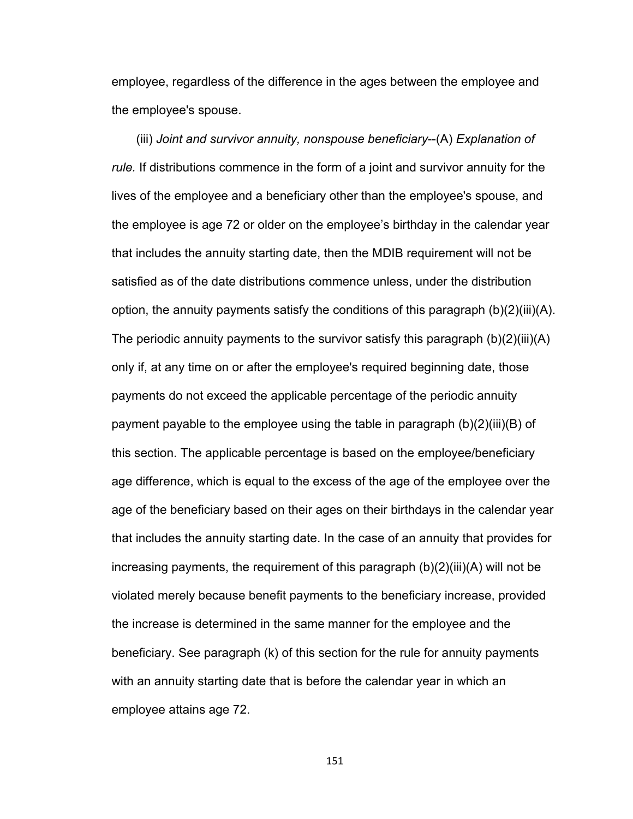employee, regardless of the difference in the ages between the employee and the employee's spouse.

(iii) *Joint and survivor annuity, nonspouse beneficiary*--(A) *Explanation of rule.* If distributions commence in the form of a joint and survivor annuity for the lives of the employee and a beneficiary other than the employee's spouse, and the employee is age 72 or older on the employee's birthday in the calendar year that includes the annuity starting date, then the MDIB requirement will not be satisfied as of the date distributions commence unless, under the distribution option, the annuity payments satisfy the conditions of this paragraph (b)(2)(iii)(A). The periodic annuity payments to the survivor satisfy this paragraph (b)(2)(iii)(A) only if, at any time on or after the employee's required beginning date, those payments do not exceed the applicable percentage of the periodic annuity payment payable to the employee using the table in paragraph (b)(2)(iii)(B) of this section. The applicable percentage is based on the employee/beneficiary age difference, which is equal to the excess of the age of the employee over the age of the beneficiary based on their ages on their birthdays in the calendar year that includes the annuity starting date. In the case of an annuity that provides for increasing payments, the requirement of this paragraph (b)(2)(iii)(A) will not be violated merely because benefit payments to the beneficiary increase, provided the increase is determined in the same manner for the employee and the beneficiary. See paragraph (k) of this section for the rule for annuity payments with an annuity starting date that is before the calendar year in which an employee attains age 72.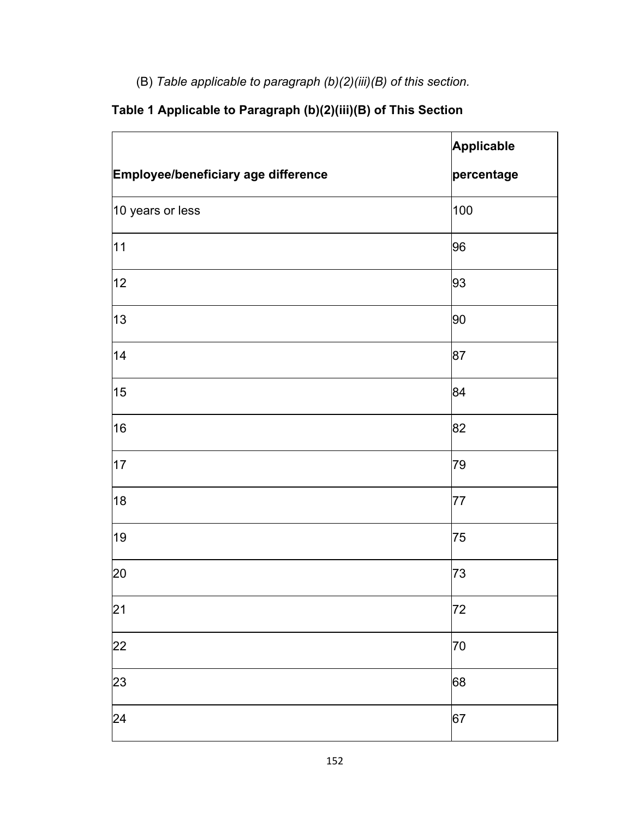(B) *Table applicable to paragraph (b)(2)(iii)(B) of this section.*

|                                     | Applicable |
|-------------------------------------|------------|
| Employee/beneficiary age difference | percentage |
| 10 years or less                    | 100        |
| 11                                  | 96         |
| 12                                  | 93         |
| 13                                  | 90         |
| 14                                  | 87         |
| 15                                  | 84         |
| 16                                  | 82         |
| 17                                  | 79         |
| 18                                  | 77         |
| 19                                  | 75         |
| 20                                  | 73         |
| 21                                  | 72         |
| 22                                  | 70         |
| 23                                  | 68         |
| 24                                  | 67         |

## **Table 1 Applicable to Paragraph (b)(2)(iii)(B) of This Section**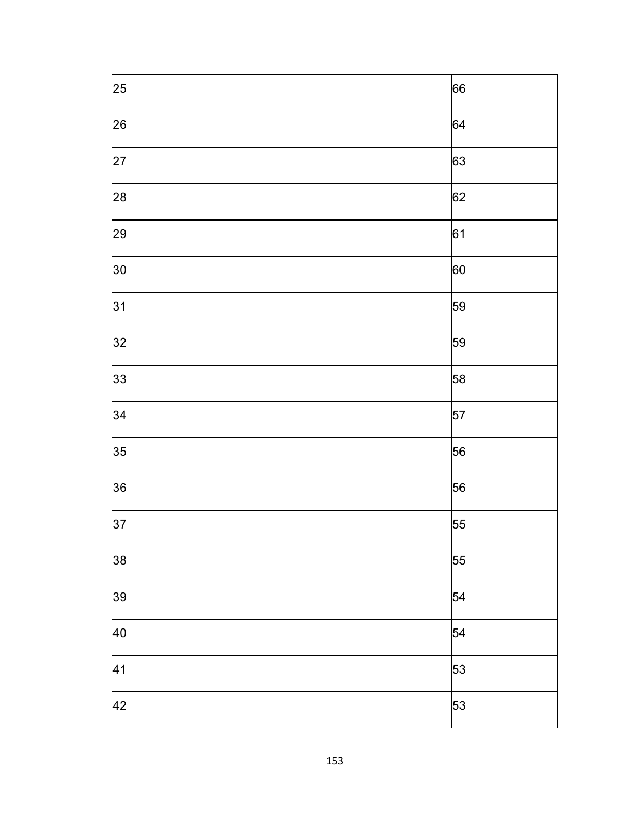| $\overline{\overline{\smash{25}}}$ | 66         |
|------------------------------------|------------|
| 26                                 | 64         |
| $\overline{27}$                    | 63         |
| 28                                 | 62         |
| 29                                 | 61         |
| 30                                 | 60         |
| 31                                 | 59         |
| 32                                 | 59         |
| 33                                 | 58         |
| 34                                 | 57         |
| 35                                 | 56         |
| 36                                 | 56         |
| $\overline{37}$                    | 55         |
| 38                                 | 55         |
| $\overline{39}$                    | $\vert$ 54 |
| $\overline{40}$                    | 54         |
| $\overline{41}$                    | 53         |
| $\overline{42}$                    | 53         |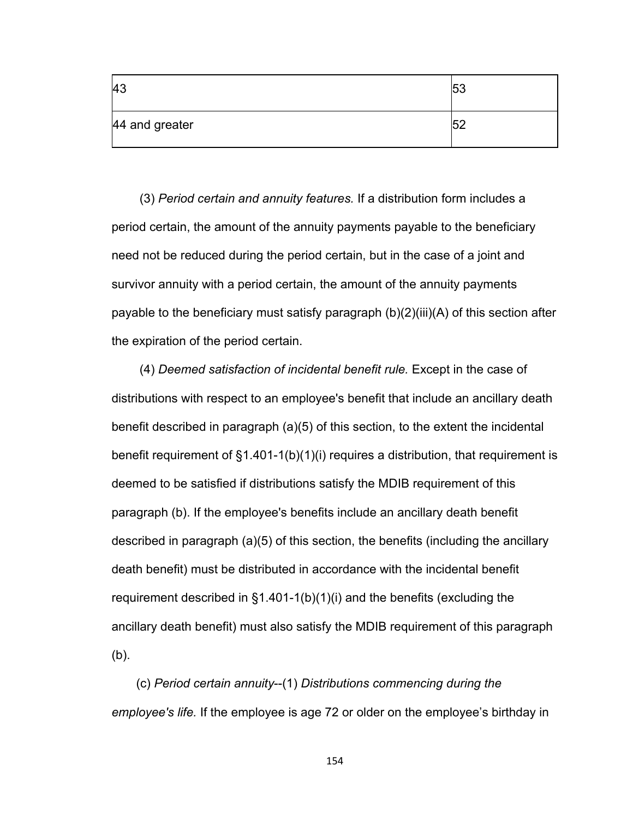| <b>43</b>      | r n<br>υu |
|----------------|-----------|
| 44 and greater | - -       |

 (3) *Period certain and annuity features.* If a distribution form includes a period certain, the amount of the annuity payments payable to the beneficiary need not be reduced during the period certain, but in the case of a joint and survivor annuity with a period certain, the amount of the annuity payments payable to the beneficiary must satisfy paragraph (b)(2)(iii)(A) of this section after the expiration of the period certain.

 (4) *Deemed satisfaction of incidental benefit rule.* Except in the case of distributions with respect to an employee's benefit that include an ancillary death benefit described in paragraph (a)(5) of this section, to the extent the incidental benefit requirement of §1.401-1(b)(1)(i) requires a distribution, that requirement is deemed to be satisfied if distributions satisfy the MDIB requirement of this paragraph (b). If the employee's benefits include an ancillary death benefit described in paragraph (a)(5) of this section, the benefits (including the ancillary death benefit) must be distributed in accordance with the incidental benefit requirement described in §1.401-1(b)(1)(i) and the benefits (excluding the ancillary death benefit) must also satisfy the MDIB requirement of this paragraph (b).

(c) *Period certain annuity*--(1) *Distributions commencing during the employee's life.* If the employee is age 72 or older on the employee's birthday in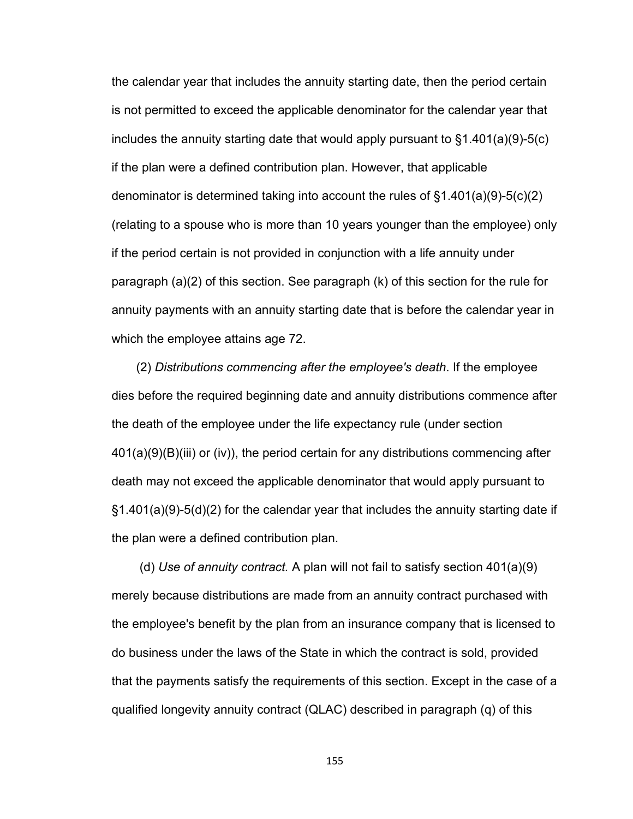the calendar year that includes the annuity starting date, then the period certain is not permitted to exceed the applicable denominator for the calendar year that includes the annuity starting date that would apply pursuant to §1.401(a)(9)-5(c) if the plan were a defined contribution plan. However, that applicable denominator is determined taking into account the rules of §1.401(a)(9)-5(c)(2) (relating to a spouse who is more than 10 years younger than the employee) only if the period certain is not provided in conjunction with a life annuity under paragraph (a)(2) of this section. See paragraph (k) of this section for the rule for annuity payments with an annuity starting date that is before the calendar year in which the employee attains age 72.

(2) *Distributions commencing after the employee's death*. If the employee dies before the required beginning date and annuity distributions commence after the death of the employee under the life expectancy rule (under section 401(a)(9)(B)(iii) or (iv)), the period certain for any distributions commencing after death may not exceed the applicable denominator that would apply pursuant to §1.401(a)(9)-5(d)(2) for the calendar year that includes the annuity starting date if the plan were a defined contribution plan.

 (d) *Use of annuity contract.* A plan will not fail to satisfy section 401(a)(9) merely because distributions are made from an annuity contract purchased with the employee's benefit by the plan from an insurance company that is licensed to do business under the laws of the State in which the contract is sold, provided that the payments satisfy the requirements of this section. Except in the case of a qualified longevity annuity contract (QLAC) described in paragraph (q) of this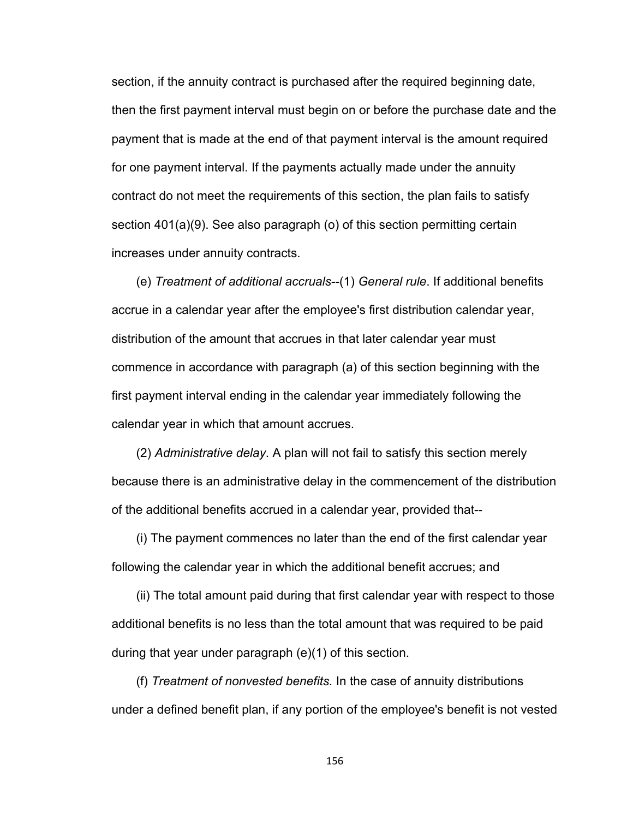section, if the annuity contract is purchased after the required beginning date, then the first payment interval must begin on or before the purchase date and the payment that is made at the end of that payment interval is the amount required for one payment interval. If the payments actually made under the annuity contract do not meet the requirements of this section, the plan fails to satisfy section 401(a)(9). See also paragraph (o) of this section permitting certain increases under annuity contracts.

(e) *Treatment of additional accruals*--(1) *General rule*. If additional benefits accrue in a calendar year after the employee's first distribution calendar year, distribution of the amount that accrues in that later calendar year must commence in accordance with paragraph (a) of this section beginning with the first payment interval ending in the calendar year immediately following the calendar year in which that amount accrues.

(2) *Administrative delay*. A plan will not fail to satisfy this section merely because there is an administrative delay in the commencement of the distribution of the additional benefits accrued in a calendar year, provided that--

(i) The payment commences no later than the end of the first calendar year following the calendar year in which the additional benefit accrues; and

(ii) The total amount paid during that first calendar year with respect to those additional benefits is no less than the total amount that was required to be paid during that year under paragraph (e)(1) of this section.

(f) *Treatment of nonvested benefits.* In the case of annuity distributions under a defined benefit plan, if any portion of the employee's benefit is not vested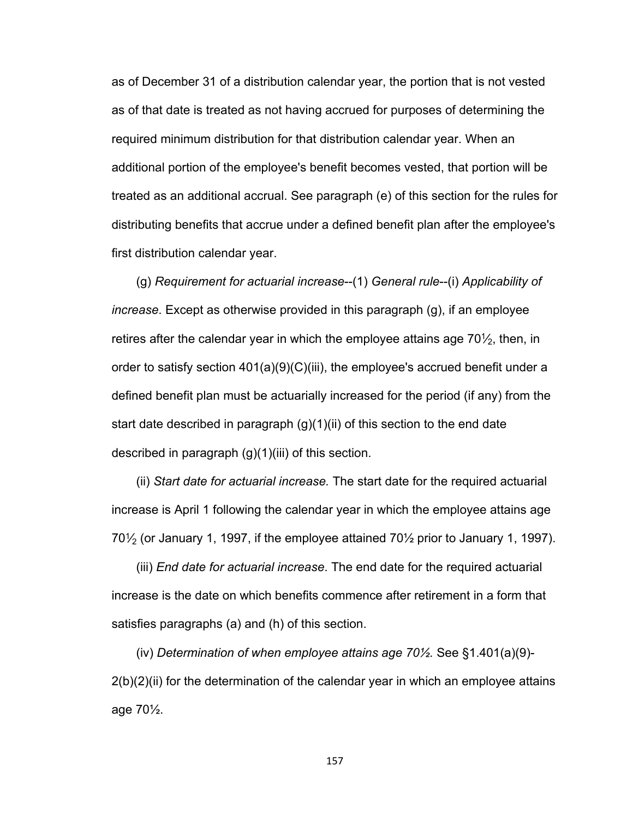as of December 31 of a distribution calendar year, the portion that is not vested as of that date is treated as not having accrued for purposes of determining the required minimum distribution for that distribution calendar year. When an additional portion of the employee's benefit becomes vested, that portion will be treated as an additional accrual. See paragraph (e) of this section for the rules for distributing benefits that accrue under a defined benefit plan after the employee's first distribution calendar year.

(g) *Requirement for actuarial increase*--(1) *General rule*--(i) *Applicability of increase*. Except as otherwise provided in this paragraph (g), if an employee retires after the calendar year in which the employee attains age 70 $\mathcal{V}_2$ , then, in order to satisfy section 401(a)(9)(C)(iii), the employee's accrued benefit under a defined benefit plan must be actuarially increased for the period (if any) from the start date described in paragraph  $(g)(1)(ii)$  of this section to the end date described in paragraph (g)(1)(iii) of this section.

(ii) *Start date for actuarial increase.* The start date for the required actuarial increase is April 1 following the calendar year in which the employee attains age 70 $\frac{1}{2}$  (or January 1, 1997, if the employee attained 70 $\frac{1}{2}$  prior to January 1, 1997).

(iii) *End date for actuarial increase*. The end date for the required actuarial increase is the date on which benefits commence after retirement in a form that satisfies paragraphs (a) and (h) of this section.

(iv) *Determination of when employee attains age 70½.* See §1.401(a)(9)-  $2(b)(2)(ii)$  for the determination of the calendar year in which an employee attains age 70½.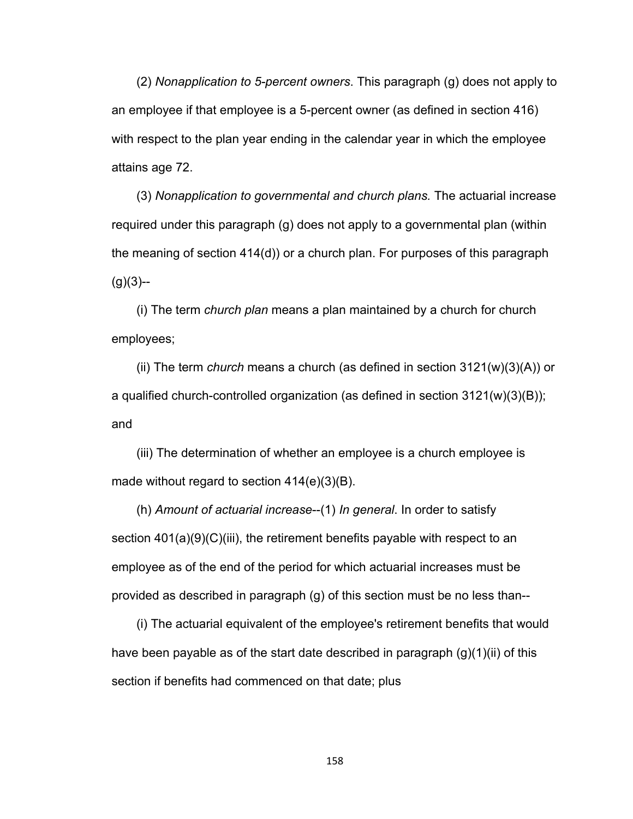(2) *Nonapplication to 5-percent owners*. This paragraph (g) does not apply to an employee if that employee is a 5-percent owner (as defined in section 416) with respect to the plan year ending in the calendar year in which the employee attains age 72.

(3) *Nonapplication to governmental and church plans.* The actuarial increase required under this paragraph (g) does not apply to a governmental plan (within the meaning of section 414(d)) or a church plan. For purposes of this paragraph  $(g)(3)$ --

(i) The term *church plan* means a plan maintained by a church for church employees;

(ii) The term *church* means a church (as defined in section 3121(w)(3)(A)) or a qualified church-controlled organization (as defined in section 3121(w)(3)(B)); and

(iii) The determination of whether an employee is a church employee is made without regard to section 414(e)(3)(B).

(h) *Amount of actuarial increase*--(1) *In general*. In order to satisfy section 401(a)(9)(C)(iii), the retirement benefits payable with respect to an employee as of the end of the period for which actuarial increases must be provided as described in paragraph (g) of this section must be no less than--

(i) The actuarial equivalent of the employee's retirement benefits that would have been payable as of the start date described in paragraph  $(g)(1)(ii)$  of this section if benefits had commenced on that date; plus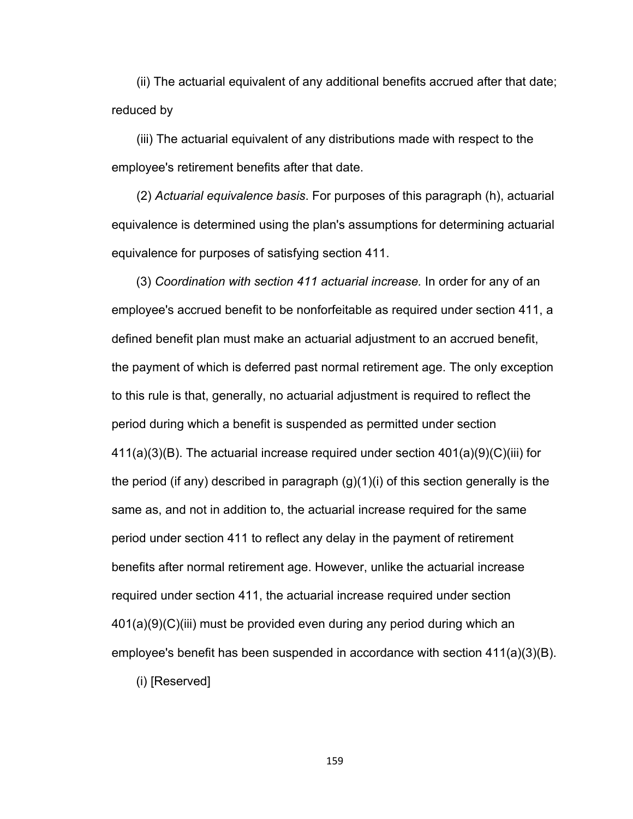(ii) The actuarial equivalent of any additional benefits accrued after that date; reduced by

(iii) The actuarial equivalent of any distributions made with respect to the employee's retirement benefits after that date.

(2) *Actuarial equivalence basis*. For purposes of this paragraph (h), actuarial equivalence is determined using the plan's assumptions for determining actuarial equivalence for purposes of satisfying section 411.

(3) *Coordination with section 411 actuarial increase.* In order for any of an employee's accrued benefit to be nonforfeitable as required under section 411, a defined benefit plan must make an actuarial adjustment to an accrued benefit, the payment of which is deferred past normal retirement age. The only exception to this rule is that, generally, no actuarial adjustment is required to reflect the period during which a benefit is suspended as permitted under section 411(a)(3)(B). The actuarial increase required under section 401(a)(9)(C)(iii) for the period (if any) described in paragraph (g)(1)(i) of this section generally is the same as, and not in addition to, the actuarial increase required for the same period under section 411 to reflect any delay in the payment of retirement benefits after normal retirement age. However, unlike the actuarial increase required under section 411, the actuarial increase required under section 401(a)(9)(C)(iii) must be provided even during any period during which an employee's benefit has been suspended in accordance with section  $411(a)(3)(B)$ .

(i) [Reserved]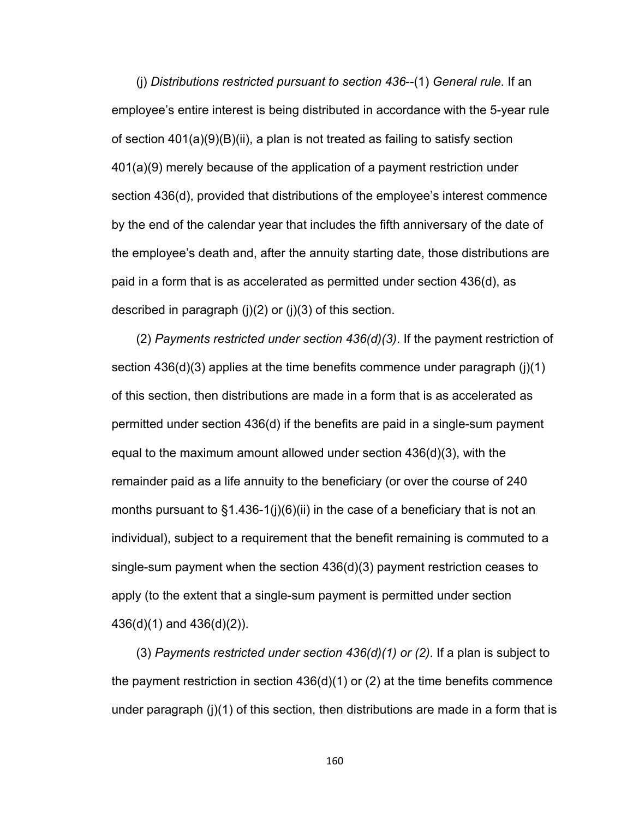(j) *Distributions restricted pursuant to section 436*--(1) *General rule*. If an employee's entire interest is being distributed in accordance with the 5-year rule of section 401(a)(9)(B)(ii), a plan is not treated as failing to satisfy section 401(a)(9) merely because of the application of a payment restriction under section 436(d), provided that distributions of the employee's interest commence by the end of the calendar year that includes the fifth anniversary of the date of the employee's death and, after the annuity starting date, those distributions are paid in a form that is as accelerated as permitted under section 436(d), as described in paragraph  $(i)(2)$  or  $(i)(3)$  of this section.

(2) *Payments restricted under section 436(d)(3)*. If the payment restriction of section 436(d)(3) applies at the time benefits commence under paragraph (j)(1) of this section, then distributions are made in a form that is as accelerated as permitted under section 436(d) if the benefits are paid in a single-sum payment equal to the maximum amount allowed under section 436(d)(3), with the remainder paid as a life annuity to the beneficiary (or over the course of 240 months pursuant to §1.436-1(j)(6)(ii) in the case of a beneficiary that is not an individual), subject to a requirement that the benefit remaining is commuted to a single-sum payment when the section 436(d)(3) payment restriction ceases to apply (to the extent that a single-sum payment is permitted under section 436(d)(1) and 436(d)(2)).

(3) *Payments restricted under section 436(d)(1) or (2)*. If a plan is subject to the payment restriction in section 436(d)(1) or (2) at the time benefits commence under paragraph (j)(1) of this section, then distributions are made in a form that is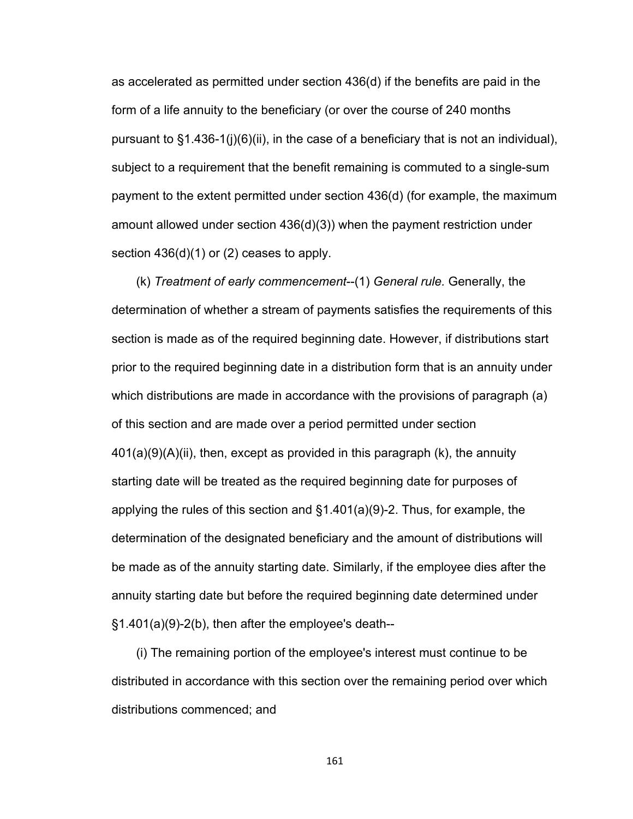as accelerated as permitted under section 436(d) if the benefits are paid in the form of a life annuity to the beneficiary (or over the course of 240 months pursuant to §1.436-1(j)(6)(ii), in the case of a beneficiary that is not an individual), subject to a requirement that the benefit remaining is commuted to a single-sum payment to the extent permitted under section 436(d) (for example, the maximum amount allowed under section 436(d)(3)) when the payment restriction under section 436(d)(1) or (2) ceases to apply.

(k) *Treatment of early commencement*--(1) *General rule.* Generally, the determination of whether a stream of payments satisfies the requirements of this section is made as of the required beginning date. However, if distributions start prior to the required beginning date in a distribution form that is an annuity under which distributions are made in accordance with the provisions of paragraph (a) of this section and are made over a period permitted under section 401(a)(9)(A)(ii), then, except as provided in this paragraph (k), the annuity starting date will be treated as the required beginning date for purposes of applying the rules of this section and §1.401(a)(9)-2. Thus, for example, the determination of the designated beneficiary and the amount of distributions will be made as of the annuity starting date. Similarly, if the employee dies after the annuity starting date but before the required beginning date determined under §1.401(a)(9)-2(b), then after the employee's death--

(i) The remaining portion of the employee's interest must continue to be distributed in accordance with this section over the remaining period over which distributions commenced; and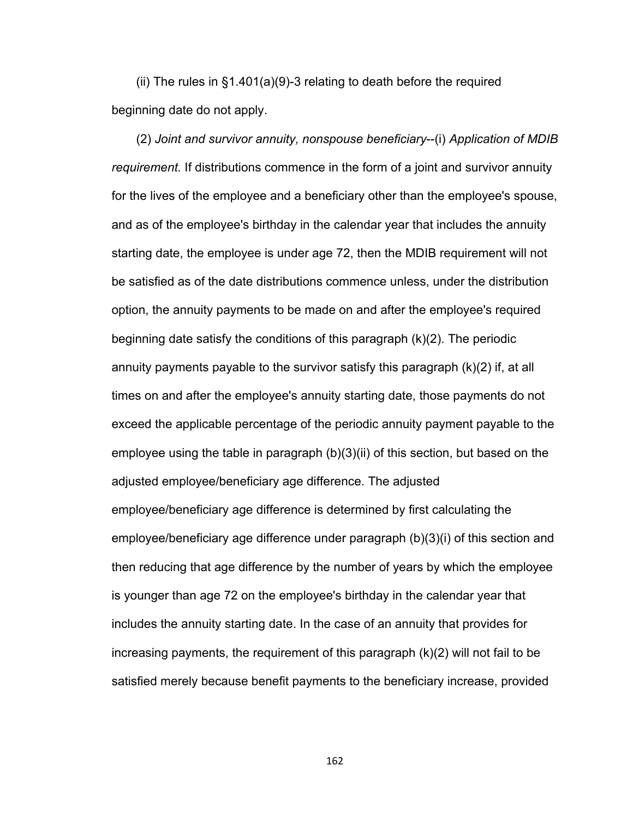(ii) The rules in §1.401(a)(9)-3 relating to death before the required beginning date do not apply.

(2) *Joint and survivor annuity, nonspouse beneficiary*--(i) *Application of MDIB requirement.* If distributions commence in the form of a joint and survivor annuity for the lives of the employee and a beneficiary other than the employee's spouse, and as of the employee's birthday in the calendar year that includes the annuity starting date, the employee is under age 72, then the MDIB requirement will not be satisfied as of the date distributions commence unless, under the distribution option, the annuity payments to be made on and after the employee's required beginning date satisfy the conditions of this paragraph (k)(2). The periodic annuity payments payable to the survivor satisfy this paragraph (k)(2) if, at all times on and after the employee's annuity starting date, those payments do not exceed the applicable percentage of the periodic annuity payment payable to the employee using the table in paragraph (b)(3)(ii) of this section, but based on the adjusted employee/beneficiary age difference. The adjusted employee/beneficiary age difference is determined by first calculating the employee/beneficiary age difference under paragraph (b)(3)(i) of this section and then reducing that age difference by the number of years by which the employee is younger than age 72 on the employee's birthday in the calendar year that includes the annuity starting date. In the case of an annuity that provides for increasing payments, the requirement of this paragraph (k)(2) will not fail to be satisfied merely because benefit payments to the beneficiary increase, provided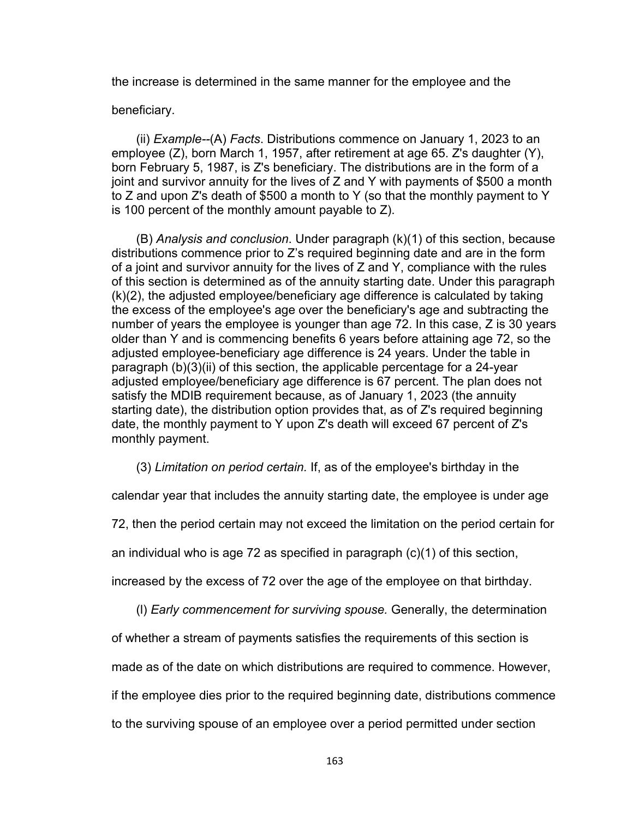the increase is determined in the same manner for the employee and the

beneficiary.

(ii) *Example--*(A) *Facts*. Distributions commence on January 1, 2023 to an employee (Z), born March 1, 1957, after retirement at age 65. Z's daughter (Y), born February 5, 1987, is Z's beneficiary. The distributions are in the form of a joint and survivor annuity for the lives of Z and Y with payments of \$500 a month to Z and upon Z's death of \$500 a month to Y (so that the monthly payment to Y is 100 percent of the monthly amount payable to Z).

(B) *Analysis and conclusion*. Under paragraph (k)(1) of this section, because distributions commence prior to Z's required beginning date and are in the form of a joint and survivor annuity for the lives of Z and Y, compliance with the rules of this section is determined as of the annuity starting date. Under this paragraph (k)(2), the adjusted employee/beneficiary age difference is calculated by taking the excess of the employee's age over the beneficiary's age and subtracting the number of years the employee is younger than age 72. In this case, Z is 30 years older than Y and is commencing benefits 6 years before attaining age 72, so the adjusted employee-beneficiary age difference is 24 years. Under the table in paragraph (b)(3)(ii) of this section, the applicable percentage for a 24-year adjusted employee/beneficiary age difference is 67 percent. The plan does not satisfy the MDIB requirement because, as of January 1, 2023 (the annuity starting date), the distribution option provides that, as of Z's required beginning date, the monthly payment to Y upon Z's death will exceed 67 percent of Z's monthly payment.

(3) *Limitation on period certain.* If, as of the employee's birthday in the

calendar year that includes the annuity starting date, the employee is under age

72, then the period certain may not exceed the limitation on the period certain for

an individual who is age 72 as specified in paragraph (c)(1) of this section,

increased by the excess of 72 over the age of the employee on that birthday.

(l) *Early commencement for surviving spouse.* Generally, the determination

of whether a stream of payments satisfies the requirements of this section is

made as of the date on which distributions are required to commence. However,

if the employee dies prior to the required beginning date, distributions commence

to the surviving spouse of an employee over a period permitted under section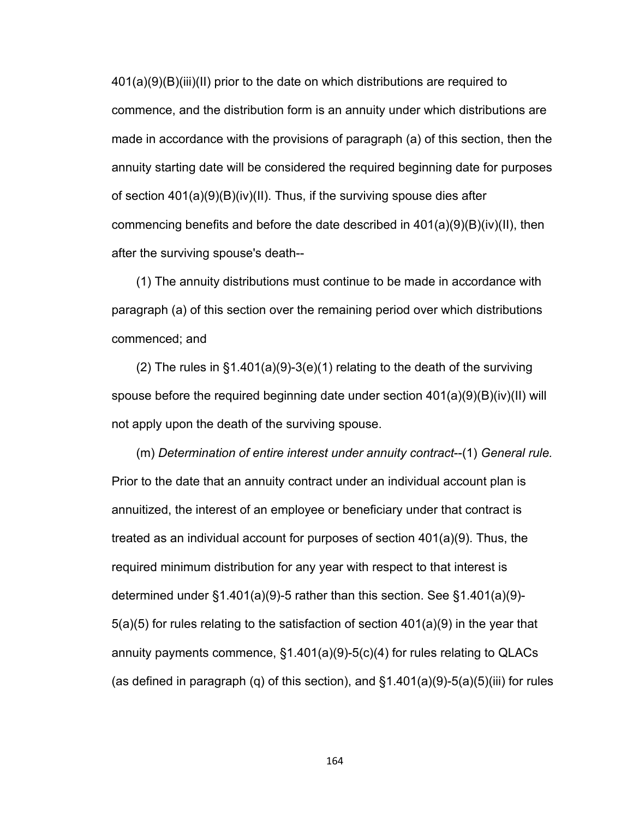401(a)(9)(B)(iii)(II) prior to the date on which distributions are required to commence, and the distribution form is an annuity under which distributions are made in accordance with the provisions of paragraph (a) of this section, then the annuity starting date will be considered the required beginning date for purposes of section 401(a)(9)(B)(iv)(II). Thus, if the surviving spouse dies after commencing benefits and before the date described in  $401(a)(9)(B)(iv)(II)$ , then after the surviving spouse's death--

(1) The annuity distributions must continue to be made in accordance with paragraph (a) of this section over the remaining period over which distributions commenced; and

(2) The rules in  $\S1.401(a)(9)-3(e)(1)$  relating to the death of the surviving spouse before the required beginning date under section  $401(a)(9)(B)(iv)(II)$  will not apply upon the death of the surviving spouse.

(m) *Determination of entire interest under annuity contract*--(1) *General rule.* Prior to the date that an annuity contract under an individual account plan is annuitized, the interest of an employee or beneficiary under that contract is treated as an individual account for purposes of section 401(a)(9). Thus, the required minimum distribution for any year with respect to that interest is determined under §1.401(a)(9)-5 rather than this section. See §1.401(a)(9)- 5(a)(5) for rules relating to the satisfaction of section 401(a)(9) in the year that annuity payments commence, §1.401(a)(9)-5(c)(4) for rules relating to QLACs (as defined in paragraph (q) of this section), and  $\S1.401(a)(9)-5(a)(5)(iii)$  for rules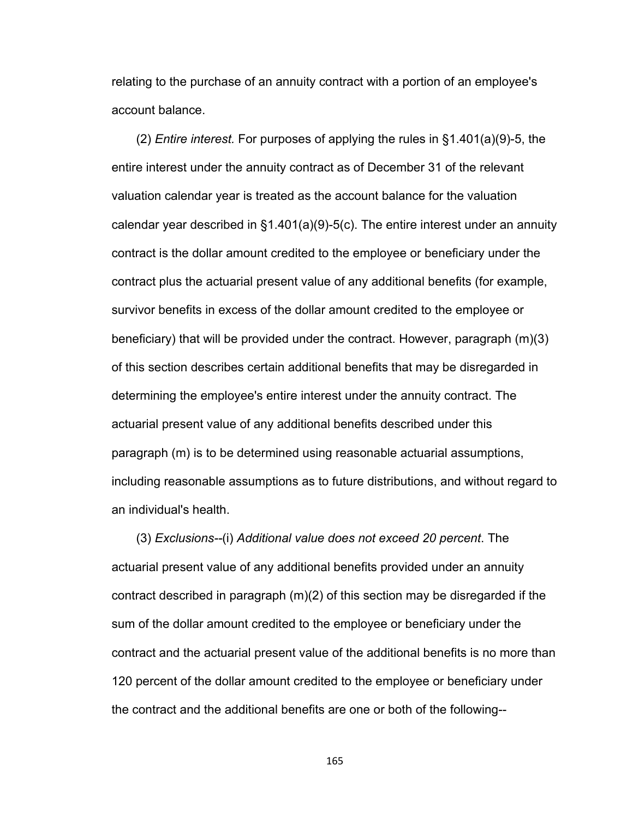relating to the purchase of an annuity contract with a portion of an employee's account balance.

(2) *Entire interest.* For purposes of applying the rules in §1.401(a)(9)-5, the entire interest under the annuity contract as of December 31 of the relevant valuation calendar year is treated as the account balance for the valuation calendar year described in §1.401(a)(9)-5(c). The entire interest under an annuity contract is the dollar amount credited to the employee or beneficiary under the contract plus the actuarial present value of any additional benefits (for example, survivor benefits in excess of the dollar amount credited to the employee or beneficiary) that will be provided under the contract. However, paragraph (m)(3) of this section describes certain additional benefits that may be disregarded in determining the employee's entire interest under the annuity contract. The actuarial present value of any additional benefits described under this paragraph (m) is to be determined using reasonable actuarial assumptions, including reasonable assumptions as to future distributions, and without regard to an individual's health.

(3) *Exclusions--*(i) *Additional value does not exceed 20 percent*. The actuarial present value of any additional benefits provided under an annuity contract described in paragraph (m)(2) of this section may be disregarded if the sum of the dollar amount credited to the employee or beneficiary under the contract and the actuarial present value of the additional benefits is no more than 120 percent of the dollar amount credited to the employee or beneficiary under the contract and the additional benefits are one or both of the following--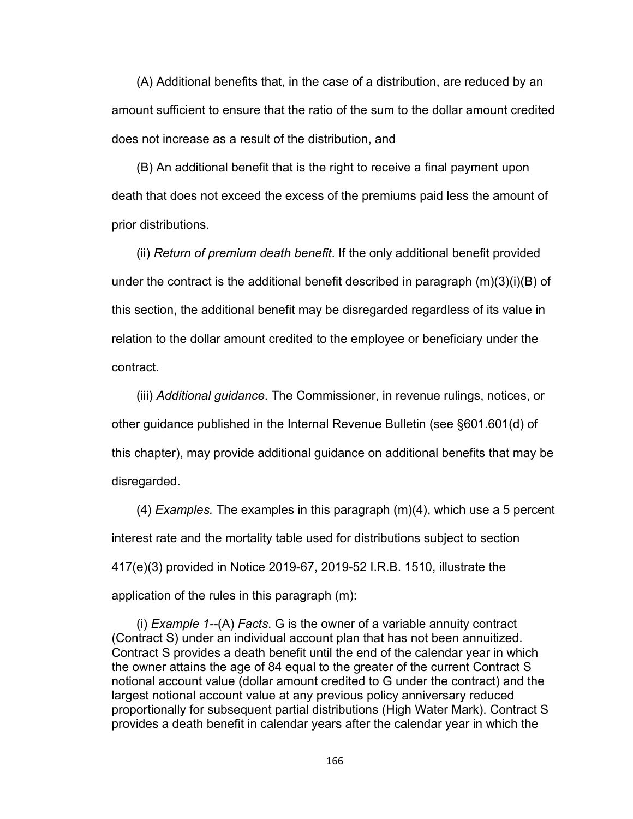(A) Additional benefits that, in the case of a distribution, are reduced by an amount sufficient to ensure that the ratio of the sum to the dollar amount credited does not increase as a result of the distribution, and

(B) An additional benefit that is the right to receive a final payment upon death that does not exceed the excess of the premiums paid less the amount of prior distributions.

(ii) *Return of premium death benefit*. If the only additional benefit provided under the contract is the additional benefit described in paragraph (m)(3)(i)(B) of this section, the additional benefit may be disregarded regardless of its value in relation to the dollar amount credited to the employee or beneficiary under the contract.

(iii) *Additional guidance*. The Commissioner, in revenue rulings, notices, or other guidance published in the Internal Revenue Bulletin (see §601.601(d) of this chapter), may provide additional guidance on additional benefits that may be disregarded.

(4) *Examples.* The examples in this paragraph (m)(4), which use a 5 percent interest rate and the mortality table used for distributions subject to section 417(e)(3) provided in Notice 2019-67, 2019-52 I.R.B. 1510, illustrate the application of the rules in this paragraph (m):

(i) *Example 1--*(A) *Facts*. G is the owner of a variable annuity contract (Contract S) under an individual account plan that has not been annuitized. Contract S provides a death benefit until the end of the calendar year in which the owner attains the age of 84 equal to the greater of the current Contract S notional account value (dollar amount credited to G under the contract) and the largest notional account value at any previous policy anniversary reduced proportionally for subsequent partial distributions (High Water Mark). Contract S provides a death benefit in calendar years after the calendar year in which the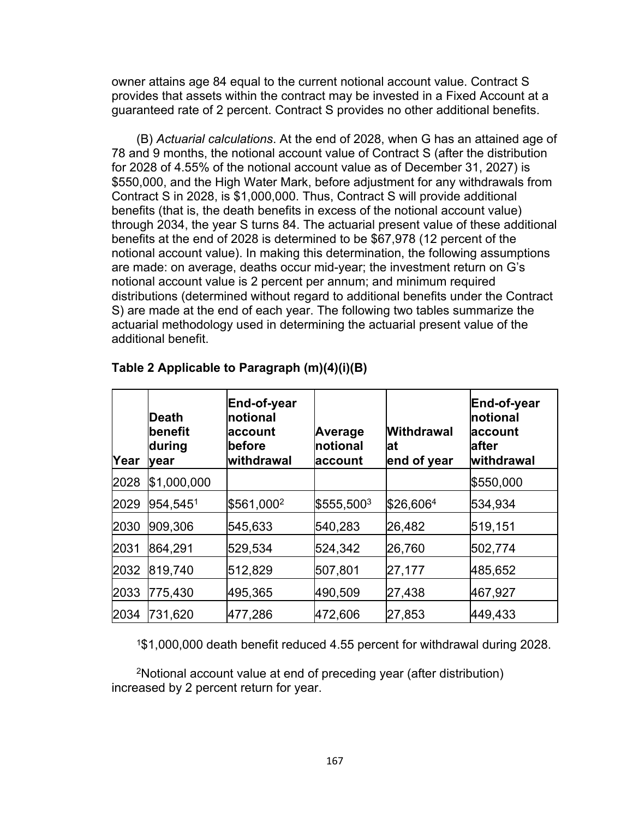owner attains age 84 equal to the current notional account value. Contract S provides that assets within the contract may be invested in a Fixed Account at a guaranteed rate of 2 percent. Contract S provides no other additional benefits.

(B) *Actuarial calculations*. At the end of 2028, when G has an attained age of 78 and 9 months, the notional account value of Contract S (after the distribution for 2028 of 4.55% of the notional account value as of December 31, 2027) is \$550,000, and the High Water Mark, before adjustment for any withdrawals from Contract S in 2028, is \$1,000,000. Thus, Contract S will provide additional benefits (that is, the death benefits in excess of the notional account value) through 2034, the year S turns 84. The actuarial present value of these additional benefits at the end of 2028 is determined to be \$67,978 (12 percent of the notional account value). In making this determination, the following assumptions are made: on average, deaths occur mid-year; the investment return on G's notional account value is 2 percent per annum; and minimum required distributions (determined without regard to additional benefits under the Contract S) are made at the end of each year. The following two tables summarize the actuarial methodology used in determining the actuarial present value of the additional benefit.

| Year | <b>Death</b><br><b>lbenefit</b><br>during<br>lyear | End-of-year<br>Inotional<br><b>account</b><br><b>before</b><br>withdrawal | Average<br>Inotional<br>∣account | <b>Withdrawal</b><br>lat<br>end of year | End-of-year<br>Inotional<br><b>account</b><br>lafter<br> withdrawal |
|------|----------------------------------------------------|---------------------------------------------------------------------------|----------------------------------|-----------------------------------------|---------------------------------------------------------------------|
| 2028 | \$1,000,000                                        |                                                                           |                                  |                                         | \$550,000                                                           |
| 2029 | 954,5451                                           | \$561,000 <sup>2</sup>                                                    | $$555,500^3$                     | \$26,6064                               | 534,934                                                             |
| 2030 | 909,306                                            | 545,633                                                                   | 540,283                          | 26,482                                  | 519,151                                                             |
| 2031 | 864,291                                            | 529,534                                                                   | 524,342                          | 26,760                                  | 502,774                                                             |
| 2032 | 819,740                                            | 512,829                                                                   | 507,801                          | 27,177                                  | 485,652                                                             |
| 2033 | 775,430                                            | 495,365                                                                   | 490,509                          | 27,438                                  | 467,927                                                             |
| 2034 | 731,620                                            | 477,286                                                                   | 472,606                          | 27,853                                  | 449,433                                                             |

#### **Table 2 Applicable to Paragraph (m)(4)(i)(B)**

<sup>1</sup>\$1,000,000 death benefit reduced 4.55 percent for withdrawal during 2028.

<sup>2</sup>Notional account value at end of preceding year (after distribution) increased by 2 percent return for year.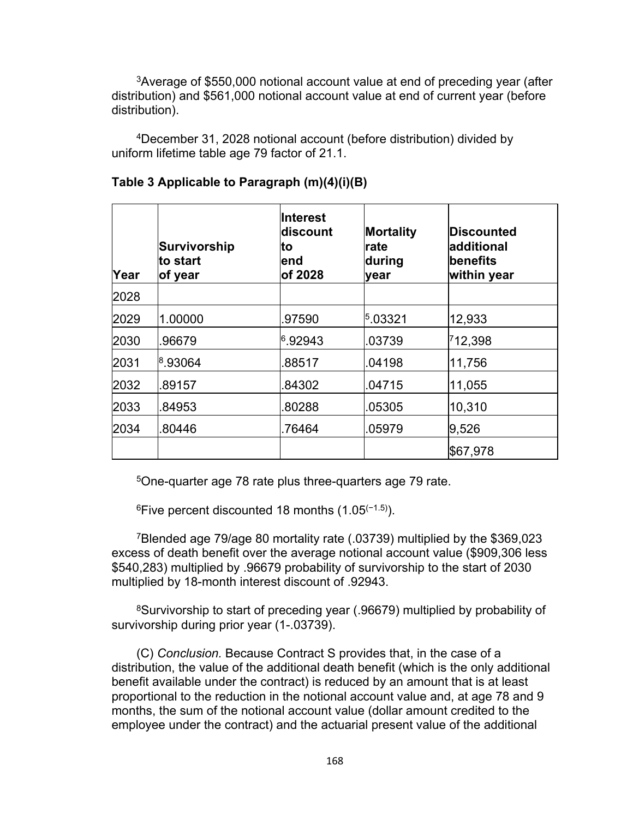<sup>3</sup>Average of \$550,000 notional account value at end of preceding year (after distribution) and \$561,000 notional account value at end of current year (before distribution).

<sup>4</sup>December 31, 2028 notional account (before distribution) divided by uniform lifetime table age 79 factor of 21.1.

| Year | Survivorship<br>lto start<br>of year | <b>Interest</b><br> discount<br>lto<br>lend<br>of 2028 | Mortality<br>rate<br>during<br>year | Discounted<br>additional<br><b>benefits</b><br>within year |
|------|--------------------------------------|--------------------------------------------------------|-------------------------------------|------------------------------------------------------------|
| 2028 |                                      |                                                        |                                     |                                                            |
| 2029 | 1.00000                              | .97590                                                 | 5.03321                             | 12,933                                                     |
| 2030 | .96679                               | 6.92943                                                | .03739                              | 712,398                                                    |
| 2031 | 8.93064                              | .88517                                                 | 04198                               | 11,756                                                     |
| 2032 | .89157                               | .84302                                                 | .04715                              | 11,055                                                     |
| 2033 | 84953                                | 80288                                                  | .05305                              | 10,310                                                     |
| 2034 | 80446                                | .76464                                                 | 05979                               | 9,526                                                      |
|      |                                      |                                                        |                                     | \$67,978                                                   |

#### **Table 3 Applicable to Paragraph (m)(4)(i)(B)**

<sup>5</sup>One-quarter age 78 rate plus three-quarters age 79 rate.

 $6$ Five percent discounted 18 months (1.05<sup> $(-1.5)$ </sup>).

<sup>7</sup>Blended age 79/age 80 mortality rate (.03739) multiplied by the \$369,023 excess of death benefit over the average notional account value (\$909,306 less \$540,283) multiplied by .96679 probability of survivorship to the start of 2030 multiplied by 18-month interest discount of .92943.

<sup>8</sup>Survivorship to start of preceding year (.96679) multiplied by probability of survivorship during prior year (1-.03739).

(C) *Conclusion.* Because Contract S provides that, in the case of a distribution, the value of the additional death benefit (which is the only additional benefit available under the contract) is reduced by an amount that is at least proportional to the reduction in the notional account value and, at age 78 and 9 months, the sum of the notional account value (dollar amount credited to the employee under the contract) and the actuarial present value of the additional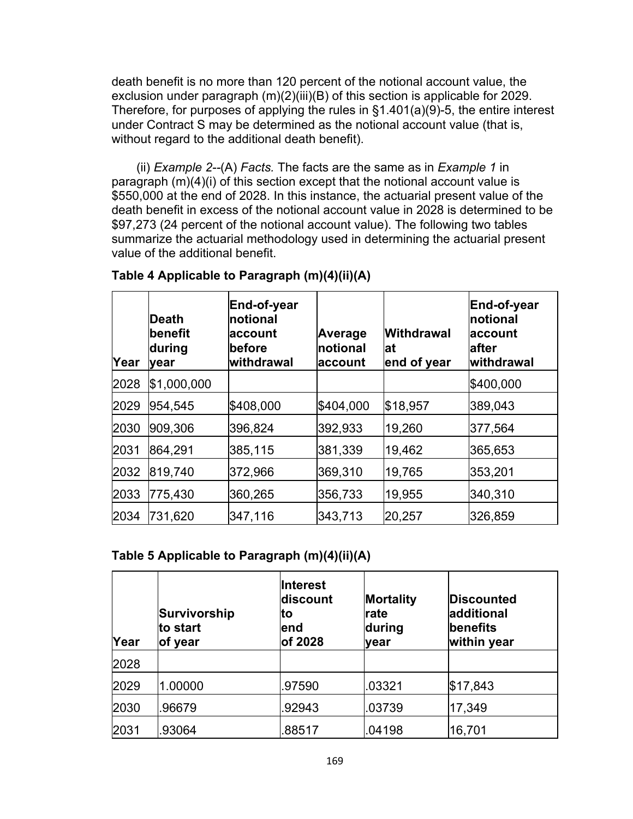death benefit is no more than 120 percent of the notional account value, the exclusion under paragraph (m)(2)(iii)(B) of this section is applicable for 2029. Therefore, for purposes of applying the rules in §1.401(a)(9)-5, the entire interest under Contract S may be determined as the notional account value (that is, without regard to the additional death benefit).

(ii) *Example 2--*(A) *Facts.* The facts are the same as in *Example 1* in paragraph (m)(4)(i) of this section except that the notional account value is \$550,000 at the end of 2028. In this instance, the actuarial present value of the death benefit in excess of the notional account value in 2028 is determined to be \$97,273 (24 percent of the notional account value). The following two tables summarize the actuarial methodology used in determining the actuarial present value of the additional benefit.

| Year | ∣Death<br>∣benefit<br>during<br><b>vear</b> | End-of-year<br>Inotional<br>∣account<br>before<br>withdrawal | Average<br>notional<br><b>laccount</b> | <b>Withdrawal</b><br>lat<br>end of year | End-of-year<br>Inotional<br><b>account</b><br>lafter<br> withdrawal |
|------|---------------------------------------------|--------------------------------------------------------------|----------------------------------------|-----------------------------------------|---------------------------------------------------------------------|
| 2028 | \$1,000,000                                 |                                                              |                                        |                                         | \$400,000                                                           |
| 2029 | 954,545                                     | \$408,000                                                    | \$404,000                              | \$18,957                                | 389,043                                                             |
| 2030 | 909,306                                     | 396,824                                                      | 392,933                                | 19,260                                  | 377,564                                                             |
| 2031 | 864,291                                     | 385,115                                                      | 381,339                                | 19,462                                  | 365,653                                                             |
| 2032 | 819,740                                     | 372,966                                                      | 369,310                                | 19,765                                  | 353,201                                                             |
| 2033 | 775,430                                     | 360,265                                                      | 356,733                                | 19,955                                  | 340,310                                                             |
| 2034 | 731,620                                     | 347,116                                                      | 343,713                                | 20,257                                  | 326,859                                                             |

### **Table 4 Applicable to Paragraph (m)(4)(ii)(A)**

#### **Table 5 Applicable to Paragraph (m)(4)(ii)(A)**

| Year | Survivorship<br>to start<br>of year | Interest<br>discount<br>lto<br>lend<br>of 2028 | Mortality<br><b>rate</b><br>during<br>lyear | Discounted<br>ladditional<br>benefits<br>within year |
|------|-------------------------------------|------------------------------------------------|---------------------------------------------|------------------------------------------------------|
| 2028 |                                     |                                                |                                             |                                                      |
| 2029 | 1.00000                             | .97590                                         | .03321                                      | \$17,843                                             |
| 2030 | .96679                              | .92943                                         | .03739                                      | 17,349                                               |
| 2031 | 93064                               | 88517                                          | .04198                                      | 16,701                                               |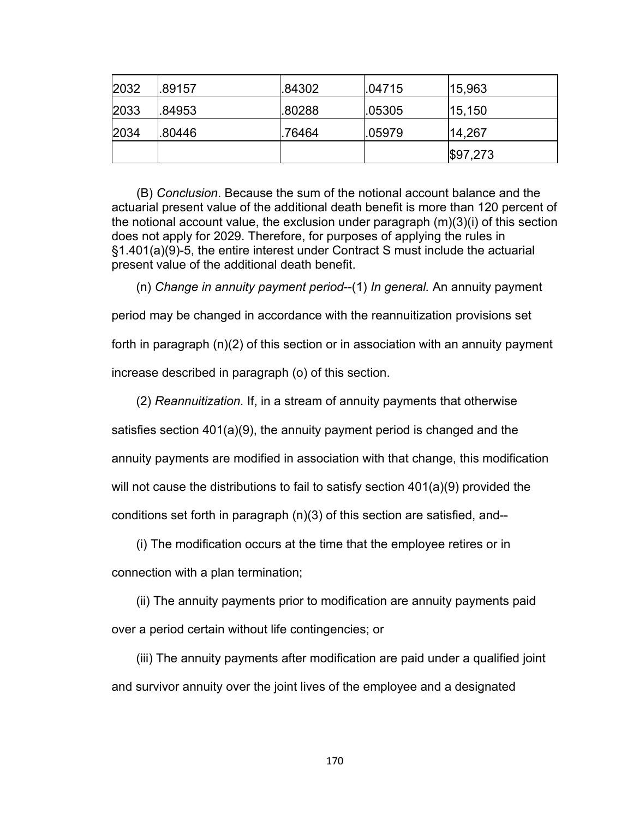| 2032 | .89157 | .84302 | .04715 | 15,963   |
|------|--------|--------|--------|----------|
| 2033 | .84953 | .80288 | .05305 | 15,150   |
| 2034 | .80446 | 76464  | .05979 | 14,267   |
|      |        |        |        | \$97,273 |

(B) *Conclusion*. Because the sum of the notional account balance and the actuarial present value of the additional death benefit is more than 120 percent of the notional account value, the exclusion under paragraph (m)(3)(i) of this section does not apply for 2029. Therefore, for purposes of applying the rules in §1.401(a)(9)-5, the entire interest under Contract S must include the actuarial present value of the additional death benefit.

(n) *Change in annuity payment period*--(1) *In general.* An annuity payment period may be changed in accordance with the reannuitization provisions set forth in paragraph (n)(2) of this section or in association with an annuity payment increase described in paragraph (o) of this section.

(2) *Reannuitization.* If, in a stream of annuity payments that otherwise satisfies section 401(a)(9), the annuity payment period is changed and the annuity payments are modified in association with that change, this modification will not cause the distributions to fail to satisfy section 401(a)(9) provided the conditions set forth in paragraph (n)(3) of this section are satisfied, and--

(i) The modification occurs at the time that the employee retires or in connection with a plan termination;

(ii) The annuity payments prior to modification are annuity payments paid over a period certain without life contingencies; or

(iii) The annuity payments after modification are paid under a qualified joint and survivor annuity over the joint lives of the employee and a designated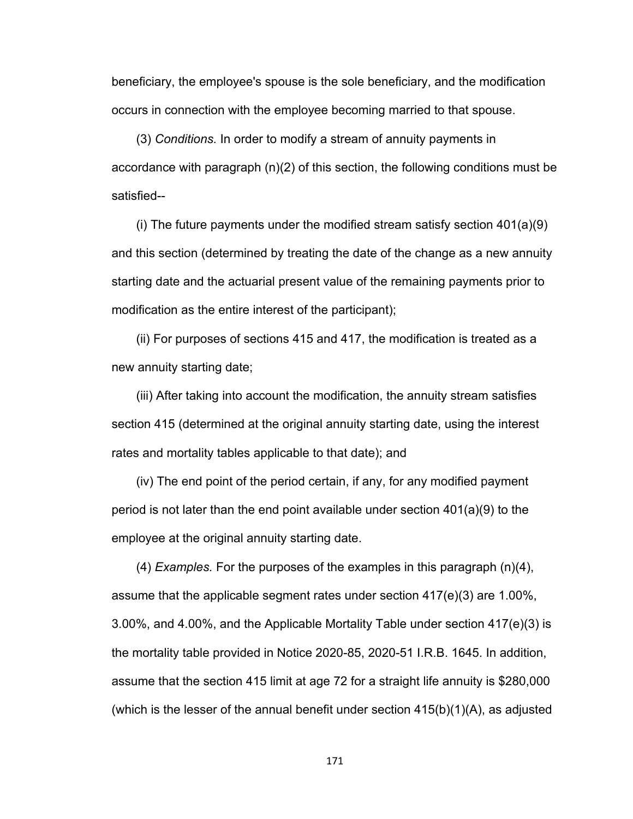beneficiary, the employee's spouse is the sole beneficiary, and the modification occurs in connection with the employee becoming married to that spouse.

(3) *Conditions.* In order to modify a stream of annuity payments in accordance with paragraph (n)(2) of this section, the following conditions must be satisfied--

(i) The future payments under the modified stream satisfy section 401(a)(9) and this section (determined by treating the date of the change as a new annuity starting date and the actuarial present value of the remaining payments prior to modification as the entire interest of the participant);

(ii) For purposes of sections 415 and 417, the modification is treated as a new annuity starting date;

(iii) After taking into account the modification, the annuity stream satisfies section 415 (determined at the original annuity starting date, using the interest rates and mortality tables applicable to that date); and

(iv) The end point of the period certain, if any, for any modified payment period is not later than the end point available under section 401(a)(9) to the employee at the original annuity starting date.

(4) *Examples.* For the purposes of the examples in this paragraph (n)(4), assume that the applicable segment rates under section  $417(e)(3)$  are 1.00%, 3.00%, and 4.00%, and the Applicable Mortality Table under section 417(e)(3) is the mortality table provided in Notice 2020-85, 2020-51 I.R.B. 1645. In addition, assume that the section 415 limit at age 72 for a straight life annuity is \$280,000 (which is the lesser of the annual benefit under section 415(b)(1)(A), as adjusted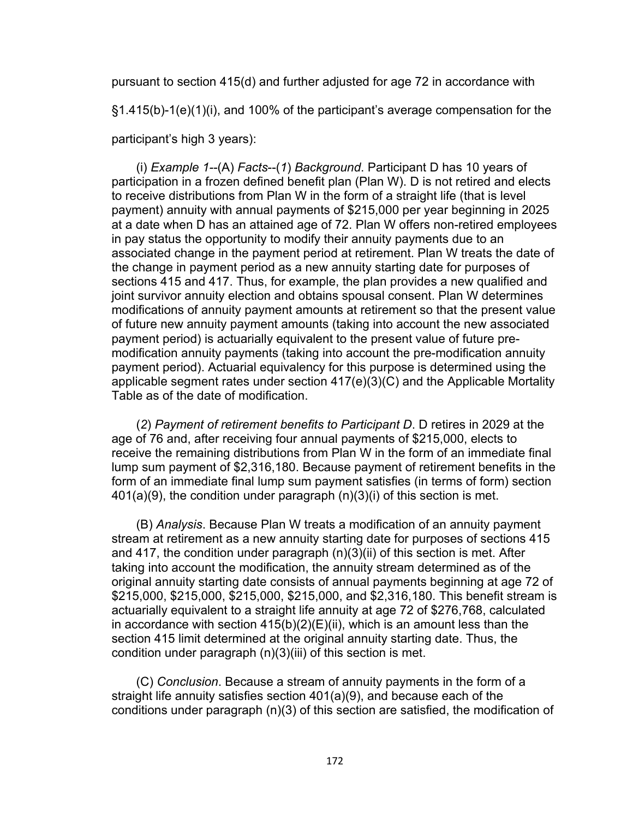pursuant to section 415(d) and further adjusted for age 72 in accordance with

§1.415(b)-1(e)(1)(i), and 100% of the participant's average compensation for the

participant's high 3 years):

(i) *Example 1--*(A) *Facts*--(*1*) *Background*. Participant D has 10 years of participation in a frozen defined benefit plan (Plan W). D is not retired and elects to receive distributions from Plan W in the form of a straight life (that is level payment) annuity with annual payments of \$215,000 per year beginning in 2025 at a date when D has an attained age of 72. Plan W offers non-retired employees in pay status the opportunity to modify their annuity payments due to an associated change in the payment period at retirement. Plan W treats the date of the change in payment period as a new annuity starting date for purposes of sections 415 and 417. Thus, for example, the plan provides a new qualified and joint survivor annuity election and obtains spousal consent. Plan W determines modifications of annuity payment amounts at retirement so that the present value of future new annuity payment amounts (taking into account the new associated payment period) is actuarially equivalent to the present value of future premodification annuity payments (taking into account the pre-modification annuity payment period). Actuarial equivalency for this purpose is determined using the applicable segment rates under section 417(e)(3)(C) and the Applicable Mortality Table as of the date of modification.

(*2*) *Payment of retirement benefits to Participant D*. D retires in 2029 at the age of 76 and, after receiving four annual payments of \$215,000, elects to receive the remaining distributions from Plan W in the form of an immediate final lump sum payment of \$2,316,180. Because payment of retirement benefits in the form of an immediate final lump sum payment satisfies (in terms of form) section 401(a)(9), the condition under paragraph (n)(3)(i) of this section is met.

(B) *Analysis*. Because Plan W treats a modification of an annuity payment stream at retirement as a new annuity starting date for purposes of sections 415 and 417, the condition under paragraph (n)(3)(ii) of this section is met. After taking into account the modification, the annuity stream determined as of the original annuity starting date consists of annual payments beginning at age 72 of \$215,000, \$215,000, \$215,000, \$215,000, and \$2,316,180. This benefit stream is actuarially equivalent to a straight life annuity at age 72 of \$276,768, calculated in accordance with section  $415(b)(2)(E)(ii)$ , which is an amount less than the section 415 limit determined at the original annuity starting date. Thus, the condition under paragraph (n)(3)(iii) of this section is met.

(C) *Conclusion*. Because a stream of annuity payments in the form of a straight life annuity satisfies section 401(a)(9), and because each of the conditions under paragraph (n)(3) of this section are satisfied, the modification of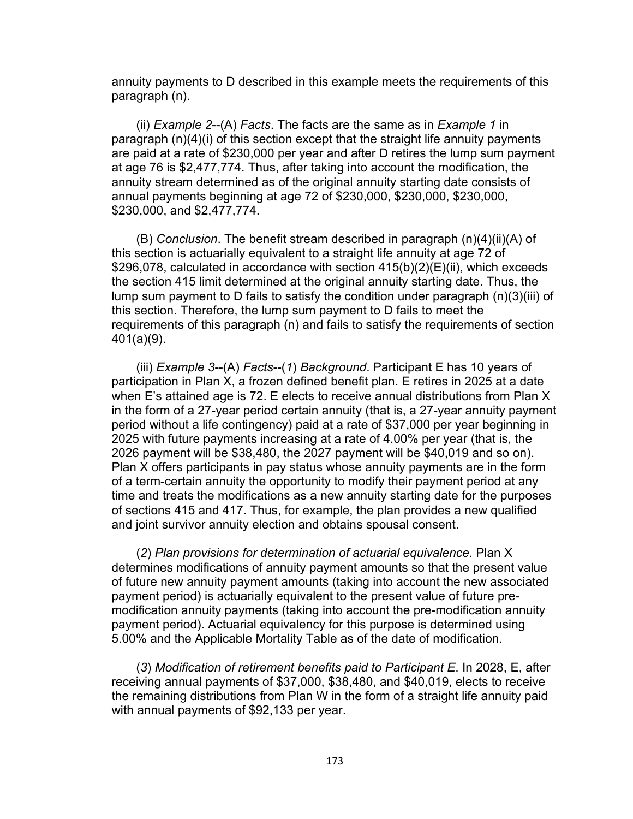annuity payments to D described in this example meets the requirements of this paragraph (n).

(ii) *Example 2*--(A) *Facts*. The facts are the same as in *Example 1* in paragraph (n)(4)(i) of this section except that the straight life annuity payments are paid at a rate of \$230,000 per year and after D retires the lump sum payment at age 76 is \$2,477,774. Thus, after taking into account the modification, the annuity stream determined as of the original annuity starting date consists of annual payments beginning at age 72 of \$230,000, \$230,000, \$230,000, \$230,000, and \$2,477,774.

(B) *Conclusion*. The benefit stream described in paragraph (n)(4)(ii)(A) of this section is actuarially equivalent to a straight life annuity at age 72 of \$296,078, calculated in accordance with section 415(b)(2)(E)(ii), which exceeds the section 415 limit determined at the original annuity starting date. Thus, the lump sum payment to D fails to satisfy the condition under paragraph (n)(3)(iii) of this section. Therefore, the lump sum payment to D fails to meet the requirements of this paragraph (n) and fails to satisfy the requirements of section 401(a)(9).

(iii) *Example 3*--(A) *Facts*--(*1*) *Background*. Participant E has 10 years of participation in Plan X, a frozen defined benefit plan. E retires in 2025 at a date when E's attained age is 72. E elects to receive annual distributions from Plan X in the form of a 27-year period certain annuity (that is, a 27-year annuity payment period without a life contingency) paid at a rate of \$37,000 per year beginning in 2025 with future payments increasing at a rate of 4.00% per year (that is, the 2026 payment will be \$38,480, the 2027 payment will be \$40,019 and so on). Plan X offers participants in pay status whose annuity payments are in the form of a term-certain annuity the opportunity to modify their payment period at any time and treats the modifications as a new annuity starting date for the purposes of sections 415 and 417. Thus, for example, the plan provides a new qualified and joint survivor annuity election and obtains spousal consent.

(*2*) *Plan provisions for determination of actuarial equivalence*. Plan X determines modifications of annuity payment amounts so that the present value of future new annuity payment amounts (taking into account the new associated payment period) is actuarially equivalent to the present value of future premodification annuity payments (taking into account the pre-modification annuity payment period). Actuarial equivalency for this purpose is determined using 5.00% and the Applicable Mortality Table as of the date of modification.

(*3*) *Modification of retirement benefits paid to Participant E*. In 2028, E, after receiving annual payments of \$37,000, \$38,480, and \$40,019, elects to receive the remaining distributions from Plan W in the form of a straight life annuity paid with annual payments of \$92,133 per year.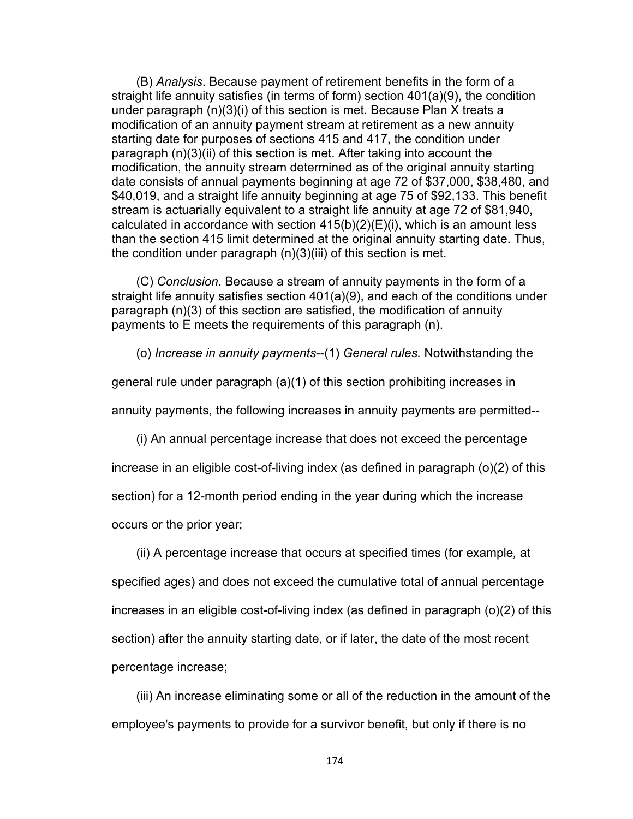(B) *Analysis*. Because payment of retirement benefits in the form of a straight life annuity satisfies (in terms of form) section 401(a)(9), the condition under paragraph (n)(3)(i) of this section is met. Because Plan X treats a modification of an annuity payment stream at retirement as a new annuity starting date for purposes of sections 415 and 417, the condition under paragraph (n)(3)(ii) of this section is met. After taking into account the modification, the annuity stream determined as of the original annuity starting date consists of annual payments beginning at age 72 of \$37,000, \$38,480, and \$40,019, and a straight life annuity beginning at age 75 of \$92,133. This benefit stream is actuarially equivalent to a straight life annuity at age 72 of \$81,940, calculated in accordance with section  $415(b)(2)(E)(i)$ , which is an amount less than the section 415 limit determined at the original annuity starting date. Thus, the condition under paragraph (n)(3)(iii) of this section is met.

(C) *Conclusion*. Because a stream of annuity payments in the form of a straight life annuity satisfies section 401(a)(9), and each of the conditions under paragraph (n)(3) of this section are satisfied, the modification of annuity payments to E meets the requirements of this paragraph (n).

(o) *Increase in annuity payments*--(1) *General rules.* Notwithstanding the

general rule under paragraph (a)(1) of this section prohibiting increases in

annuity payments, the following increases in annuity payments are permitted--

(i) An annual percentage increase that does not exceed the percentage

increase in an eligible cost-of-living index (as defined in paragraph (o)(2) of this

section) for a 12-month period ending in the year during which the increase

occurs or the prior year;

(ii) A percentage increase that occurs at specified times (for example*,* at specified ages) and does not exceed the cumulative total of annual percentage increases in an eligible cost-of-living index (as defined in paragraph (o)(2) of this section) after the annuity starting date, or if later, the date of the most recent percentage increase;

(iii) An increase eliminating some or all of the reduction in the amount of the employee's payments to provide for a survivor benefit, but only if there is no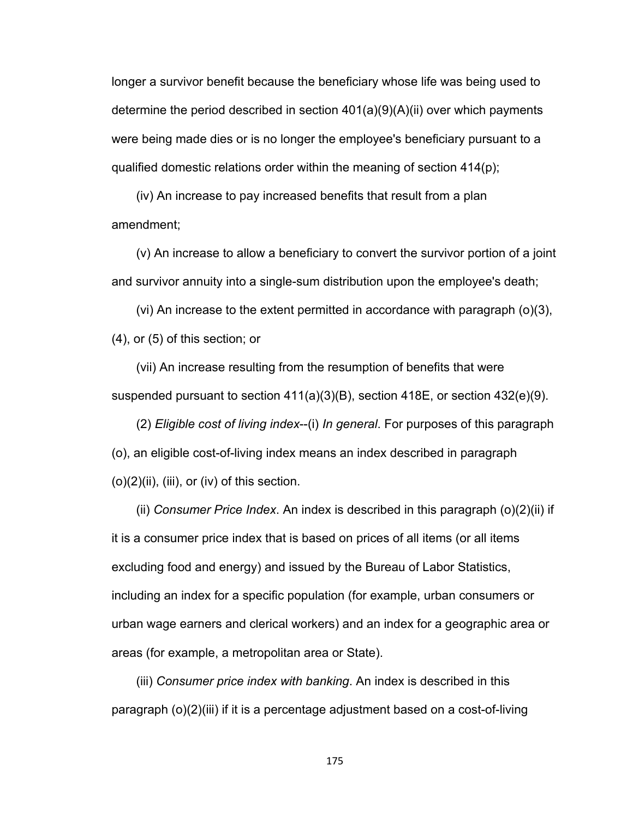longer a survivor benefit because the beneficiary whose life was being used to determine the period described in section 401(a)(9)(A)(ii) over which payments were being made dies or is no longer the employee's beneficiary pursuant to a qualified domestic relations order within the meaning of section 414(p);

(iv) An increase to pay increased benefits that result from a plan amendment;

(v) An increase to allow a beneficiary to convert the survivor portion of a joint and survivor annuity into a single-sum distribution upon the employee's death;

(vi) An increase to the extent permitted in accordance with paragraph (o)(3), (4), or (5) of this section; or

(vii) An increase resulting from the resumption of benefits that were suspended pursuant to section 411(a)(3)(B), section 418E, or section 432(e)(9).

(2) *Eligible cost of living index*--(i) *In general*. For purposes of this paragraph (o), an eligible cost-of-living index means an index described in paragraph  $(o)(2)(ii)$ , (iii), or (iv) of this section.

(ii) *Consumer Price Index*. An index is described in this paragraph (o)(2)(ii) if it is a consumer price index that is based on prices of all items (or all items excluding food and energy) and issued by the Bureau of Labor Statistics, including an index for a specific population (for example, urban consumers or urban wage earners and clerical workers) and an index for a geographic area or areas (for example, a metropolitan area or State).

(iii) *Consumer price index with banking*. An index is described in this paragraph (o)(2)(iii) if it is a percentage adjustment based on a cost-of-living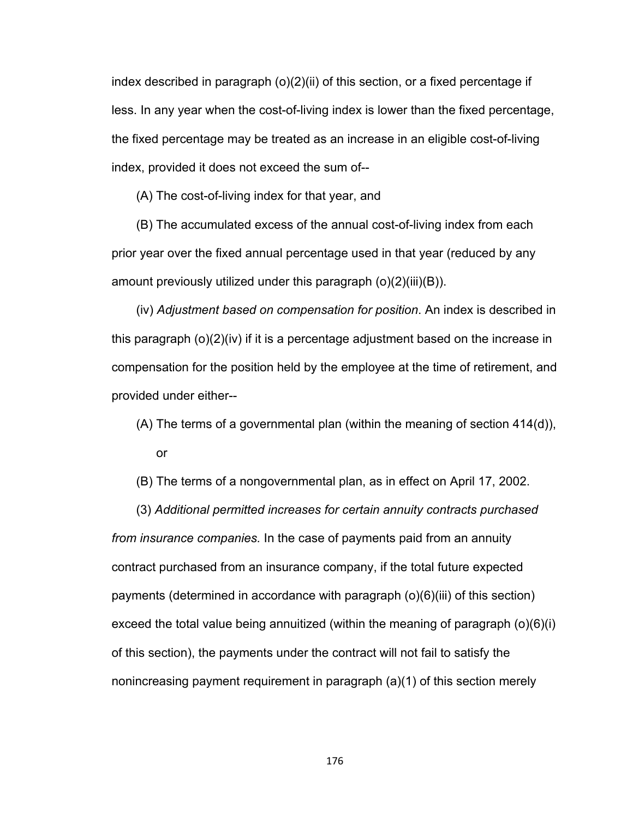index described in paragraph (o)(2)(ii) of this section, or a fixed percentage if less. In any year when the cost-of-living index is lower than the fixed percentage, the fixed percentage may be treated as an increase in an eligible cost-of-living index, provided it does not exceed the sum of--

(A) The cost-of-living index for that year, and

(B) The accumulated excess of the annual cost-of-living index from each prior year over the fixed annual percentage used in that year (reduced by any amount previously utilized under this paragraph (o)(2)(iii)(B)).

(iv) *Adjustment based on compensation for position*. An index is described in this paragraph (o)(2)(iv) if it is a percentage adjustment based on the increase in compensation for the position held by the employee at the time of retirement, and provided under either--

- (A) The terms of a governmental plan (within the meaning of section 414(d)), or
- (B) The terms of a nongovernmental plan, as in effect on April 17, 2002.

(3) *Additional permitted increases for certain annuity contracts purchased from insurance companies.* In the case of payments paid from an annuity contract purchased from an insurance company, if the total future expected payments (determined in accordance with paragraph (o)(6)(iii) of this section) exceed the total value being annuitized (within the meaning of paragraph (o)(6)(i) of this section), the payments under the contract will not fail to satisfy the nonincreasing payment requirement in paragraph (a)(1) of this section merely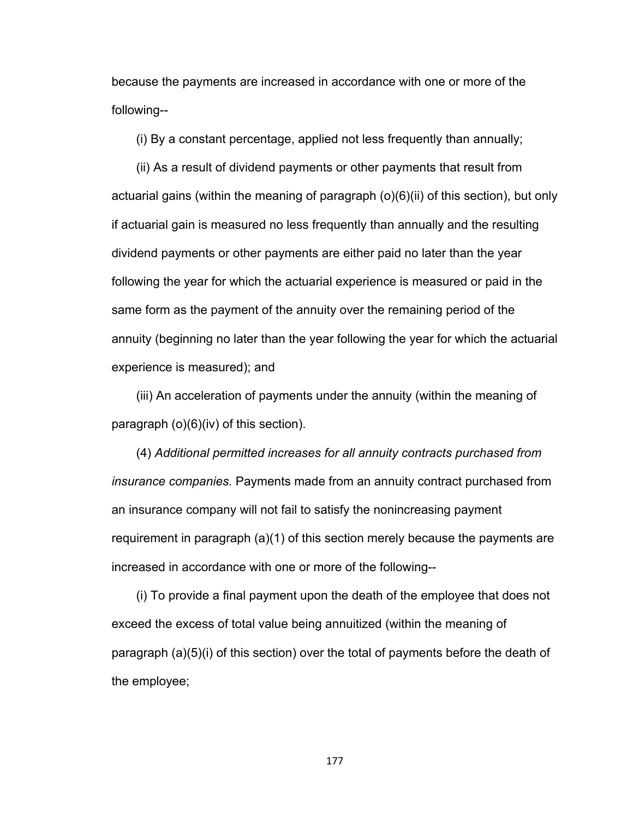because the payments are increased in accordance with one or more of the following--

(i) By a constant percentage, applied not less frequently than annually;

(ii) As a result of dividend payments or other payments that result from actuarial gains (within the meaning of paragraph (o)(6)(ii) of this section), but only if actuarial gain is measured no less frequently than annually and the resulting dividend payments or other payments are either paid no later than the year following the year for which the actuarial experience is measured or paid in the same form as the payment of the annuity over the remaining period of the annuity (beginning no later than the year following the year for which the actuarial experience is measured); and

(iii) An acceleration of payments under the annuity (within the meaning of paragraph (o)(6)(iv) of this section).

(4) *Additional permitted increases for all annuity contracts purchased from insurance companies.* Payments made from an annuity contract purchased from an insurance company will not fail to satisfy the nonincreasing payment requirement in paragraph (a)(1) of this section merely because the payments are increased in accordance with one or more of the following--

(i) To provide a final payment upon the death of the employee that does not exceed the excess of total value being annuitized (within the meaning of paragraph (a)(5)(i) of this section) over the total of payments before the death of the employee;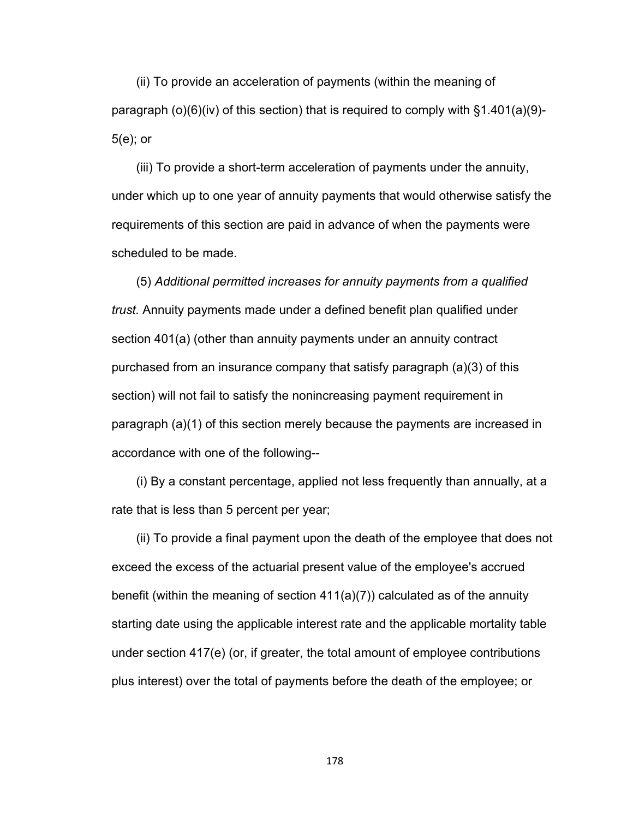(ii) To provide an acceleration of payments (within the meaning of paragraph  $(o)(6)(iv)$  of this section) that is required to comply with  $§1.401(a)(9)-$ 5(e); or

(iii) To provide a short-term acceleration of payments under the annuity, under which up to one year of annuity payments that would otherwise satisfy the requirements of this section are paid in advance of when the payments were scheduled to be made.

(5) *Additional permitted increases for annuity payments from a qualified trust.* Annuity payments made under a defined benefit plan qualified under section 401(a) (other than annuity payments under an annuity contract purchased from an insurance company that satisfy paragraph (a)(3) of this section) will not fail to satisfy the nonincreasing payment requirement in paragraph (a)(1) of this section merely because the payments are increased in accordance with one of the following--

(i) By a constant percentage, applied not less frequently than annually, at a rate that is less than 5 percent per year;

(ii) To provide a final payment upon the death of the employee that does not exceed the excess of the actuarial present value of the employee's accrued benefit (within the meaning of section 411(a)(7)) calculated as of the annuity starting date using the applicable interest rate and the applicable mortality table under section 417(e) (or, if greater, the total amount of employee contributions plus interest) over the total of payments before the death of the employee; or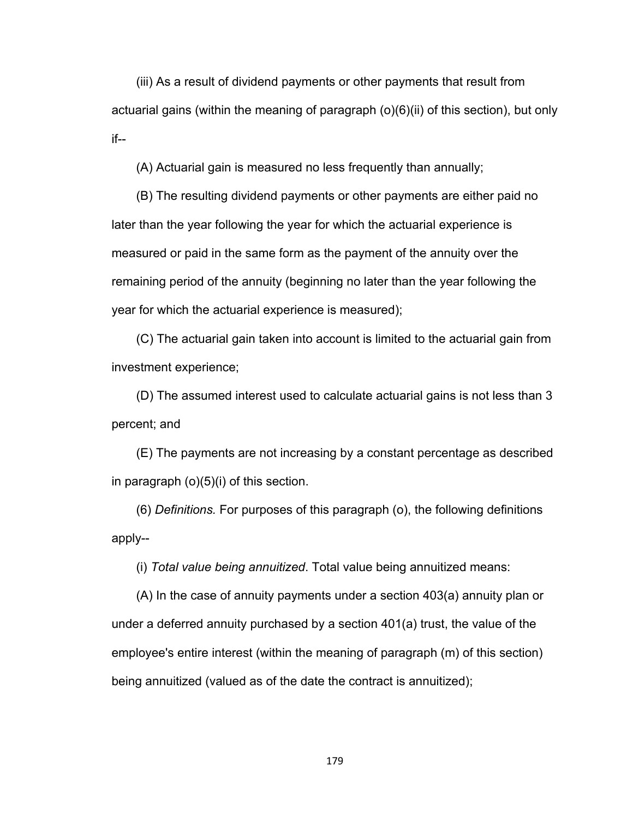(iii) As a result of dividend payments or other payments that result from actuarial gains (within the meaning of paragraph  $(o)(6)(ii)$  of this section), but only if--

(A) Actuarial gain is measured no less frequently than annually;

(B) The resulting dividend payments or other payments are either paid no later than the year following the year for which the actuarial experience is measured or paid in the same form as the payment of the annuity over the remaining period of the annuity (beginning no later than the year following the year for which the actuarial experience is measured);

(C) The actuarial gain taken into account is limited to the actuarial gain from investment experience;

(D) The assumed interest used to calculate actuarial gains is not less than 3 percent; and

(E) The payments are not increasing by a constant percentage as described in paragraph (o)(5)(i) of this section.

(6) *Definitions.* For purposes of this paragraph (o), the following definitions apply--

(i) *Total value being annuitized*. Total value being annuitized means:

(A) In the case of annuity payments under a section 403(a) annuity plan or under a deferred annuity purchased by a section 401(a) trust, the value of the employee's entire interest (within the meaning of paragraph (m) of this section) being annuitized (valued as of the date the contract is annuitized);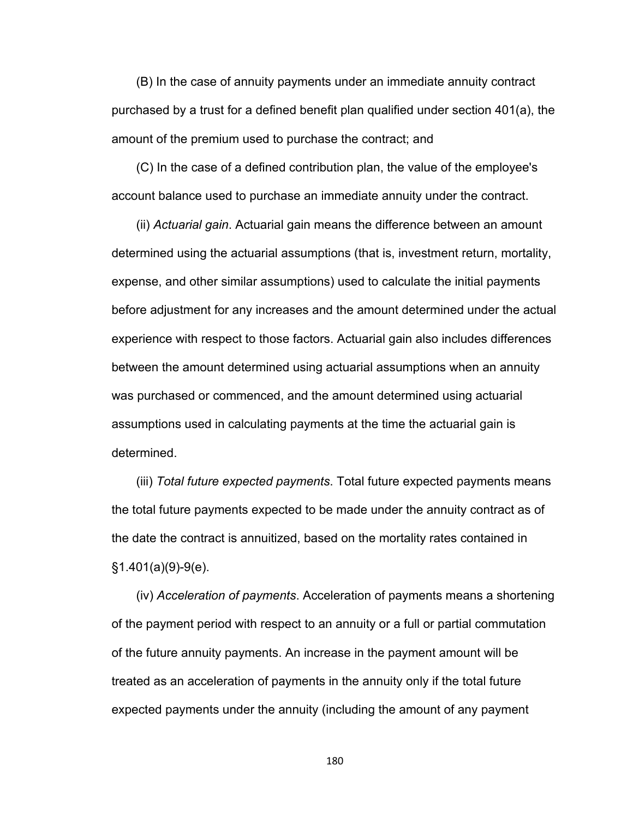(B) In the case of annuity payments under an immediate annuity contract purchased by a trust for a defined benefit plan qualified under section 401(a), the amount of the premium used to purchase the contract; and

(C) In the case of a defined contribution plan, the value of the employee's account balance used to purchase an immediate annuity under the contract.

(ii) *Actuarial gain*. Actuarial gain means the difference between an amount determined using the actuarial assumptions (that is, investment return, mortality, expense, and other similar assumptions) used to calculate the initial payments before adjustment for any increases and the amount determined under the actual experience with respect to those factors. Actuarial gain also includes differences between the amount determined using actuarial assumptions when an annuity was purchased or commenced, and the amount determined using actuarial assumptions used in calculating payments at the time the actuarial gain is determined.

(iii) *Total future expected payments*. Total future expected payments means the total future payments expected to be made under the annuity contract as of the date the contract is annuitized, based on the mortality rates contained in §1.401(a)(9)-9(e).

(iv) *Acceleration of payments*. Acceleration of payments means a shortening of the payment period with respect to an annuity or a full or partial commutation of the future annuity payments. An increase in the payment amount will be treated as an acceleration of payments in the annuity only if the total future expected payments under the annuity (including the amount of any payment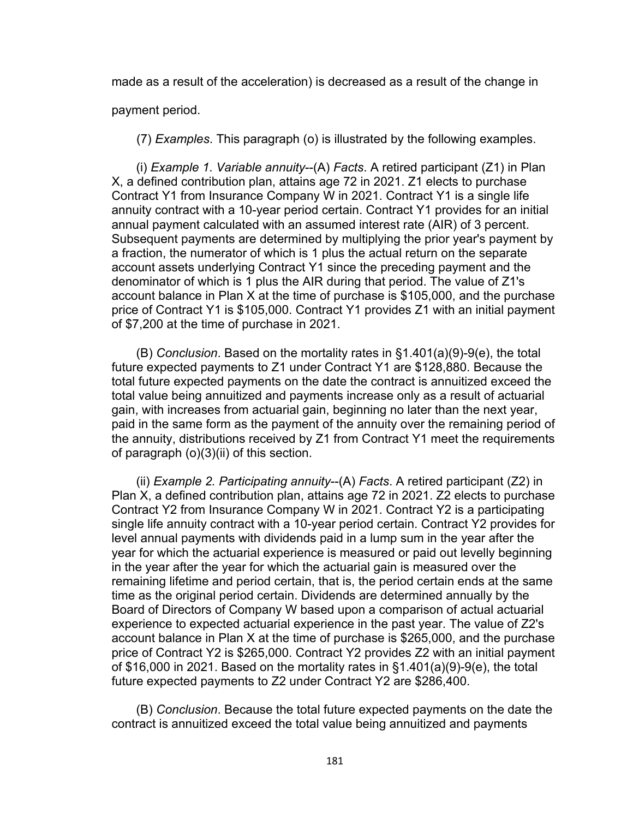made as a result of the acceleration) is decreased as a result of the change in

payment period.

(7) *Examples*. This paragraph (o) is illustrated by the following examples.

(i) *Example 1*. *Variable annuity*--(A) *Facts*. A retired participant (Z1) in Plan X, a defined contribution plan, attains age 72 in 2021. Z1 elects to purchase Contract Y1 from Insurance Company W in 2021. Contract Y1 is a single life annuity contract with a 10-year period certain. Contract Y1 provides for an initial annual payment calculated with an assumed interest rate (AIR) of 3 percent. Subsequent payments are determined by multiplying the prior year's payment by a fraction, the numerator of which is 1 plus the actual return on the separate account assets underlying Contract Y1 since the preceding payment and the denominator of which is 1 plus the AIR during that period. The value of Z1's account balance in Plan X at the time of purchase is \$105,000, and the purchase price of Contract Y1 is \$105,000. Contract Y1 provides Z1 with an initial payment of \$7,200 at the time of purchase in 2021.

(B) *Conclusion*. Based on the mortality rates in §1.401(a)(9)-9(e), the total future expected payments to Z1 under Contract Y1 are \$128,880. Because the total future expected payments on the date the contract is annuitized exceed the total value being annuitized and payments increase only as a result of actuarial gain, with increases from actuarial gain, beginning no later than the next year, paid in the same form as the payment of the annuity over the remaining period of the annuity, distributions received by Z1 from Contract Y1 meet the requirements of paragraph (o)(3)(ii) of this section.

(ii) *Example 2. Participating annuity*--(A) *Facts*. A retired participant (Z2) in Plan X, a defined contribution plan, attains age 72 in 2021. Z2 elects to purchase Contract Y2 from Insurance Company W in 2021. Contract Y2 is a participating single life annuity contract with a 10-year period certain. Contract Y2 provides for level annual payments with dividends paid in a lump sum in the year after the year for which the actuarial experience is measured or paid out levelly beginning in the year after the year for which the actuarial gain is measured over the remaining lifetime and period certain, that is, the period certain ends at the same time as the original period certain. Dividends are determined annually by the Board of Directors of Company W based upon a comparison of actual actuarial experience to expected actuarial experience in the past year. The value of Z2's account balance in Plan X at the time of purchase is \$265,000, and the purchase price of Contract Y2 is \$265,000. Contract Y2 provides Z2 with an initial payment of \$16,000 in 2021. Based on the mortality rates in §1.401(a)(9)-9(e), the total future expected payments to Z2 under Contract Y2 are \$286,400.

(B) *Conclusion*. Because the total future expected payments on the date the contract is annuitized exceed the total value being annuitized and payments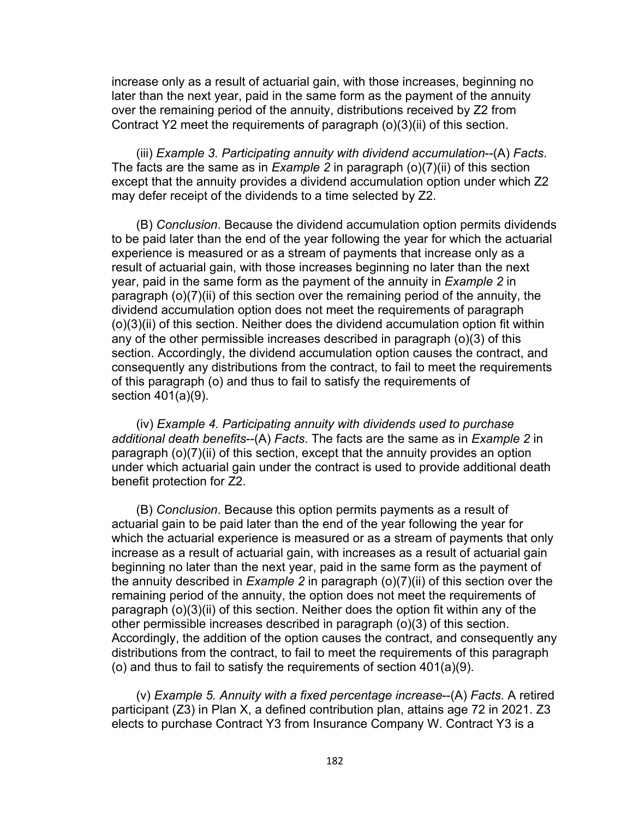increase only as a result of actuarial gain, with those increases, beginning no later than the next year, paid in the same form as the payment of the annuity over the remaining period of the annuity, distributions received by Z2 from Contract Y2 meet the requirements of paragraph (o)(3)(ii) of this section.

(iii) *Example 3. Participating annuity with dividend accumulation*--(A) *Facts*. The facts are the same as in *Example 2* in paragraph (o)(7)(ii) of this section except that the annuity provides a dividend accumulation option under which Z2 may defer receipt of the dividends to a time selected by Z2.

(B) *Conclusion*. Because the dividend accumulation option permits dividends to be paid later than the end of the year following the year for which the actuarial experience is measured or as a stream of payments that increase only as a result of actuarial gain, with those increases beginning no later than the next year, paid in the same form as the payment of the annuity in *Example 2* in paragraph (o)(7)(ii) of this section over the remaining period of the annuity, the dividend accumulation option does not meet the requirements of paragraph (o)(3)(ii) of this section. Neither does the dividend accumulation option fit within any of the other permissible increases described in paragraph (o)(3) of this section. Accordingly, the dividend accumulation option causes the contract, and consequently any distributions from the contract, to fail to meet the requirements of this paragraph (o) and thus to fail to satisfy the requirements of section 401(a)(9).

(iv) *Example 4. Participating annuity with dividends used to purchase additional death benefits*--(A) *Facts*. The facts are the same as in *Example 2* in paragraph (o)(7)(ii) of this section, except that the annuity provides an option under which actuarial gain under the contract is used to provide additional death benefit protection for Z2.

(B) *Conclusion*. Because this option permits payments as a result of actuarial gain to be paid later than the end of the year following the year for which the actuarial experience is measured or as a stream of payments that only increase as a result of actuarial gain, with increases as a result of actuarial gain beginning no later than the next year, paid in the same form as the payment of the annuity described in *Example 2* in paragraph (o)(7)(ii) of this section over the remaining period of the annuity, the option does not meet the requirements of paragraph (o)(3)(ii) of this section. Neither does the option fit within any of the other permissible increases described in paragraph (o)(3) of this section. Accordingly, the addition of the option causes the contract, and consequently any distributions from the contract, to fail to meet the requirements of this paragraph (o) and thus to fail to satisfy the requirements of section 401(a)(9).

(v) *Example 5. Annuity with a fixed percentage increase*--(A) *Facts*. A retired participant (Z3) in Plan X, a defined contribution plan, attains age 72 in 2021. Z3 elects to purchase Contract Y3 from Insurance Company W. Contract Y3 is a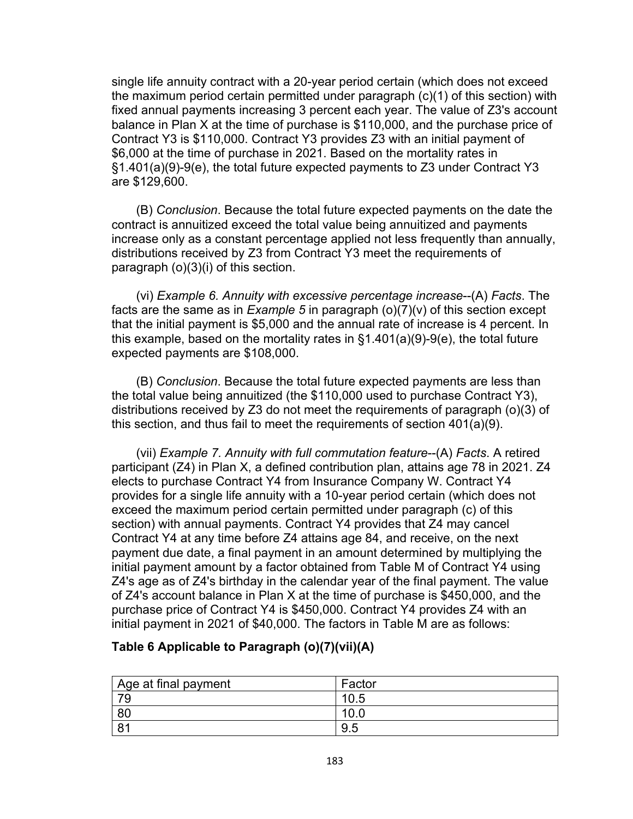single life annuity contract with a 20-year period certain (which does not exceed the maximum period certain permitted under paragraph (c)(1) of this section) with fixed annual payments increasing 3 percent each year. The value of Z3's account balance in Plan X at the time of purchase is \$110,000, and the purchase price of Contract Y3 is \$110,000. Contract Y3 provides Z3 with an initial payment of \$6,000 at the time of purchase in 2021. Based on the mortality rates in §1.401(a)(9)-9(e), the total future expected payments to Z3 under Contract Y3 are \$129,600.

(B) *Conclusion*. Because the total future expected payments on the date the contract is annuitized exceed the total value being annuitized and payments increase only as a constant percentage applied not less frequently than annually, distributions received by Z3 from Contract Y3 meet the requirements of paragraph (o)(3)(i) of this section.

(vi) *Example 6. Annuity with excessive percentage increase*--(A) *Facts*. The facts are the same as in *Example 5* in paragraph (o)(7)(v) of this section except that the initial payment is \$5,000 and the annual rate of increase is 4 percent. In this example, based on the mortality rates in §1.401(a)(9)-9(e), the total future expected payments are \$108,000.

(B) *Conclusion*. Because the total future expected payments are less than the total value being annuitized (the \$110,000 used to purchase Contract Y3), distributions received by Z3 do not meet the requirements of paragraph (o)(3) of this section, and thus fail to meet the requirements of section 401(a)(9).

(vii) *Example 7. Annuity with full commutation feature*--(A) *Facts*. A retired participant (Z4) in Plan X, a defined contribution plan, attains age 78 in 2021. Z4 elects to purchase Contract Y4 from Insurance Company W. Contract Y4 provides for a single life annuity with a 10-year period certain (which does not exceed the maximum period certain permitted under paragraph (c) of this section) with annual payments. Contract Y4 provides that Z4 may cancel Contract Y4 at any time before Z4 attains age 84, and receive, on the next payment due date, a final payment in an amount determined by multiplying the initial payment amount by a factor obtained from Table M of Contract Y4 using Z4's age as of Z4's birthday in the calendar year of the final payment. The value of Z4's account balance in Plan X at the time of purchase is \$450,000, and the purchase price of Contract Y4 is \$450,000. Contract Y4 provides Z4 with an initial payment in 2021 of \$40,000. The factors in Table M are as follows:

# **Table 6 Applicable to Paragraph (o)(7)(vii)(A)**

| $^\shortparallel$ Age at final payment | Factor |
|----------------------------------------|--------|
| 70                                     | 10.5   |
| 80                                     | 10.0   |
| R <sub>1</sub>                         | 9.5    |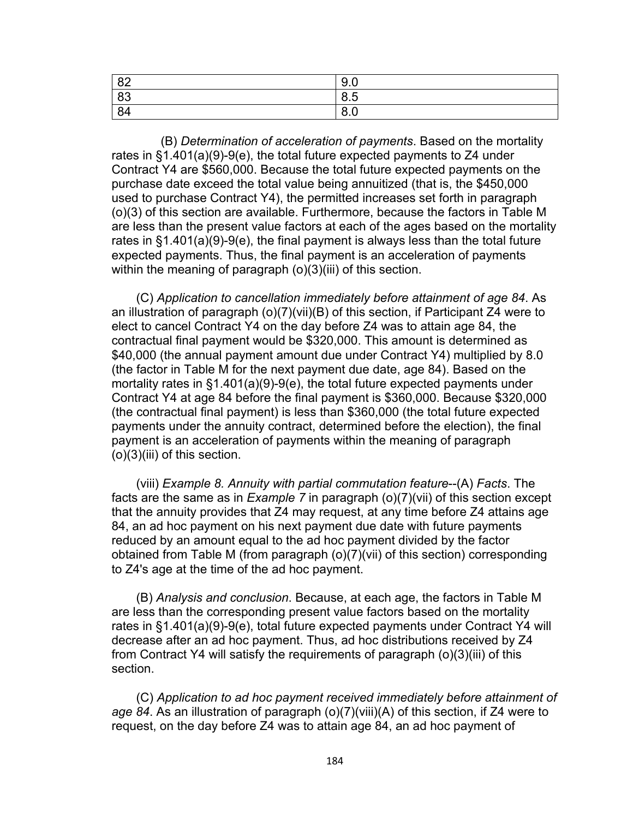| 82 | $\sim$ $\sim$<br>Y.U   |
|----|------------------------|
| 83 | 8.5                    |
| 84 | $\circ$ $\circ$<br>o.u |

(B) *Determination of acceleration of payments*. Based on the mortality rates in §1.401(a)(9)-9(e), the total future expected payments to Z4 under Contract Y4 are \$560,000. Because the total future expected payments on the purchase date exceed the total value being annuitized (that is, the \$450,000 used to purchase Contract Y4), the permitted increases set forth in paragraph (o)(3) of this section are available. Furthermore, because the factors in Table M are less than the present value factors at each of the ages based on the mortality rates in §1.401(a)(9)-9(e), the final payment is always less than the total future expected payments. Thus, the final payment is an acceleration of payments within the meaning of paragraph (o)(3)(iii) of this section.

(C) *Application to cancellation immediately before attainment of age 84*. As an illustration of paragraph (o)(7)(vii)(B) of this section, if Participant Z4 were to elect to cancel Contract Y4 on the day before Z4 was to attain age 84, the contractual final payment would be \$320,000. This amount is determined as \$40,000 (the annual payment amount due under Contract Y4) multiplied by 8.0 (the factor in Table M for the next payment due date, age 84). Based on the mortality rates in §1.401(a)(9)-9(e), the total future expected payments under Contract Y4 at age 84 before the final payment is \$360,000. Because \$320,000 (the contractual final payment) is less than \$360,000 (the total future expected payments under the annuity contract, determined before the election), the final payment is an acceleration of payments within the meaning of paragraph (o)(3)(iii) of this section.

(viii) *Example 8. Annuity with partial commutation feature*--(A) *Facts*. The facts are the same as in *Example 7* in paragraph (o)(7)(vii) of this section except that the annuity provides that Z4 may request, at any time before Z4 attains age 84, an ad hoc payment on his next payment due date with future payments reduced by an amount equal to the ad hoc payment divided by the factor obtained from Table M (from paragraph (o)(7)(vii) of this section) corresponding to Z4's age at the time of the ad hoc payment.

(B) *Analysis and conclusion*. Because, at each age, the factors in Table M are less than the corresponding present value factors based on the mortality rates in §1.401(a)(9)-9(e), total future expected payments under Contract Y4 will decrease after an ad hoc payment. Thus, ad hoc distributions received by Z4 from Contract Y4 will satisfy the requirements of paragraph (o)(3)(iii) of this section.

(C) *Application to ad hoc payment received immediately before attainment of age 84*. As an illustration of paragraph (o)(7)(viii)(A) of this section, if Z4 were to request, on the day before Z4 was to attain age 84, an ad hoc payment of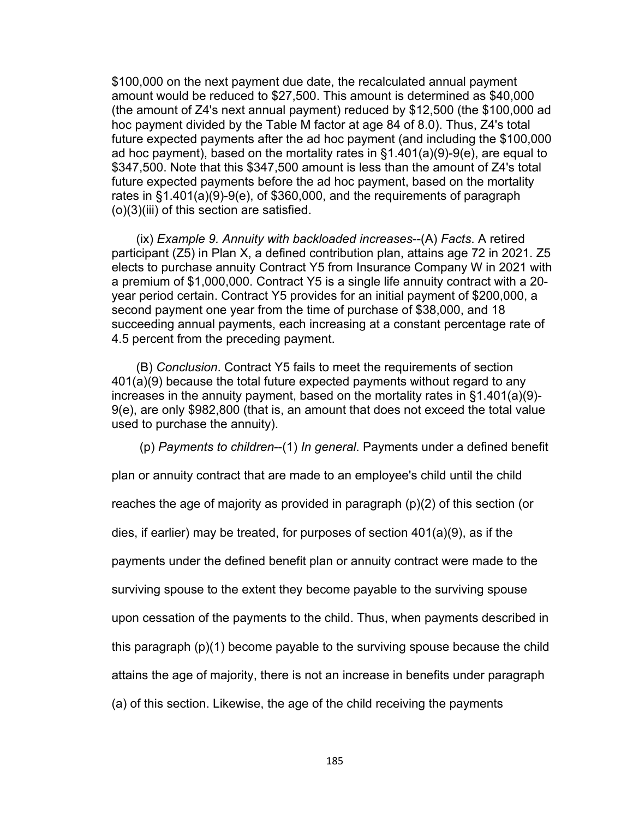\$100,000 on the next payment due date, the recalculated annual payment amount would be reduced to \$27,500. This amount is determined as \$40,000 (the amount of Z4's next annual payment) reduced by \$12,500 (the \$100,000 ad hoc payment divided by the Table M factor at age 84 of 8.0). Thus, Z4's total future expected payments after the ad hoc payment (and including the \$100,000 ad hoc payment), based on the mortality rates in §1.401(a)(9)-9(e), are equal to \$347,500. Note that this \$347,500 amount is less than the amount of Z4's total future expected payments before the ad hoc payment, based on the mortality rates in §1.401(a)(9)-9(e), of \$360,000, and the requirements of paragraph (o)(3)(iii) of this section are satisfied.

(ix) *Example 9. Annuity with backloaded increases*--(A) *Facts*. A retired participant (Z5) in Plan X, a defined contribution plan, attains age 72 in 2021. Z5 elects to purchase annuity Contract Y5 from Insurance Company W in 2021 with a premium of \$1,000,000. Contract Y5 is a single life annuity contract with a 20 year period certain. Contract Y5 provides for an initial payment of \$200,000, a second payment one year from the time of purchase of \$38,000, and 18 succeeding annual payments, each increasing at a constant percentage rate of 4.5 percent from the preceding payment.

(B) *Conclusion*. Contract Y5 fails to meet the requirements of section 401(a)(9) because the total future expected payments without regard to any increases in the annuity payment, based on the mortality rates in §1.401(a)(9)- 9(e), are only \$982,800 (that is, an amount that does not exceed the total value used to purchase the annuity).

(p) *Payments to children*--(1) *In general*. Payments under a defined benefit

plan or annuity contract that are made to an employee's child until the child

reaches the age of majority as provided in paragraph (p)(2) of this section (or

dies, if earlier) may be treated, for purposes of section 401(a)(9), as if the

payments under the defined benefit plan or annuity contract were made to the

surviving spouse to the extent they become payable to the surviving spouse

upon cessation of the payments to the child. Thus, when payments described in

this paragraph (p)(1) become payable to the surviving spouse because the child

attains the age of majority, there is not an increase in benefits under paragraph

(a) of this section. Likewise, the age of the child receiving the payments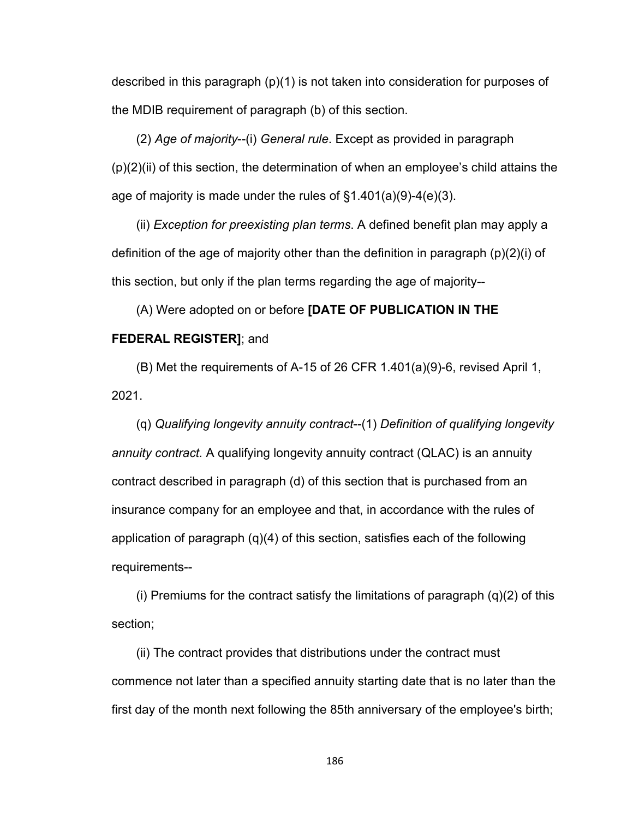described in this paragraph (p)(1) is not taken into consideration for purposes of the MDIB requirement of paragraph (b) of this section.

(2) *Age of majority*--(i) *General rule*. Except as provided in paragraph  $(p)(2)(ii)$  of this section, the determination of when an employee's child attains the age of majority is made under the rules of §1.401(a)(9)-4(e)(3).

(ii) *Exception for preexisting plan terms*. A defined benefit plan may apply a definition of the age of majority other than the definition in paragraph (p)(2)(i) of this section, but only if the plan terms regarding the age of majority--

# (A) Were adopted on or before **[DATE OF PUBLICATION IN THE FEDERAL REGISTER]**; and

(B) Met the requirements of A-15 of 26 CFR 1.401(a)(9)-6, revised April 1, 2021.

(q) *Qualifying longevity annuity contract*--(1) *Definition of qualifying longevity annuity contract.* A qualifying longevity annuity contract (QLAC) is an annuity contract described in paragraph (d) of this section that is purchased from an insurance company for an employee and that, in accordance with the rules of application of paragraph (q)(4) of this section, satisfies each of the following requirements--

(i) Premiums for the contract satisfy the limitations of paragraph  $(q)(2)$  of this section;

(ii) The contract provides that distributions under the contract must commence not later than a specified annuity starting date that is no later than the first day of the month next following the 85th anniversary of the employee's birth;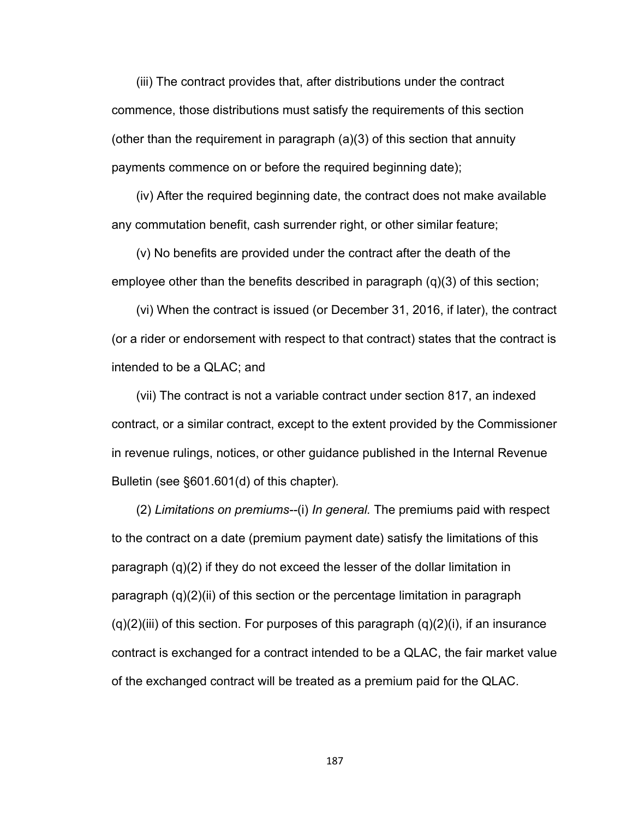(iii) The contract provides that, after distributions under the contract commence, those distributions must satisfy the requirements of this section (other than the requirement in paragraph (a)(3) of this section that annuity payments commence on or before the required beginning date);

(iv) After the required beginning date, the contract does not make available any commutation benefit, cash surrender right, or other similar feature;

(v) No benefits are provided under the contract after the death of the employee other than the benefits described in paragraph (q)(3) of this section;

(vi) When the contract is issued (or December 31, 2016, if later), the contract (or a rider or endorsement with respect to that contract) states that the contract is intended to be a QLAC; and

(vii) The contract is not a variable contract under section 817, an indexed contract, or a similar contract, except to the extent provided by the Commissioner in revenue rulings, notices, or other guidance published in the Internal Revenue Bulletin (see §601.601(d) of this chapter)*.*

(2) *Limitations on premiums--*(i) *In general.* The premiums paid with respect to the contract on a date (premium payment date) satisfy the limitations of this paragraph (q)(2) if they do not exceed the lesser of the dollar limitation in paragraph (q)(2)(ii) of this section or the percentage limitation in paragraph  $(q)(2)(iii)$  of this section. For purposes of this paragraph  $(q)(2)(i)$ , if an insurance contract is exchanged for a contract intended to be a QLAC, the fair market value of the exchanged contract will be treated as a premium paid for the QLAC.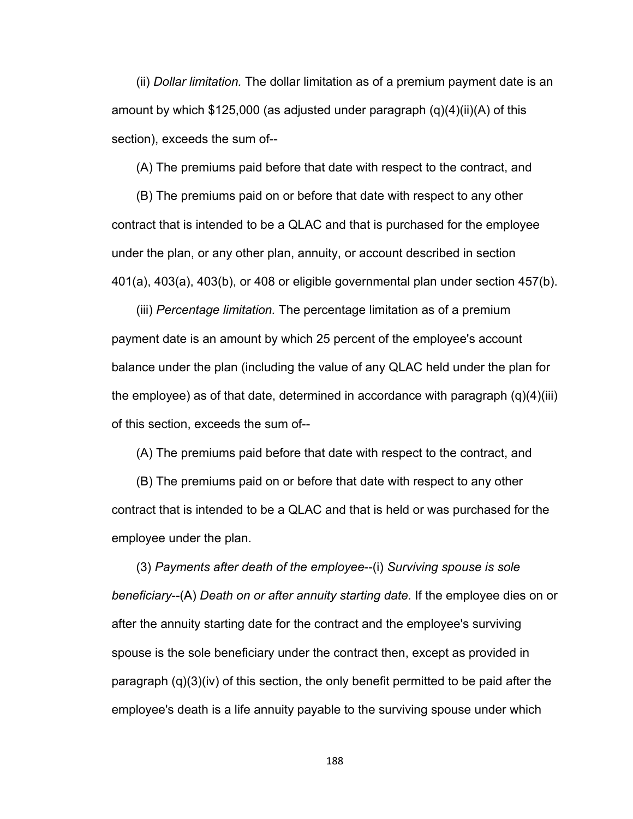(ii) *Dollar limitation.* The dollar limitation as of a premium payment date is an amount by which  $$125,000$  (as adjusted under paragraph  $(q)(4)(ii)(A)$  of this section), exceeds the sum of--

(A) The premiums paid before that date with respect to the contract, and

(B) The premiums paid on or before that date with respect to any other contract that is intended to be a QLAC and that is purchased for the employee under the plan, or any other plan, annuity, or account described in section 401(a), 403(a), 403(b), or 408 or eligible governmental plan under section 457(b).

(iii) *Percentage limitation.* The percentage limitation as of a premium payment date is an amount by which 25 percent of the employee's account balance under the plan (including the value of any QLAC held under the plan for the employee) as of that date, determined in accordance with paragraph  $(q)(4)(iii)$ of this section, exceeds the sum of--

(A) The premiums paid before that date with respect to the contract, and

(B) The premiums paid on or before that date with respect to any other contract that is intended to be a QLAC and that is held or was purchased for the employee under the plan.

(3) *Payments after death of the employee*--(i) *Surviving spouse is sole beneficiary*--(A) *Death on or after annuity starting date.* If the employee dies on or after the annuity starting date for the contract and the employee's surviving spouse is the sole beneficiary under the contract then, except as provided in paragraph (q)(3)(iv) of this section, the only benefit permitted to be paid after the employee's death is a life annuity payable to the surviving spouse under which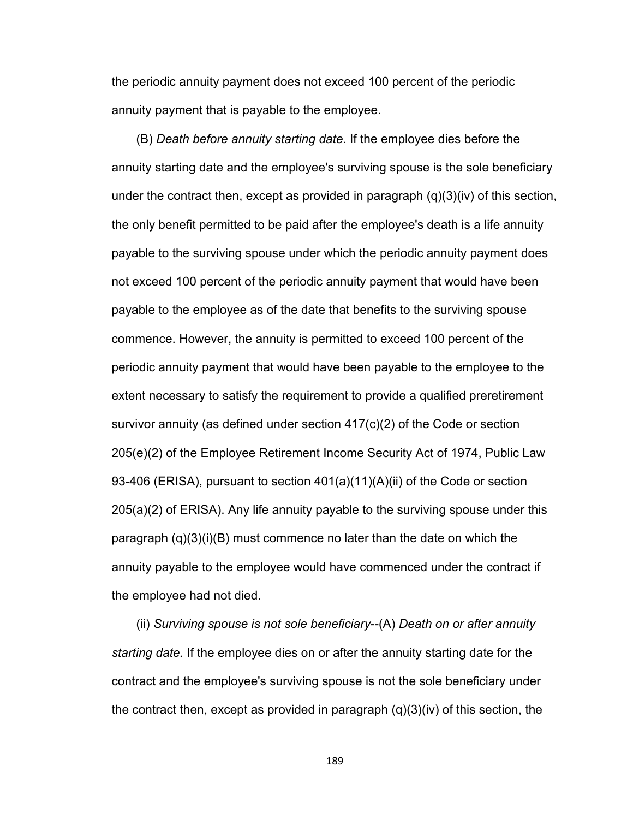the periodic annuity payment does not exceed 100 percent of the periodic annuity payment that is payable to the employee.

(B) *Death before annuity starting date.* If the employee dies before the annuity starting date and the employee's surviving spouse is the sole beneficiary under the contract then, except as provided in paragraph (q)(3)(iv) of this section, the only benefit permitted to be paid after the employee's death is a life annuity payable to the surviving spouse under which the periodic annuity payment does not exceed 100 percent of the periodic annuity payment that would have been payable to the employee as of the date that benefits to the surviving spouse commence. However, the annuity is permitted to exceed 100 percent of the periodic annuity payment that would have been payable to the employee to the extent necessary to satisfy the requirement to provide a qualified preretirement survivor annuity (as defined under section  $417(c)(2)$  of the Code or section 205(e)(2) of the Employee Retirement Income Security Act of 1974, Public Law 93-406 (ERISA), pursuant to section 401(a)(11)(A)(ii) of the Code or section 205(a)(2) of ERISA). Any life annuity payable to the surviving spouse under this paragraph  $(q)(3)(i)(B)$  must commence no later than the date on which the annuity payable to the employee would have commenced under the contract if the employee had not died.

(ii) *Surviving spouse is not sole beneficiary*--(A) *Death on or after annuity starting date.* If the employee dies on or after the annuity starting date for the contract and the employee's surviving spouse is not the sole beneficiary under the contract then, except as provided in paragraph (q)(3)(iv) of this section, the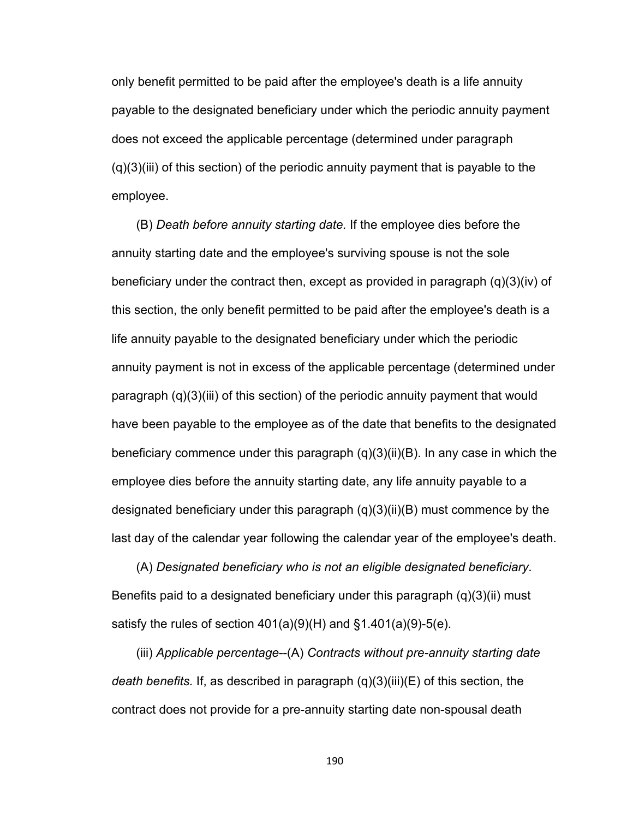only benefit permitted to be paid after the employee's death is a life annuity payable to the designated beneficiary under which the periodic annuity payment does not exceed the applicable percentage (determined under paragraph (q)(3)(iii) of this section) of the periodic annuity payment that is payable to the employee.

(B) *Death before annuity starting date.* If the employee dies before the annuity starting date and the employee's surviving spouse is not the sole beneficiary under the contract then, except as provided in paragraph (q)(3)(iv) of this section, the only benefit permitted to be paid after the employee's death is a life annuity payable to the designated beneficiary under which the periodic annuity payment is not in excess of the applicable percentage (determined under paragraph (q)(3)(iii) of this section) of the periodic annuity payment that would have been payable to the employee as of the date that benefits to the designated beneficiary commence under this paragraph (q)(3)(ii)(B). In any case in which the employee dies before the annuity starting date, any life annuity payable to a designated beneficiary under this paragraph (q)(3)(ii)(B) must commence by the last day of the calendar year following the calendar year of the employee's death.

(A) *Designated beneficiary who is not an eligible designated beneficiary*. Benefits paid to a designated beneficiary under this paragraph (q)(3)(ii) must satisfy the rules of section  $401(a)(9)(H)$  and  $§1.401(a)(9)-5(e)$ .

(iii) *Applicable percentage*--(A) *Contracts without pre-annuity starting date death benefits.* If, as described in paragraph (q)(3)(iii)(E) of this section, the contract does not provide for a pre-annuity starting date non-spousal death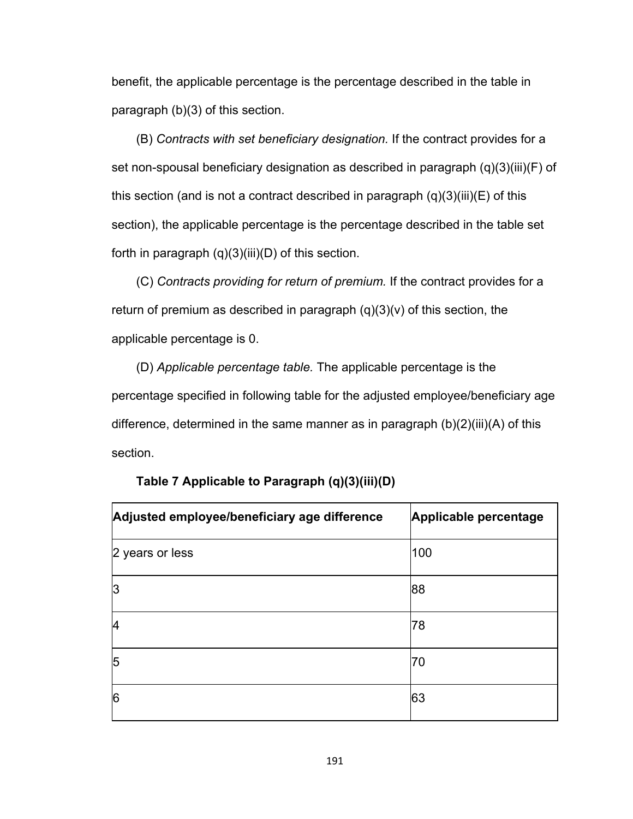benefit, the applicable percentage is the percentage described in the table in paragraph (b)(3) of this section.

(B) *Contracts with set beneficiary designation.* If the contract provides for a set non-spousal beneficiary designation as described in paragraph (q)(3)(iii)(F) of this section (and is not a contract described in paragraph  $(q)(3)(iii)(E)$  of this section), the applicable percentage is the percentage described in the table set forth in paragraph  $(q)(3)(iii)(D)$  of this section.

(C) *Contracts providing for return of premium.* If the contract provides for a return of premium as described in paragraph  $(q)(3)(v)$  of this section, the applicable percentage is 0.

(D) *Applicable percentage table.* The applicable percentage is the percentage specified in following table for the adjusted employee/beneficiary age difference, determined in the same manner as in paragraph (b)(2)(iii)(A) of this section.

| Adjusted employee/beneficiary age difference | Applicable percentage |
|----------------------------------------------|-----------------------|
| 2 years or less                              | 100                   |
| 3                                            | 88                    |
| 14                                           | 78                    |
| 5                                            | 70                    |
| 6                                            | 63                    |

**Table 7 Applicable to Paragraph (q)(3)(iii)(D)**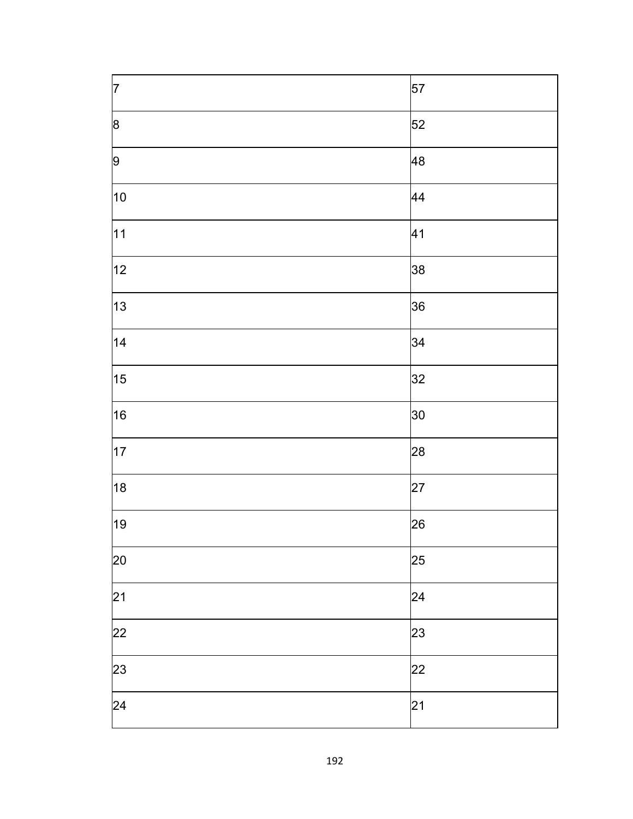| $\vert$ 7 | 57 |
|-----------|----|
| 8         | 52 |
| 9         | 48 |
| 10        | 44 |
| 11        | 41 |
| 12        | 38 |
| 13        | 36 |
| 14        | 34 |
| 15        | 32 |
| 16        | 30 |
| 17        | 28 |
| 18        | 27 |
| 19        | 26 |
| 20        | 25 |
| 21        | 24 |
| 22        | 23 |
| 23        | 22 |
| 24        | 21 |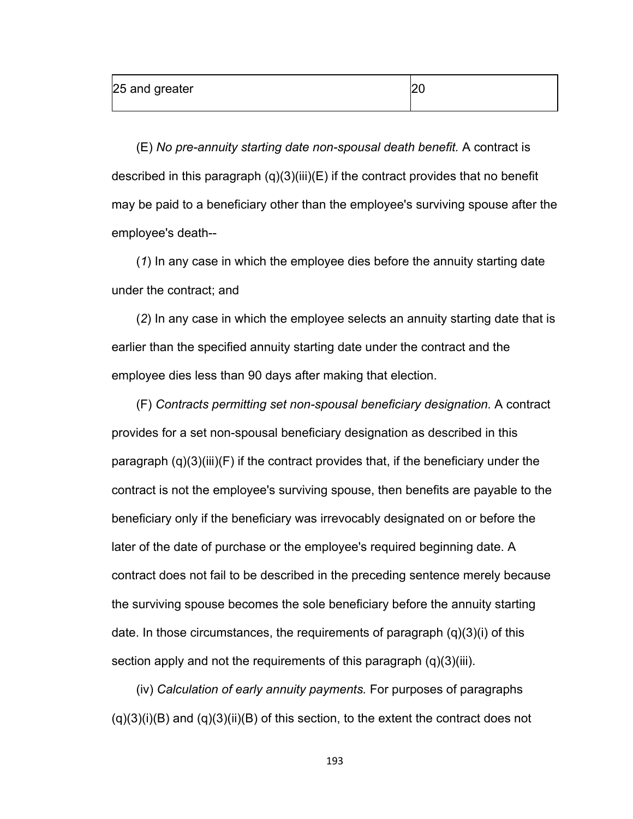(E) *No pre-annuity starting date non-spousal death benefit.* A contract is described in this paragraph  $(q)(3)(iii)(E)$  if the contract provides that no benefit may be paid to a beneficiary other than the employee's surviving spouse after the employee's death--

(*1*) In any case in which the employee dies before the annuity starting date under the contract; and

(*2*) In any case in which the employee selects an annuity starting date that is earlier than the specified annuity starting date under the contract and the employee dies less than 90 days after making that election.

(F) *Contracts permitting set non-spousal beneficiary designation.* A contract provides for a set non-spousal beneficiary designation as described in this paragraph (q)(3)(iii)(F) if the contract provides that, if the beneficiary under the contract is not the employee's surviving spouse, then benefits are payable to the beneficiary only if the beneficiary was irrevocably designated on or before the later of the date of purchase or the employee's required beginning date. A contract does not fail to be described in the preceding sentence merely because the surviving spouse becomes the sole beneficiary before the annuity starting date. In those circumstances, the requirements of paragraph (q)(3)(i) of this section apply and not the requirements of this paragraph (q)(3)(iii).

(iv) *Calculation of early annuity payments.* For purposes of paragraphs  $(q)(3)(i)(B)$  and  $(q)(3)(ii)(B)$  of this section, to the extent the contract does not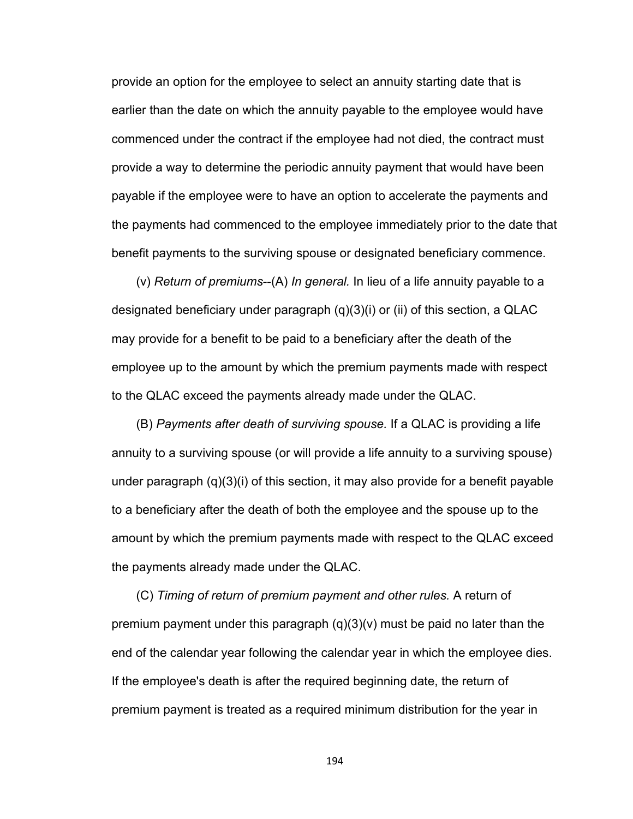provide an option for the employee to select an annuity starting date that is earlier than the date on which the annuity payable to the employee would have commenced under the contract if the employee had not died, the contract must provide a way to determine the periodic annuity payment that would have been payable if the employee were to have an option to accelerate the payments and the payments had commenced to the employee immediately prior to the date that benefit payments to the surviving spouse or designated beneficiary commence.

(v) *Return of premiums*--(A) *In general.* In lieu of a life annuity payable to a designated beneficiary under paragraph (q)(3)(i) or (ii) of this section, a QLAC may provide for a benefit to be paid to a beneficiary after the death of the employee up to the amount by which the premium payments made with respect to the QLAC exceed the payments already made under the QLAC.

(B) *Payments after death of surviving spouse.* If a QLAC is providing a life annuity to a surviving spouse (or will provide a life annuity to a surviving spouse) under paragraph (q)(3)(i) of this section, it may also provide for a benefit payable to a beneficiary after the death of both the employee and the spouse up to the amount by which the premium payments made with respect to the QLAC exceed the payments already made under the QLAC.

(C) *Timing of return of premium payment and other rules.* A return of premium payment under this paragraph (q)(3)(v) must be paid no later than the end of the calendar year following the calendar year in which the employee dies. If the employee's death is after the required beginning date, the return of premium payment is treated as a required minimum distribution for the year in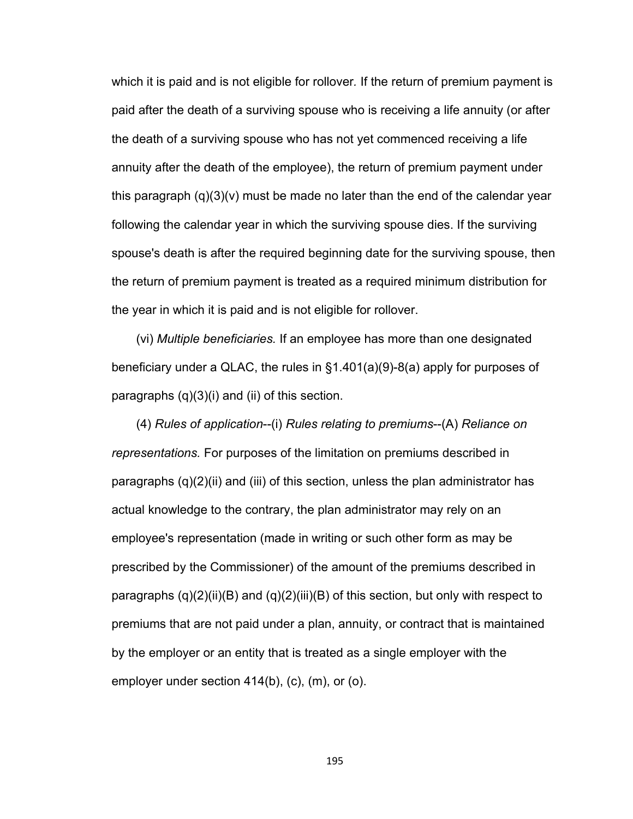which it is paid and is not eligible for rollover*.* If the return of premium payment is paid after the death of a surviving spouse who is receiving a life annuity (or after the death of a surviving spouse who has not yet commenced receiving a life annuity after the death of the employee), the return of premium payment under this paragraph (q)(3)(v) must be made no later than the end of the calendar year following the calendar year in which the surviving spouse dies. If the surviving spouse's death is after the required beginning date for the surviving spouse, then the return of premium payment is treated as a required minimum distribution for the year in which it is paid and is not eligible for rollover.

(vi) *Multiple beneficiaries.* If an employee has more than one designated beneficiary under a QLAC, the rules in §1.401(a)(9)-8(a) apply for purposes of paragraphs (q)(3)(i) and (ii) of this section.

(4) *Rules of application*--(i) *Rules relating to premiums*--(A) *Reliance on representations.* For purposes of the limitation on premiums described in paragraphs (q)(2)(ii) and (iii) of this section, unless the plan administrator has actual knowledge to the contrary, the plan administrator may rely on an employee's representation (made in writing or such other form as may be prescribed by the Commissioner) of the amount of the premiums described in paragraphs (q)(2)(ii)(B) and (q)(2)(iii)(B) of this section, but only with respect to premiums that are not paid under a plan, annuity, or contract that is maintained by the employer or an entity that is treated as a single employer with the employer under section 414(b), (c), (m), or (o).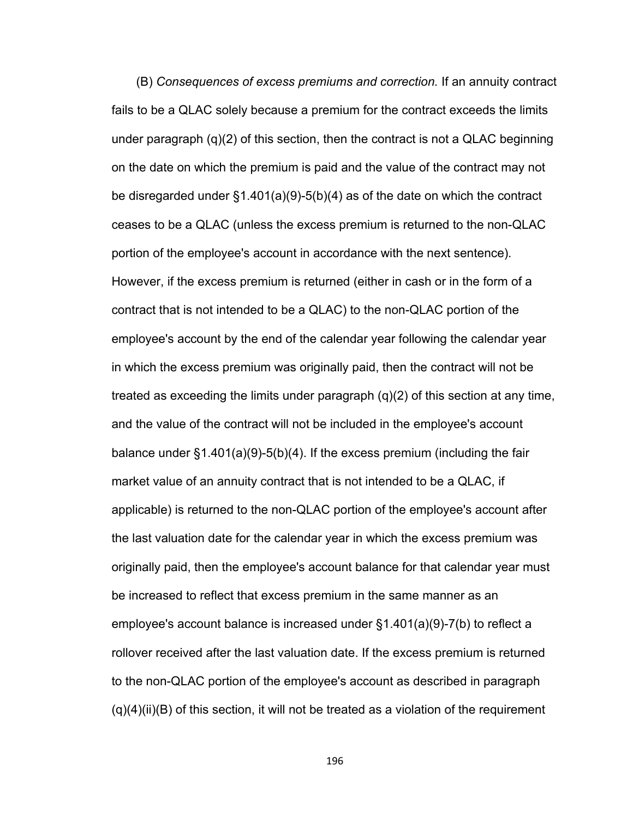(B) *Consequences of excess premiums and correction.* If an annuity contract fails to be a QLAC solely because a premium for the contract exceeds the limits under paragraph (q)(2) of this section, then the contract is not a QLAC beginning on the date on which the premium is paid and the value of the contract may not be disregarded under §1.401(a)(9)-5(b)(4) as of the date on which the contract ceases to be a QLAC (unless the excess premium is returned to the non-QLAC portion of the employee's account in accordance with the next sentence)*.* However, if the excess premium is returned (either in cash or in the form of a contract that is not intended to be a QLAC) to the non-QLAC portion of the employee's account by the end of the calendar year following the calendar year in which the excess premium was originally paid, then the contract will not be treated as exceeding the limits under paragraph  $(q)(2)$  of this section at any time, and the value of the contract will not be included in the employee's account balance under §1.401(a)(9)-5(b)(4). If the excess premium (including the fair market value of an annuity contract that is not intended to be a QLAC, if applicable) is returned to the non-QLAC portion of the employee's account after the last valuation date for the calendar year in which the excess premium was originally paid, then the employee's account balance for that calendar year must be increased to reflect that excess premium in the same manner as an employee's account balance is increased under §1.401(a)(9)-7(b) to reflect a rollover received after the last valuation date. If the excess premium is returned to the non-QLAC portion of the employee's account as described in paragraph  $(q)(4)(ii)(B)$  of this section, it will not be treated as a violation of the requirement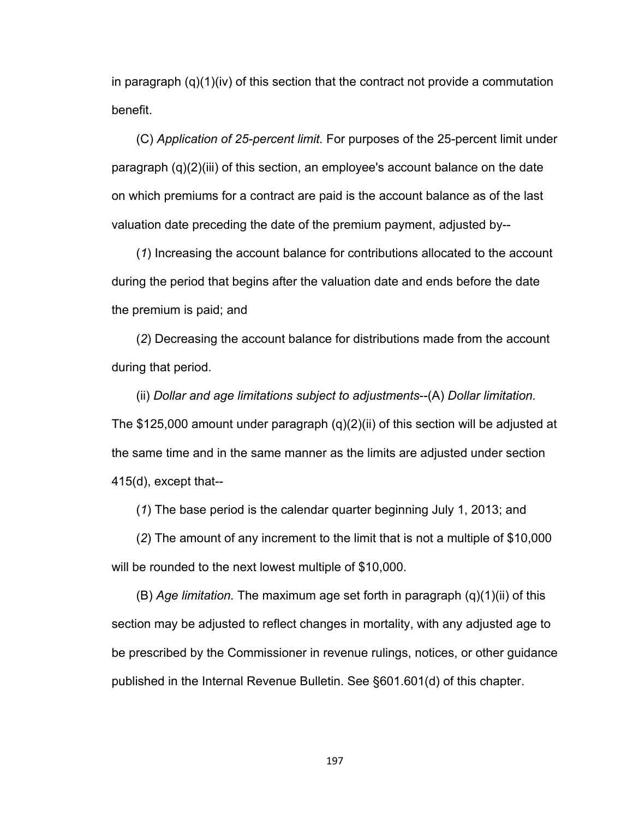in paragraph  $(q)(1)(iv)$  of this section that the contract not provide a commutation benefit.

(C) *Application of 25-percent limit.* For purposes of the 25-percent limit under paragraph (q)(2)(iii) of this section, an employee's account balance on the date on which premiums for a contract are paid is the account balance as of the last valuation date preceding the date of the premium payment, adjusted by--

(*1*) Increasing the account balance for contributions allocated to the account during the period that begins after the valuation date and ends before the date the premium is paid; and

(*2*) Decreasing the account balance for distributions made from the account during that period.

(ii) *Dollar and age limitations subject to adjustments*--(A) *Dollar limitation.* The \$125,000 amount under paragraph (q)(2)(ii) of this section will be adjusted at the same time and in the same manner as the limits are adjusted under section 415(d), except that--

(*1*) The base period is the calendar quarter beginning July 1, 2013; and

(*2*) The amount of any increment to the limit that is not a multiple of \$10,000 will be rounded to the next lowest multiple of \$10,000.

(B) *Age limitation.* The maximum age set forth in paragraph (q)(1)(ii) of this section may be adjusted to reflect changes in mortality, with any adjusted age to be prescribed by the Commissioner in revenue rulings, notices, or other guidance published in the Internal Revenue Bulletin. See §601.601(d) of this chapter.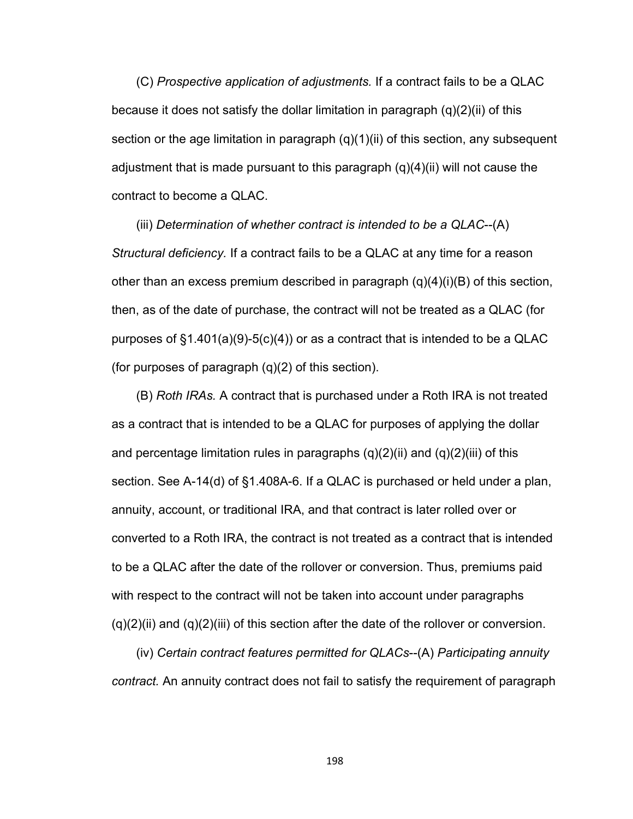(C) *Prospective application of adjustments.* If a contract fails to be a QLAC because it does not satisfy the dollar limitation in paragraph  $(q)(2)(ii)$  of this section or the age limitation in paragraph  $(q)(1)(ii)$  of this section, any subsequent adjustment that is made pursuant to this paragraph (q)(4)(ii) will not cause the contract to become a QLAC.

(iii) *Determination of whether contract is intended to be a QLAC*--(A) *Structural deficiency.* If a contract fails to be a QLAC at any time for a reason other than an excess premium described in paragraph  $(q)(4)(i)(B)$  of this section, then, as of the date of purchase, the contract will not be treated as a QLAC (for purposes of  $\S1.401(a)(9)-5(c)(4)$  or as a contract that is intended to be a QLAC (for purposes of paragraph (q)(2) of this section).

(B) *Roth IRAs.* A contract that is purchased under a Roth IRA is not treated as a contract that is intended to be a QLAC for purposes of applying the dollar and percentage limitation rules in paragraphs  $(q)(2)(ii)$  and  $(q)(2)(iii)$  of this section. See A-14(d) of §1.408A-6. If a QLAC is purchased or held under a plan, annuity, account, or traditional IRA, and that contract is later rolled over or converted to a Roth IRA, the contract is not treated as a contract that is intended to be a QLAC after the date of the rollover or conversion. Thus, premiums paid with respect to the contract will not be taken into account under paragraphs  $(q)(2)(ii)$  and  $(q)(2)(iii)$  of this section after the date of the rollover or conversion.

(iv) *Certain contract features permitted for QLACs*--(A) *Participating annuity contract.* An annuity contract does not fail to satisfy the requirement of paragraph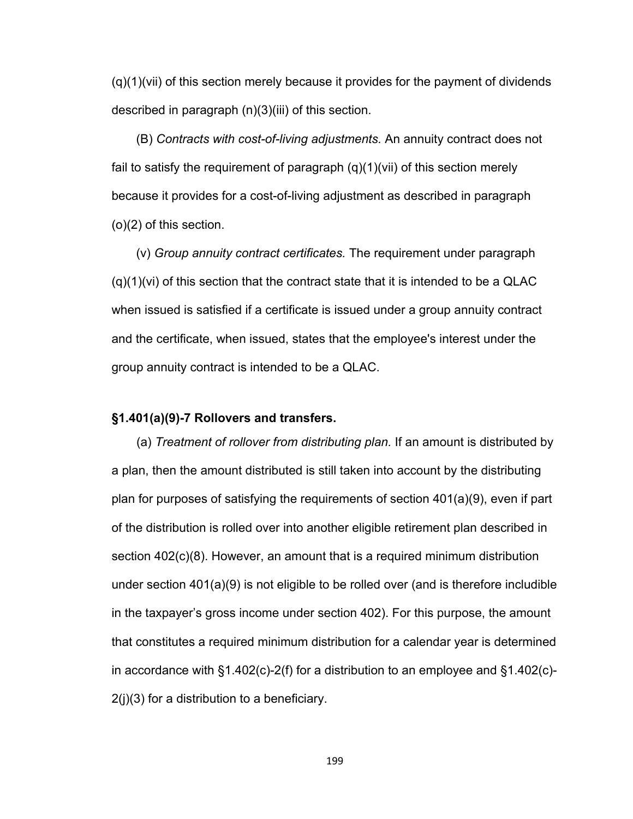(q)(1)(vii) of this section merely because it provides for the payment of dividends described in paragraph (n)(3)(iii) of this section.

(B) *Contracts with cost-of-living adjustments.* An annuity contract does not fail to satisfy the requirement of paragraph (q)(1)(vii) of this section merely because it provides for a cost-of-living adjustment as described in paragraph (o)(2) of this section.

(v) *Group annuity contract certificates.* The requirement under paragraph  $(q)(1)(vi)$  of this section that the contract state that it is intended to be a QLAC when issued is satisfied if a certificate is issued under a group annuity contract and the certificate, when issued, states that the employee's interest under the group annuity contract is intended to be a QLAC.

#### **§1.401(a)(9)-7 Rollovers and transfers.**

(a) *Treatment of rollover from distributing plan.* If an amount is distributed by a plan, then the amount distributed is still taken into account by the distributing plan for purposes of satisfying the requirements of section 401(a)(9), even if part of the distribution is rolled over into another eligible retirement plan described in section 402(c)(8). However, an amount that is a required minimum distribution under section 401(a)(9) is not eligible to be rolled over (and is therefore includible in the taxpayer's gross income under section 402). For this purpose, the amount that constitutes a required minimum distribution for a calendar year is determined in accordance with §1.402(c)-2(f) for a distribution to an employee and §1.402(c)- 2(j)(3) for a distribution to a beneficiary.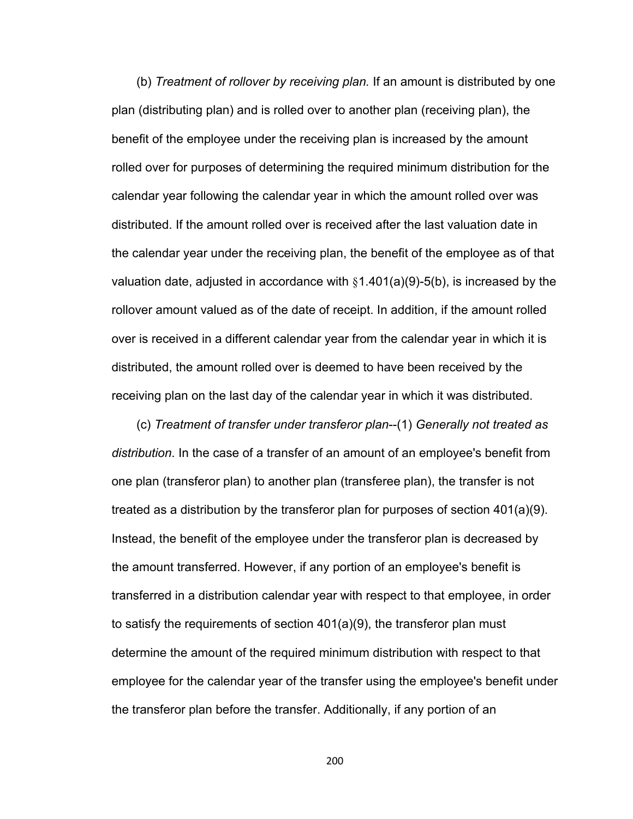(b) *Treatment of rollover by receiving plan.* If an amount is distributed by one plan (distributing plan) and is rolled over to another plan (receiving plan), the benefit of the employee under the receiving plan is increased by the amount rolled over for purposes of determining the required minimum distribution for the calendar year following the calendar year in which the amount rolled over was distributed. If the amount rolled over is received after the last valuation date in the calendar year under the receiving plan, the benefit of the employee as of that valuation date, adjusted in accordance with  $\S1.401(a)(9)-5(b)$ , is increased by the rollover amount valued as of the date of receipt. In addition, if the amount rolled over is received in a different calendar year from the calendar year in which it is distributed, the amount rolled over is deemed to have been received by the receiving plan on the last day of the calendar year in which it was distributed.

(c) *Treatment of transfer under transferor plan*--(1) *Generally not treated as distribution*. In the case of a transfer of an amount of an employee's benefit from one plan (transferor plan) to another plan (transferee plan), the transfer is not treated as a distribution by the transferor plan for purposes of section 401(a)(9). Instead, the benefit of the employee under the transferor plan is decreased by the amount transferred. However, if any portion of an employee's benefit is transferred in a distribution calendar year with respect to that employee, in order to satisfy the requirements of section 401(a)(9), the transferor plan must determine the amount of the required minimum distribution with respect to that employee for the calendar year of the transfer using the employee's benefit under the transferor plan before the transfer. Additionally, if any portion of an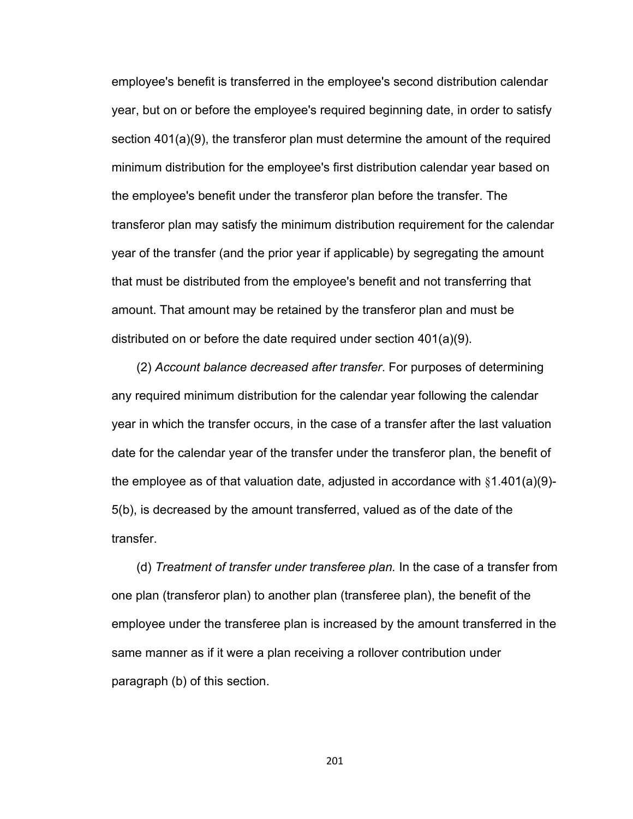employee's benefit is transferred in the employee's second distribution calendar year, but on or before the employee's required beginning date, in order to satisfy section 401(a)(9), the transferor plan must determine the amount of the required minimum distribution for the employee's first distribution calendar year based on the employee's benefit under the transferor plan before the transfer. The transferor plan may satisfy the minimum distribution requirement for the calendar year of the transfer (and the prior year if applicable) by segregating the amount that must be distributed from the employee's benefit and not transferring that amount. That amount may be retained by the transferor plan and must be distributed on or before the date required under section 401(a)(9).

(2) *Account balance decreased after transfer*. For purposes of determining any required minimum distribution for the calendar year following the calendar year in which the transfer occurs, in the case of a transfer after the last valuation date for the calendar year of the transfer under the transferor plan, the benefit of the employee as of that valuation date, adjusted in accordance with  $§1.401(a)(9)$ -5(b), is decreased by the amount transferred, valued as of the date of the transfer.

(d) *Treatment of transfer under transferee plan.* In the case of a transfer from one plan (transferor plan) to another plan (transferee plan), the benefit of the employee under the transferee plan is increased by the amount transferred in the same manner as if it were a plan receiving a rollover contribution under paragraph (b) of this section.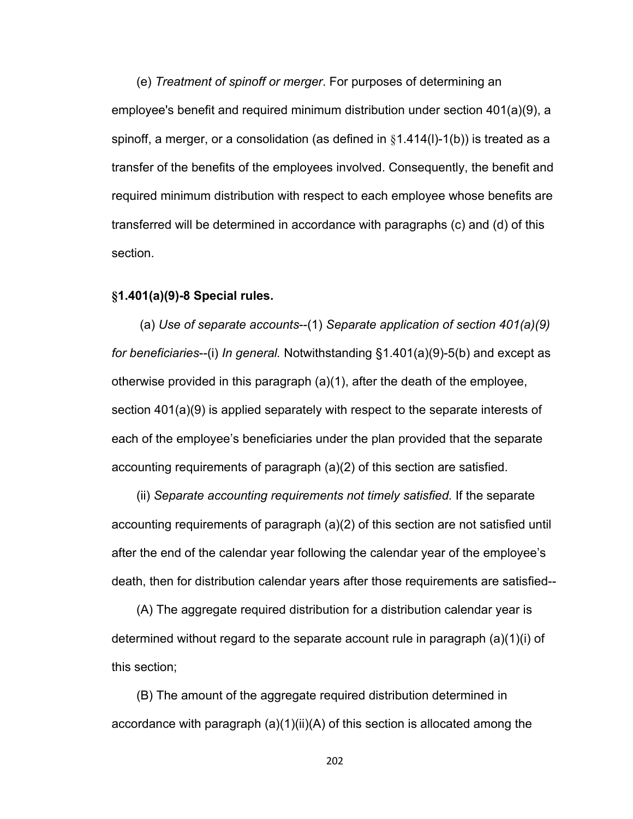(e) *Treatment of spinoff or merger*. For purposes of determining an employee's benefit and required minimum distribution under section 401(a)(9), a spinoff, a merger, or a consolidation (as defined in  $§1.414(I)-1(b)$ ) is treated as a transfer of the benefits of the employees involved. Consequently, the benefit and required minimum distribution with respect to each employee whose benefits are transferred will be determined in accordance with paragraphs (c) and (d) of this section.

## **§1.401(a)(9)-8 Special rules.**

 (a) *Use of separate accounts*--(1) *Separate application of section 401(a)(9) for beneficiaries*--(i) *In general.* Notwithstanding §1.401(a)(9)-5(b) and except as otherwise provided in this paragraph (a)(1), after the death of the employee, section 401(a)(9) is applied separately with respect to the separate interests of each of the employee's beneficiaries under the plan provided that the separate accounting requirements of paragraph (a)(2) of this section are satisfied.

(ii) *Separate accounting requirements not timely satisfied.* If the separate accounting requirements of paragraph (a)(2) of this section are not satisfied until after the end of the calendar year following the calendar year of the employee's death, then for distribution calendar years after those requirements are satisfied--

(A) The aggregate required distribution for a distribution calendar year is determined without regard to the separate account rule in paragraph (a)(1)(i) of this section;

(B) The amount of the aggregate required distribution determined in accordance with paragraph (a)(1)(ii)(A) of this section is allocated among the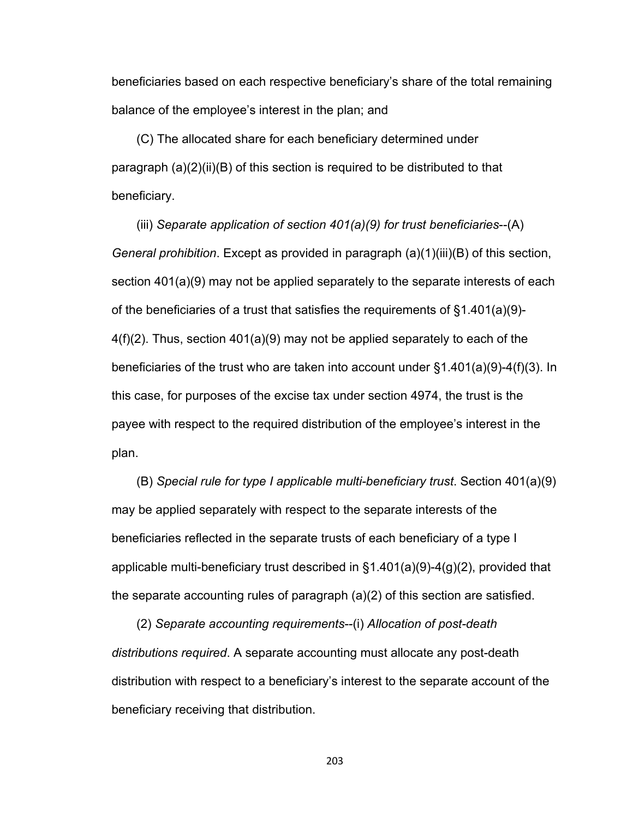beneficiaries based on each respective beneficiary's share of the total remaining balance of the employee's interest in the plan; and

(C) The allocated share for each beneficiary determined under paragraph (a)(2)(ii)(B) of this section is required to be distributed to that beneficiary.

(iii) *Separate application of section 401(a)(9) for trust beneficiaries*--(A) *General prohibition*. Except as provided in paragraph (a)(1)(iii)(B) of this section, section 401(a)(9) may not be applied separately to the separate interests of each of the beneficiaries of a trust that satisfies the requirements of §1.401(a)(9)- 4(f)(2). Thus, section 401(a)(9) may not be applied separately to each of the beneficiaries of the trust who are taken into account under §1.401(a)(9)-4(f)(3). In this case, for purposes of the excise tax under section 4974, the trust is the payee with respect to the required distribution of the employee's interest in the plan.

(B) *Special rule for type I applicable multi-beneficiary trust*. Section 401(a)(9) may be applied separately with respect to the separate interests of the beneficiaries reflected in the separate trusts of each beneficiary of a type I applicable multi-beneficiary trust described in §1.401(a)(9)-4(g)(2), provided that the separate accounting rules of paragraph (a)(2) of this section are satisfied.

(2) *Separate accounting requirements*--(i) *Allocation of post-death distributions required*. A separate accounting must allocate any post-death distribution with respect to a beneficiary's interest to the separate account of the beneficiary receiving that distribution.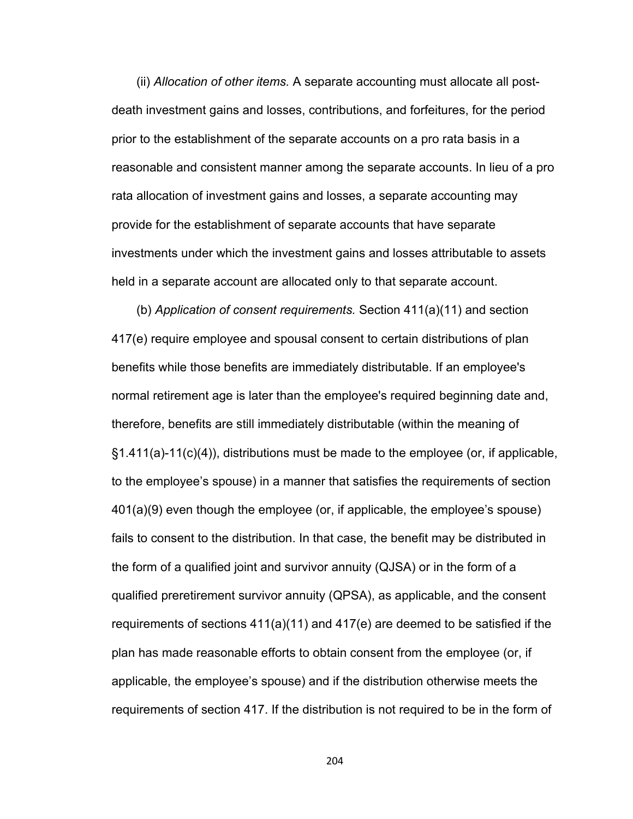(ii) *Allocation of other items.* A separate accounting must allocate all postdeath investment gains and losses, contributions, and forfeitures, for the period prior to the establishment of the separate accounts on a pro rata basis in a reasonable and consistent manner among the separate accounts. In lieu of a pro rata allocation of investment gains and losses, a separate accounting may provide for the establishment of separate accounts that have separate investments under which the investment gains and losses attributable to assets held in a separate account are allocated only to that separate account.

(b) *Application of consent requirements.* Section 411(a)(11) and section 417(e) require employee and spousal consent to certain distributions of plan benefits while those benefits are immediately distributable. If an employee's normal retirement age is later than the employee's required beginning date and, therefore, benefits are still immediately distributable (within the meaning of §1.411(a)-11(c)(4)), distributions must be made to the employee (or, if applicable, to the employee's spouse) in a manner that satisfies the requirements of section 401(a)(9) even though the employee (or, if applicable, the employee's spouse) fails to consent to the distribution. In that case, the benefit may be distributed in the form of a qualified joint and survivor annuity (QJSA) or in the form of a qualified preretirement survivor annuity (QPSA), as applicable, and the consent requirements of sections 411(a)(11) and 417(e) are deemed to be satisfied if the plan has made reasonable efforts to obtain consent from the employee (or, if applicable, the employee's spouse) and if the distribution otherwise meets the requirements of section 417. If the distribution is not required to be in the form of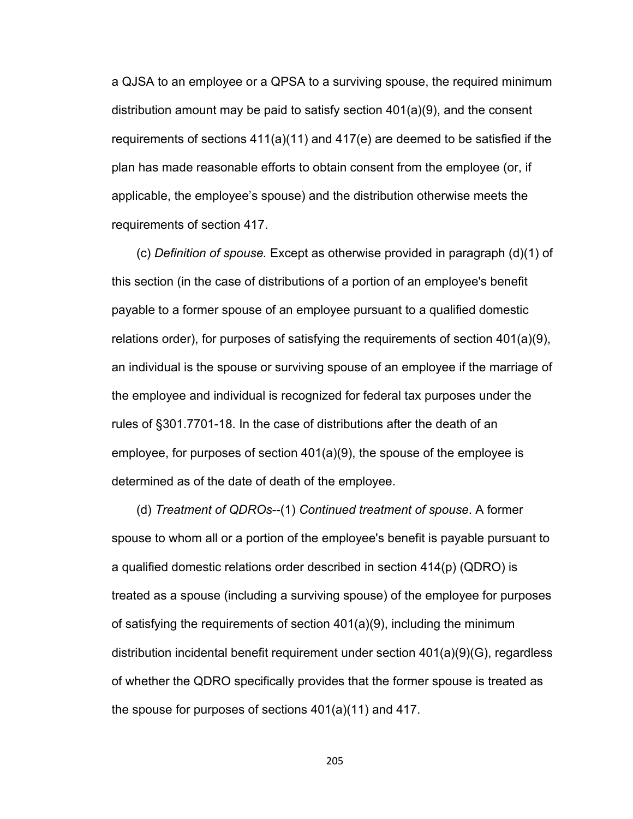a QJSA to an employee or a QPSA to a surviving spouse, the required minimum distribution amount may be paid to satisfy section 401(a)(9), and the consent requirements of sections 411(a)(11) and 417(e) are deemed to be satisfied if the plan has made reasonable efforts to obtain consent from the employee (or, if applicable, the employee's spouse) and the distribution otherwise meets the requirements of section 417.

(c) *Definition of spouse.* Except as otherwise provided in paragraph (d)(1) of this section (in the case of distributions of a portion of an employee's benefit payable to a former spouse of an employee pursuant to a qualified domestic relations order), for purposes of satisfying the requirements of section 401(a)(9), an individual is the spouse or surviving spouse of an employee if the marriage of the employee and individual is recognized for federal tax purposes under the rules of §301.7701-18. In the case of distributions after the death of an employee, for purposes of section 401(a)(9), the spouse of the employee is determined as of the date of death of the employee.

(d) *Treatment of QDROs*--(1) *Continued treatment of spouse*. A former spouse to whom all or a portion of the employee's benefit is payable pursuant to a qualified domestic relations order described in section 414(p) (QDRO) is treated as a spouse (including a surviving spouse) of the employee for purposes of satisfying the requirements of section 401(a)(9), including the minimum distribution incidental benefit requirement under section 401(a)(9)(G), regardless of whether the QDRO specifically provides that the former spouse is treated as the spouse for purposes of sections 401(a)(11) and 417.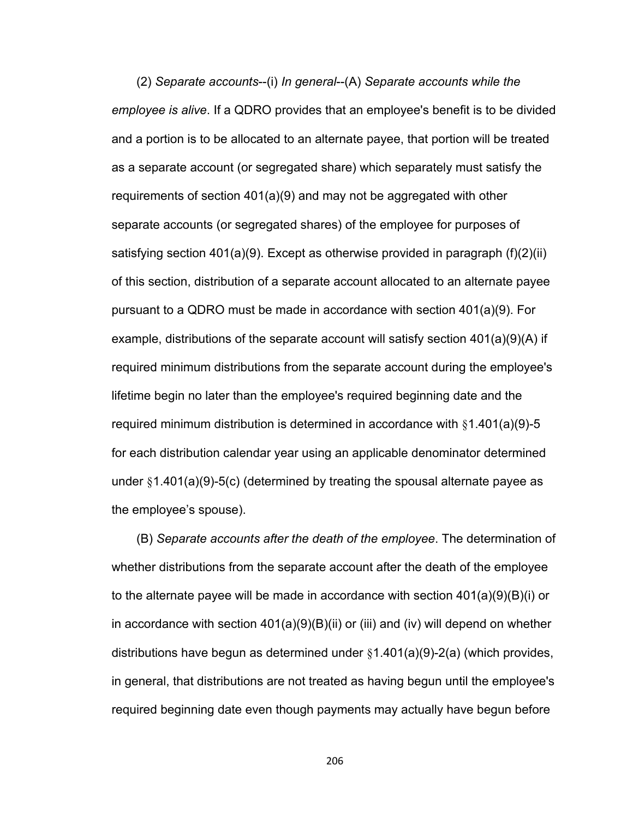(2) *Separate accounts*--(i) *In general*--(A) *Separate accounts while the employee is alive*. If a QDRO provides that an employee's benefit is to be divided and a portion is to be allocated to an alternate payee, that portion will be treated as a separate account (or segregated share) which separately must satisfy the requirements of section 401(a)(9) and may not be aggregated with other separate accounts (or segregated shares) of the employee for purposes of satisfying section  $401(a)(9)$ . Except as otherwise provided in paragraph  $(f)(2)(ii)$ of this section, distribution of a separate account allocated to an alternate payee pursuant to a QDRO must be made in accordance with section 401(a)(9). For example, distributions of the separate account will satisfy section 401(a)(9)(A) if required minimum distributions from the separate account during the employee's lifetime begin no later than the employee's required beginning date and the required minimum distribution is determined in accordance with §1.401(a)(9)-5 for each distribution calendar year using an applicable denominator determined under §1.401(a)(9)-5(c) (determined by treating the spousal alternate payee as the employee's spouse).

(B) *Separate accounts after the death of the employee*. The determination of whether distributions from the separate account after the death of the employee to the alternate payee will be made in accordance with section 401(a)(9)(B)(i) or in accordance with section  $401(a)(9)(B)(ii)$  or (iii) and (iv) will depend on whether distributions have begun as determined under  $\S1.401(a)(9)-2(a)$  (which provides, in general, that distributions are not treated as having begun until the employee's required beginning date even though payments may actually have begun before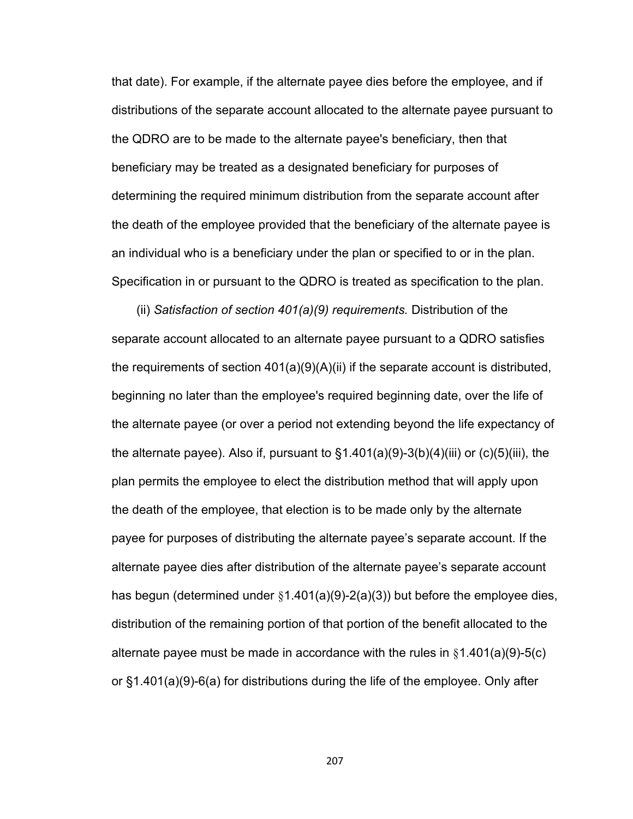that date). For example, if the alternate payee dies before the employee, and if distributions of the separate account allocated to the alternate payee pursuant to the QDRO are to be made to the alternate payee's beneficiary, then that beneficiary may be treated as a designated beneficiary for purposes of determining the required minimum distribution from the separate account after the death of the employee provided that the beneficiary of the alternate payee is an individual who is a beneficiary under the plan or specified to or in the plan. Specification in or pursuant to the QDRO is treated as specification to the plan.

(ii) *Satisfaction of section 401(a)(9) requirements.* Distribution of the separate account allocated to an alternate payee pursuant to a QDRO satisfies the requirements of section  $401(a)(9)(A)(ii)$  if the separate account is distributed, beginning no later than the employee's required beginning date, over the life of the alternate payee (or over a period not extending beyond the life expectancy of the alternate payee). Also if, pursuant to  $\S1.401(a)(9)-3(b)(4)(iii)$  or (c)(5)(iii), the plan permits the employee to elect the distribution method that will apply upon the death of the employee, that election is to be made only by the alternate payee for purposes of distributing the alternate payee's separate account. If the alternate payee dies after distribution of the alternate payee's separate account has begun (determined under §1.401(a)(9)-2(a)(3)) but before the employee dies, distribution of the remaining portion of that portion of the benefit allocated to the alternate payee must be made in accordance with the rules in §1.401(a)(9)-5(c) or §1.401(a)(9)-6(a) for distributions during the life of the employee. Only after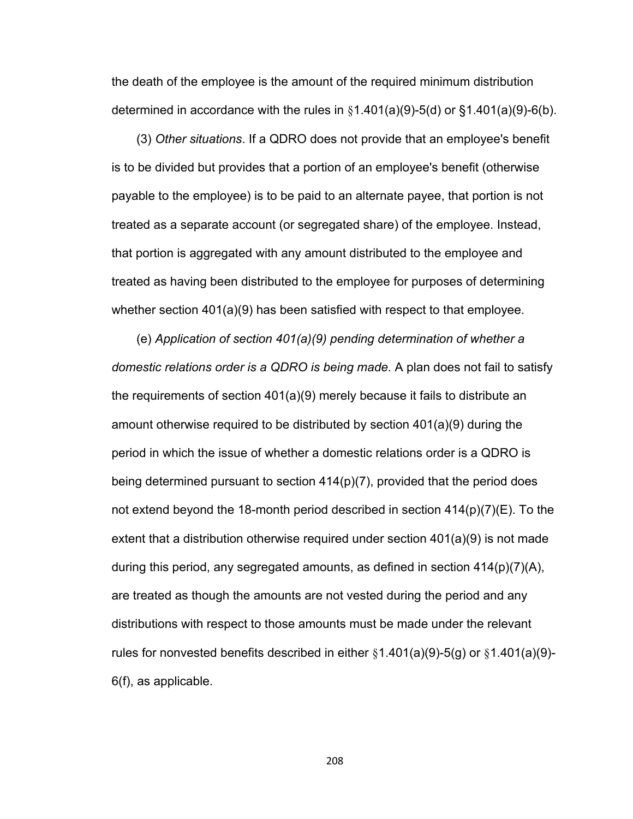the death of the employee is the amount of the required minimum distribution determined in accordance with the rules in  $§1.401(a)(9)-5(d)$  or  $§1.401(a)(9)-6(b)$ .

(3) *Other situations*. If a QDRO does not provide that an employee's benefit is to be divided but provides that a portion of an employee's benefit (otherwise payable to the employee) is to be paid to an alternate payee, that portion is not treated as a separate account (or segregated share) of the employee. Instead, that portion is aggregated with any amount distributed to the employee and treated as having been distributed to the employee for purposes of determining whether section 401(a)(9) has been satisfied with respect to that employee.

(e) *Application of section 401(a)(9) pending determination of whether a domestic relations order is a QDRO is being made.* A plan does not fail to satisfy the requirements of section 401(a)(9) merely because it fails to distribute an amount otherwise required to be distributed by section 401(a)(9) during the period in which the issue of whether a domestic relations order is a QDRO is being determined pursuant to section 414(p)(7), provided that the period does not extend beyond the 18-month period described in section  $414(p)(7)(E)$ . To the extent that a distribution otherwise required under section 401(a)(9) is not made during this period, any segregated amounts, as defined in section  $414(p)(7)(A)$ , are treated as though the amounts are not vested during the period and any distributions with respect to those amounts must be made under the relevant rules for nonvested benefits described in either  $§1.401(a)(9)-5(g)$  or  $§1.401(a)(9)-$ 6(f), as applicable.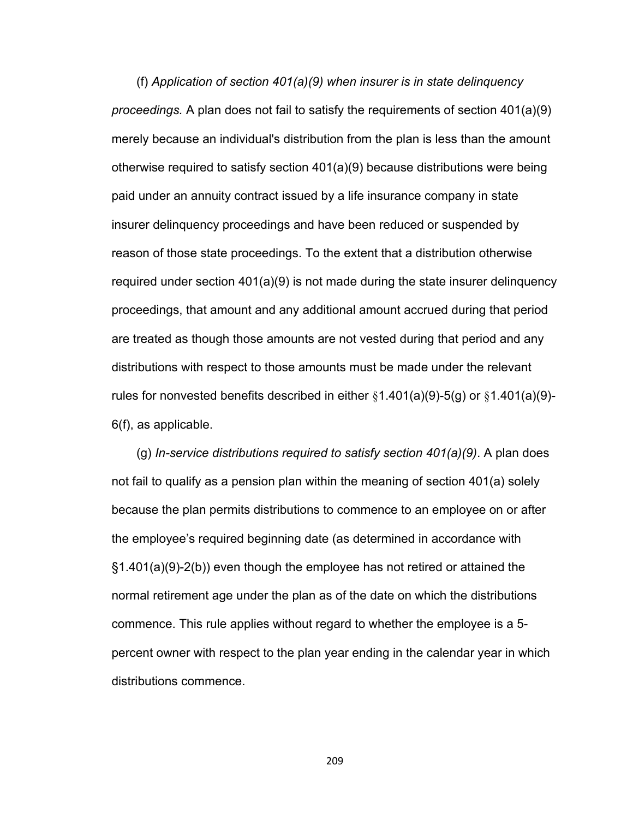(f) *Application of section 401(a)(9) when insurer is in state delinquency proceedings.* A plan does not fail to satisfy the requirements of section 401(a)(9) merely because an individual's distribution from the plan is less than the amount otherwise required to satisfy section 401(a)(9) because distributions were being paid under an annuity contract issued by a life insurance company in state insurer delinquency proceedings and have been reduced or suspended by reason of those state proceedings. To the extent that a distribution otherwise required under section 401(a)(9) is not made during the state insurer delinquency proceedings, that amount and any additional amount accrued during that period are treated as though those amounts are not vested during that period and any distributions with respect to those amounts must be made under the relevant rules for nonvested benefits described in either  $§1.401(a)(9)-5(g)$  or  $§1.401(a)(9)-$ 6(f), as applicable.

(g) *In-service distributions required to satisfy section 401(a)(9)*. A plan does not fail to qualify as a pension plan within the meaning of section 401(a) solely because the plan permits distributions to commence to an employee on or after the employee's required beginning date (as determined in accordance with §1.401(a)(9)-2(b)) even though the employee has not retired or attained the normal retirement age under the plan as of the date on which the distributions commence. This rule applies without regard to whether the employee is a 5 percent owner with respect to the plan year ending in the calendar year in which distributions commence.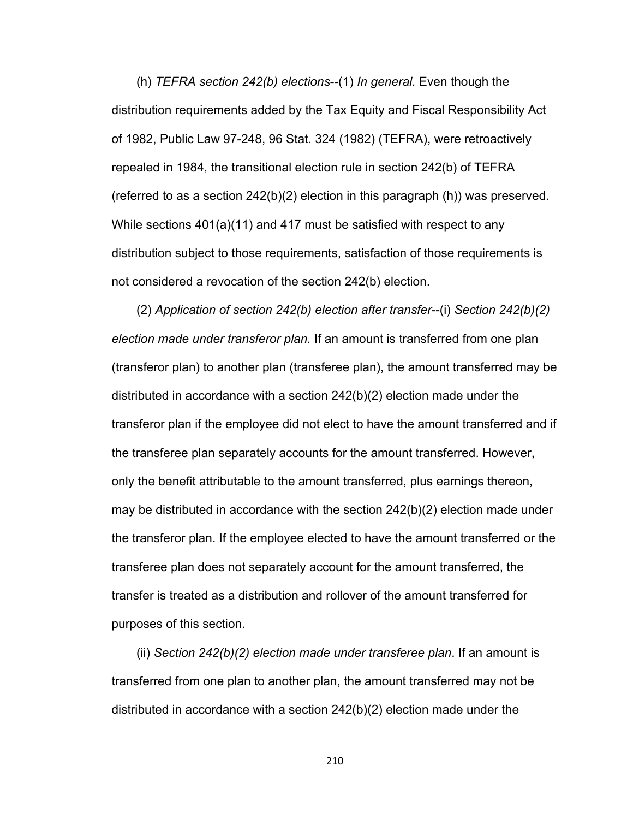(h) *TEFRA section 242(b) elections*--(1) *In general.* Even though the distribution requirements added by the Tax Equity and Fiscal Responsibility Act of 1982, Public Law 97-248, 96 Stat. 324 (1982) (TEFRA), were retroactively repealed in 1984, the transitional election rule in section 242(b) of TEFRA (referred to as a section  $242(b)(2)$  election in this paragraph (h)) was preserved. While sections 401(a)(11) and 417 must be satisfied with respect to any distribution subject to those requirements, satisfaction of those requirements is not considered a revocation of the section 242(b) election.

(2) *Application of section 242(b) election after transfer*--(i) *Section 242(b)(2) election made under transferor plan.* If an amount is transferred from one plan (transferor plan) to another plan (transferee plan), the amount transferred may be distributed in accordance with a section 242(b)(2) election made under the transferor plan if the employee did not elect to have the amount transferred and if the transferee plan separately accounts for the amount transferred. However, only the benefit attributable to the amount transferred, plus earnings thereon, may be distributed in accordance with the section 242(b)(2) election made under the transferor plan. If the employee elected to have the amount transferred or the transferee plan does not separately account for the amount transferred, the transfer is treated as a distribution and rollover of the amount transferred for purposes of this section.

(ii) *Section 242(b)(2) election made under transferee plan*. If an amount is transferred from one plan to another plan, the amount transferred may not be distributed in accordance with a section 242(b)(2) election made under the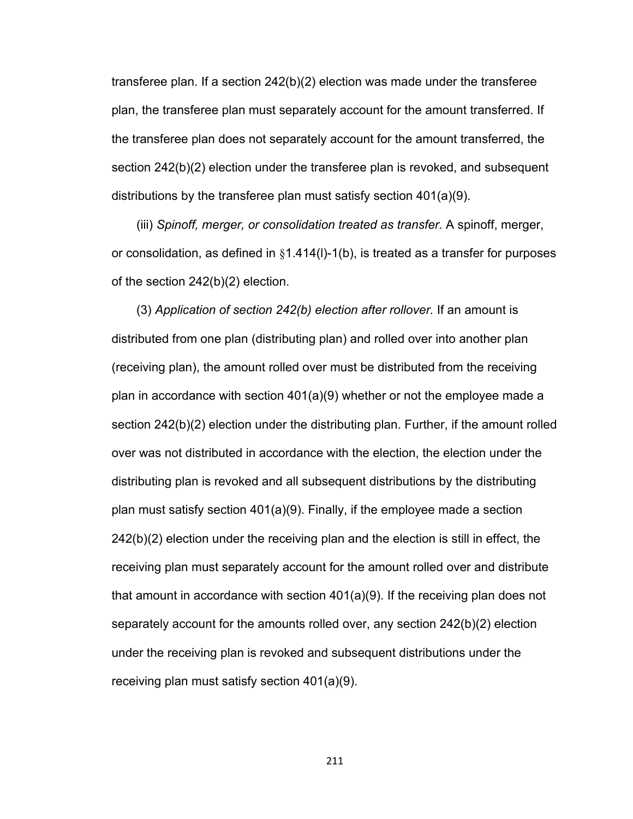transferee plan. If a section 242(b)(2) election was made under the transferee plan, the transferee plan must separately account for the amount transferred. If the transferee plan does not separately account for the amount transferred, the section 242(b)(2) election under the transferee plan is revoked, and subsequent distributions by the transferee plan must satisfy section 401(a)(9).

(iii) *Spinoff, merger, or consolidation treated as transfer*. A spinoff, merger, or consolidation, as defined in  $\S1.414(1)-1(b)$ , is treated as a transfer for purposes of the section 242(b)(2) election.

(3) *Application of section 242(b) election after rollover.* If an amount is distributed from one plan (distributing plan) and rolled over into another plan (receiving plan), the amount rolled over must be distributed from the receiving plan in accordance with section 401(a)(9) whether or not the employee made a section 242(b)(2) election under the distributing plan. Further, if the amount rolled over was not distributed in accordance with the election, the election under the distributing plan is revoked and all subsequent distributions by the distributing plan must satisfy section 401(a)(9). Finally, if the employee made a section 242(b)(2) election under the receiving plan and the election is still in effect, the receiving plan must separately account for the amount rolled over and distribute that amount in accordance with section 401(a)(9). If the receiving plan does not separately account for the amounts rolled over, any section 242(b)(2) election under the receiving plan is revoked and subsequent distributions under the receiving plan must satisfy section 401(a)(9).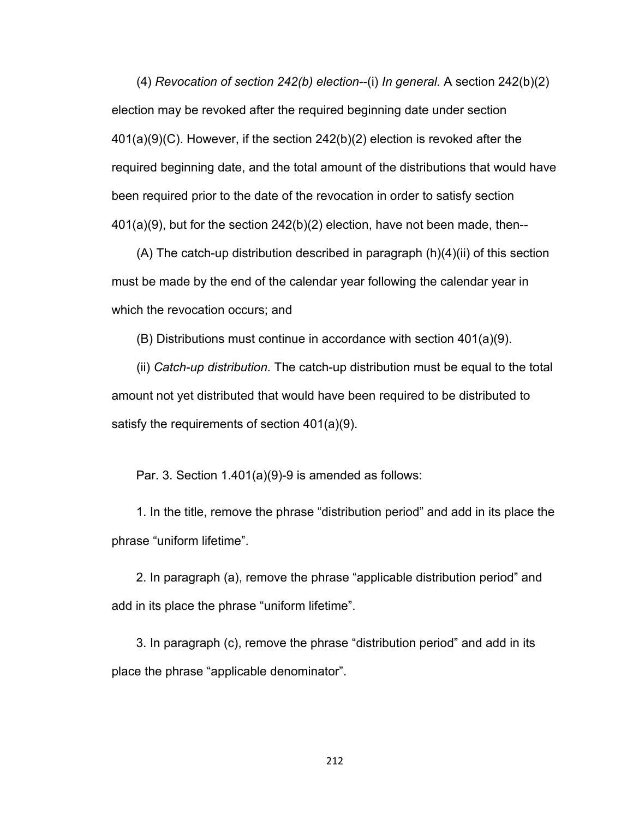(4) *Revocation of section 242(b) election*--(i) *In general.* A section 242(b)(2) election may be revoked after the required beginning date under section 401(a)(9)(C). However, if the section 242(b)(2) election is revoked after the required beginning date, and the total amount of the distributions that would have been required prior to the date of the revocation in order to satisfy section 401(a)(9), but for the section 242(b)(2) election, have not been made, then--

(A) The catch-up distribution described in paragraph (h)(4)(ii) of this section must be made by the end of the calendar year following the calendar year in which the revocation occurs; and

(B) Distributions must continue in accordance with section 401(a)(9).

(ii) *Catch-up distribution.* The catch-up distribution must be equal to the total amount not yet distributed that would have been required to be distributed to satisfy the requirements of section 401(a)(9).

Par. 3. Section 1.401(a)(9)-9 is amended as follows:

1. In the title, remove the phrase "distribution period" and add in its place the phrase "uniform lifetime".

2. In paragraph (a), remove the phrase "applicable distribution period" and add in its place the phrase "uniform lifetime".

3. In paragraph (c), remove the phrase "distribution period" and add in its place the phrase "applicable denominator".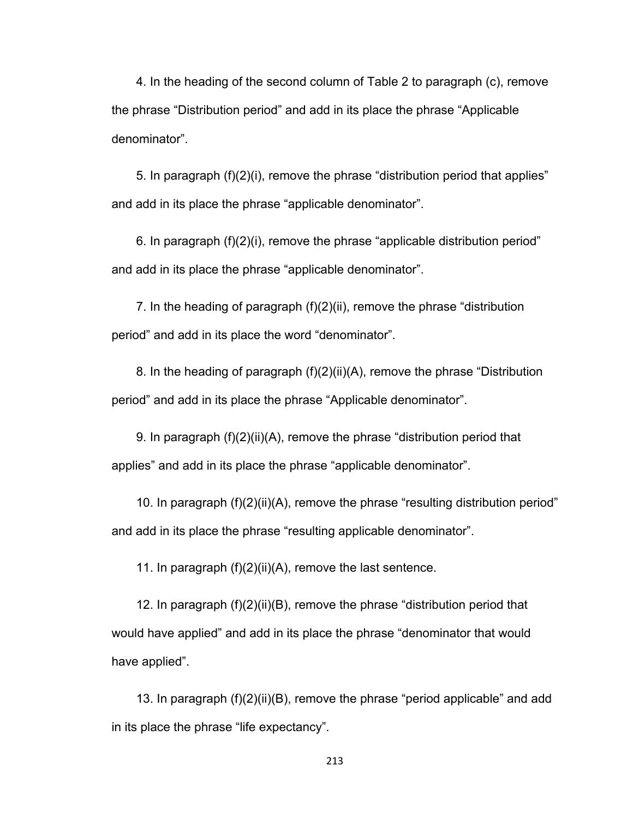4. In the heading of the second column of Table 2 to paragraph (c), remove the phrase "Distribution period" and add in its place the phrase "Applicable denominator".

5. In paragraph (f)(2)(i), remove the phrase "distribution period that applies" and add in its place the phrase "applicable denominator".

6. In paragraph (f)(2)(i), remove the phrase "applicable distribution period" and add in its place the phrase "applicable denominator".

7. In the heading of paragraph (f)(2)(ii), remove the phrase "distribution period" and add in its place the word "denominator".

8. In the heading of paragraph (f)(2)(ii)(A), remove the phrase "Distribution period" and add in its place the phrase "Applicable denominator".

9. In paragraph (f)(2)(ii)(A), remove the phrase "distribution period that applies" and add in its place the phrase "applicable denominator".

10. In paragraph (f)(2)(ii)(A), remove the phrase "resulting distribution period" and add in its place the phrase "resulting applicable denominator".

11. In paragraph (f)(2)(ii)(A), remove the last sentence.

12. In paragraph (f)(2)(ii)(B), remove the phrase "distribution period that would have applied" and add in its place the phrase "denominator that would have applied".

13. In paragraph (f)(2)(ii)(B), remove the phrase "period applicable" and add in its place the phrase "life expectancy".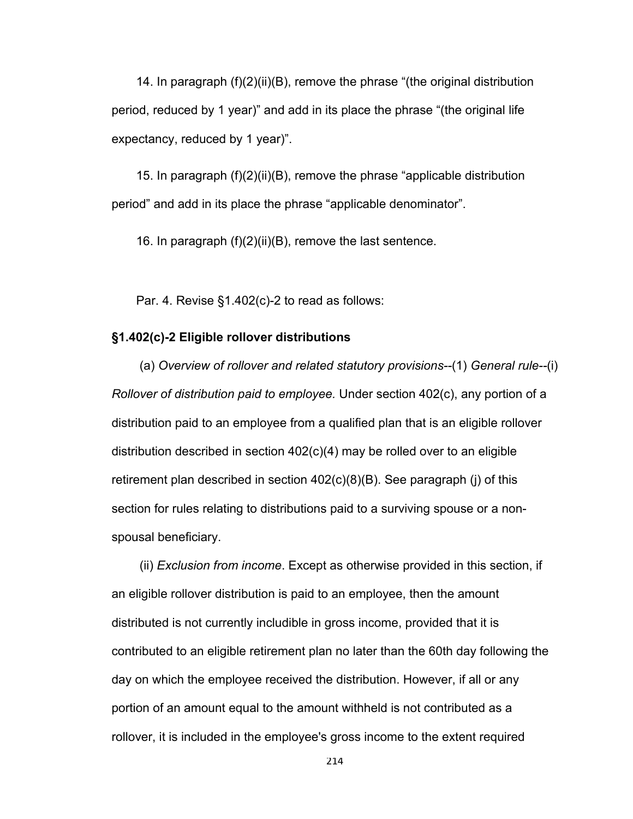14. In paragraph (f)(2)(ii)(B), remove the phrase "(the original distribution period, reduced by 1 year)" and add in its place the phrase "(the original life expectancy, reduced by 1 year)".

15. In paragraph (f)(2)(ii)(B), remove the phrase "applicable distribution period" and add in its place the phrase "applicable denominator".

16. In paragraph (f)(2)(ii)(B), remove the last sentence.

Par. 4. Revise §1.402(c)-2 to read as follows:

### **§1.402(c)-2 Eligible rollover distributions**

 (a) *Overview of rollover and related statutory provisions--*(1) *General rule--*(i) *Rollover of distribution paid to employee.* Under section 402(c), any portion of a distribution paid to an employee from a qualified plan that is an eligible rollover distribution described in section 402(c)(4) may be rolled over to an eligible retirement plan described in section 402(c)(8)(B). See paragraph (j) of this section for rules relating to distributions paid to a surviving spouse or a nonspousal beneficiary.

 (ii) *Exclusion from income*. Except as otherwise provided in this section, if an eligible rollover distribution is paid to an employee, then the amount distributed is not currently includible in gross income, provided that it is contributed to an eligible retirement plan no later than the 60th day following the day on which the employee received the distribution. However, if all or any portion of an amount equal to the amount withheld is not contributed as a rollover, it is included in the employee's gross income to the extent required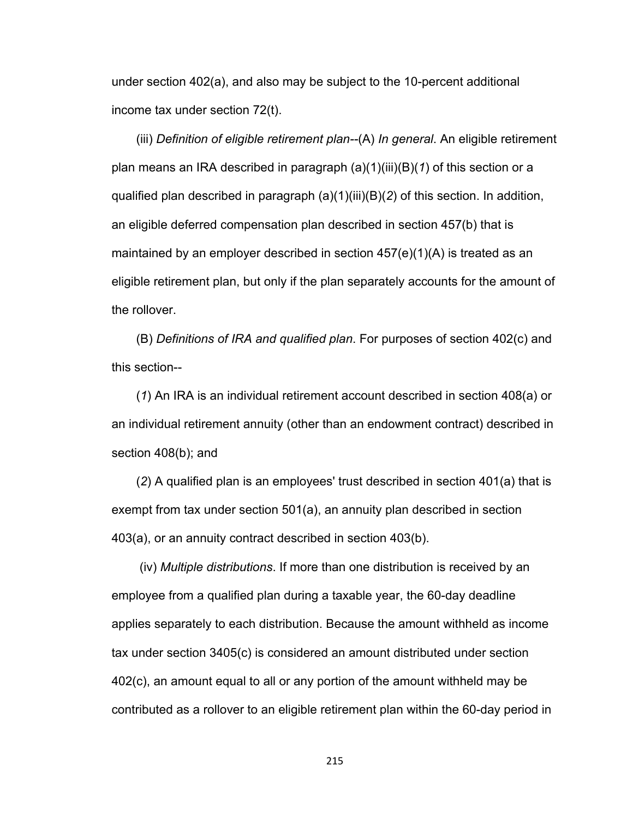under section 402(a), and also may be subject to the 10-percent additional income tax under section 72(t).

(iii) *Definition of eligible retirement plan--*(A) *In general*. An eligible retirement plan means an IRA described in paragraph (a)(1)(iii)(B)(*1*) of this section or a qualified plan described in paragraph (a)(1)(iii)(B)(*2*) of this section. In addition, an eligible deferred compensation plan described in section 457(b) that is maintained by an employer described in section  $457(e)(1)(A)$  is treated as an eligible retirement plan, but only if the plan separately accounts for the amount of the rollover.

(B) *Definitions of IRA and qualified plan*. For purposes of section 402(c) and this section--

(*1*) An IRA is an individual retirement account described in section 408(a) or an individual retirement annuity (other than an endowment contract) described in section 408(b); and

(*2*) A qualified plan is an employees' trust described in section 401(a) that is exempt from tax under section 501(a), an annuity plan described in section 403(a), or an annuity contract described in section 403(b).

 (iv) *Multiple distributions*. If more than one distribution is received by an employee from a qualified plan during a taxable year, the 60-day deadline applies separately to each distribution. Because the amount withheld as income tax under section 3405(c) is considered an amount distributed under section 402(c), an amount equal to all or any portion of the amount withheld may be contributed as a rollover to an eligible retirement plan within the 60-day period in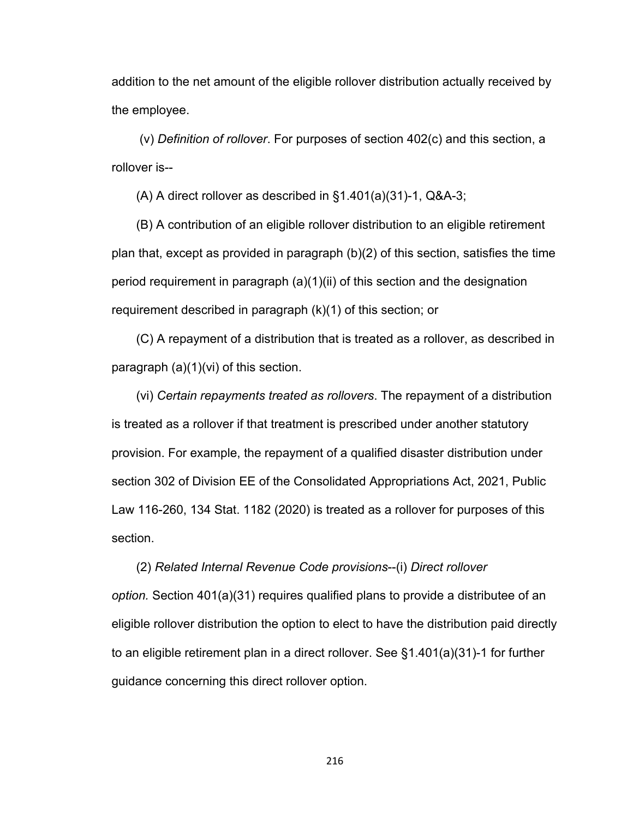addition to the net amount of the eligible rollover distribution actually received by the employee.

 (v) *Definition of rollover*. For purposes of section 402(c) and this section, a rollover is--

(A) A direct rollover as described in §1.401(a)(31)-1, Q&A-3;

(B) A contribution of an eligible rollover distribution to an eligible retirement plan that, except as provided in paragraph (b)(2) of this section, satisfies the time period requirement in paragraph (a)(1)(ii) of this section and the designation requirement described in paragraph (k)(1) of this section; or

(C) A repayment of a distribution that is treated as a rollover, as described in paragraph (a)(1)(vi) of this section.

(vi) *Certain repayments treated as rollovers*. The repayment of a distribution is treated as a rollover if that treatment is prescribed under another statutory provision. For example, the repayment of a qualified disaster distribution under section 302 of Division EE of the Consolidated Appropriations Act, 2021, Public Law 116-260, 134 Stat. 1182 (2020) is treated as a rollover for purposes of this section.

(2) *Related Internal Revenue Code provisions*--(i) *Direct rollover option.* Section 401(a)(31) requires qualified plans to provide a distributee of an eligible rollover distribution the option to elect to have the distribution paid directly to an eligible retirement plan in a direct rollover. See §1.401(a)(31)-1 for further guidance concerning this direct rollover option.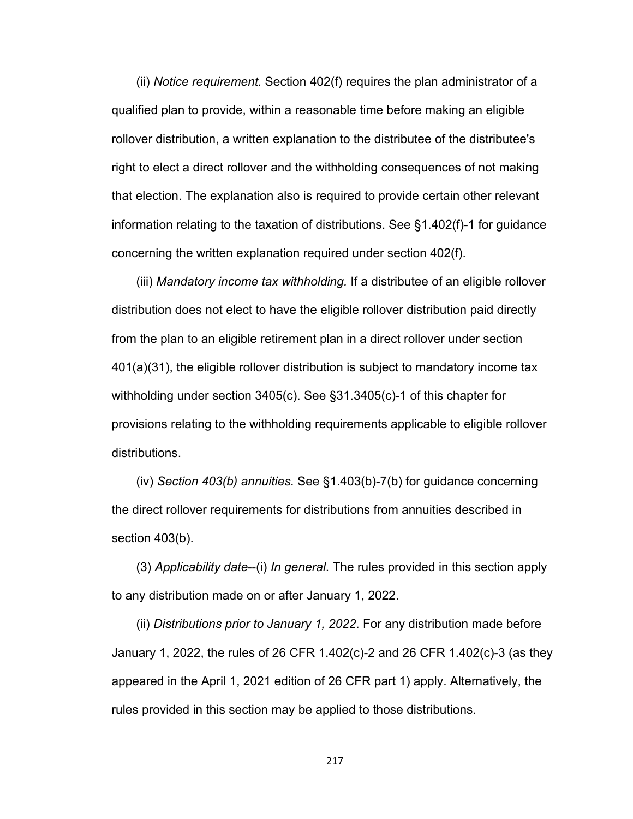(ii) *Notice requirement.* Section 402(f) requires the plan administrator of a qualified plan to provide, within a reasonable time before making an eligible rollover distribution, a written explanation to the distributee of the distributee's right to elect a direct rollover and the withholding consequences of not making that election. The explanation also is required to provide certain other relevant information relating to the taxation of distributions. See §1.402(f)-1 for guidance concerning the written explanation required under section 402(f).

(iii) *Mandatory income tax withholding.* If a distributee of an eligible rollover distribution does not elect to have the eligible rollover distribution paid directly from the plan to an eligible retirement plan in a direct rollover under section 401(a)(31), the eligible rollover distribution is subject to mandatory income tax withholding under section 3405(c). See §31.3405(c)-1 of this chapter for provisions relating to the withholding requirements applicable to eligible rollover distributions.

(iv) *Section 403(b) annuities.* See §1.403(b)-7(b) for guidance concerning the direct rollover requirements for distributions from annuities described in section 403(b).

(3) *Applicability date*--(i) *In general*. The rules provided in this section apply to any distribution made on or after January 1, 2022.

(ii) *Distributions prior to January 1, 2022*. For any distribution made before January 1, 2022, the rules of 26 CFR 1.402(c)-2 and 26 CFR 1.402(c)-3 (as they appeared in the April 1, 2021 edition of 26 CFR part 1) apply. Alternatively, the rules provided in this section may be applied to those distributions.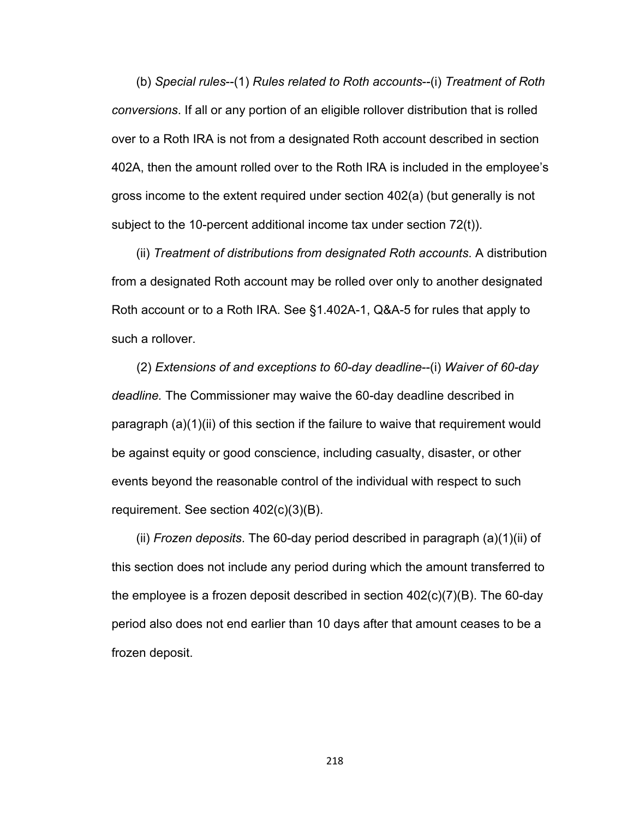(b) *Special rules*--(1) *Rules related to Roth accounts*--(i) *Treatment of Roth conversions*. If all or any portion of an eligible rollover distribution that is rolled over to a Roth IRA is not from a designated Roth account described in section 402A, then the amount rolled over to the Roth IRA is included in the employee's gross income to the extent required under section 402(a) (but generally is not subject to the 10-percent additional income tax under section 72(t)).

(ii) *Treatment of distributions from designated Roth accounts*. A distribution from a designated Roth account may be rolled over only to another designated Roth account or to a Roth IRA. See §1.402A-1, Q&A-5 for rules that apply to such a rollover.

(2) *Extensions of and exceptions to 60-day deadline*--(i) *Waiver of 60-day deadline.* The Commissioner may waive the 60-day deadline described in paragraph (a)(1)(ii) of this section if the failure to waive that requirement would be against equity or good conscience, including casualty, disaster, or other events beyond the reasonable control of the individual with respect to such requirement. See section 402(c)(3)(B).

(ii) *Frozen deposits*. The 60-day period described in paragraph (a)(1)(ii) of this section does not include any period during which the amount transferred to the employee is a frozen deposit described in section 402(c)(7)(B). The 60-day period also does not end earlier than 10 days after that amount ceases to be a frozen deposit.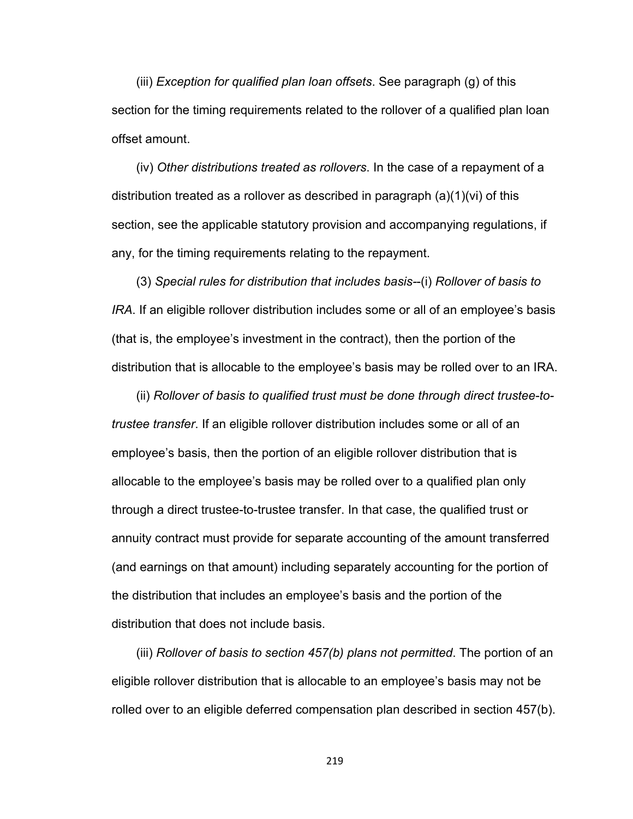(iii) *Exception for qualified plan loan offsets*. See paragraph (g) of this section for the timing requirements related to the rollover of a qualified plan loan offset amount.

(iv) *Other distributions treated as rollovers*. In the case of a repayment of a distribution treated as a rollover as described in paragraph (a)(1)(vi) of this section, see the applicable statutory provision and accompanying regulations, if any, for the timing requirements relating to the repayment.

(3) *Special rules for distribution that includes basis-*-(i) *Rollover of basis to IRA*. If an eligible rollover distribution includes some or all of an employee's basis (that is, the employee's investment in the contract), then the portion of the distribution that is allocable to the employee's basis may be rolled over to an IRA.

(ii) *Rollover of basis to qualified trust must be done through direct trustee-totrustee transfer*. If an eligible rollover distribution includes some or all of an employee's basis, then the portion of an eligible rollover distribution that is allocable to the employee's basis may be rolled over to a qualified plan only through a direct trustee-to-trustee transfer. In that case, the qualified trust or annuity contract must provide for separate accounting of the amount transferred (and earnings on that amount) including separately accounting for the portion of the distribution that includes an employee's basis and the portion of the distribution that does not include basis.

(iii) *Rollover of basis to section 457(b) plans not permitted*. The portion of an eligible rollover distribution that is allocable to an employee's basis may not be rolled over to an eligible deferred compensation plan described in section 457(b).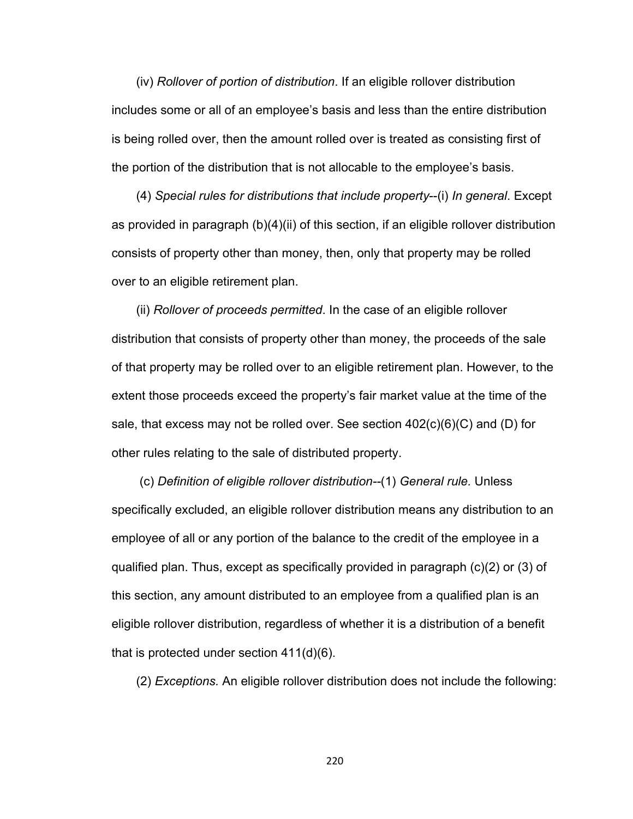(iv) *Rollover of portion of distribution*. If an eligible rollover distribution includes some or all of an employee's basis and less than the entire distribution is being rolled over, then the amount rolled over is treated as consisting first of the portion of the distribution that is not allocable to the employee's basis.

(4) *Special rules for distributions that include property*--(i) *In general*. Except as provided in paragraph (b)(4)(ii) of this section, if an eligible rollover distribution consists of property other than money, then, only that property may be rolled over to an eligible retirement plan.

(ii) *Rollover of proceeds permitted*. In the case of an eligible rollover distribution that consists of property other than money, the proceeds of the sale of that property may be rolled over to an eligible retirement plan. However, to the extent those proceeds exceed the property's fair market value at the time of the sale, that excess may not be rolled over. See section  $402(c)(6)(C)$  and (D) for other rules relating to the sale of distributed property.

 (c) *Definition of eligible rollover distribution--*(1) *General rule.* Unless specifically excluded, an eligible rollover distribution means any distribution to an employee of all or any portion of the balance to the credit of the employee in a qualified plan. Thus, except as specifically provided in paragraph (c)(2) or (3) of this section, any amount distributed to an employee from a qualified plan is an eligible rollover distribution, regardless of whether it is a distribution of a benefit that is protected under section 411(d)(6).

(2) *Exceptions.* An eligible rollover distribution does not include the following: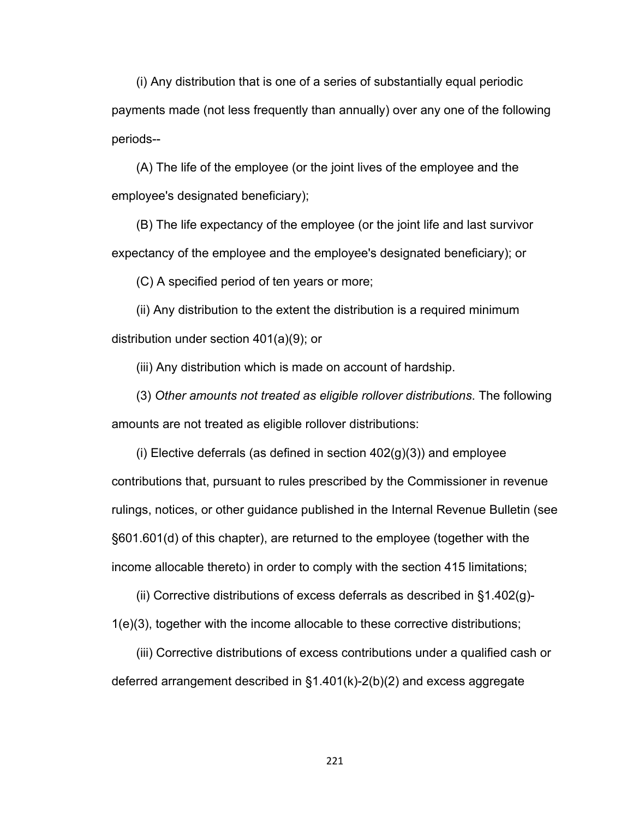(i) Any distribution that is one of a series of substantially equal periodic payments made (not less frequently than annually) over any one of the following periods--

(A) The life of the employee (or the joint lives of the employee and the employee's designated beneficiary);

(B) The life expectancy of the employee (or the joint life and last survivor expectancy of the employee and the employee's designated beneficiary); or

(C) A specified period of ten years or more;

(ii) Any distribution to the extent the distribution is a required minimum distribution under section 401(a)(9); or

(iii) Any distribution which is made on account of hardship.

(3) *Other amounts not treated as eligible rollover distributions*. The following amounts are not treated as eligible rollover distributions:

(i) Elective deferrals (as defined in section  $402(g)(3)$ ) and employee contributions that, pursuant to rules prescribed by the Commissioner in revenue rulings, notices, or other guidance published in the Internal Revenue Bulletin (see §601.601(d) of this chapter), are returned to the employee (together with the income allocable thereto) in order to comply with the section 415 limitations;

(ii) Corrective distributions of excess deferrals as described in §1.402(g)- 1(e)(3), together with the income allocable to these corrective distributions;

(iii) Corrective distributions of excess contributions under a qualified cash or deferred arrangement described in §1.401(k)-2(b)(2) and excess aggregate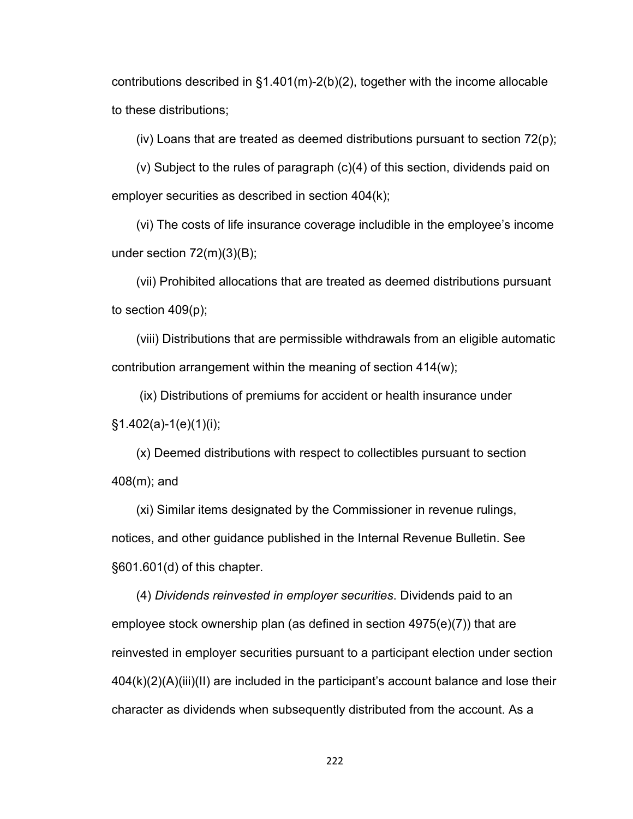contributions described in §1.401(m)-2(b)(2), together with the income allocable to these distributions;

(iv) Loans that are treated as deemed distributions pursuant to section  $72(p)$ ;

(v) Subject to the rules of paragraph (c)(4) of this section, dividends paid on employer securities as described in section 404(k);

(vi) The costs of life insurance coverage includible in the employee's income under section 72(m)(3)(B);

(vii) Prohibited allocations that are treated as deemed distributions pursuant to section 409(p);

(viii) Distributions that are permissible withdrawals from an eligible automatic contribution arrangement within the meaning of section 414(w);

 (ix) Distributions of premiums for accident or health insurance under §1.402(a)-1(e)(1)(i);

(x) Deemed distributions with respect to collectibles pursuant to section 408(m); and

(xi) Similar items designated by the Commissioner in revenue rulings, notices, and other guidance published in the Internal Revenue Bulletin. See §601.601(d) of this chapter.

(4) *Dividends reinvested in employer securities*. Dividends paid to an employee stock ownership plan (as defined in section 4975(e)(7)) that are reinvested in employer securities pursuant to a participant election under section 404(k)(2)(A)(iii)(II) are included in the participant's account balance and lose their character as dividends when subsequently distributed from the account. As a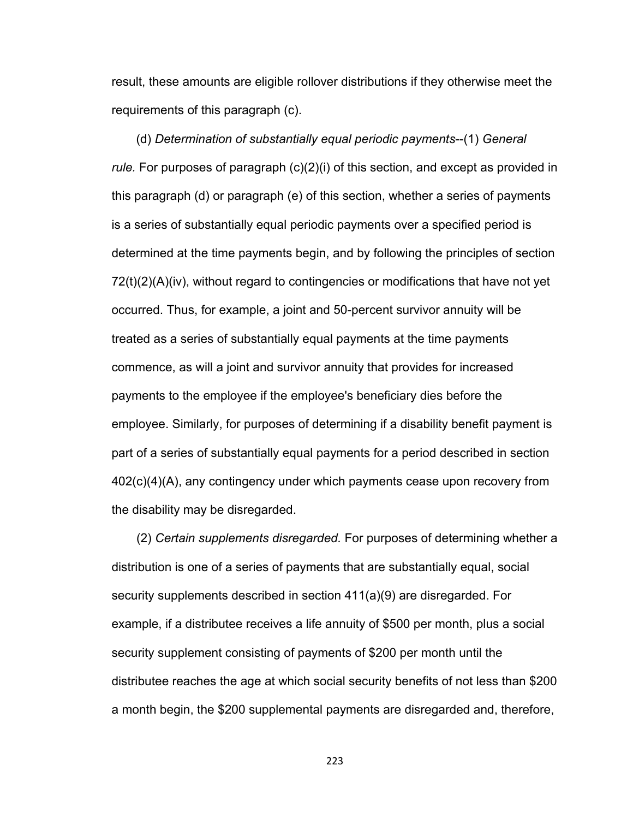result, these amounts are eligible rollover distributions if they otherwise meet the requirements of this paragraph (c).

(d) *Determination of substantially equal periodic payments*--(1) *General rule.* For purposes of paragraph (c)(2)(i) of this section, and except as provided in this paragraph (d) or paragraph (e) of this section, whether a series of payments is a series of substantially equal periodic payments over a specified period is determined at the time payments begin, and by following the principles of section 72(t)(2)(A)(iv), without regard to contingencies or modifications that have not yet occurred. Thus, for example, a joint and 50-percent survivor annuity will be treated as a series of substantially equal payments at the time payments commence, as will a joint and survivor annuity that provides for increased payments to the employee if the employee's beneficiary dies before the employee. Similarly, for purposes of determining if a disability benefit payment is part of a series of substantially equal payments for a period described in section 402(c)(4)(A), any contingency under which payments cease upon recovery from the disability may be disregarded.

(2) *Certain supplements disregarded.* For purposes of determining whether a distribution is one of a series of payments that are substantially equal, social security supplements described in section 411(a)(9) are disregarded. For example, if a distributee receives a life annuity of \$500 per month, plus a social security supplement consisting of payments of \$200 per month until the distributee reaches the age at which social security benefits of not less than \$200 a month begin, the \$200 supplemental payments are disregarded and, therefore,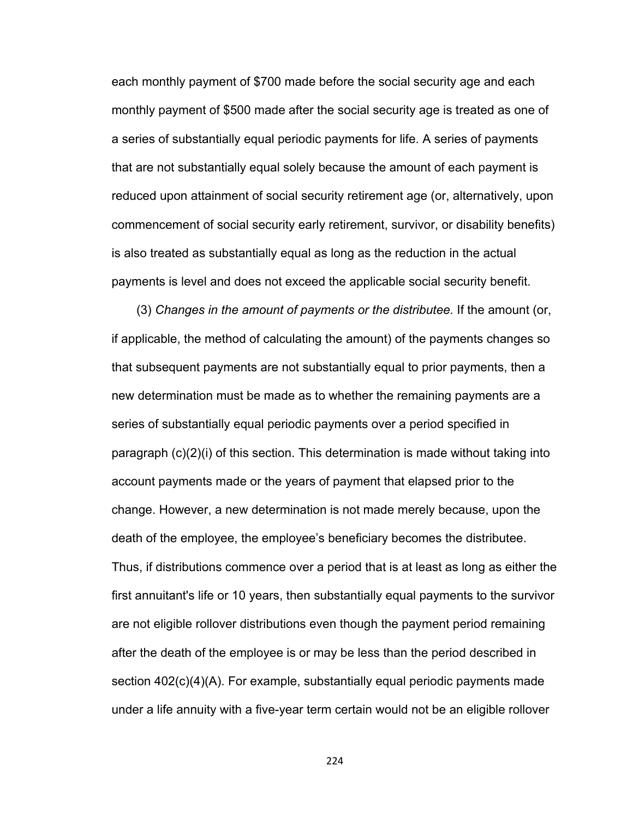each monthly payment of \$700 made before the social security age and each monthly payment of \$500 made after the social security age is treated as one of a series of substantially equal periodic payments for life. A series of payments that are not substantially equal solely because the amount of each payment is reduced upon attainment of social security retirement age (or, alternatively, upon commencement of social security early retirement, survivor, or disability benefits) is also treated as substantially equal as long as the reduction in the actual payments is level and does not exceed the applicable social security benefit.

(3) *Changes in the amount of payments or the distributee.* If the amount (or, if applicable, the method of calculating the amount) of the payments changes so that subsequent payments are not substantially equal to prior payments, then a new determination must be made as to whether the remaining payments are a series of substantially equal periodic payments over a period specified in paragraph (c)(2)(i) of this section. This determination is made without taking into account payments made or the years of payment that elapsed prior to the change. However, a new determination is not made merely because, upon the death of the employee, the employee's beneficiary becomes the distributee. Thus, if distributions commence over a period that is at least as long as either the first annuitant's life or 10 years, then substantially equal payments to the survivor are not eligible rollover distributions even though the payment period remaining after the death of the employee is or may be less than the period described in section 402(c)(4)(A). For example, substantially equal periodic payments made under a life annuity with a five-year term certain would not be an eligible rollover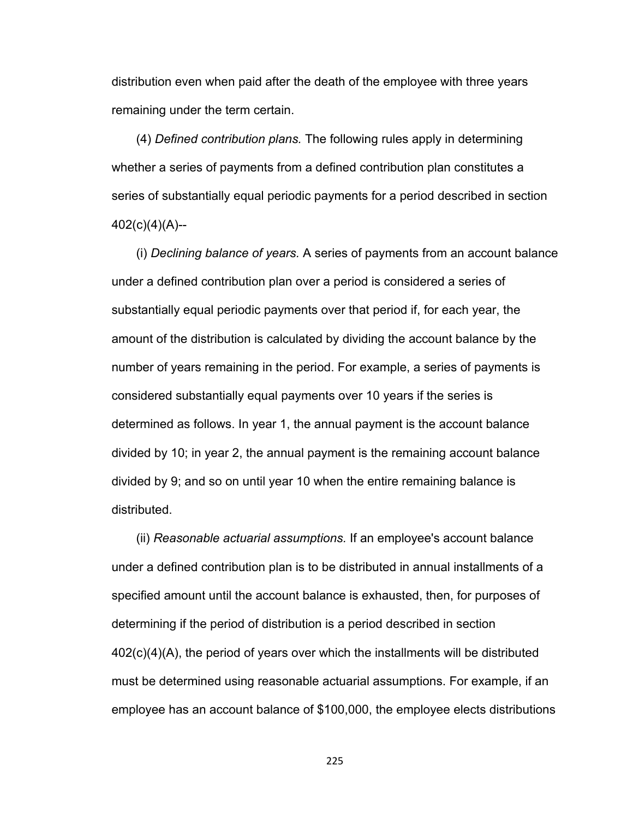distribution even when paid after the death of the employee with three years remaining under the term certain.

(4) *Defined contribution plans.* The following rules apply in determining whether a series of payments from a defined contribution plan constitutes a series of substantially equal periodic payments for a period described in section 402(c)(4)(A)--

(i) *Declining balance of years.* A series of payments from an account balance under a defined contribution plan over a period is considered a series of substantially equal periodic payments over that period if, for each year, the amount of the distribution is calculated by dividing the account balance by the number of years remaining in the period. For example, a series of payments is considered substantially equal payments over 10 years if the series is determined as follows. In year 1, the annual payment is the account balance divided by 10; in year 2, the annual payment is the remaining account balance divided by 9; and so on until year 10 when the entire remaining balance is distributed.

(ii) *Reasonable actuarial assumptions.* If an employee's account balance under a defined contribution plan is to be distributed in annual installments of a specified amount until the account balance is exhausted, then, for purposes of determining if the period of distribution is a period described in section 402(c)(4)(A), the period of years over which the installments will be distributed must be determined using reasonable actuarial assumptions. For example, if an employee has an account balance of \$100,000, the employee elects distributions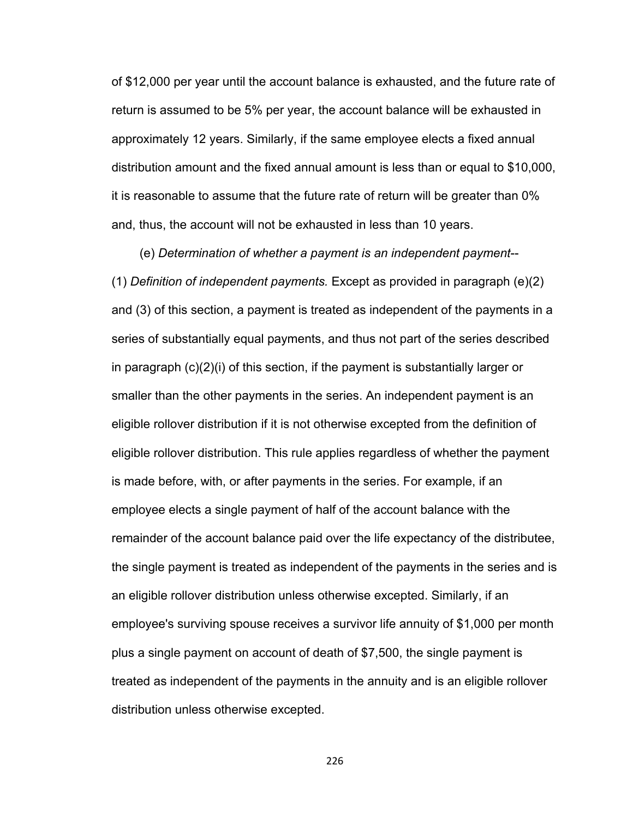of \$12,000 per year until the account balance is exhausted, and the future rate of return is assumed to be 5% per year, the account balance will be exhausted in approximately 12 years. Similarly, if the same employee elects a fixed annual distribution amount and the fixed annual amount is less than or equal to \$10,000, it is reasonable to assume that the future rate of return will be greater than 0% and, thus, the account will not be exhausted in less than 10 years.

 (e) *Determination of whether a payment is an independent payment*-- (1) *Definition of independent payments.* Except as provided in paragraph (e)(2) and (3) of this section, a payment is treated as independent of the payments in a series of substantially equal payments, and thus not part of the series described in paragraph (c)(2)(i) of this section, if the payment is substantially larger or smaller than the other payments in the series. An independent payment is an eligible rollover distribution if it is not otherwise excepted from the definition of eligible rollover distribution. This rule applies regardless of whether the payment is made before, with, or after payments in the series. For example, if an employee elects a single payment of half of the account balance with the remainder of the account balance paid over the life expectancy of the distributee, the single payment is treated as independent of the payments in the series and is an eligible rollover distribution unless otherwise excepted. Similarly, if an employee's surviving spouse receives a survivor life annuity of \$1,000 per month plus a single payment on account of death of \$7,500, the single payment is treated as independent of the payments in the annuity and is an eligible rollover distribution unless otherwise excepted.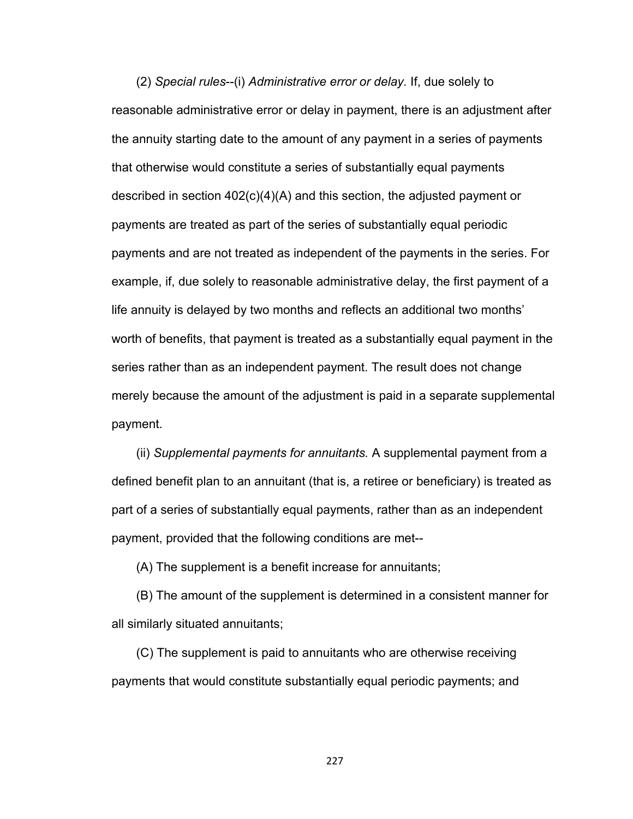(2) *Special rules*--(i) *Administrative error or delay.* If, due solely to reasonable administrative error or delay in payment, there is an adjustment after the annuity starting date to the amount of any payment in a series of payments that otherwise would constitute a series of substantially equal payments described in section 402(c)(4)(A) and this section, the adjusted payment or payments are treated as part of the series of substantially equal periodic payments and are not treated as independent of the payments in the series. For example, if, due solely to reasonable administrative delay, the first payment of a life annuity is delayed by two months and reflects an additional two months' worth of benefits, that payment is treated as a substantially equal payment in the series rather than as an independent payment. The result does not change merely because the amount of the adjustment is paid in a separate supplemental payment.

(ii) *Supplemental payments for annuitants.* A supplemental payment from a defined benefit plan to an annuitant (that is, a retiree or beneficiary) is treated as part of a series of substantially equal payments, rather than as an independent payment, provided that the following conditions are met--

(A) The supplement is a benefit increase for annuitants;

(B) The amount of the supplement is determined in a consistent manner for all similarly situated annuitants;

(C) The supplement is paid to annuitants who are otherwise receiving payments that would constitute substantially equal periodic payments; and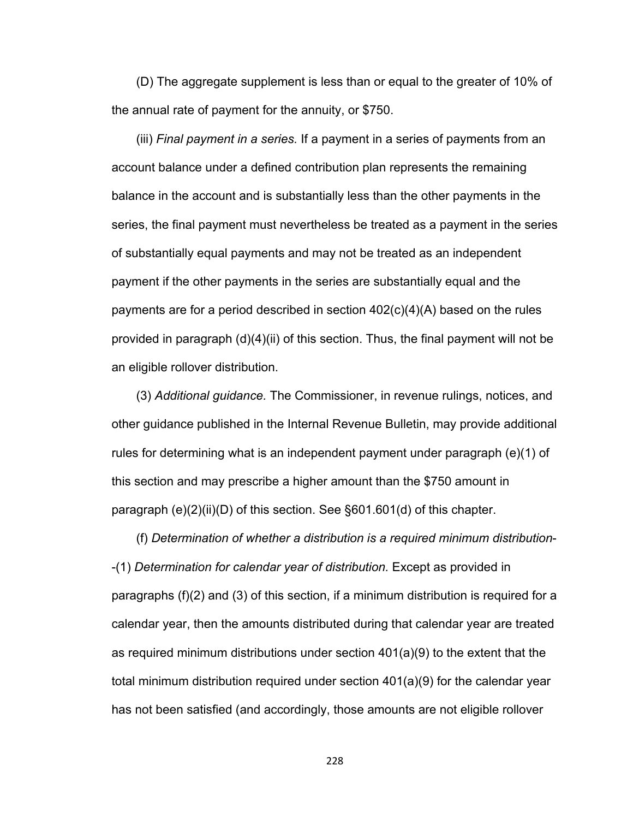(D) The aggregate supplement is less than or equal to the greater of 10% of the annual rate of payment for the annuity, or \$750.

(iii) *Final payment in a series.* If a payment in a series of payments from an account balance under a defined contribution plan represents the remaining balance in the account and is substantially less than the other payments in the series, the final payment must nevertheless be treated as a payment in the series of substantially equal payments and may not be treated as an independent payment if the other payments in the series are substantially equal and the payments are for a period described in section 402(c)(4)(A) based on the rules provided in paragraph (d)(4)(ii) of this section. Thus, the final payment will not be an eligible rollover distribution.

(3) *Additional guidance.* The Commissioner, in revenue rulings, notices, and other guidance published in the Internal Revenue Bulletin, may provide additional rules for determining what is an independent payment under paragraph (e)(1) of this section and may prescribe a higher amount than the \$750 amount in paragraph (e)(2)(ii)(D) of this section. See §601.601(d) of this chapter.

(f) *Determination of whether a distribution is a required minimum distribution*- -(1) *Determination for calendar year of distribution.* Except as provided in paragraphs (f)(2) and (3) of this section, if a minimum distribution is required for a calendar year, then the amounts distributed during that calendar year are treated as required minimum distributions under section 401(a)(9) to the extent that the total minimum distribution required under section 401(a)(9) for the calendar year has not been satisfied (and accordingly, those amounts are not eligible rollover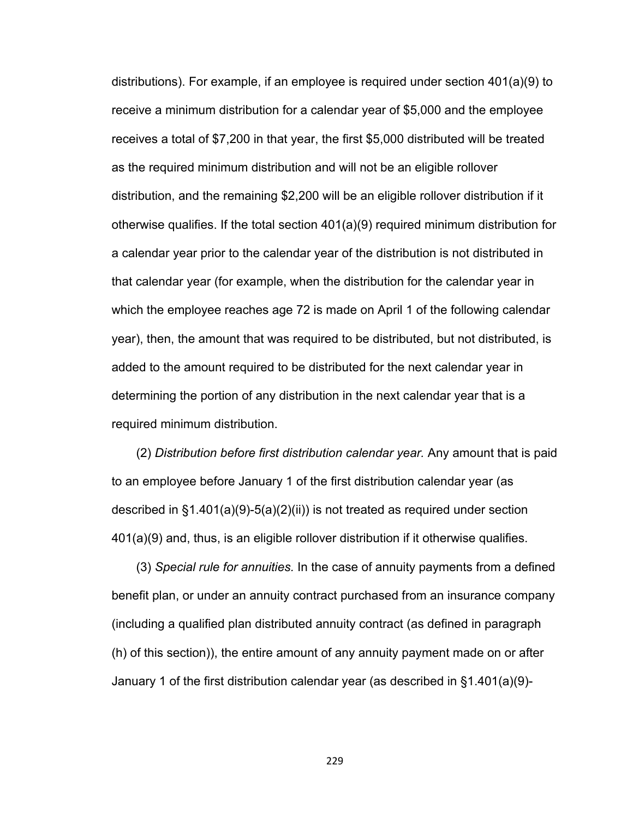distributions). For example, if an employee is required under section 401(a)(9) to receive a minimum distribution for a calendar year of \$5,000 and the employee receives a total of \$7,200 in that year, the first \$5,000 distributed will be treated as the required minimum distribution and will not be an eligible rollover distribution, and the remaining \$2,200 will be an eligible rollover distribution if it otherwise qualifies. If the total section 401(a)(9) required minimum distribution for a calendar year prior to the calendar year of the distribution is not distributed in that calendar year (for example, when the distribution for the calendar year in which the employee reaches age 72 is made on April 1 of the following calendar year), then, the amount that was required to be distributed, but not distributed, is added to the amount required to be distributed for the next calendar year in determining the portion of any distribution in the next calendar year that is a required minimum distribution.

(2) *Distribution before first distribution calendar year.* Any amount that is paid to an employee before January 1 of the first distribution calendar year (as described in §1.401(a)(9)-5(a)(2)(ii)) is not treated as required under section 401(a)(9) and, thus, is an eligible rollover distribution if it otherwise qualifies.

(3) *Special rule for annuities.* In the case of annuity payments from a defined benefit plan, or under an annuity contract purchased from an insurance company (including a qualified plan distributed annuity contract (as defined in paragraph (h) of this section)), the entire amount of any annuity payment made on or after January 1 of the first distribution calendar year (as described in §1.401(a)(9)-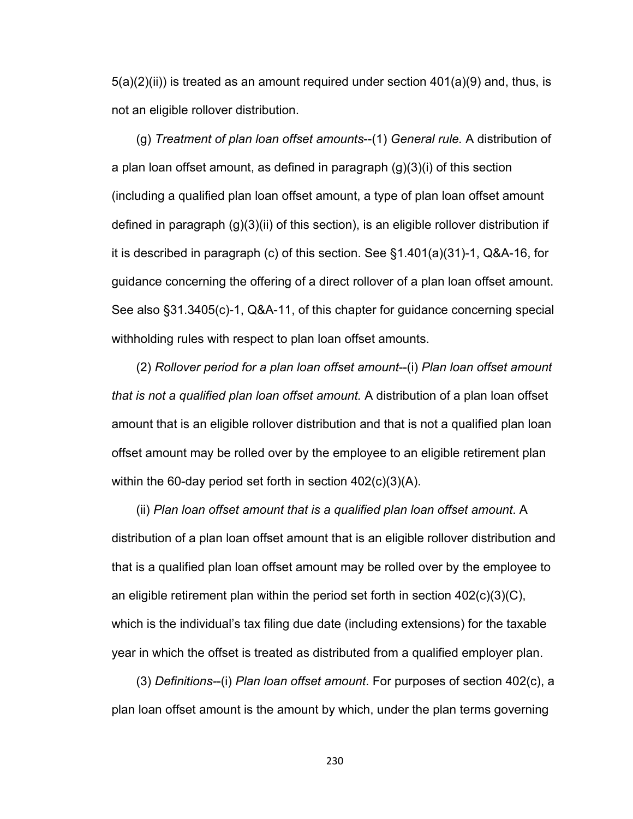$5(a)(2)(ii)$  is treated as an amount required under section  $401(a)(9)$  and, thus, is not an eligible rollover distribution.

(g) *Treatment of plan loan offset amounts*--(1) *General rule.* A distribution of a plan loan offset amount, as defined in paragraph (g)(3)(i) of this section (including a qualified plan loan offset amount, a type of plan loan offset amount defined in paragraph (g)(3)(ii) of this section), is an eligible rollover distribution if it is described in paragraph (c) of this section. See §1.401(a)(31)-1, Q&A-16, for guidance concerning the offering of a direct rollover of a plan loan offset amount. See also §31.3405(c)-1, Q&A-11, of this chapter for guidance concerning special withholding rules with respect to plan loan offset amounts.

(2) *Rollover period for a plan loan offset amount*--(i) *Plan loan offset amount that is not a qualified plan loan offset amount.* A distribution of a plan loan offset amount that is an eligible rollover distribution and that is not a qualified plan loan offset amount may be rolled over by the employee to an eligible retirement plan within the 60-day period set forth in section 402(c)(3)(A).

(ii) *Plan loan offset amount that is a qualified plan loan offset amount*. A distribution of a plan loan offset amount that is an eligible rollover distribution and that is a qualified plan loan offset amount may be rolled over by the employee to an eligible retirement plan within the period set forth in section  $402(c)(3)(C)$ , which is the individual's tax filing due date (including extensions) for the taxable year in which the offset is treated as distributed from a qualified employer plan.

(3) *Definitions-*-(i) *Plan loan offset amount*. For purposes of section 402(c), a plan loan offset amount is the amount by which, under the plan terms governing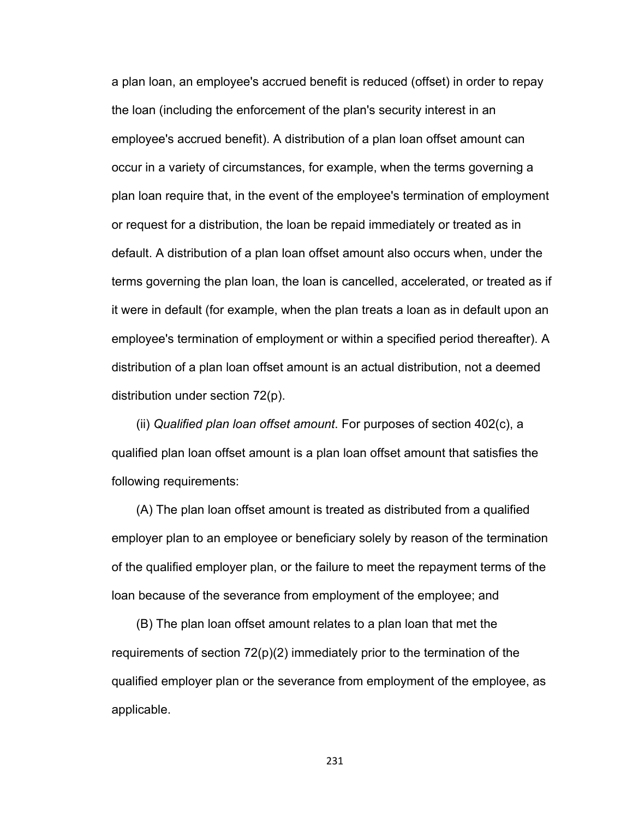a plan loan, an employee's accrued benefit is reduced (offset) in order to repay the loan (including the enforcement of the plan's security interest in an employee's accrued benefit). A distribution of a plan loan offset amount can occur in a variety of circumstances, for example, when the terms governing a plan loan require that, in the event of the employee's termination of employment or request for a distribution, the loan be repaid immediately or treated as in default. A distribution of a plan loan offset amount also occurs when, under the terms governing the plan loan, the loan is cancelled, accelerated, or treated as if it were in default (for example, when the plan treats a loan as in default upon an employee's termination of employment or within a specified period thereafter). A distribution of a plan loan offset amount is an actual distribution, not a deemed distribution under section 72(p).

(ii) *Qualified plan loan offset amount*. For purposes of section 402(c), a qualified plan loan offset amount is a plan loan offset amount that satisfies the following requirements:

(A) The plan loan offset amount is treated as distributed from a qualified employer plan to an employee or beneficiary solely by reason of the termination of the qualified employer plan, or the failure to meet the repayment terms of the loan because of the severance from employment of the employee; and

(B) The plan loan offset amount relates to a plan loan that met the requirements of section  $72(p)(2)$  immediately prior to the termination of the qualified employer plan or the severance from employment of the employee, as applicable.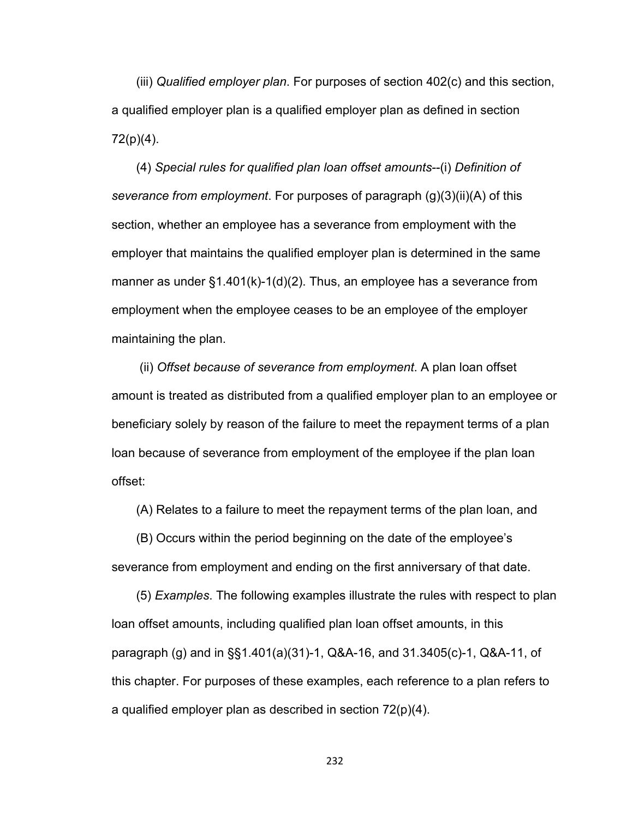(iii) *Qualified employer plan*. For purposes of section 402(c) and this section, a qualified employer plan is a qualified employer plan as defined in section 72(p)(4).

(4) *Special rules for qualified plan loan offset amounts*--(i) *Definition of severance from employment*. For purposes of paragraph (g)(3)(ii)(A) of this section, whether an employee has a severance from employment with the employer that maintains the qualified employer plan is determined in the same manner as under  $\S1.401(k)-1(d)(2)$ . Thus, an employee has a severance from employment when the employee ceases to be an employee of the employer maintaining the plan.

 (ii) *Offset because of severance from employment*. A plan loan offset amount is treated as distributed from a qualified employer plan to an employee or beneficiary solely by reason of the failure to meet the repayment terms of a plan loan because of severance from employment of the employee if the plan loan offset:

(A) Relates to a failure to meet the repayment terms of the plan loan, and

(B) Occurs within the period beginning on the date of the employee's severance from employment and ending on the first anniversary of that date.

(5) *Examples*. The following examples illustrate the rules with respect to plan loan offset amounts, including qualified plan loan offset amounts, in this paragraph (g) and in §§1.401(a)(31)-1, Q&A-16, and 31.3405(c)-1, Q&A-11, of this chapter. For purposes of these examples, each reference to a plan refers to a qualified employer plan as described in section 72(p)(4).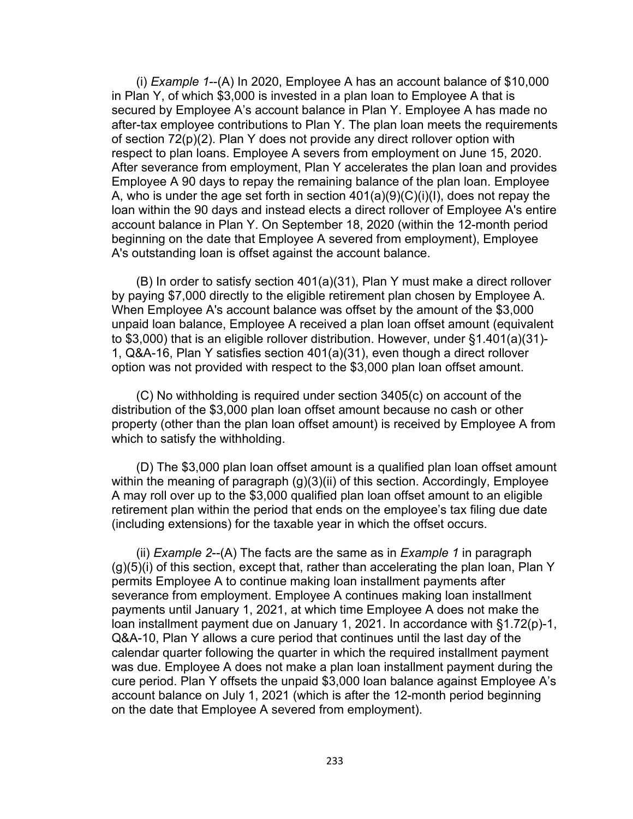(i) *Example 1*--(A) In 2020, Employee A has an account balance of \$10,000 in Plan Y, of which \$3,000 is invested in a plan loan to Employee A that is secured by Employee A's account balance in Plan Y. Employee A has made no after-tax employee contributions to Plan Y. The plan loan meets the requirements of section 72(p)(2). Plan Y does not provide any direct rollover option with respect to plan loans. Employee A severs from employment on June 15, 2020. After severance from employment, Plan Y accelerates the plan loan and provides Employee A 90 days to repay the remaining balance of the plan loan. Employee A, who is under the age set forth in section  $401(a)(9)(C)(i)(l)$ , does not repay the loan within the 90 days and instead elects a direct rollover of Employee A's entire account balance in Plan Y. On September 18, 2020 (within the 12-month period beginning on the date that Employee A severed from employment), Employee A's outstanding loan is offset against the account balance.

(B) In order to satisfy section 401(a)(31), Plan Y must make a direct rollover by paying \$7,000 directly to the eligible retirement plan chosen by Employee A. When Employee A's account balance was offset by the amount of the \$3,000 unpaid loan balance, Employee A received a plan loan offset amount (equivalent to \$3,000) that is an eligible rollover distribution. However, under §1.401(a)(31)- 1, Q&A-16, Plan Y satisfies section 401(a)(31), even though a direct rollover option was not provided with respect to the \$3,000 plan loan offset amount.

(C) No withholding is required under section 3405(c) on account of the distribution of the \$3,000 plan loan offset amount because no cash or other property (other than the plan loan offset amount) is received by Employee A from which to satisfy the withholding.

(D) The \$3,000 plan loan offset amount is a qualified plan loan offset amount within the meaning of paragraph (g)(3)(ii) of this section. Accordingly, Employee A may roll over up to the \$3,000 qualified plan loan offset amount to an eligible retirement plan within the period that ends on the employee's tax filing due date (including extensions) for the taxable year in which the offset occurs.

(ii) *Example 2*--(A) The facts are the same as in *Example 1* in paragraph (g)(5)(i) of this section, except that, rather than accelerating the plan loan, Plan Y permits Employee A to continue making loan installment payments after severance from employment. Employee A continues making loan installment payments until January 1, 2021, at which time Employee A does not make the loan installment payment due on January 1, 2021. In accordance with §1.72(p)-1, Q&A-10, Plan Y allows a cure period that continues until the last day of the calendar quarter following the quarter in which the required installment payment was due. Employee A does not make a plan loan installment payment during the cure period. Plan Y offsets the unpaid \$3,000 loan balance against Employee A's account balance on July 1, 2021 (which is after the 12-month period beginning on the date that Employee A severed from employment).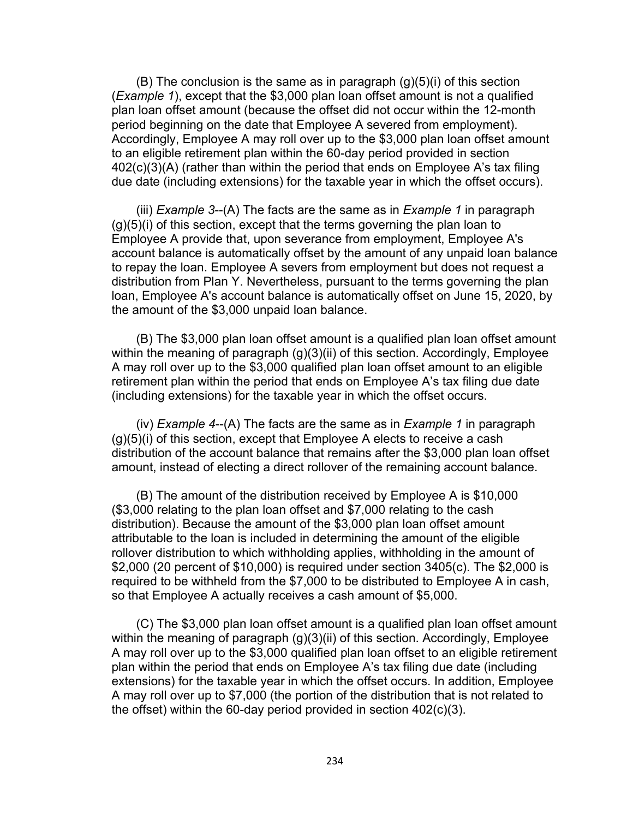$(B)$  The conclusion is the same as in paragraph  $(g)(5)(i)$  of this section (*Example 1*), except that the \$3,000 plan loan offset amount is not a qualified plan loan offset amount (because the offset did not occur within the 12-month period beginning on the date that Employee A severed from employment). Accordingly, Employee A may roll over up to the \$3,000 plan loan offset amount to an eligible retirement plan within the 60-day period provided in section 402(c)(3)(A) (rather than within the period that ends on Employee A's tax filing due date (including extensions) for the taxable year in which the offset occurs).

(iii) *Example 3*--(A) The facts are the same as in *Example 1* in paragraph  $(q)(5)(i)$  of this section, except that the terms governing the plan loan to Employee A provide that, upon severance from employment, Employee A's account balance is automatically offset by the amount of any unpaid loan balance to repay the loan. Employee A severs from employment but does not request a distribution from Plan Y. Nevertheless, pursuant to the terms governing the plan loan, Employee A's account balance is automatically offset on June 15, 2020, by the amount of the \$3,000 unpaid loan balance.

(B) The \$3,000 plan loan offset amount is a qualified plan loan offset amount within the meaning of paragraph (g)(3)(ii) of this section. Accordingly, Employee A may roll over up to the \$3,000 qualified plan loan offset amount to an eligible retirement plan within the period that ends on Employee A's tax filing due date (including extensions) for the taxable year in which the offset occurs.

(iv) *Example 4*--(A) The facts are the same as in *Example 1* in paragraph  $(q)(5)(i)$  of this section, except that Employee A elects to receive a cash distribution of the account balance that remains after the \$3,000 plan loan offset amount, instead of electing a direct rollover of the remaining account balance.

(B) The amount of the distribution received by Employee A is \$10,000 (\$3,000 relating to the plan loan offset and \$7,000 relating to the cash distribution). Because the amount of the \$3,000 plan loan offset amount attributable to the loan is included in determining the amount of the eligible rollover distribution to which withholding applies, withholding in the amount of \$2,000 (20 percent of \$10,000) is required under section 3405(c). The \$2,000 is required to be withheld from the \$7,000 to be distributed to Employee A in cash, so that Employee A actually receives a cash amount of \$5,000.

(C) The \$3,000 plan loan offset amount is a qualified plan loan offset amount within the meaning of paragraph (g)(3)(ii) of this section. Accordingly, Employee A may roll over up to the \$3,000 qualified plan loan offset to an eligible retirement plan within the period that ends on Employee A's tax filing due date (including extensions) for the taxable year in which the offset occurs. In addition, Employee A may roll over up to \$7,000 (the portion of the distribution that is not related to the offset) within the 60-day period provided in section 402(c)(3).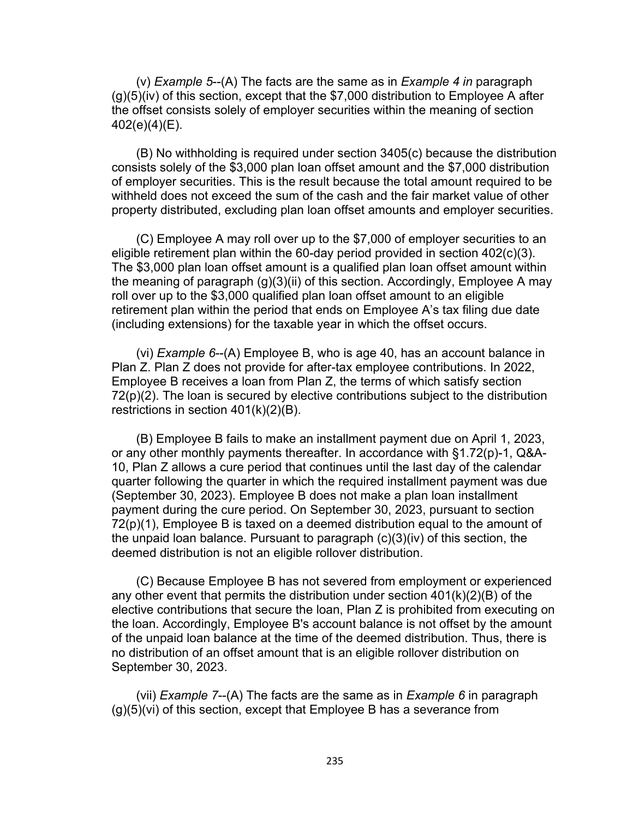(v) *Example 5*--(A) The facts are the same as in *Example 4 in* paragraph  $(g)(5)(iv)$  of this section, except that the \$7,000 distribution to Employee A after the offset consists solely of employer securities within the meaning of section 402(e)(4)(E).

(B) No withholding is required under section 3405(c) because the distribution consists solely of the \$3,000 plan loan offset amount and the \$7,000 distribution of employer securities. This is the result because the total amount required to be withheld does not exceed the sum of the cash and the fair market value of other property distributed, excluding plan loan offset amounts and employer securities.

(C) Employee A may roll over up to the \$7,000 of employer securities to an eligible retirement plan within the 60-day period provided in section 402(c)(3). The \$3,000 plan loan offset amount is a qualified plan loan offset amount within the meaning of paragraph (g)(3)(ii) of this section. Accordingly, Employee A may roll over up to the \$3,000 qualified plan loan offset amount to an eligible retirement plan within the period that ends on Employee A's tax filing due date (including extensions) for the taxable year in which the offset occurs.

(vi) *Example 6*--(A) Employee B, who is age 40, has an account balance in Plan Z. Plan Z does not provide for after-tax employee contributions. In 2022, Employee B receives a loan from Plan Z, the terms of which satisfy section 72(p)(2). The loan is secured by elective contributions subject to the distribution restrictions in section 401(k)(2)(B).

(B) Employee B fails to make an installment payment due on April 1, 2023, or any other monthly payments thereafter. In accordance with §1.72(p)-1, Q&A-10, Plan Z allows a cure period that continues until the last day of the calendar quarter following the quarter in which the required installment payment was due (September 30, 2023). Employee B does not make a plan loan installment payment during the cure period. On September 30, 2023, pursuant to section 72(p)(1), Employee B is taxed on a deemed distribution equal to the amount of the unpaid loan balance. Pursuant to paragraph (c)(3)(iv) of this section, the deemed distribution is not an eligible rollover distribution.

(C) Because Employee B has not severed from employment or experienced any other event that permits the distribution under section 401(k)(2)(B) of the elective contributions that secure the loan, Plan Z is prohibited from executing on the loan. Accordingly, Employee B's account balance is not offset by the amount of the unpaid loan balance at the time of the deemed distribution. Thus, there is no distribution of an offset amount that is an eligible rollover distribution on September 30, 2023.

(vii) *Example 7*--(A) The facts are the same as in *Example 6* in paragraph (g)(5)(vi) of this section, except that Employee B has a severance from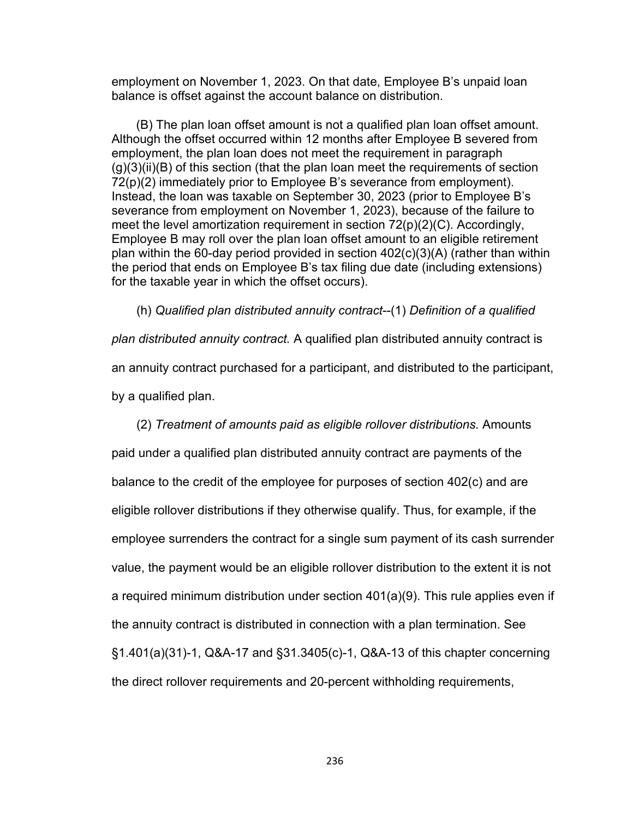employment on November 1, 2023. On that date, Employee B's unpaid loan balance is offset against the account balance on distribution.

(B) The plan loan offset amount is not a qualified plan loan offset amount. Although the offset occurred within 12 months after Employee B severed from employment, the plan loan does not meet the requirement in paragraph  $(g)(3)(ii)(B)$  of this section (that the plan loan meet the requirements of section 72(p)(2) immediately prior to Employee B's severance from employment). Instead, the loan was taxable on September 30, 2023 (prior to Employee B's severance from employment on November 1, 2023), because of the failure to meet the level amortization requirement in section  $72(p)(2)(C)$ . Accordingly, Employee B may roll over the plan loan offset amount to an eligible retirement plan within the 60-day period provided in section 402(c)(3)(A) (rather than within the period that ends on Employee B's tax filing due date (including extensions) for the taxable year in which the offset occurs).

(h) *Qualified plan distributed annuity contract*--(1) *Definition of a qualified plan distributed annuity contract.* A qualified plan distributed annuity contract is an annuity contract purchased for a participant, and distributed to the participant, by a qualified plan.

(2) *Treatment of amounts paid as eligible rollover distributions.* Amounts

paid under a qualified plan distributed annuity contract are payments of the balance to the credit of the employee for purposes of section 402(c) and are eligible rollover distributions if they otherwise qualify. Thus, for example, if the employee surrenders the contract for a single sum payment of its cash surrender value, the payment would be an eligible rollover distribution to the extent it is not a required minimum distribution under section 401(a)(9). This rule applies even if the annuity contract is distributed in connection with a plan termination. See §1.401(a)(31)-1, Q&A-17 and §31.3405(c)-1, Q&A-13 of this chapter concerning the direct rollover requirements and 20-percent withholding requirements,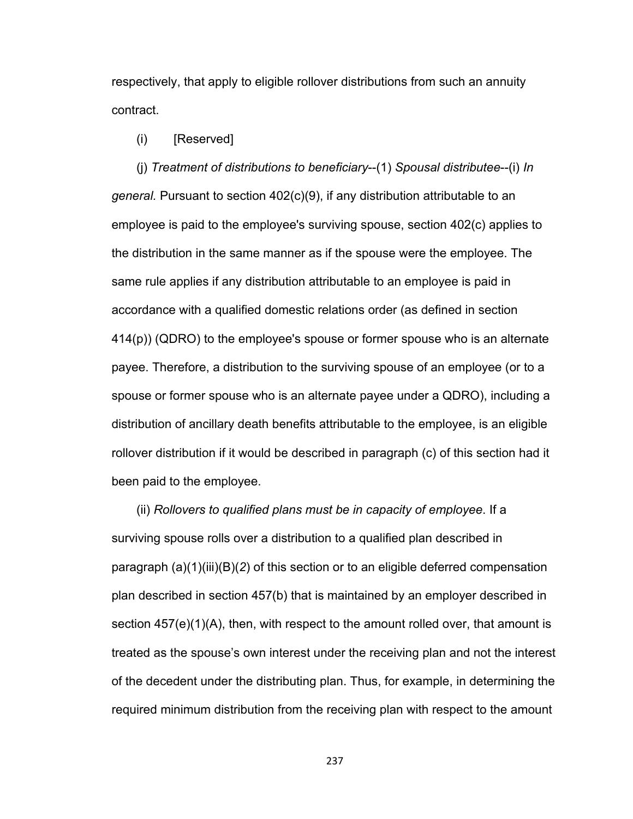respectively, that apply to eligible rollover distributions from such an annuity contract.

## (i) [Reserved]

(j) *Treatment of distributions to beneficiary*--(1) *Spousal distributee*--(i) *In general.* Pursuant to section 402(c)(9), if any distribution attributable to an employee is paid to the employee's surviving spouse, section 402(c) applies to the distribution in the same manner as if the spouse were the employee. The same rule applies if any distribution attributable to an employee is paid in accordance with a qualified domestic relations order (as defined in section 414(p)) (QDRO) to the employee's spouse or former spouse who is an alternate payee. Therefore, a distribution to the surviving spouse of an employee (or to a spouse or former spouse who is an alternate payee under a QDRO), including a distribution of ancillary death benefits attributable to the employee, is an eligible rollover distribution if it would be described in paragraph (c) of this section had it been paid to the employee.

(ii) *Rollovers to qualified plans must be in capacity of employee*. If a surviving spouse rolls over a distribution to a qualified plan described in paragraph (a)(1)(iii)(B)(*2*) of this section or to an eligible deferred compensation plan described in section 457(b) that is maintained by an employer described in section 457(e)(1)(A), then, with respect to the amount rolled over, that amount is treated as the spouse's own interest under the receiving plan and not the interest of the decedent under the distributing plan. Thus, for example, in determining the required minimum distribution from the receiving plan with respect to the amount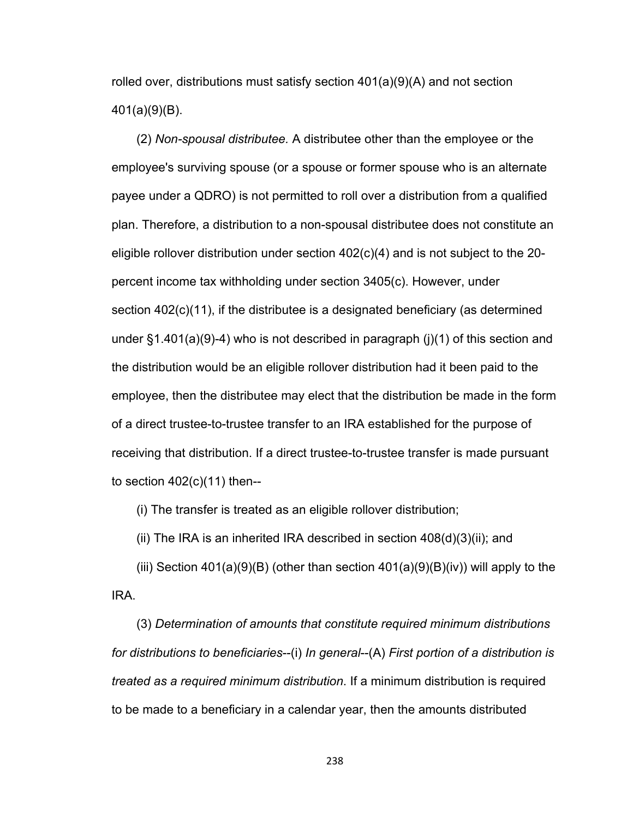rolled over, distributions must satisfy section  $401(a)(9)(A)$  and not section 401(a)(9)(B).

(2) *Non-spousal distributee.* A distributee other than the employee or the employee's surviving spouse (or a spouse or former spouse who is an alternate payee under a QDRO) is not permitted to roll over a distribution from a qualified plan. Therefore, a distribution to a non-spousal distributee does not constitute an eligible rollover distribution under section 402(c)(4) and is not subject to the 20 percent income tax withholding under section 3405(c). However, under section 402(c)(11), if the distributee is a designated beneficiary (as determined under §1.401(a)(9)-4) who is not described in paragraph (j)(1) of this section and the distribution would be an eligible rollover distribution had it been paid to the employee, then the distributee may elect that the distribution be made in the form of a direct trustee-to-trustee transfer to an IRA established for the purpose of receiving that distribution. If a direct trustee-to-trustee transfer is made pursuant to section  $402(c)(11)$  then--

(i) The transfer is treated as an eligible rollover distribution;

(ii) The IRA is an inherited IRA described in section  $408(d)(3)(ii)$ ; and

(iii) Section 401(a)(9)(B) (other than section 401(a)(9)(B)(iv)) will apply to the IRA.

(3) *Determination of amounts that constitute required minimum distributions for distributions to beneficiaries*--(i) *In general*--(A) *First portion of a distribution is treated as a required minimum distribution*. If a minimum distribution is required to be made to a beneficiary in a calendar year, then the amounts distributed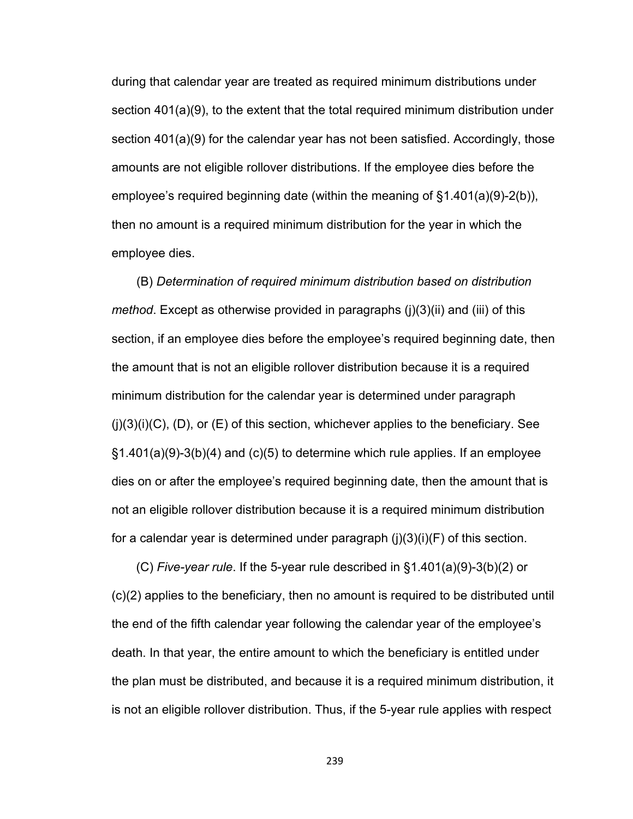during that calendar year are treated as required minimum distributions under section 401(a)(9), to the extent that the total required minimum distribution under section 401(a)(9) for the calendar year has not been satisfied. Accordingly, those amounts are not eligible rollover distributions. If the employee dies before the employee's required beginning date (within the meaning of §1.401(a)(9)-2(b)), then no amount is a required minimum distribution for the year in which the employee dies.

(B) *Determination of required minimum distribution based on distribution method*. Except as otherwise provided in paragraphs (j)(3)(ii) and (iii) of this section, if an employee dies before the employee's required beginning date, then the amount that is not an eligible rollover distribution because it is a required minimum distribution for the calendar year is determined under paragraph  $(i)(3)(i)(C)$ ,  $(D)$ , or  $(E)$  of this section, whichever applies to the beneficiary. See  $\S1.401(a)(9)-3(b)(4)$  and (c)(5) to determine which rule applies. If an employee dies on or after the employee's required beginning date, then the amount that is not an eligible rollover distribution because it is a required minimum distribution for a calendar year is determined under paragraph  $(i)(3)(i)(F)$  of this section.

(C) *Five-year rule*. If the 5-year rule described in §1.401(a)(9)-3(b)(2) or (c)(2) applies to the beneficiary, then no amount is required to be distributed until the end of the fifth calendar year following the calendar year of the employee's death. In that year, the entire amount to which the beneficiary is entitled under the plan must be distributed, and because it is a required minimum distribution, it is not an eligible rollover distribution. Thus, if the 5-year rule applies with respect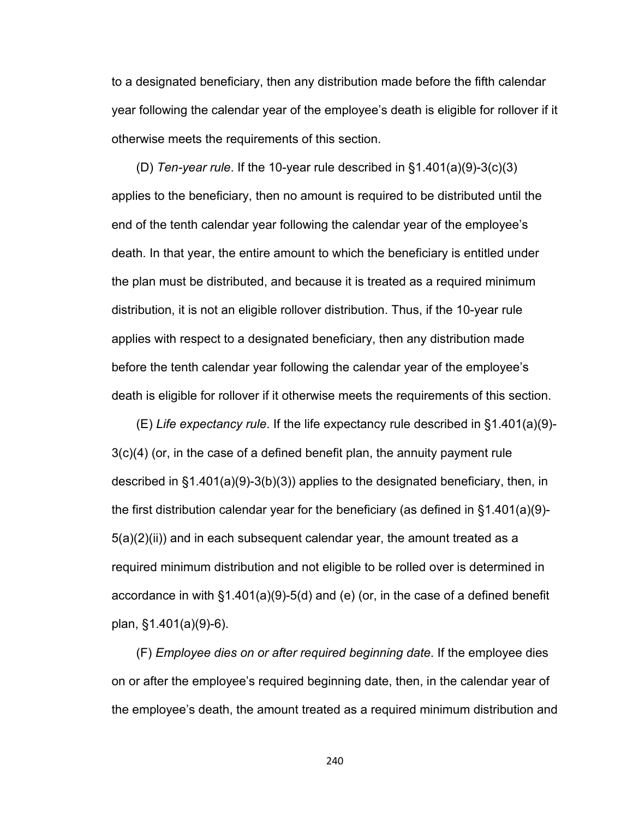to a designated beneficiary, then any distribution made before the fifth calendar year following the calendar year of the employee's death is eligible for rollover if it otherwise meets the requirements of this section.

(D) *Ten-year rule*. If the 10-year rule described in §1.401(a)(9)-3(c)(3) applies to the beneficiary, then no amount is required to be distributed until the end of the tenth calendar year following the calendar year of the employee's death. In that year, the entire amount to which the beneficiary is entitled under the plan must be distributed, and because it is treated as a required minimum distribution, it is not an eligible rollover distribution. Thus, if the 10-year rule applies with respect to a designated beneficiary, then any distribution made before the tenth calendar year following the calendar year of the employee's death is eligible for rollover if it otherwise meets the requirements of this section.

(E) *Life expectancy rule*. If the life expectancy rule described in §1.401(a)(9)- 3(c)(4) (or, in the case of a defined benefit plan, the annuity payment rule described in §1.401(a)(9)-3(b)(3)) applies to the designated beneficiary, then, in the first distribution calendar year for the beneficiary (as defined in §1.401(a)(9)-  $5(a)(2)(ii)$  and in each subsequent calendar year, the amount treated as a required minimum distribution and not eligible to be rolled over is determined in accordance in with §1.401(a)(9)-5(d) and (e) (or, in the case of a defined benefit plan, §1.401(a)(9)-6).

(F) *Employee dies on or after required beginning date*. If the employee dies on or after the employee's required beginning date, then, in the calendar year of the employee's death, the amount treated as a required minimum distribution and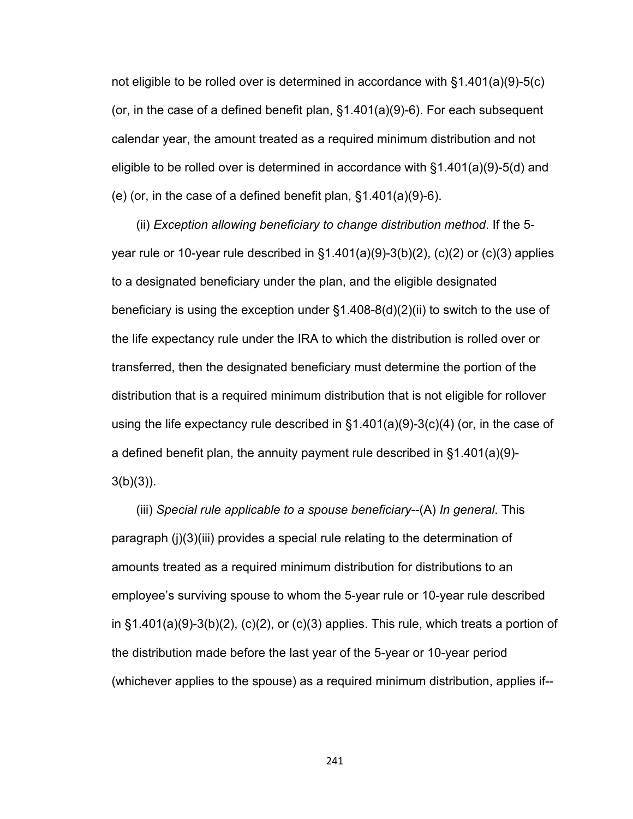not eligible to be rolled over is determined in accordance with §1.401(a)(9)-5(c) (or, in the case of a defined benefit plan, §1.401(a)(9)-6). For each subsequent calendar year, the amount treated as a required minimum distribution and not eligible to be rolled over is determined in accordance with §1.401(a)(9)-5(d) and (e) (or, in the case of a defined benefit plan, §1.401(a)(9)-6).

(ii) *Exception allowing beneficiary to change distribution method*. If the 5 year rule or 10-year rule described in  $\S1.401(a)(9)-3(b)(2)$ , (c)(2) or (c)(3) applies to a designated beneficiary under the plan, and the eligible designated beneficiary is using the exception under §1.408-8(d)(2)(ii) to switch to the use of the life expectancy rule under the IRA to which the distribution is rolled over or transferred, then the designated beneficiary must determine the portion of the distribution that is a required minimum distribution that is not eligible for rollover using the life expectancy rule described in  $\S 1.401(a)(9)-3(c)(4)$  (or, in the case of a defined benefit plan, the annuity payment rule described in §1.401(a)(9)-  $3(b)(3)$ ).

(iii) *Special rule applicable to a spouse beneficiary*--(A) *In general*. This paragraph (j)(3)(iii) provides a special rule relating to the determination of amounts treated as a required minimum distribution for distributions to an employee's surviving spouse to whom the 5-year rule or 10-year rule described in  $\S1.401(a)(9)-3(b)(2)$ , (c)(2), or (c)(3) applies. This rule, which treats a portion of the distribution made before the last year of the 5-year or 10-year period (whichever applies to the spouse) as a required minimum distribution, applies if--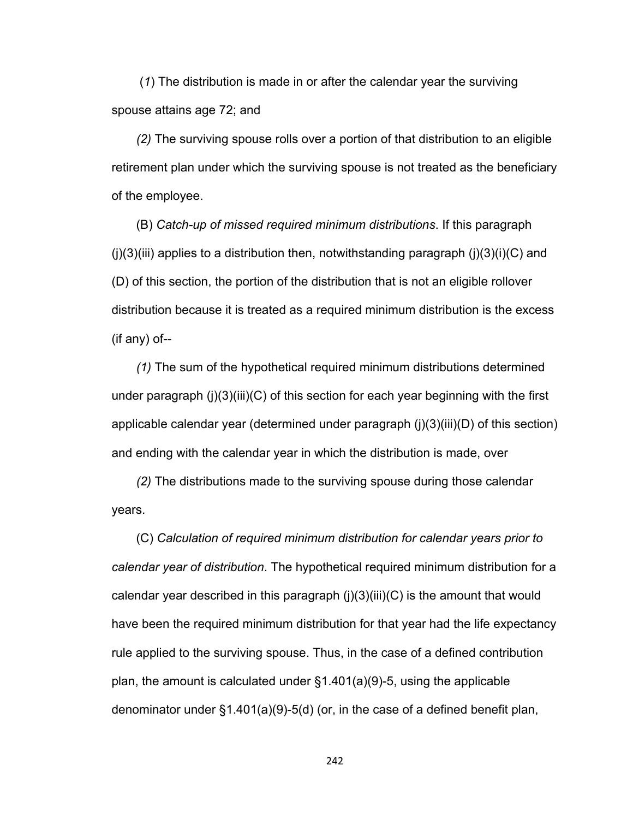(*1*) The distribution is made in or after the calendar year the surviving spouse attains age 72; and

*(2)* The surviving spouse rolls over a portion of that distribution to an eligible retirement plan under which the surviving spouse is not treated as the beneficiary of the employee.

(B) *Catch-up of missed required minimum distributions*. If this paragraph  $(i)(3)(iii)$  applies to a distribution then, notwithstanding paragraph  $(i)(3)(i)(C)$  and (D) of this section, the portion of the distribution that is not an eligible rollover distribution because it is treated as a required minimum distribution is the excess (if any) of--

*(1)* The sum of the hypothetical required minimum distributions determined under paragraph (j)(3)(iii)(C) of this section for each year beginning with the first applicable calendar year (determined under paragraph (j)(3)(iii)(D) of this section) and ending with the calendar year in which the distribution is made, over

*(2)* The distributions made to the surviving spouse during those calendar years.

(C) *Calculation of required minimum distribution for calendar years prior to calendar year of distribution*. The hypothetical required minimum distribution for a calendar year described in this paragraph (j)(3)(iii)(C) is the amount that would have been the required minimum distribution for that year had the life expectancy rule applied to the surviving spouse. Thus, in the case of a defined contribution plan, the amount is calculated under §1.401(a)(9)-5, using the applicable denominator under §1.401(a)(9)-5(d) (or, in the case of a defined benefit plan,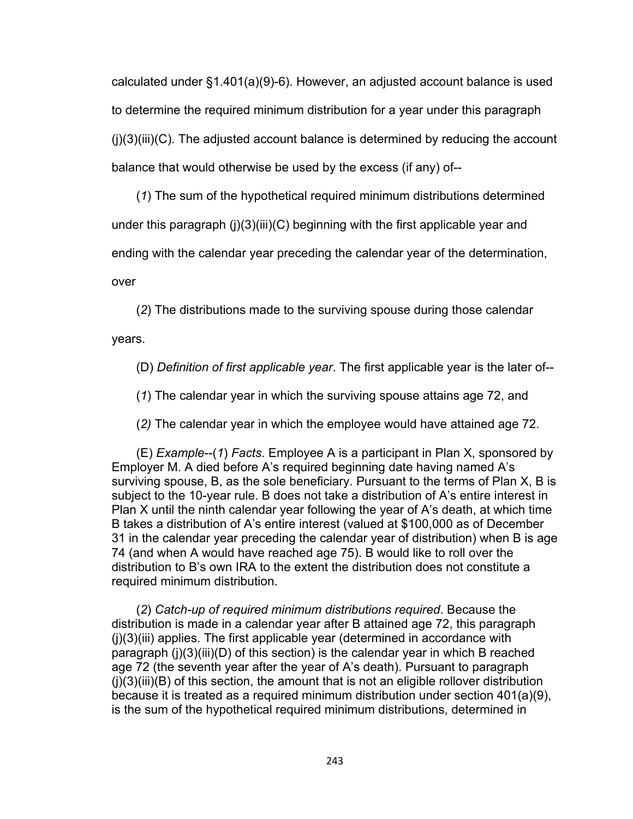calculated under §1.401(a)(9)-6). However, an adjusted account balance is used to determine the required minimum distribution for a year under this paragraph  $(i)(3)(iii)(C)$ . The adjusted account balance is determined by reducing the account balance that would otherwise be used by the excess (if any) of--

(*1*) The sum of the hypothetical required minimum distributions determined under this paragraph (j)(3)(iii)(C) beginning with the first applicable year and ending with the calendar year preceding the calendar year of the determination,

over

(*2*) The distributions made to the surviving spouse during those calendar

years.

(D) *Definition of first applicable year*. The first applicable year is the later of--

(*1*) The calendar year in which the surviving spouse attains age 72, and

(*2)* The calendar year in which the employee would have attained age 72.

(E) *Example*--(*1*) *Facts*. Employee A is a participant in Plan X, sponsored by Employer M. A died before A's required beginning date having named A's surviving spouse, B, as the sole beneficiary. Pursuant to the terms of Plan X, B is subject to the 10-year rule. B does not take a distribution of A's entire interest in Plan X until the ninth calendar year following the year of A's death, at which time B takes a distribution of A's entire interest (valued at \$100,000 as of December 31 in the calendar year preceding the calendar year of distribution) when B is age 74 (and when A would have reached age 75). B would like to roll over the distribution to B's own IRA to the extent the distribution does not constitute a required minimum distribution.

(*2*) *Catch-up of required minimum distributions required*. Because the distribution is made in a calendar year after B attained age 72, this paragraph (j)(3)(iii) applies. The first applicable year (determined in accordance with paragraph (j)(3)(iii)(D) of this section) is the calendar year in which B reached age 72 (the seventh year after the year of A's death). Pursuant to paragraph  $(i)(3)(iii)(B)$  of this section, the amount that is not an eligible rollover distribution because it is treated as a required minimum distribution under section 401(a)(9), is the sum of the hypothetical required minimum distributions, determined in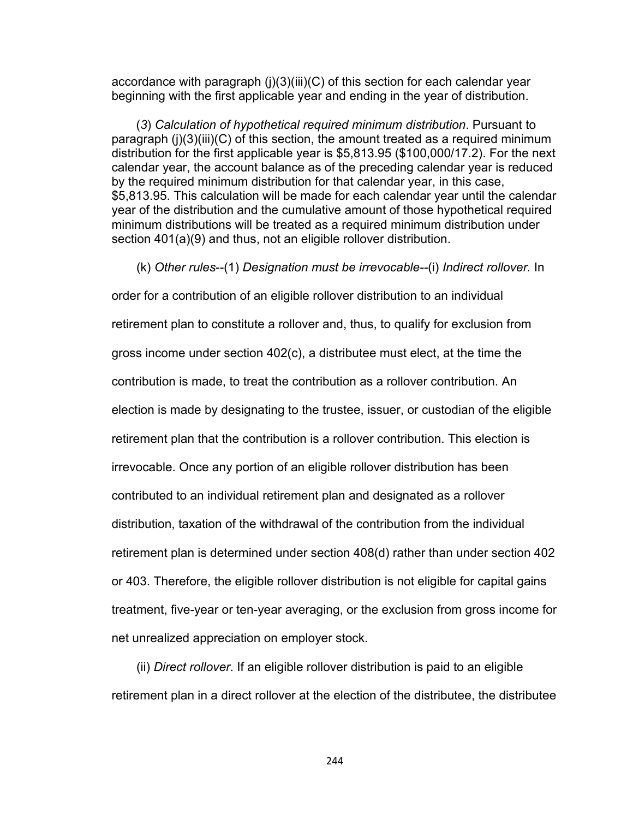accordance with paragraph (j)(3)(iii)(C) of this section for each calendar year beginning with the first applicable year and ending in the year of distribution.

(*3*) *Calculation of hypothetical required minimum distribution*. Pursuant to paragraph (j)(3)(iii)(C) of this section, the amount treated as a required minimum distribution for the first applicable year is \$5,813.95 (\$100,000/17.2). For the next calendar year, the account balance as of the preceding calendar year is reduced by the required minimum distribution for that calendar year, in this case, \$5,813.95. This calculation will be made for each calendar year until the calendar year of the distribution and the cumulative amount of those hypothetical required minimum distributions will be treated as a required minimum distribution under section 401(a)(9) and thus, not an eligible rollover distribution.

(k) *Other rules*--(1) *Designation must be irrevocable--*(i) *Indirect rollover.* In

order for a contribution of an eligible rollover distribution to an individual retirement plan to constitute a rollover and, thus, to qualify for exclusion from gross income under section 402(c), a distributee must elect, at the time the contribution is made, to treat the contribution as a rollover contribution. An election is made by designating to the trustee, issuer, or custodian of the eligible retirement plan that the contribution is a rollover contribution. This election is irrevocable. Once any portion of an eligible rollover distribution has been contributed to an individual retirement plan and designated as a rollover distribution, taxation of the withdrawal of the contribution from the individual retirement plan is determined under section 408(d) rather than under section 402 or 403. Therefore, the eligible rollover distribution is not eligible for capital gains treatment, five-year or ten-year averaging, or the exclusion from gross income for net unrealized appreciation on employer stock.

(ii) *Direct rollover*. If an eligible rollover distribution is paid to an eligible retirement plan in a direct rollover at the election of the distributee, the distributee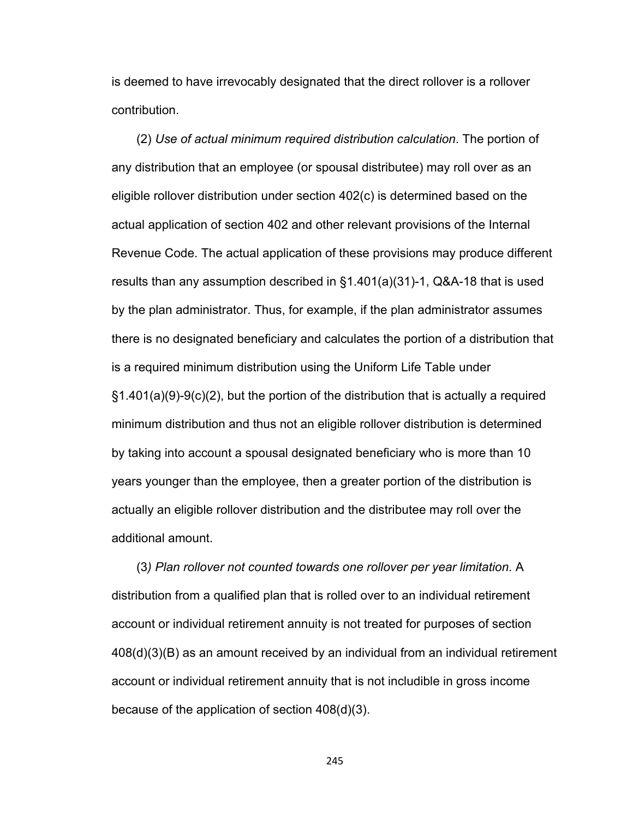is deemed to have irrevocably designated that the direct rollover is a rollover contribution.

(2) *Use of actual minimum required distribution calculation*. The portion of any distribution that an employee (or spousal distributee) may roll over as an eligible rollover distribution under section 402(c) is determined based on the actual application of section 402 and other relevant provisions of the Internal Revenue Code. The actual application of these provisions may produce different results than any assumption described in §1.401(a)(31)-1, Q&A-18 that is used by the plan administrator. Thus, for example, if the plan administrator assumes there is no designated beneficiary and calculates the portion of a distribution that is a required minimum distribution using the Uniform Life Table under §1.401(a)(9)-9(c)(2), but the portion of the distribution that is actually a required minimum distribution and thus not an eligible rollover distribution is determined by taking into account a spousal designated beneficiary who is more than 10 years younger than the employee, then a greater portion of the distribution is actually an eligible rollover distribution and the distributee may roll over the additional amount.

(3*) Plan rollover not counted towards one rollover per year limitation*. A distribution from a qualified plan that is rolled over to an individual retirement account or individual retirement annuity is not treated for purposes of section 408(d)(3)(B) as an amount received by an individual from an individual retirement account or individual retirement annuity that is not includible in gross income because of the application of section 408(d)(3).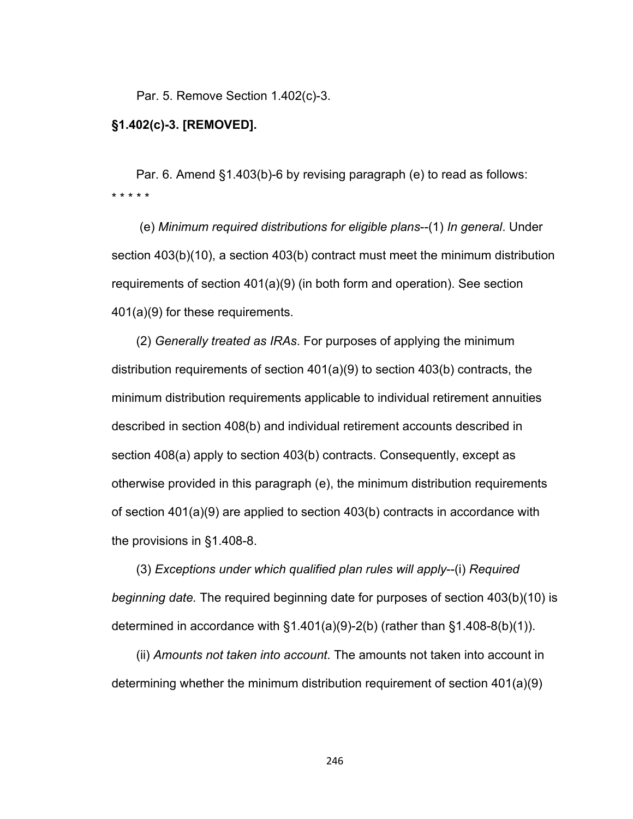Par. 5. Remove Section 1.402(c)-3.

## **§1.402(c)-3. [REMOVED].**

Par. 6. Amend §1.403(b)-6 by revising paragraph (e) to read as follows: \* \* \* \* \*

 (e) *Minimum required distributions for eligible plans*--(1) *In general*. Under section 403(b)(10), a section 403(b) contract must meet the minimum distribution requirements of section 401(a)(9) (in both form and operation). See section 401(a)(9) for these requirements.

(2) *Generally treated as IRAs*. For purposes of applying the minimum distribution requirements of section 401(a)(9) to section 403(b) contracts, the minimum distribution requirements applicable to individual retirement annuities described in section 408(b) and individual retirement accounts described in section 408(a) apply to section 403(b) contracts. Consequently, except as otherwise provided in this paragraph (e), the minimum distribution requirements of section 401(a)(9) are applied to section 403(b) contracts in accordance with the provisions in §1.408-8.

(3) *Exceptions under which qualified plan rules will apply*--(i) *Required beginning date.* The required beginning date for purposes of section 403(b)(10) is determined in accordance with  $\S1.401(a)(9)-2(b)$  (rather than  $\S1.408-8(b)(1)$ ).

(ii) *Amounts not taken into account*. The amounts not taken into account in determining whether the minimum distribution requirement of section 401(a)(9)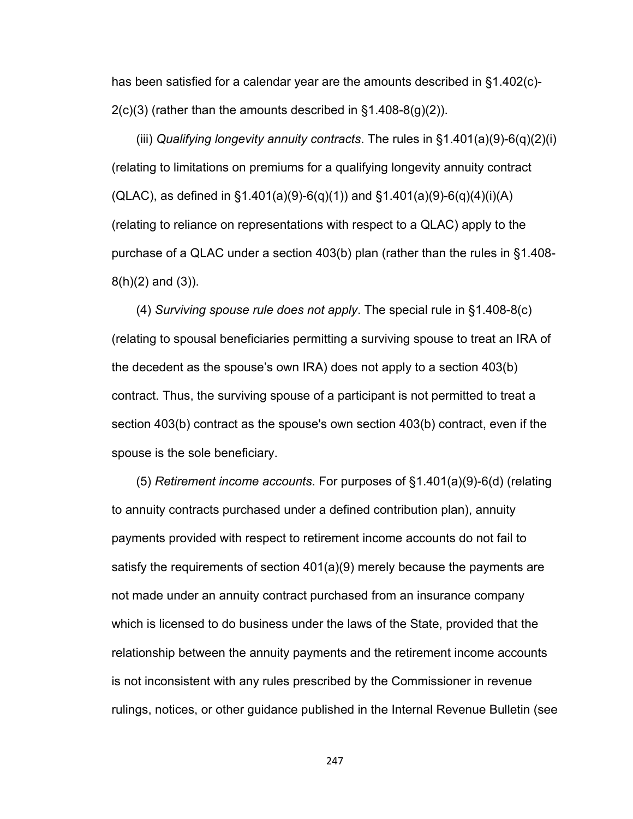has been satisfied for a calendar year are the amounts described in §1.402(c)-  $2(c)(3)$  (rather than the amounts described in  $\S 1.408 - 8(q)(2)$ ).

(iii) *Qualifying longevity annuity contracts*. The rules in §1.401(a)(9)-6(q)(2)(i) (relating to limitations on premiums for a qualifying longevity annuity contract  $(QLAC)$ , as defined in §1.401(a)(9)-6(q)(1)) and §1.401(a)(9)-6(q)(4)(i)(A) (relating to reliance on representations with respect to a QLAC) apply to the purchase of a QLAC under a section 403(b) plan (rather than the rules in §1.408- 8(h)(2) and (3)).

(4) *Surviving spouse rule does not apply*. The special rule in §1.408-8(c) (relating to spousal beneficiaries permitting a surviving spouse to treat an IRA of the decedent as the spouse's own IRA) does not apply to a section 403(b) contract. Thus, the surviving spouse of a participant is not permitted to treat a section 403(b) contract as the spouse's own section 403(b) contract, even if the spouse is the sole beneficiary.

(5) *Retirement income accounts*. For purposes of §1.401(a)(9)-6(d) (relating to annuity contracts purchased under a defined contribution plan), annuity payments provided with respect to retirement income accounts do not fail to satisfy the requirements of section 401(a)(9) merely because the payments are not made under an annuity contract purchased from an insurance company which is licensed to do business under the laws of the State, provided that the relationship between the annuity payments and the retirement income accounts is not inconsistent with any rules prescribed by the Commissioner in revenue rulings, notices, or other guidance published in the Internal Revenue Bulletin (see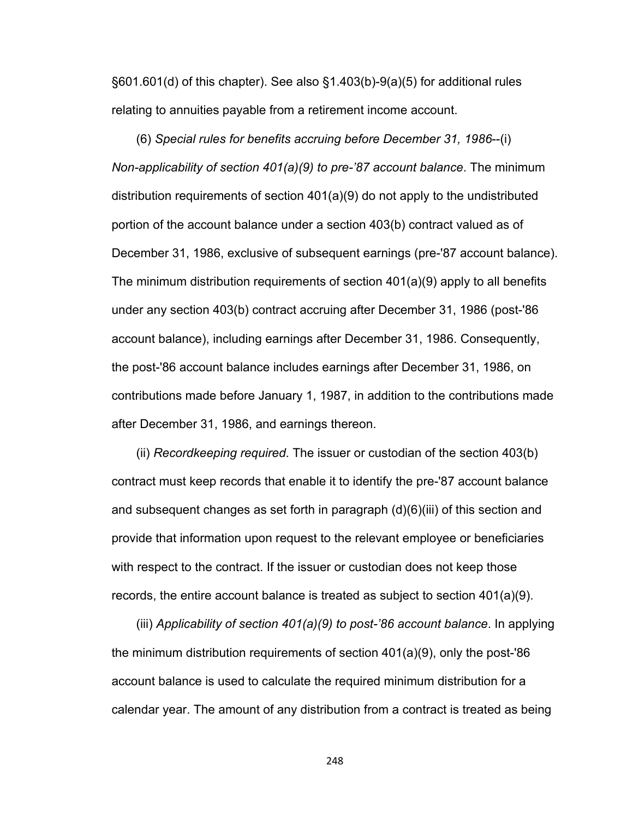§601.601(d) of this chapter). See also §1.403(b)-9(a)(5) for additional rules relating to annuities payable from a retirement income account.

(6) *Special rules for benefits accruing before December 31, 1986*--(i) *Non-applicability of section 401(a)(9) to pre-'87 account balance*. The minimum distribution requirements of section 401(a)(9) do not apply to the undistributed portion of the account balance under a section 403(b) contract valued as of December 31, 1986, exclusive of subsequent earnings (pre-'87 account balance). The minimum distribution requirements of section 401(a)(9) apply to all benefits under any section 403(b) contract accruing after December 31, 1986 (post-'86 account balance), including earnings after December 31, 1986. Consequently, the post-'86 account balance includes earnings after December 31, 1986, on contributions made before January 1, 1987, in addition to the contributions made after December 31, 1986, and earnings thereon.

(ii) *Recordkeeping required*. The issuer or custodian of the section 403(b) contract must keep records that enable it to identify the pre-'87 account balance and subsequent changes as set forth in paragraph (d)(6)(iii) of this section and provide that information upon request to the relevant employee or beneficiaries with respect to the contract. If the issuer or custodian does not keep those records, the entire account balance is treated as subject to section 401(a)(9).

(iii) *Applicability of section 401(a)(9) to post-'86 account balance*. In applying the minimum distribution requirements of section 401(a)(9), only the post-'86 account balance is used to calculate the required minimum distribution for a calendar year. The amount of any distribution from a contract is treated as being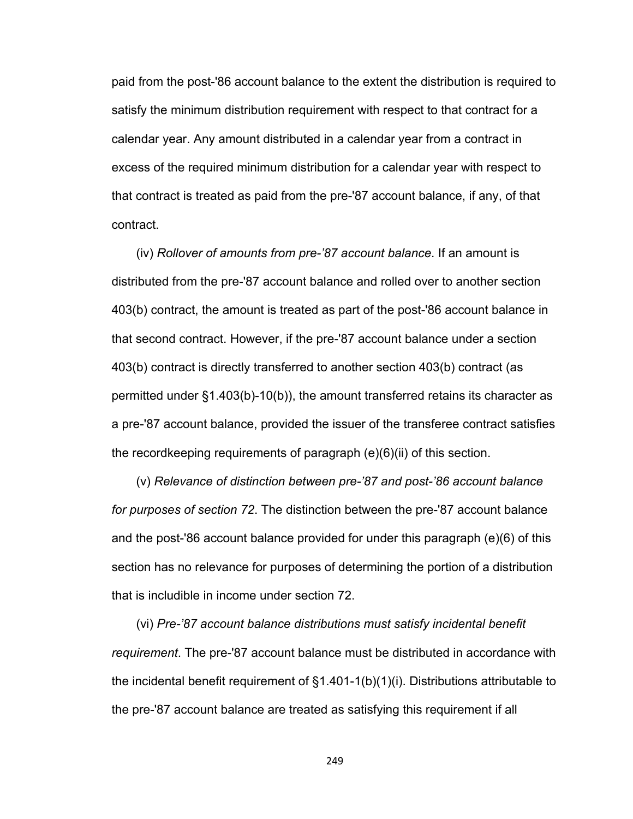paid from the post-'86 account balance to the extent the distribution is required to satisfy the minimum distribution requirement with respect to that contract for a calendar year. Any amount distributed in a calendar year from a contract in excess of the required minimum distribution for a calendar year with respect to that contract is treated as paid from the pre-'87 account balance, if any, of that contract.

(iv) *Rollover of amounts from pre-'87 account balance*. If an amount is distributed from the pre-'87 account balance and rolled over to another section 403(b) contract, the amount is treated as part of the post-'86 account balance in that second contract. However, if the pre-'87 account balance under a section 403(b) contract is directly transferred to another section 403(b) contract (as permitted under §1.403(b)-10(b)), the amount transferred retains its character as a pre-'87 account balance, provided the issuer of the transferee contract satisfies the recordkeeping requirements of paragraph (e)(6)(ii) of this section.

(v) *Relevance of distinction between pre-'87 and post-'86 account balance for purposes of section 72*. The distinction between the pre-'87 account balance and the post-'86 account balance provided for under this paragraph (e)(6) of this section has no relevance for purposes of determining the portion of a distribution that is includible in income under section 72.

(vi) *Pre-'87 account balance distributions must satisfy incidental benefit requirement*. The pre-'87 account balance must be distributed in accordance with the incidental benefit requirement of §1.401-1(b)(1)(i). Distributions attributable to the pre-'87 account balance are treated as satisfying this requirement if all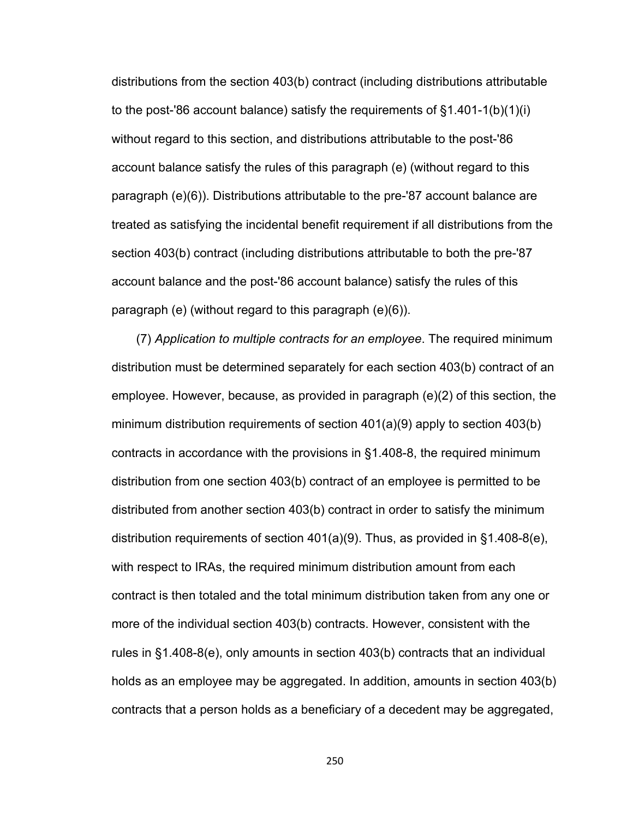distributions from the section 403(b) contract (including distributions attributable to the post-'86 account balance) satisfy the requirements of §1.401-1(b)(1)(i) without regard to this section, and distributions attributable to the post-'86 account balance satisfy the rules of this paragraph (e) (without regard to this paragraph (e)(6)). Distributions attributable to the pre-'87 account balance are treated as satisfying the incidental benefit requirement if all distributions from the section 403(b) contract (including distributions attributable to both the pre-'87 account balance and the post-'86 account balance) satisfy the rules of this paragraph (e) (without regard to this paragraph (e)(6)).

(7) *Application to multiple contracts for an employee*. The required minimum distribution must be determined separately for each section 403(b) contract of an employee. However, because, as provided in paragraph (e)(2) of this section, the minimum distribution requirements of section 401(a)(9) apply to section 403(b) contracts in accordance with the provisions in §1.408-8, the required minimum distribution from one section 403(b) contract of an employee is permitted to be distributed from another section 403(b) contract in order to satisfy the minimum distribution requirements of section 401(a)(9). Thus, as provided in §1.408-8(e), with respect to IRAs, the required minimum distribution amount from each contract is then totaled and the total minimum distribution taken from any one or more of the individual section 403(b) contracts. However, consistent with the rules in §1.408-8(e), only amounts in section 403(b) contracts that an individual holds as an employee may be aggregated. In addition, amounts in section 403(b) contracts that a person holds as a beneficiary of a decedent may be aggregated,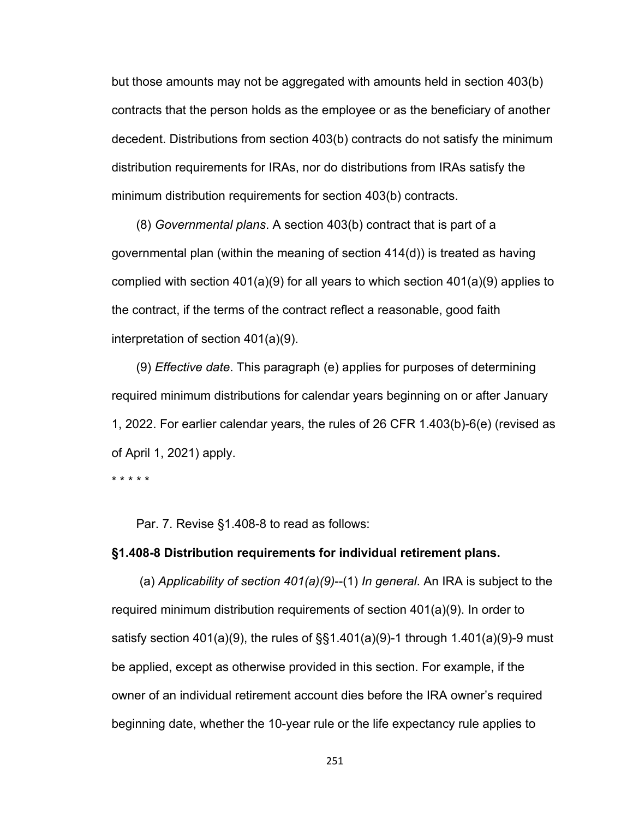but those amounts may not be aggregated with amounts held in section 403(b) contracts that the person holds as the employee or as the beneficiary of another decedent. Distributions from section 403(b) contracts do not satisfy the minimum distribution requirements for IRAs, nor do distributions from IRAs satisfy the minimum distribution requirements for section 403(b) contracts.

(8) *Governmental plans*. A section 403(b) contract that is part of a governmental plan (within the meaning of section 414(d)) is treated as having complied with section 401(a)(9) for all years to which section 401(a)(9) applies to the contract, if the terms of the contract reflect a reasonable, good faith interpretation of section 401(a)(9).

(9) *Effective date*. This paragraph (e) applies for purposes of determining required minimum distributions for calendar years beginning on or after January 1, 2022. For earlier calendar years, the rules of 26 CFR 1.403(b)-6(e) (revised as of April 1, 2021) apply.

\* \* \* \* \*

Par. 7. Revise §1.408-8 to read as follows:

## **§1.408-8 Distribution requirements for individual retirement plans.**

 (a) *Applicability of section 401(a)(9)*--(1) *In general*. An IRA is subject to the required minimum distribution requirements of section 401(a)(9). In order to satisfy section  $401(a)(9)$ , the rules of  $\S$  $1.401(a)(9)$ -1 through 1.401(a)(9)-9 must be applied, except as otherwise provided in this section. For example, if the owner of an individual retirement account dies before the IRA owner's required beginning date, whether the 10-year rule or the life expectancy rule applies to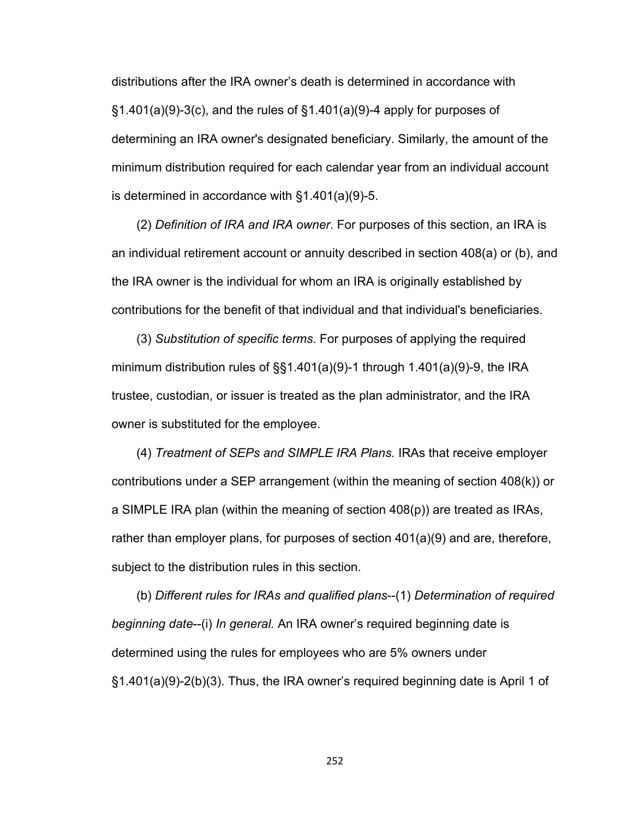distributions after the IRA owner's death is determined in accordance with  $\S1.401(a)(9)-3(c)$ , and the rules of  $\S1.401(a)(9)-4$  apply for purposes of determining an IRA owner's designated beneficiary. Similarly, the amount of the minimum distribution required for each calendar year from an individual account is determined in accordance with §1.401(a)(9)-5.

(2) *Definition of IRA and IRA owner*. For purposes of this section, an IRA is an individual retirement account or annuity described in section 408(a) or (b), and the IRA owner is the individual for whom an IRA is originally established by contributions for the benefit of that individual and that individual's beneficiaries.

(3) *Substitution of specific terms*. For purposes of applying the required minimum distribution rules of §§1.401(a)(9)-1 through 1.401(a)(9)-9, the IRA trustee, custodian, or issuer is treated as the plan administrator, and the IRA owner is substituted for the employee.

(4) *Treatment of SEPs and SIMPLE IRA Plans.* IRAs that receive employer contributions under a SEP arrangement (within the meaning of section 408(k)) or a SIMPLE IRA plan (within the meaning of section 408(p)) are treated as IRAs, rather than employer plans, for purposes of section 401(a)(9) and are, therefore, subject to the distribution rules in this section.

(b) *Different rules for IRAs and qualified plans*--(1) *Determination of required beginning date*--(i) *In general.* An IRA owner's required beginning date is determined using the rules for employees who are 5% owners under §1.401(a)(9)-2(b)(3). Thus, the IRA owner's required beginning date is April 1 of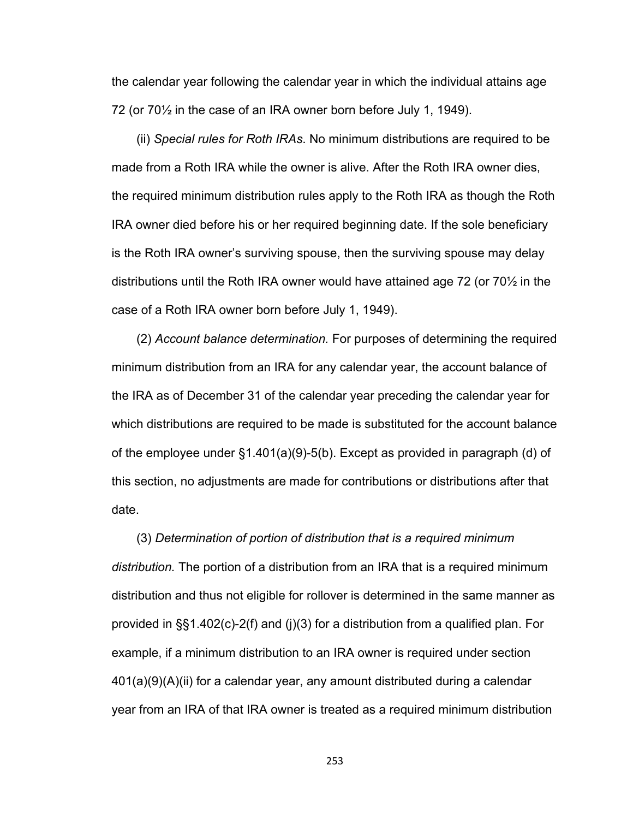the calendar year following the calendar year in which the individual attains age 72 (or 70½ in the case of an IRA owner born before July 1, 1949).

(ii) *Special rules for Roth IRAs*. No minimum distributions are required to be made from a Roth IRA while the owner is alive. After the Roth IRA owner dies, the required minimum distribution rules apply to the Roth IRA as though the Roth IRA owner died before his or her required beginning date. If the sole beneficiary is the Roth IRA owner's surviving spouse, then the surviving spouse may delay distributions until the Roth IRA owner would have attained age 72 (or 70½ in the case of a Roth IRA owner born before July 1, 1949).

(2) *Account balance determination.* For purposes of determining the required minimum distribution from an IRA for any calendar year, the account balance of the IRA as of December 31 of the calendar year preceding the calendar year for which distributions are required to be made is substituted for the account balance of the employee under §1.401(a)(9)-5(b). Except as provided in paragraph (d) of this section, no adjustments are made for contributions or distributions after that date.

(3) *Determination of portion of distribution that is a required minimum distribution.* The portion of a distribution from an IRA that is a required minimum distribution and thus not eligible for rollover is determined in the same manner as provided in §§1.402(c)-2(f) and (j)(3) for a distribution from a qualified plan. For example, if a minimum distribution to an IRA owner is required under section 401(a)(9)(A)(ii) for a calendar year, any amount distributed during a calendar year from an IRA of that IRA owner is treated as a required minimum distribution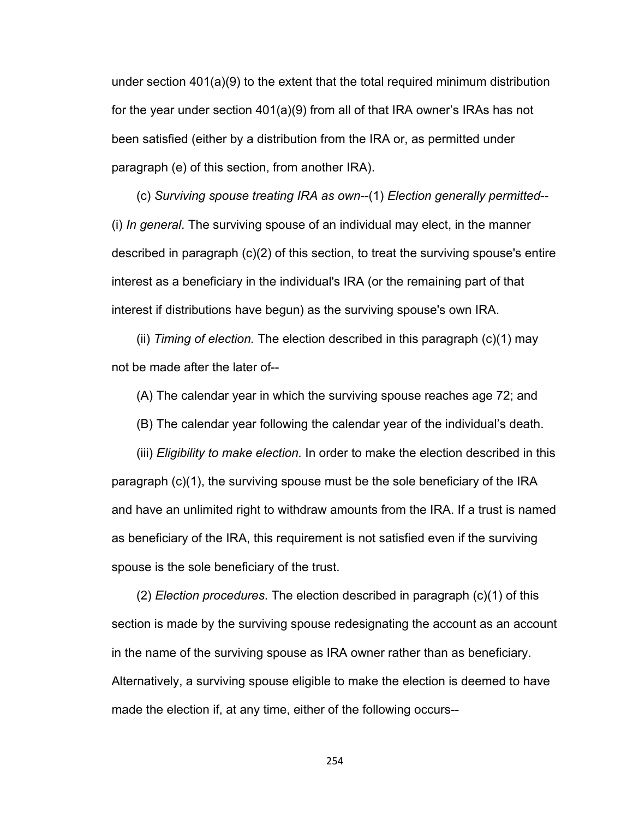under section 401(a)(9) to the extent that the total required minimum distribution for the year under section 401(a)(9) from all of that IRA owner's IRAs has not been satisfied (either by a distribution from the IRA or, as permitted under paragraph (e) of this section, from another IRA).

(c) *Surviving spouse treating IRA as own*--(1) *Election generally permitted*-- (i) *In general*. The surviving spouse of an individual may elect, in the manner described in paragraph (c)(2) of this section, to treat the surviving spouse's entire interest as a beneficiary in the individual's IRA (or the remaining part of that interest if distributions have begun) as the surviving spouse's own IRA.

(ii) *Timing of election.* The election described in this paragraph (c)(1) may not be made after the later of--

(A) The calendar year in which the surviving spouse reaches age 72; and

(B) The calendar year following the calendar year of the individual's death.

(iii) *Eligibility to make election.* In order to make the election described in this paragraph (c)(1), the surviving spouse must be the sole beneficiary of the IRA and have an unlimited right to withdraw amounts from the IRA. If a trust is named as beneficiary of the IRA, this requirement is not satisfied even if the surviving spouse is the sole beneficiary of the trust.

(2) *Election procedures*. The election described in paragraph (c)(1) of this section is made by the surviving spouse redesignating the account as an account in the name of the surviving spouse as IRA owner rather than as beneficiary. Alternatively, a surviving spouse eligible to make the election is deemed to have made the election if, at any time, either of the following occurs--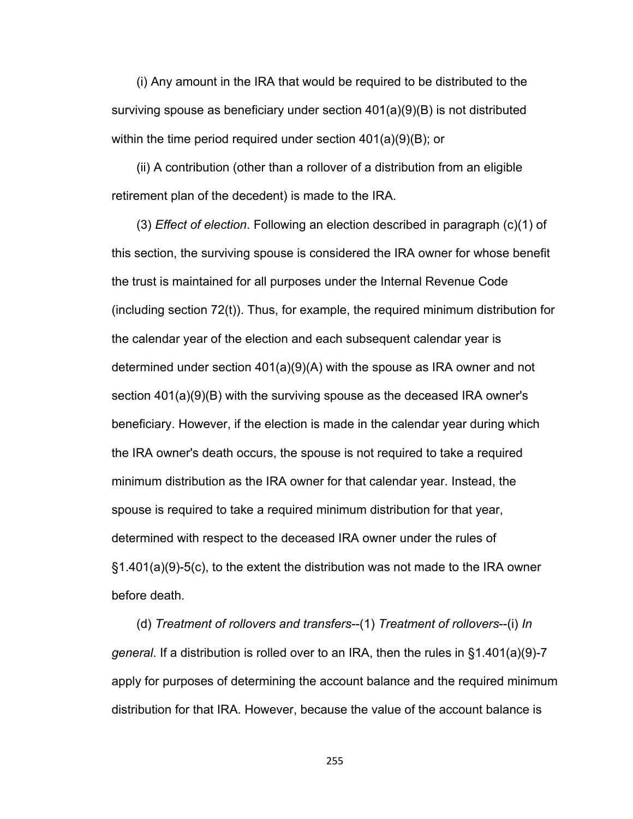(i) Any amount in the IRA that would be required to be distributed to the surviving spouse as beneficiary under section 401(a)(9)(B) is not distributed within the time period required under section 401(a)(9)(B); or

(ii) A contribution (other than a rollover of a distribution from an eligible retirement plan of the decedent) is made to the IRA.

(3) *Effect of election*. Following an election described in paragraph (c)(1) of this section, the surviving spouse is considered the IRA owner for whose benefit the trust is maintained for all purposes under the Internal Revenue Code (including section 72(t)). Thus, for example, the required minimum distribution for the calendar year of the election and each subsequent calendar year is determined under section 401(a)(9)(A) with the spouse as IRA owner and not section 401(a)(9)(B) with the surviving spouse as the deceased IRA owner's beneficiary. However, if the election is made in the calendar year during which the IRA owner's death occurs, the spouse is not required to take a required minimum distribution as the IRA owner for that calendar year. Instead, the spouse is required to take a required minimum distribution for that year, determined with respect to the deceased IRA owner under the rules of §1.401(a)(9)-5(c), to the extent the distribution was not made to the IRA owner before death.

(d) *Treatment of rollovers and transfers*--(1) *Treatment of rollovers*--(i) *In general*. If a distribution is rolled over to an IRA, then the rules in §1.401(a)(9)-7 apply for purposes of determining the account balance and the required minimum distribution for that IRA. However, because the value of the account balance is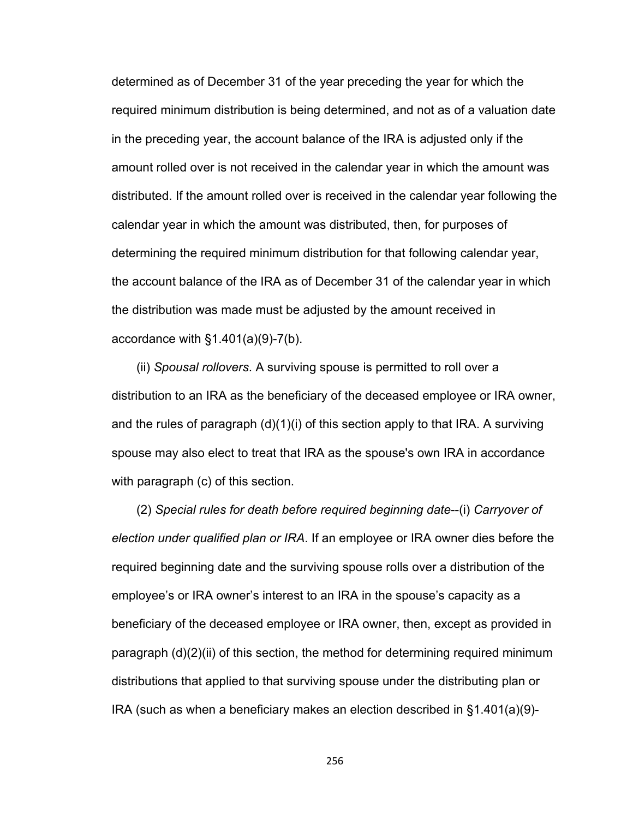determined as of December 31 of the year preceding the year for which the required minimum distribution is being determined, and not as of a valuation date in the preceding year, the account balance of the IRA is adjusted only if the amount rolled over is not received in the calendar year in which the amount was distributed. If the amount rolled over is received in the calendar year following the calendar year in which the amount was distributed, then, for purposes of determining the required minimum distribution for that following calendar year, the account balance of the IRA as of December 31 of the calendar year in which the distribution was made must be adjusted by the amount received in accordance with  $§1.401(a)(9)-7(b)$ .

(ii) *Spousal rollovers*. A surviving spouse is permitted to roll over a distribution to an IRA as the beneficiary of the deceased employee or IRA owner, and the rules of paragraph  $(d)(1)(i)$  of this section apply to that IRA. A surviving spouse may also elect to treat that IRA as the spouse's own IRA in accordance with paragraph (c) of this section.

(2) *Special rules for death before required beginning date*--(i) *Carryover of election under qualified plan or IRA*. If an employee or IRA owner dies before the required beginning date and the surviving spouse rolls over a distribution of the employee's or IRA owner's interest to an IRA in the spouse's capacity as a beneficiary of the deceased employee or IRA owner, then, except as provided in paragraph (d)(2)(ii) of this section, the method for determining required minimum distributions that applied to that surviving spouse under the distributing plan or IRA (such as when a beneficiary makes an election described in §1.401(a)(9)-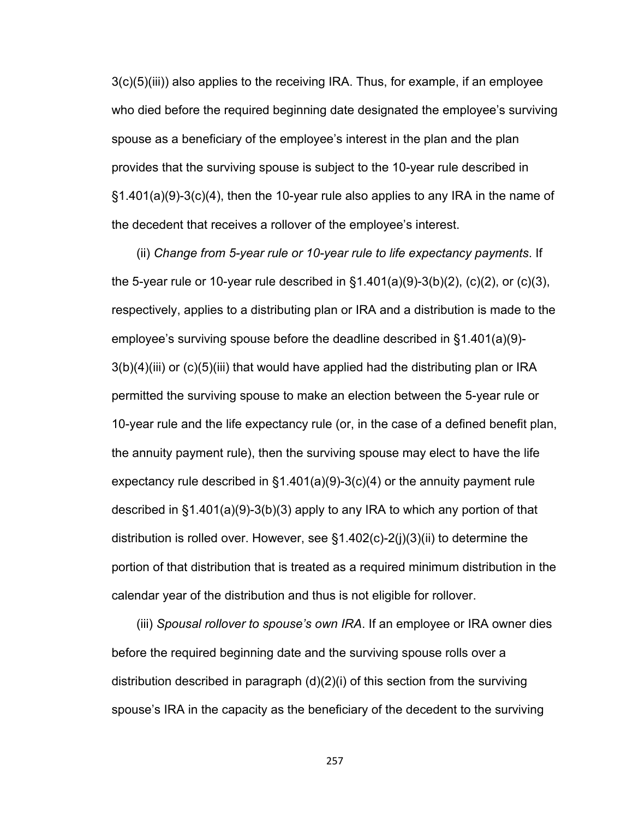3(c)(5)(iii)) also applies to the receiving IRA. Thus, for example, if an employee who died before the required beginning date designated the employee's surviving spouse as a beneficiary of the employee's interest in the plan and the plan provides that the surviving spouse is subject to the 10-year rule described in §1.401(a)(9)-3(c)(4), then the 10-year rule also applies to any IRA in the name of the decedent that receives a rollover of the employee's interest.

(ii) *Change from 5-year rule or 10-year rule to life expectancy payments*. If the 5-year rule or 10-year rule described in  $\S 1.401(a)(9)-3(b)(2)$ , (c)(2), or (c)(3), respectively, applies to a distributing plan or IRA and a distribution is made to the employee's surviving spouse before the deadline described in §1.401(a)(9)- 3(b)(4)(iii) or (c)(5)(iii) that would have applied had the distributing plan or IRA permitted the surviving spouse to make an election between the 5-year rule or 10-year rule and the life expectancy rule (or, in the case of a defined benefit plan, the annuity payment rule), then the surviving spouse may elect to have the life expectancy rule described in  $\S1.401(a)(9)-3(c)(4)$  or the annuity payment rule described in §1.401(a)(9)-3(b)(3) apply to any IRA to which any portion of that distribution is rolled over. However, see §1.402(c)-2(j)(3)(ii) to determine the portion of that distribution that is treated as a required minimum distribution in the calendar year of the distribution and thus is not eligible for rollover.

(iii) *Spousal rollover to spouse's own IRA*. If an employee or IRA owner dies before the required beginning date and the surviving spouse rolls over a distribution described in paragraph (d)(2)(i) of this section from the surviving spouse's IRA in the capacity as the beneficiary of the decedent to the surviving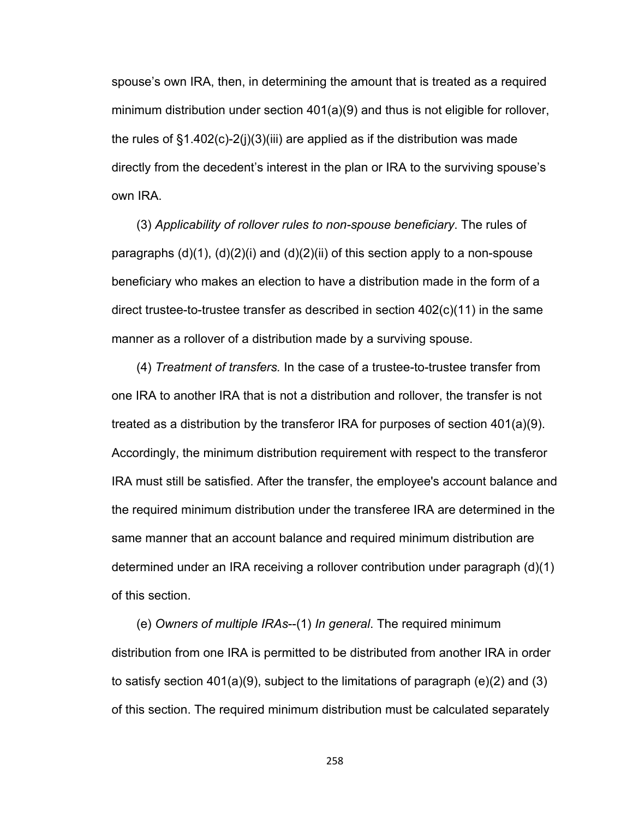spouse's own IRA, then, in determining the amount that is treated as a required minimum distribution under section 401(a)(9) and thus is not eligible for rollover, the rules of  $\S1.402(c)$ -2(j)(3)(iii) are applied as if the distribution was made directly from the decedent's interest in the plan or IRA to the surviving spouse's own IRA.

(3) *Applicability of rollover rules to non-spouse beneficiary*. The rules of paragraphs  $(d)(1)$ ,  $(d)(2)(i)$  and  $(d)(2)(ii)$  of this section apply to a non-spouse beneficiary who makes an election to have a distribution made in the form of a direct trustee-to-trustee transfer as described in section 402(c)(11) in the same manner as a rollover of a distribution made by a surviving spouse.

(4) *Treatment of transfers.* In the case of a trustee-to-trustee transfer from one IRA to another IRA that is not a distribution and rollover, the transfer is not treated as a distribution by the transferor IRA for purposes of section 401(a)(9). Accordingly, the minimum distribution requirement with respect to the transferor IRA must still be satisfied. After the transfer, the employee's account balance and the required minimum distribution under the transferee IRA are determined in the same manner that an account balance and required minimum distribution are determined under an IRA receiving a rollover contribution under paragraph (d)(1) of this section.

(e) *Owners of multiple IRAs*--(1) *In general*. The required minimum distribution from one IRA is permitted to be distributed from another IRA in order to satisfy section 401(a)(9), subject to the limitations of paragraph (e)(2) and (3) of this section. The required minimum distribution must be calculated separately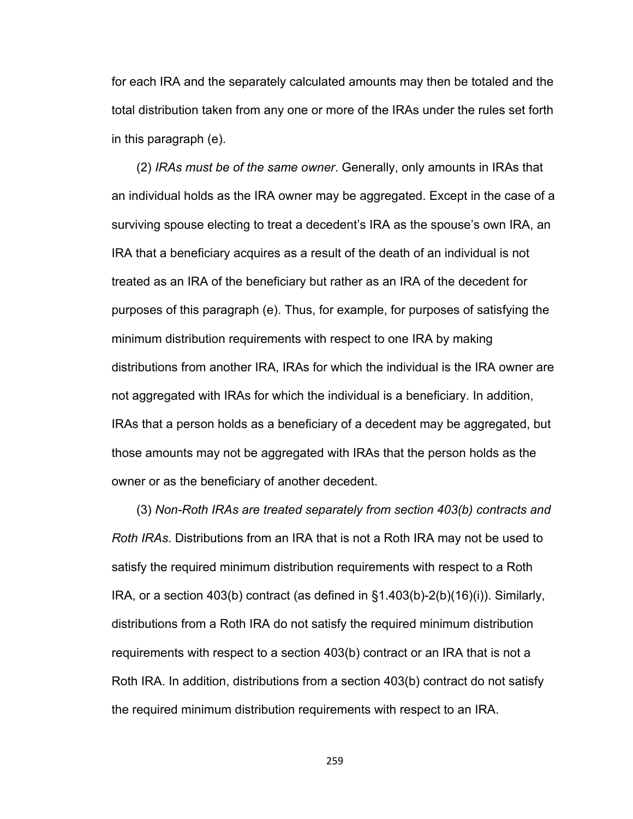for each IRA and the separately calculated amounts may then be totaled and the total distribution taken from any one or more of the IRAs under the rules set forth in this paragraph (e).

(2) *IRAs must be of the same owner*. Generally, only amounts in IRAs that an individual holds as the IRA owner may be aggregated. Except in the case of a surviving spouse electing to treat a decedent's IRA as the spouse's own IRA, an IRA that a beneficiary acquires as a result of the death of an individual is not treated as an IRA of the beneficiary but rather as an IRA of the decedent for purposes of this paragraph (e). Thus, for example, for purposes of satisfying the minimum distribution requirements with respect to one IRA by making distributions from another IRA, IRAs for which the individual is the IRA owner are not aggregated with IRAs for which the individual is a beneficiary. In addition, IRAs that a person holds as a beneficiary of a decedent may be aggregated, but those amounts may not be aggregated with IRAs that the person holds as the owner or as the beneficiary of another decedent.

(3) *Non-Roth IRAs are treated separately from section 403(b) contracts and Roth IRAs*. Distributions from an IRA that is not a Roth IRA may not be used to satisfy the required minimum distribution requirements with respect to a Roth IRA, or a section 403(b) contract (as defined in  $\S$ 1.403(b)-2(b)(16)(i)). Similarly, distributions from a Roth IRA do not satisfy the required minimum distribution requirements with respect to a section 403(b) contract or an IRA that is not a Roth IRA. In addition, distributions from a section 403(b) contract do not satisfy the required minimum distribution requirements with respect to an IRA.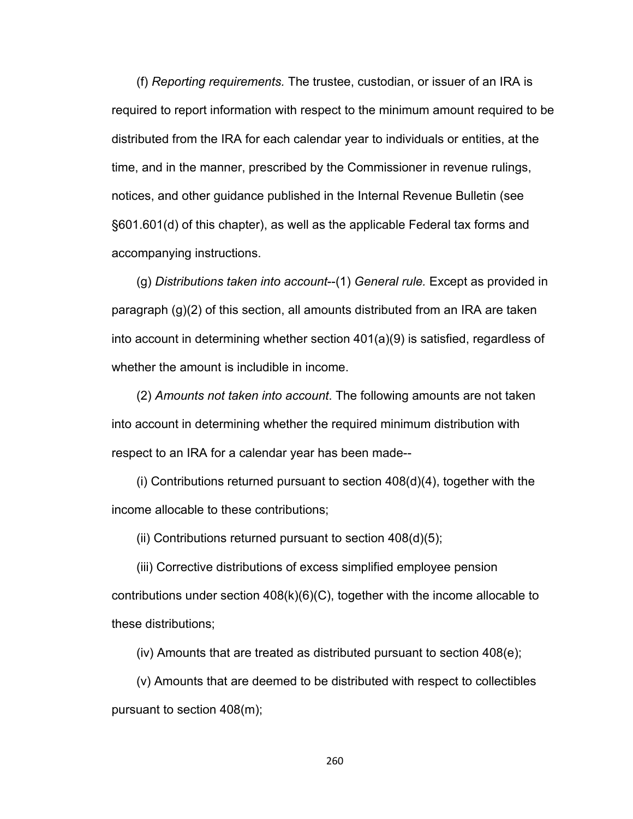(f) *Reporting requirements.* The trustee, custodian, or issuer of an IRA is required to report information with respect to the minimum amount required to be distributed from the IRA for each calendar year to individuals or entities, at the time, and in the manner, prescribed by the Commissioner in revenue rulings, notices, and other guidance published in the Internal Revenue Bulletin (see §601.601(d) of this chapter), as well as the applicable Federal tax forms and accompanying instructions.

(g) *Distributions taken into account*--(1) *General rule.* Except as provided in paragraph (g)(2) of this section, all amounts distributed from an IRA are taken into account in determining whether section 401(a)(9) is satisfied, regardless of whether the amount is includible in income.

(2) *Amounts not taken into account*. The following amounts are not taken into account in determining whether the required minimum distribution with respect to an IRA for a calendar year has been made--

(i) Contributions returned pursuant to section 408(d)(4), together with the income allocable to these contributions;

(ii) Contributions returned pursuant to section 408(d)(5);

(iii) Corrective distributions of excess simplified employee pension contributions under section  $408(k)(6)(C)$ , together with the income allocable to these distributions;

(iv) Amounts that are treated as distributed pursuant to section 408(e);

(v) Amounts that are deemed to be distributed with respect to collectibles pursuant to section 408(m);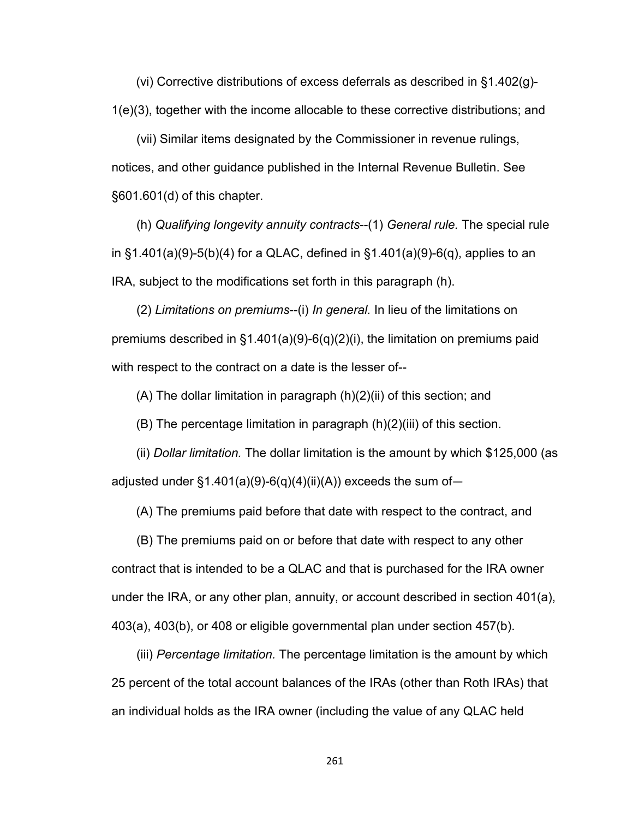(vi) Corrective distributions of excess deferrals as described in §1.402(g)- 1(e)(3), together with the income allocable to these corrective distributions; and

(vii) Similar items designated by the Commissioner in revenue rulings, notices, and other guidance published in the Internal Revenue Bulletin. See §601.601(d) of this chapter.

(h) *Qualifying longevity annuity contracts*--(1) *General rule.* The special rule in §1.401(a)(9)-5(b)(4) for a QLAC, defined in §1.401(a)(9)-6(q), applies to an IRA, subject to the modifications set forth in this paragraph (h).

(2) *Limitations on premiums*--(i) *In general.* In lieu of the limitations on premiums described in §1.401(a)(9)-6(q)(2)(i), the limitation on premiums paid with respect to the contract on a date is the lesser of--

(A) The dollar limitation in paragraph (h)(2)(ii) of this section; and

(B) The percentage limitation in paragraph (h)(2)(iii) of this section.

(ii) *Dollar limitation.* The dollar limitation is the amount by which \$125,000 (as adjusted under  $\S1.401(a)(9)-6(q)(4)(ii)(A)$  exceeds the sum of-

(A) The premiums paid before that date with respect to the contract, and

(B) The premiums paid on or before that date with respect to any other contract that is intended to be a QLAC and that is purchased for the IRA owner under the IRA, or any other plan, annuity, or account described in section 401(a), 403(a), 403(b), or 408 or eligible governmental plan under section 457(b).

(iii) *Percentage limitation.* The percentage limitation is the amount by which 25 percent of the total account balances of the IRAs (other than Roth IRAs) that an individual holds as the IRA owner (including the value of any QLAC held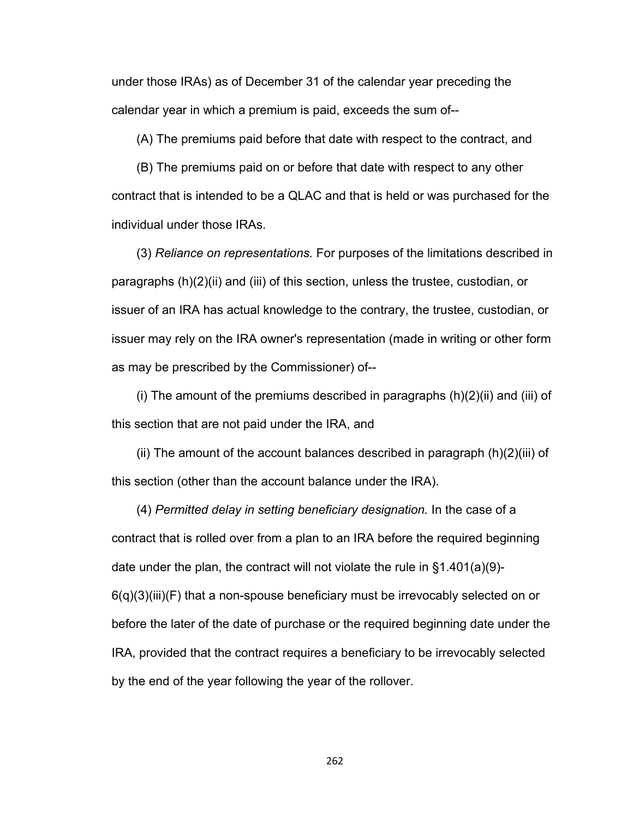under those IRAs) as of December 31 of the calendar year preceding the calendar year in which a premium is paid, exceeds the sum of--

(A) The premiums paid before that date with respect to the contract, and

(B) The premiums paid on or before that date with respect to any other contract that is intended to be a QLAC and that is held or was purchased for the individual under those IRAs.

(3) *Reliance on representations.* For purposes of the limitations described in paragraphs (h)(2)(ii) and (iii) of this section, unless the trustee, custodian, or issuer of an IRA has actual knowledge to the contrary, the trustee, custodian, or issuer may rely on the IRA owner's representation (made in writing or other form as may be prescribed by the Commissioner) of--

(i) The amount of the premiums described in paragraphs  $(h)(2)(ii)$  and  $(iii)$  of this section that are not paid under the IRA, and

(ii) The amount of the account balances described in paragraph (h)(2)(iii) of this section (other than the account balance under the IRA).

(4) *Permitted delay in setting beneficiary designation.* In the case of a contract that is rolled over from a plan to an IRA before the required beginning date under the plan, the contract will not violate the rule in §1.401(a)(9)- 6(q)(3)(iii)(F) that a non-spouse beneficiary must be irrevocably selected on or before the later of the date of purchase or the required beginning date under the IRA, provided that the contract requires a beneficiary to be irrevocably selected by the end of the year following the year of the rollover.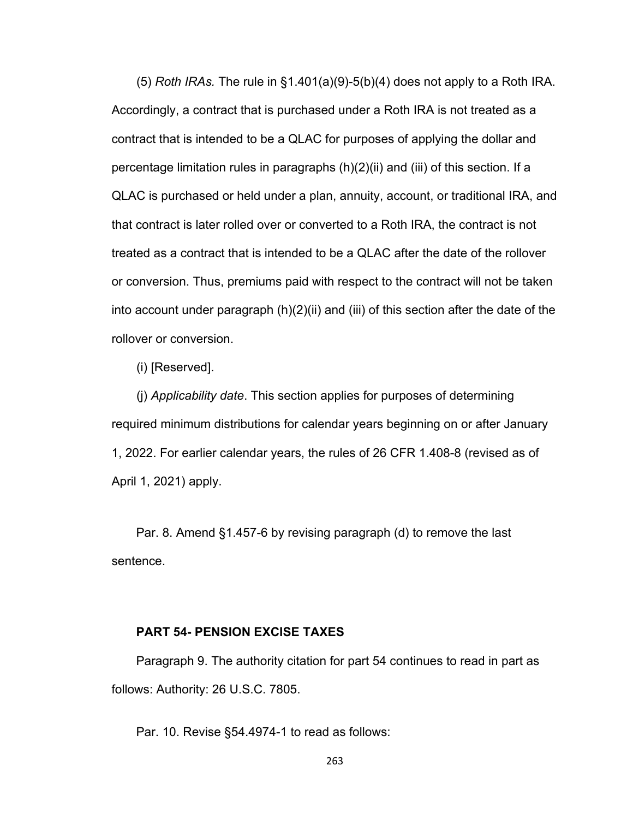(5) *Roth IRAs.* The rule in §1.401(a)(9)-5(b)(4) does not apply to a Roth IRA. Accordingly, a contract that is purchased under a Roth IRA is not treated as a contract that is intended to be a QLAC for purposes of applying the dollar and percentage limitation rules in paragraphs (h)(2)(ii) and (iii) of this section. If a QLAC is purchased or held under a plan, annuity, account, or traditional IRA, and that contract is later rolled over or converted to a Roth IRA, the contract is not treated as a contract that is intended to be a QLAC after the date of the rollover or conversion. Thus, premiums paid with respect to the contract will not be taken into account under paragraph (h)(2)(ii) and (iii) of this section after the date of the rollover or conversion.

(i) [Reserved].

(j) *Applicability date*. This section applies for purposes of determining required minimum distributions for calendar years beginning on or after January 1, 2022. For earlier calendar years, the rules of 26 CFR 1.408-8 (revised as of April 1, 2021) apply.

Par. 8. Amend §1.457-6 by revising paragraph (d) to remove the last sentence.

## **PART 54- PENSION EXCISE TAXES**

Paragraph 9. The authority citation for part 54 continues to read in part as follows: Authority: 26 U.S.C. 7805.

Par. 10. Revise §54.4974-1 to read as follows: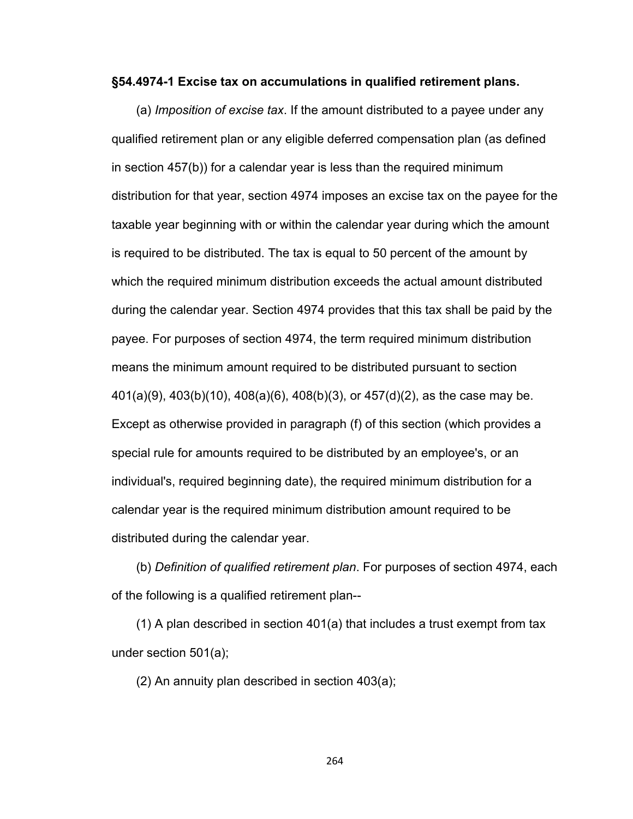## **§54.4974-1 Excise tax on accumulations in qualified retirement plans.**

(a) *Imposition of excise tax*. If the amount distributed to a payee under any qualified retirement plan or any eligible deferred compensation plan (as defined in section 457(b)) for a calendar year is less than the required minimum distribution for that year, section 4974 imposes an excise tax on the payee for the taxable year beginning with or within the calendar year during which the amount is required to be distributed. The tax is equal to 50 percent of the amount by which the required minimum distribution exceeds the actual amount distributed during the calendar year. Section 4974 provides that this tax shall be paid by the payee. For purposes of section 4974, the term required minimum distribution means the minimum amount required to be distributed pursuant to section 401(a)(9), 403(b)(10), 408(a)(6), 408(b)(3), or 457(d)(2), as the case may be. Except as otherwise provided in paragraph (f) of this section (which provides a special rule for amounts required to be distributed by an employee's, or an individual's, required beginning date), the required minimum distribution for a calendar year is the required minimum distribution amount required to be distributed during the calendar year.

(b) *Definition of qualified retirement plan*. For purposes of section 4974, each of the following is a qualified retirement plan--

(1) A plan described in section 401(a) that includes a trust exempt from tax under section 501(a);

(2) An annuity plan described in section 403(a);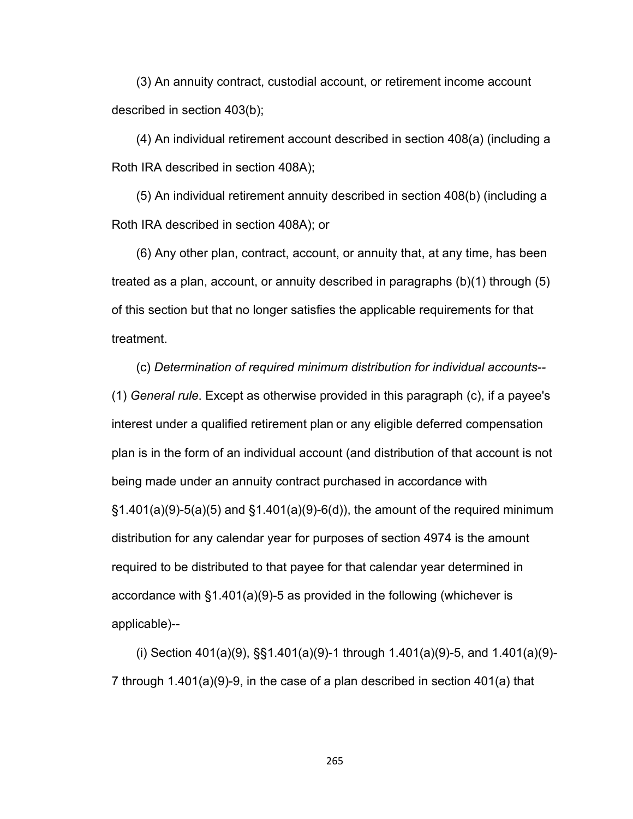(3) An annuity contract, custodial account, or retirement income account described in section 403(b);

(4) An individual retirement account described in section 408(a) (including a Roth IRA described in section 408A);

(5) An individual retirement annuity described in section 408(b) (including a Roth IRA described in section 408A); or

(6) Any other plan, contract, account, or annuity that, at any time, has been treated as a plan, account, or annuity described in paragraphs (b)(1) through (5) of this section but that no longer satisfies the applicable requirements for that treatment.

(c) *Determination of required minimum distribution for individual accounts--* (1) *General rule*. Except as otherwise provided in this paragraph (c), if a payee's interest under a qualified retirement plan or any eligible deferred compensation plan is in the form of an individual account (and distribution of that account is not being made under an annuity contract purchased in accordance with  $\S1.401(a)(9)-5(a)(5)$  and  $\S1.401(a)(9)-6(d)$ , the amount of the required minimum distribution for any calendar year for purposes of section 4974 is the amount required to be distributed to that payee for that calendar year determined in accordance with §1.401(a)(9)-5 as provided in the following (whichever is applicable)--

(i) Section 401(a)(9), §§1.401(a)(9)-1 through 1.401(a)(9)-5, and 1.401(a)(9)- 7 through 1.401(a)(9)-9, in the case of a plan described in section 401(a) that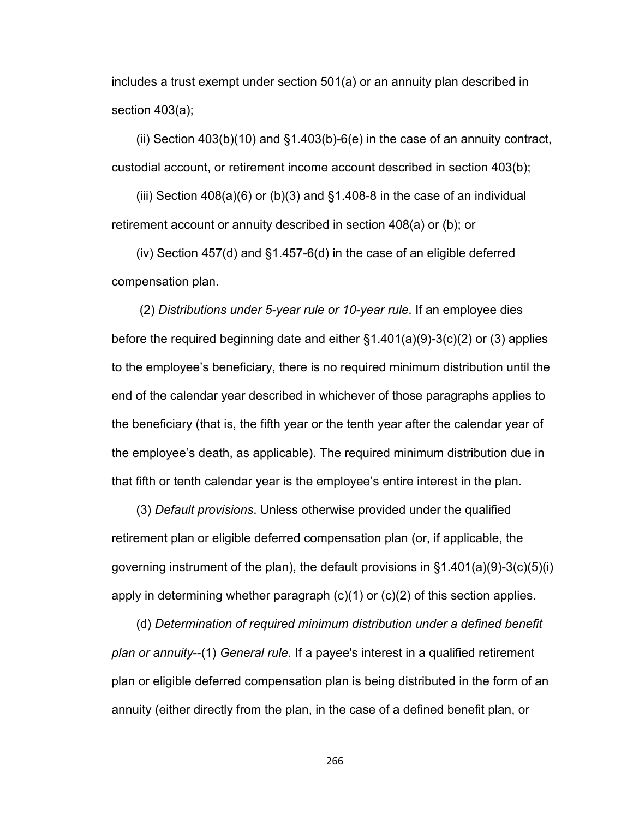includes a trust exempt under section 501(a) or an annuity plan described in section 403(a);

(ii) Section  $403(b)(10)$  and  $§1.403(b)-6(e)$  in the case of an annuity contract, custodial account, or retirement income account described in section 403(b);

(iii) Section  $408(a)(6)$  or (b)(3) and  $§1.408-8$  in the case of an individual retirement account or annuity described in section 408(a) or (b); or

(iv) Section 457(d) and §1.457-6(d) in the case of an eligible deferred compensation plan.

 (2) *Distributions under 5-year rule or 10-year rule*. If an employee dies before the required beginning date and either §1.401(a)(9)-3(c)(2) or (3) applies to the employee's beneficiary, there is no required minimum distribution until the end of the calendar year described in whichever of those paragraphs applies to the beneficiary (that is, the fifth year or the tenth year after the calendar year of the employee's death, as applicable). The required minimum distribution due in that fifth or tenth calendar year is the employee's entire interest in the plan.

(3) *Default provisions*. Unless otherwise provided under the qualified retirement plan or eligible deferred compensation plan (or, if applicable, the governing instrument of the plan), the default provisions in §1.401(a)(9)-3(c)(5)(i) apply in determining whether paragraph (c)(1) or (c)(2) of this section applies.

(d) *Determination of required minimum distribution under a defined benefit plan or annuity*--(1) *General rule.* If a payee's interest in a qualified retirement plan or eligible deferred compensation plan is being distributed in the form of an annuity (either directly from the plan, in the case of a defined benefit plan, or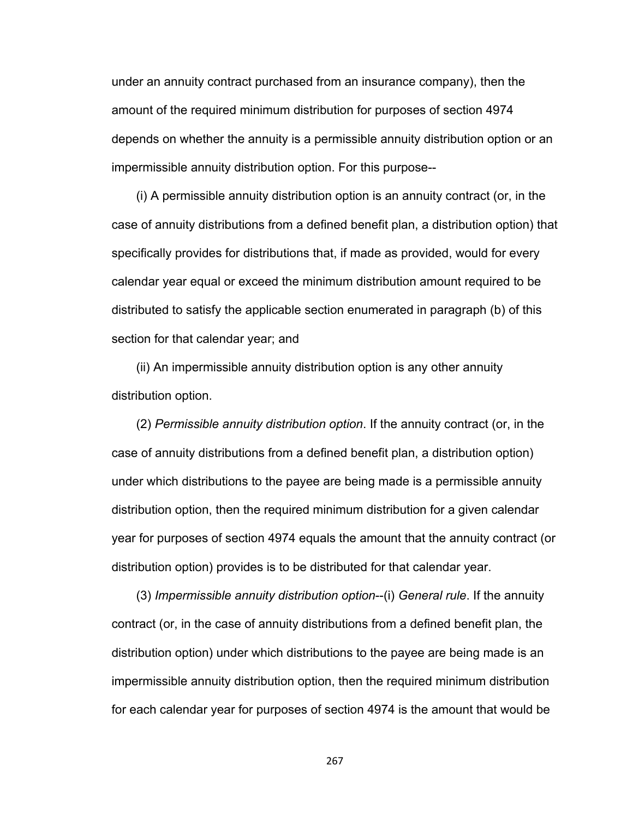under an annuity contract purchased from an insurance company), then the amount of the required minimum distribution for purposes of section 4974 depends on whether the annuity is a permissible annuity distribution option or an impermissible annuity distribution option. For this purpose--

(i) A permissible annuity distribution option is an annuity contract (or, in the case of annuity distributions from a defined benefit plan, a distribution option) that specifically provides for distributions that, if made as provided, would for every calendar year equal or exceed the minimum distribution amount required to be distributed to satisfy the applicable section enumerated in paragraph (b) of this section for that calendar year; and

(ii) An impermissible annuity distribution option is any other annuity distribution option.

(2) *Permissible annuity distribution option*. If the annuity contract (or, in the case of annuity distributions from a defined benefit plan, a distribution option) under which distributions to the payee are being made is a permissible annuity distribution option, then the required minimum distribution for a given calendar year for purposes of section 4974 equals the amount that the annuity contract (or distribution option) provides is to be distributed for that calendar year.

(3) *Impermissible annuity distribution option*--(i) *General rule*. If the annuity contract (or, in the case of annuity distributions from a defined benefit plan, the distribution option) under which distributions to the payee are being made is an impermissible annuity distribution option, then the required minimum distribution for each calendar year for purposes of section 4974 is the amount that would be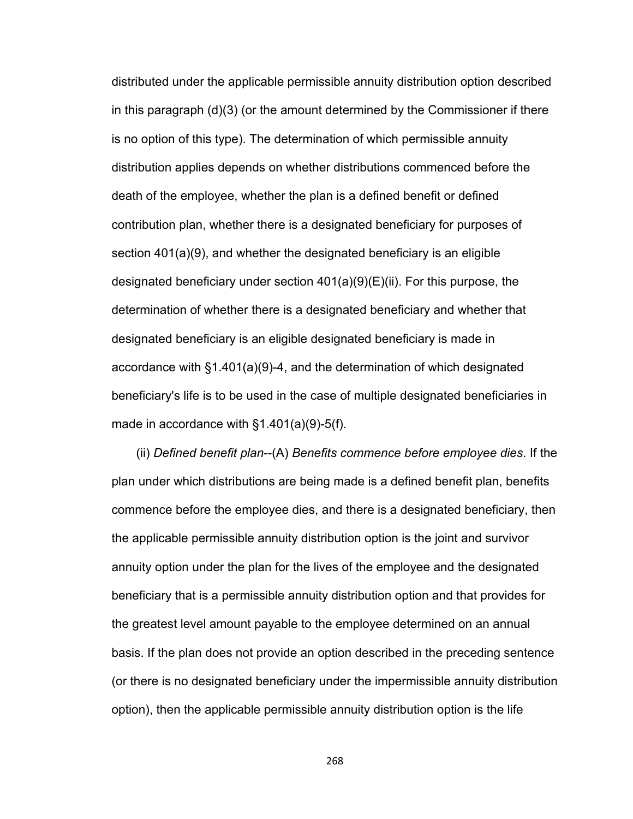distributed under the applicable permissible annuity distribution option described in this paragraph (d)(3) (or the amount determined by the Commissioner if there is no option of this type). The determination of which permissible annuity distribution applies depends on whether distributions commenced before the death of the employee, whether the plan is a defined benefit or defined contribution plan, whether there is a designated beneficiary for purposes of section 401(a)(9), and whether the designated beneficiary is an eligible designated beneficiary under section 401(a)(9)(E)(ii). For this purpose, the determination of whether there is a designated beneficiary and whether that designated beneficiary is an eligible designated beneficiary is made in accordance with §1.401(a)(9)-4, and the determination of which designated beneficiary's life is to be used in the case of multiple designated beneficiaries in made in accordance with §1.401(a)(9)-5(f).

(ii) *Defined benefit plan*--(A) *Benefits commence before employee dies*. If the plan under which distributions are being made is a defined benefit plan, benefits commence before the employee dies, and there is a designated beneficiary, then the applicable permissible annuity distribution option is the joint and survivor annuity option under the plan for the lives of the employee and the designated beneficiary that is a permissible annuity distribution option and that provides for the greatest level amount payable to the employee determined on an annual basis. If the plan does not provide an option described in the preceding sentence (or there is no designated beneficiary under the impermissible annuity distribution option), then the applicable permissible annuity distribution option is the life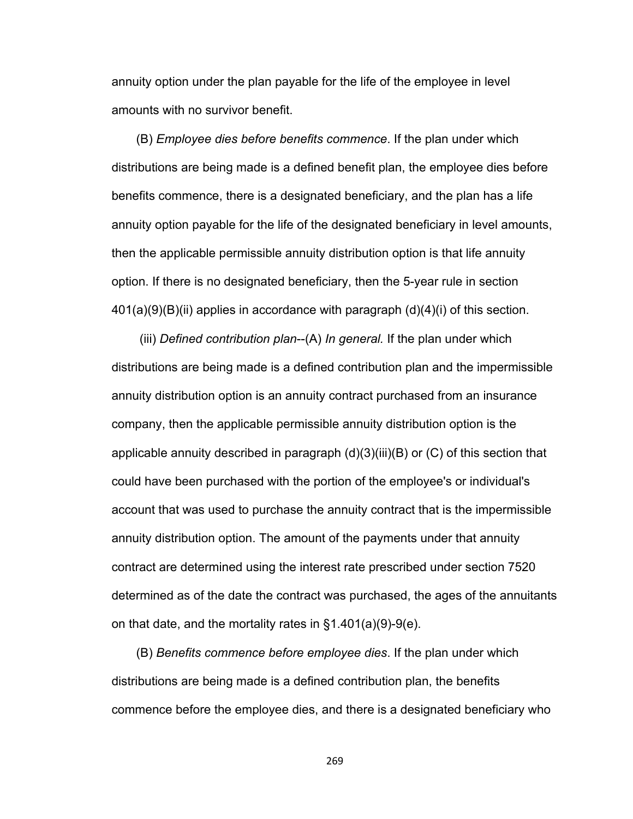annuity option under the plan payable for the life of the employee in level amounts with no survivor benefit.

(B) *Employee dies before benefits commence*. If the plan under which distributions are being made is a defined benefit plan, the employee dies before benefits commence, there is a designated beneficiary, and the plan has a life annuity option payable for the life of the designated beneficiary in level amounts, then the applicable permissible annuity distribution option is that life annuity option. If there is no designated beneficiary, then the 5-year rule in section  $401(a)(9)(B)(ii)$  applies in accordance with paragraph  $(d)(4)(i)$  of this section.

 (iii) *Defined contribution plan*--(A) *In general.* If the plan under which distributions are being made is a defined contribution plan and the impermissible annuity distribution option is an annuity contract purchased from an insurance company, then the applicable permissible annuity distribution option is the applicable annuity described in paragraph (d)(3)(iii)(B) or (C) of this section that could have been purchased with the portion of the employee's or individual's account that was used to purchase the annuity contract that is the impermissible annuity distribution option. The amount of the payments under that annuity contract are determined using the interest rate prescribed under section 7520 determined as of the date the contract was purchased, the ages of the annuitants on that date, and the mortality rates in §1.401(a)(9)-9(e).

(B) *Benefits commence before employee dies*. If the plan under which distributions are being made is a defined contribution plan, the benefits commence before the employee dies, and there is a designated beneficiary who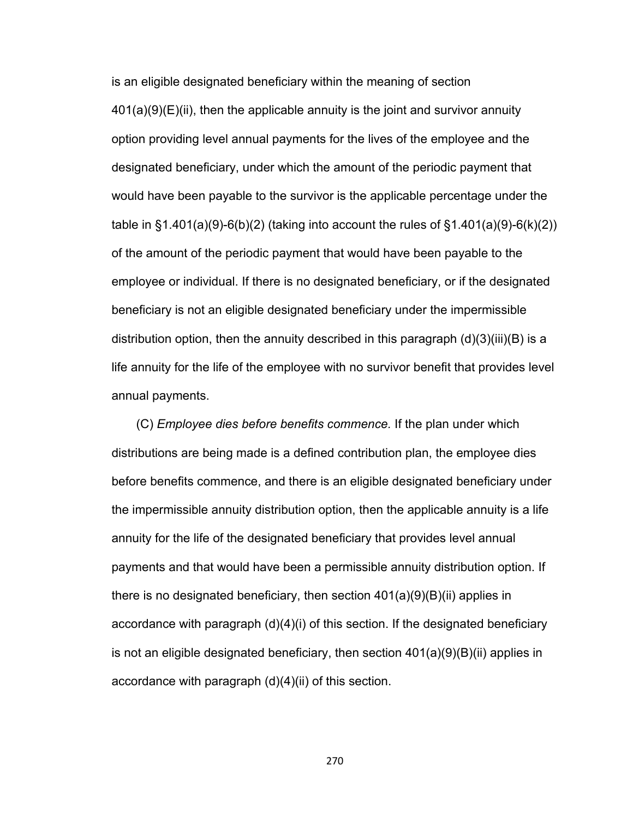is an eligible designated beneficiary within the meaning of section  $401(a)(9)(E)(ii)$ , then the applicable annuity is the joint and survivor annuity option providing level annual payments for the lives of the employee and the designated beneficiary, under which the amount of the periodic payment that would have been payable to the survivor is the applicable percentage under the table in  $\S1.401(a)(9) - 6(b)(2)$  (taking into account the rules of  $\S1.401(a)(9) - 6(k)(2)$ ) of the amount of the periodic payment that would have been payable to the employee or individual. If there is no designated beneficiary, or if the designated beneficiary is not an eligible designated beneficiary under the impermissible distribution option, then the annuity described in this paragraph (d)(3)(iii)(B) is a life annuity for the life of the employee with no survivor benefit that provides level annual payments.

(C) *Employee dies before benefits commence.* If the plan under which distributions are being made is a defined contribution plan, the employee dies before benefits commence, and there is an eligible designated beneficiary under the impermissible annuity distribution option, then the applicable annuity is a life annuity for the life of the designated beneficiary that provides level annual payments and that would have been a permissible annuity distribution option. If there is no designated beneficiary, then section 401(a)(9)(B)(ii) applies in accordance with paragraph (d)(4)(i) of this section. If the designated beneficiary is not an eligible designated beneficiary, then section  $401(a)(9)(B)(ii)$  applies in accordance with paragraph (d)(4)(ii) of this section.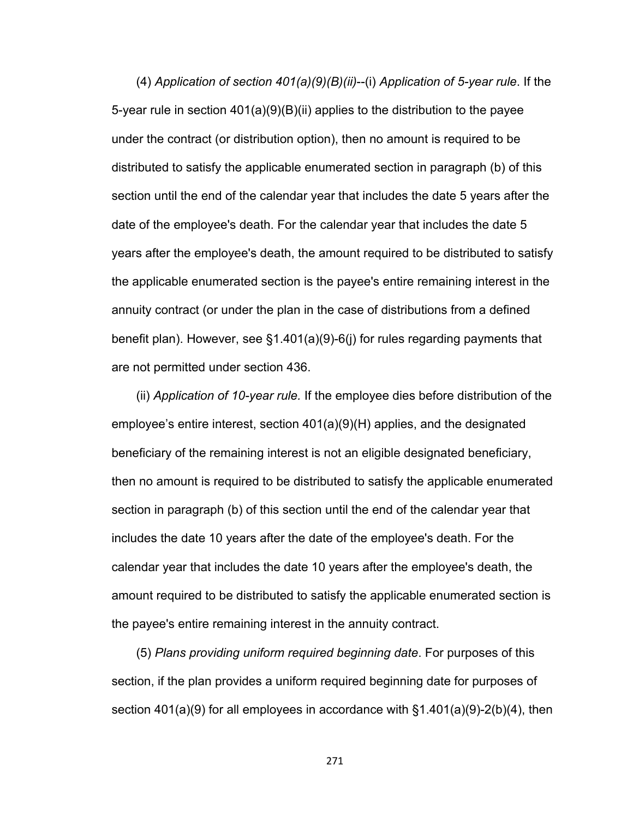(4) *Application of section 401(a)(9)(B)(ii)*--(i) *Application of 5-year rule*. If the 5-year rule in section  $401(a)(9)(B)(ii)$  applies to the distribution to the payee under the contract (or distribution option), then no amount is required to be distributed to satisfy the applicable enumerated section in paragraph (b) of this section until the end of the calendar year that includes the date 5 years after the date of the employee's death. For the calendar year that includes the date 5 years after the employee's death, the amount required to be distributed to satisfy the applicable enumerated section is the payee's entire remaining interest in the annuity contract (or under the plan in the case of distributions from a defined benefit plan). However, see §1.401(a)(9)-6(j) for rules regarding payments that are not permitted under section 436.

(ii) *Application of 10-year rule.* If the employee dies before distribution of the employee's entire interest, section 401(a)(9)(H) applies, and the designated beneficiary of the remaining interest is not an eligible designated beneficiary, then no amount is required to be distributed to satisfy the applicable enumerated section in paragraph (b) of this section until the end of the calendar year that includes the date 10 years after the date of the employee's death. For the calendar year that includes the date 10 years after the employee's death, the amount required to be distributed to satisfy the applicable enumerated section is the payee's entire remaining interest in the annuity contract.

(5) *Plans providing uniform required beginning date*. For purposes of this section, if the plan provides a uniform required beginning date for purposes of section 401(a)(9) for all employees in accordance with §1.401(a)(9)-2(b)(4), then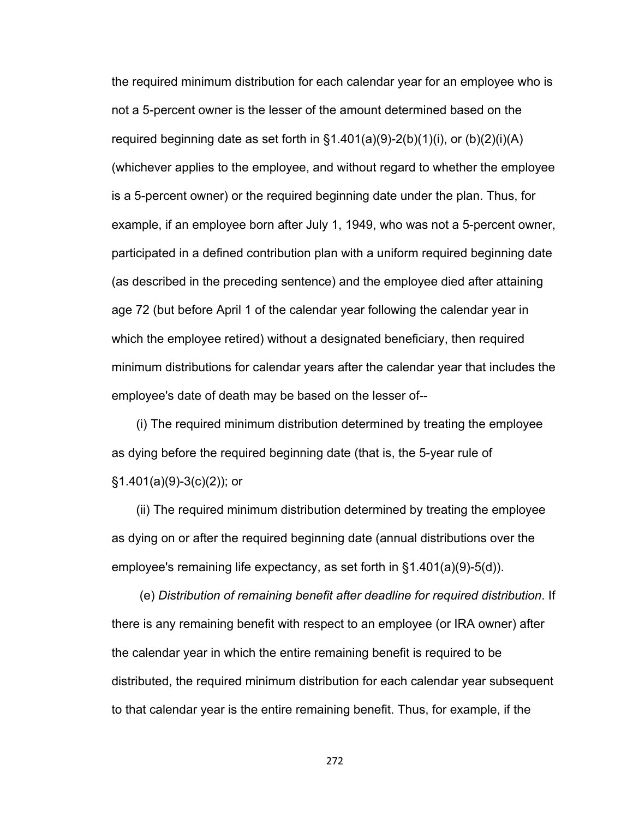the required minimum distribution for each calendar year for an employee who is not a 5-percent owner is the lesser of the amount determined based on the required beginning date as set forth in  $\S1.401(a)(9)-2(b)(1)(i)$ , or  $(b)(2)(i)(A)$ (whichever applies to the employee, and without regard to whether the employee is a 5-percent owner) or the required beginning date under the plan. Thus, for example, if an employee born after July 1, 1949, who was not a 5-percent owner, participated in a defined contribution plan with a uniform required beginning date (as described in the preceding sentence) and the employee died after attaining age 72 (but before April 1 of the calendar year following the calendar year in which the employee retired) without a designated beneficiary, then required minimum distributions for calendar years after the calendar year that includes the employee's date of death may be based on the lesser of--

(i) The required minimum distribution determined by treating the employee as dying before the required beginning date (that is, the 5-year rule of §1.401(a)(9)-3(c)(2)); or

(ii) The required minimum distribution determined by treating the employee as dying on or after the required beginning date (annual distributions over the employee's remaining life expectancy, as set forth in §1.401(a)(9)-5(d)).

 (e) *Distribution of remaining benefit after deadline for required distribution*. If there is any remaining benefit with respect to an employee (or IRA owner) after the calendar year in which the entire remaining benefit is required to be distributed, the required minimum distribution for each calendar year subsequent to that calendar year is the entire remaining benefit. Thus, for example, if the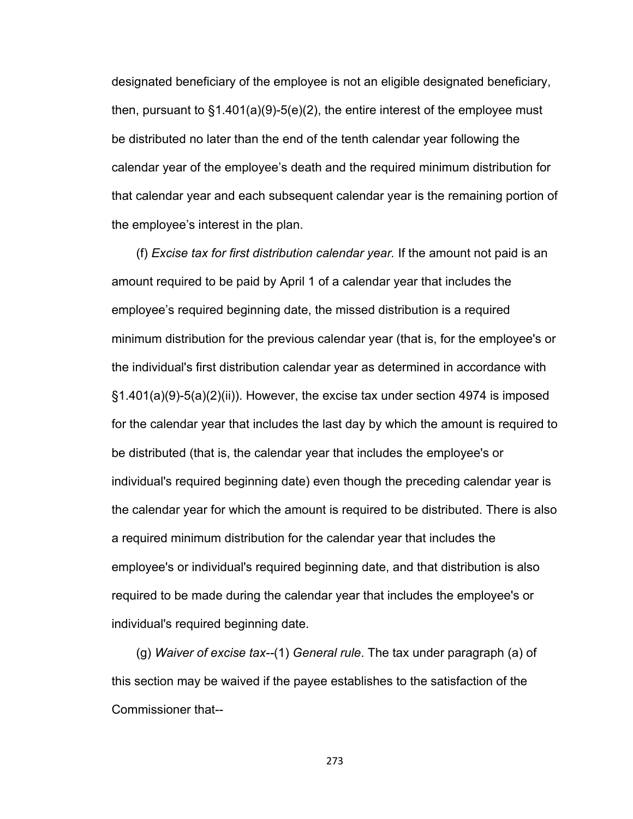designated beneficiary of the employee is not an eligible designated beneficiary, then, pursuant to  $\S1.401(a)(9)-5(e)(2)$ , the entire interest of the employee must be distributed no later than the end of the tenth calendar year following the calendar year of the employee's death and the required minimum distribution for that calendar year and each subsequent calendar year is the remaining portion of the employee's interest in the plan.

(f) *Excise tax for first distribution calendar year.* If the amount not paid is an amount required to be paid by April 1 of a calendar year that includes the employee's required beginning date, the missed distribution is a required minimum distribution for the previous calendar year (that is, for the employee's or the individual's first distribution calendar year as determined in accordance with §1.401(a)(9)-5(a)(2)(ii)). However, the excise tax under section 4974 is imposed for the calendar year that includes the last day by which the amount is required to be distributed (that is, the calendar year that includes the employee's or individual's required beginning date) even though the preceding calendar year is the calendar year for which the amount is required to be distributed. There is also a required minimum distribution for the calendar year that includes the employee's or individual's required beginning date, and that distribution is also required to be made during the calendar year that includes the employee's or individual's required beginning date.

(g) *Waiver of excise tax--*(1) *General rule*. The tax under paragraph (a) of this section may be waived if the payee establishes to the satisfaction of the Commissioner that--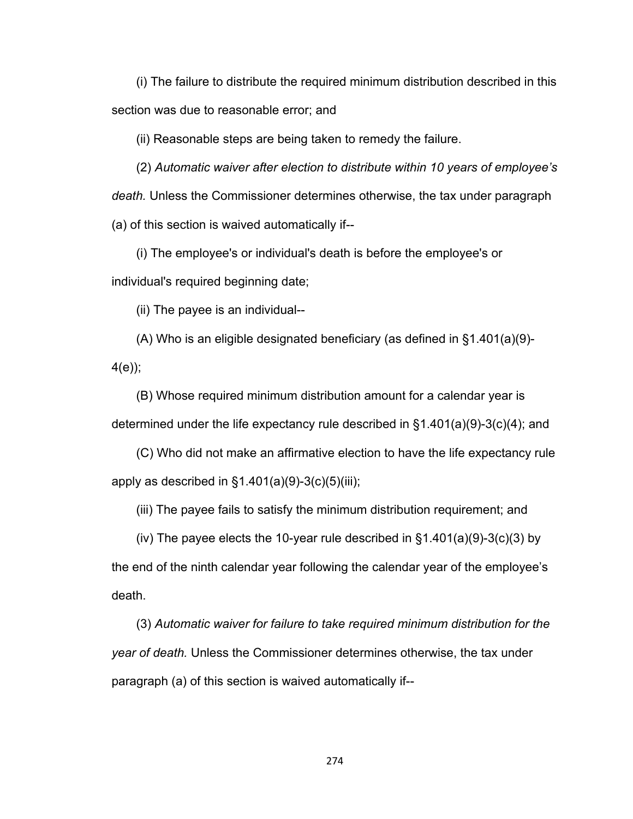(i) The failure to distribute the required minimum distribution described in this section was due to reasonable error; and

(ii) Reasonable steps are being taken to remedy the failure.

(2) *Automatic waiver after election to distribute within 10 years of employee's death.* Unless the Commissioner determines otherwise, the tax under paragraph (a) of this section is waived automatically if--

(i) The employee's or individual's death is before the employee's or individual's required beginning date;

(ii) The payee is an individual--

(A) Who is an eligible designated beneficiary (as defined in §1.401(a)(9)- 4(e));

(B) Whose required minimum distribution amount for a calendar year is determined under the life expectancy rule described in §1.401(a)(9)-3(c)(4); and

(C) Who did not make an affirmative election to have the life expectancy rule apply as described in  $\S1.401(a)(9)-3(c)(5)(iii)$ ;

(iii) The payee fails to satisfy the minimum distribution requirement; and

(iv) The payee elects the 10-year rule described in  $\S 1.401(a)(9)-3(c)(3)$  by the end of the ninth calendar year following the calendar year of the employee's death.

(3) *Automatic waiver for failure to take required minimum distribution for the year of death.* Unless the Commissioner determines otherwise, the tax under paragraph (a) of this section is waived automatically if--